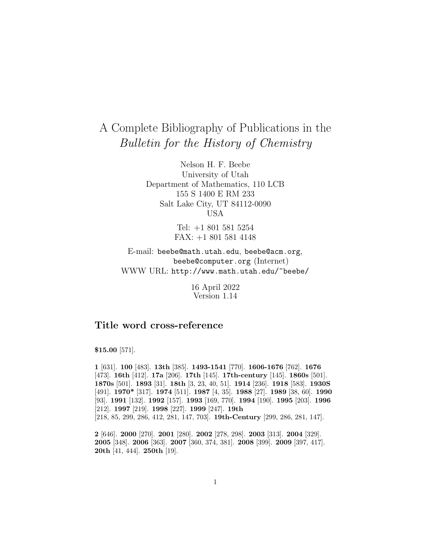# A Complete Bibliography of Publications in the Bulletin for the History of Chemistry

Nelson H. F. Beebe University of Utah Department of Mathematics, 110 LCB 155 S 1400 E RM 233 Salt Lake City, UT 84112-0090 USA

> Tel: +1 801 581 5254 FAX: +1 801 581 4148

E-mail: beebe@math.utah.edu, beebe@acm.org, beebe@computer.org (Internet) WWW URL: http://www.math.utah.edu/~beebe/

> 16 April 2022 Version 1.14

## **Title word cross-reference**

\$**15.00** [571].

**1** [631]. **100** [483]. **13th** [385]. **1493-1541** [770]. **1606-1676** [762]. **1676** [473]. **16th** [412]. **17a** [206]. **17th** [145]. **17th-century** [145]. **1860s** [501]. **1870s** [501]. **1893** [31]. **18th** [3, 23, 40, 51]. **1914** [236]. **1918** [583]. **1930S** [491]. **1970\*** [317]. **1974** [511]. **1987** [4, 35]. **1988** [27]. **1989** [38, 60]. **1990** [93]. **1991** [132]. **1992** [157]. **1993** [169, 770]. **1994** [190]. **1995** [203]. **1996** [212]. **1997** [219]. **1998** [227]. **1999** [247]. **19th** [218, 85, 299, 286, 412, 281, 147, 703]. **19th-Century** [299, 286, 281, 147].

**2** [646]. **2000** [270]. **2001** [280]. **2002** [278, 298]. **2003** [313]. **2004** [329]. **2005** [348]. **2006** [363]. **2007** [360, 374, 381]. **2008** [399]. **2009** [397, 417]. **20th** [41, 444]. **250th** [19].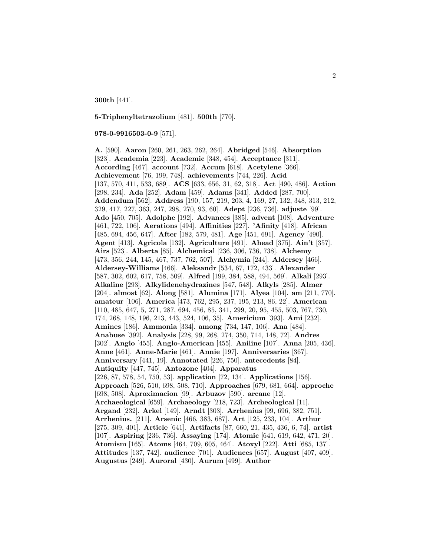**300th** [441].

**5-Triphenyltetrazolium** [481]. **500th** [770].

#### **978-0-9916503-0-9** [571].

**A.** [590]. **Aaron** [260, 261, 263, 262, 264]. **Abridged** [546]. **Absorption** [323]. **Academia** [223]. **Academic** [348, 454]. **Acceptance** [311]. **According** [467]. **account** [732]. **Accum** [618]. **Acetylene** [366]. **Achievement** [76, 199, 748]. **achievements** [744, 226]. **Acid** [137, 570, 411, 533, 689]. **ACS** [633, 656, 31, 62, 318]. **Act** [490, 486]. **Action** [298, 234]. **Ada** [252]. **Adam** [459]. **Adams** [341]. **Added** [287, 700]. **Addendum** [562]. **Address** [190, 157, 219, 203, 4, 169, 27, 132, 348, 313, 212, 329, 417, 227, 363, 247, 298, 270, 93, 60]. **Adept** [236, 736]. **adjuste** [99]. **Ado** [450, 705]. **Adolphe** [192]. **Advances** [385]. **advent** [108]. **Adventure** [461, 722, 106]. **Aerations** [494]. **Affinities** [227]. **'Afinity** [418]. **African** [485, 694, 456, 647]. **After** [182, 579, 481]. **Age** [451, 691]. **Agency** [490]. **Agent** [413]. **Agricola** [132]. **Agriculture** [491]. **Ahead** [375]. **Ain't** [357]. **Airs** [523]. **Alberta** [85]. **Alchemical** [236, 306, 736, 738]. **Alchemy** [473, 356, 244, 145, 467, 737, 762, 507]. **Alchymia** [244]. **Aldersey** [466]. **Aldersey-Williams** [466]. **Aleksandr** [534, 67, 172, 433]. **Alexander** [587, 302, 602, 617, 758, 509]. **Alfred** [199, 384, 588, 494, 569]. **Alkali** [293]. **Alkaline** [293]. **Alkylidenehydrazines** [547, 548]. **Alkyls** [285]. **Almer** [204]. **almost** [62]. **Along** [581]. **Alumina** [171]. **Alyea** [104]. **am** [211, 770]. **amateur** [106]. **America** [473, 762, 295, 237, 195, 213, 86, 22]. **American** [110, 485, 647, 5, 271, 287, 694, 456, 85, 341, 299, 20, 95, 455, 503, 767, 730, 174, 268, 148, 196, 213, 443, 524, 106, 35]. **Americium** [393]. **Ami** [232]. **Amines** [186]. **Ammonia** [334]. **among** [734, 147, 106]. **Ana** [484]. **Anabuse** [392]. **Analysis** [228, 99, 268, 274, 350, 714, 148, 72]. **Andres** [302]. **Anglo** [455]. **Anglo-American** [455]. **Aniline** [107]. **Anna** [205, 436]. **Anne** [461]. **Anne-Marie** [461]. **Annie** [197]. **Anniversaries** [367]. **Anniversary** [441, 19]. **Annotated** [226, 750]. **antecedents** [84]. **Antiquity** [447, 745]. **Antozone** [404]. **Apparatus** [226, 87, 578, 54, 750, 53]. **application** [72, 134]. **Applications** [156]. **Approach** [526, 510, 698, 508, 710]. **Approaches** [679, 681, 664]. **approche** [698, 508]. **Aproximacion** [99]. **Arbuzov** [590]. **arcane** [12]. **Archaeological** [659]. **Archaeology** [218, 723]. **Archeological** [11]. **Argand** [232]. **Arkel** [149]. **Arndt** [303]. **Arrhenius** [99, 696, 382, 751]. **Arrhenius.** [211]. **Arsenic** [466, 383, 687]. **Art** [125, 233, 104]. **Arthur** [275, 309, 401]. **Article** [641]. **Artifacts** [87, 660, 21, 435, 436, 6, 74]. **artist** [107]. **Aspiring** [236, 736]. **Assaying** [174]. **Atomic** [641, 619, 642, 471, 20]. **Atomism** [165]. **Atoms** [464, 709, 605, 464]. **Atoxyl** [222]. **Atti** [685, 137]. **Attitudes** [137, 742]. **audience** [701]. **Audiences** [657]. **August** [407, 409]. **Augustus** [249]. **Auroral** [430]. **Aurum** [499]. **Author**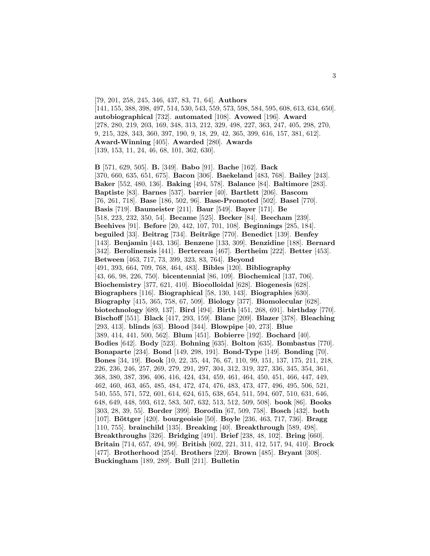[79, 201, 258, 245, 346, 437, 83, 71, 64]. **Authors** [141, 155, 388, 398, 497, 514, 530, 543, 559, 573, 598, 584, 595, 608, 613, 634, 650]. **autobiographical** [732]. **automated** [108]. **Avowed** [196]. **Award** [278, 280, 219, 203, 169, 348, 313, 212, 329, 498, 227, 363, 247, 405, 298, 270, 9, 215, 328, 343, 360, 397, 190, 9, 18, 29, 42, 365, 399, 616, 157, 381, 612]. **Award-Winning** [405]. **Awarded** [280]. **Awards** [139, 153, 11, 24, 46, 68, 101, 362, 630].

**B** [571, 629, 505]. **B.** [349]. **Babo** [91]. **Bache** [162]. **Back** [370, 660, 635, 651, 675]. **Bacon** [306]. **Baekeland** [483, 768]. **Bailey** [243]. **Baker** [552, 480, 136]. **Baking** [494, 578]. **Balance** [84]. **Baltimore** [283]. **Baptiste** [83]. **Barnes** [537]. **barrier** [40]. **Bartlett** [206]. **Bascom** [76, 261, 718]. **Base** [186, 502, 96]. **Base-Promoted** [502]. **Basel** [770]. **Basis** [719]. **Baumeister** [211]. **Baur** [549]. **Bayer** [171]. **Be** [518, 223, 232, 350, 54]. **Became** [525]. **Becker** [84]. **Beecham** [239]. **Beehives** [91]. **Before** [20, 442, 107, 701, 108]. **Beginnings** [285, 184]. **beguiled** [33]. **Beitrag** [734]. **Beiträge** [770]. **Benedict** [139]. **Benfey** [143]. **Benjamin** [443, 136]. **Benzene** [133, 309]. **Benzidine** [188]. **Bernard** [342]. **Berolinensis** [441]. **Bertereau** [467]. **Bertheim** [222]. **Better** [453]. **Between** [463, 717, 73, 399, 323, 83, 764]. **Beyond** [491, 393, 664, 709, 768, 464, 483]. **Bibles** [120]. **Bibliography** [43, 66, 98, 226, 750]. **bicentennial** [86, 109]. **Biochemical** [137, 706]. **Biochemistry** [377, 621, 410]. **Biocolloidal** [628]. **Biogenesis** [628]. **Biographers** [116]. **Biographical** [58, 130, 143]. **Biographies** [630]. **Biography** [415, 365, 758, 67, 509]. **Biology** [377]. **Biomolecular** [628]. **biotechnology** [689, 137]. **Bird** [494]. **Birth** [451, 268, 691]. **birthday** [770]. **Bischoff** [551]. **Black** [417, 293, 159]. **Blanc** [209]. **Blazer** [378]. **Bleaching** [293, 413]. **blinds** [63]. **Blood** [344]. **Blowpipe** [40, 273]. **Blue** [389, 414, 441, 500, 562]. **Blum** [451]. **Bobierre** [192]. **Bochard** [40]. **Bodies** [642]. **Body** [523]. **Bohning** [635]. **Bolton** [635]. **Bombastus** [770]. **Bonaparte** [234]. **Bond** [149, 298, 191]. **Bond-Type** [149]. **Bonding** [70]. **Bones** [34, 19]. **Book** [10, 22, 35, 44, 76, 67, 110, 99, 151, 137, 175, 211, 218, 226, 236, 246, 257, 269, 279, 291, 297, 304, 312, 319, 327, 336, 345, 354, 361, 368, 380, 387, 396, 406, 416, 424, 434, 459, 461, 464, 450, 451, 466, 447, 449, 462, 460, 463, 465, 485, 484, 472, 474, 476, 483, 473, 477, 496, 495, 506, 521, 540, 555, 571, 572, 601, 614, 624, 615, 638, 654, 511, 594, 607, 510, 631, 646, 648, 649, 448, 593, 612, 583, 507, 632, 513, 512, 509, 508]. **book** [86]. **Books** [303, 28, 39, 55]. **Border** [399]. **Borodin** [67, 509, 758]. **Bosch** [432]. **both** [107]. **B¨ottger** [420]. **bourgeoisie** [50]. **Boyle** [236, 463, 717, 736]. **Bragg** [110, 755]. **brainchild** [135]. **Breaking** [40]. **Breakthrough** [589, 498]. **Breakthroughs** [326]. **Bridging** [491]. **Brief** [238, 48, 102]. **Bring** [660]. **Britain** [714, 657, 494, 99]. **British** [602, 221, 311, 412, 517, 94, 410]. **Brock** [477]. **Brotherhood** [254]. **Brothers** [220]. **Brown** [485]. **Bryant** [308]. **Buckingham** [189, 289]. **Bull** [211]. **Bulletin**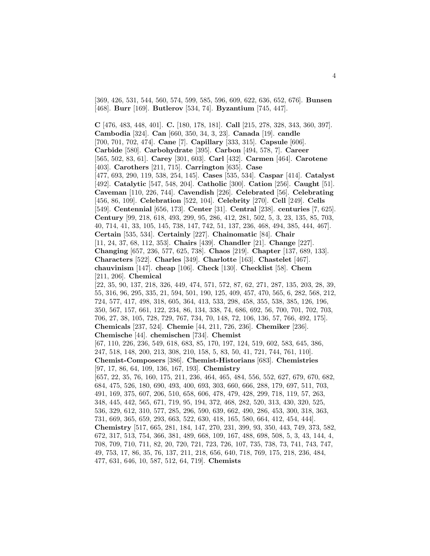[369, 426, 531, 544, 560, 574, 599, 585, 596, 609, 622, 636, 652, 676]. **Bunsen** [468]. **Burr** [169]. **Butlerov** [534, 74]. **Byzantium** [745, 447].

**C** [476, 483, 448, 401]. **C.** [180, 178, 181]. **Call** [215, 278, 328, 343, 360, 397]. **Cambodia** [324]. **Can** [660, 350, 34, 3, 23]. **Canada** [19]. **candle** [700, 701, 702, 474]. **Cane** [7]. **Capillary** [333, 315]. **Capsule** [606]. **Carbide** [580]. **Carbohydrate** [395]. **Carbon** [494, 578, 7]. **Career** [565, 502, 83, 61]. **Carey** [301, 603]. **Carl** [432]. **Carmen** [464]. **Carotene** [403]. **Carothers** [211, 715]. **Carrington** [635]. **Case** [477, 693, 290, 119, 538, 254, 145]. **Cases** [535, 534]. **Caspar** [414]. **Catalyst** [492]. **Catalytic** [547, 548, 204]. **Catholic** [300]. **Cation** [256]. **Caught** [51]. **Caveman** [110, 226, 744]. **Cavendish** [226]. **Celebrated** [56]. **Celebrating** [456, 86, 109]. **Celebration** [522, 104]. **Celebrity** [270]. **Cell** [249]. **Cells** [549]. **Centennial** [656, 173]. **Center** [31]. **Central** [238]. **centuries** [7, 625]. **Century** [99, 218, 618, 493, 299, 95, 286, 412, 281, 502, 5, 3, 23, 135, 85, 703, 40, 714, 41, 33, 105, 145, 738, 147, 742, 51, 137, 236, 468, 494, 385, 444, 467]. **Certain** [535, 534]. **Certainly** [227]. **Chainomatic** [84]. **Chair** [11, 24, 37, 68, 112, 353]. **Chairs** [439]. **Chandler** [21]. **Change** [227]. **Changing** [657, 236, 577, 625, 738]. **Chaos** [219]. **Chapter** [137, 689, 133]. **Characters** [522]. **Charles** [349]. **Charlotte** [163]. **Chastelet** [467]. **chauvinism** [147]. **cheap** [106]. **Check** [130]. **Checklist** [58]. **Chem** [211, 206]. **Chemical** [22, 35, 90, 137, 218, 326, 449, 474, 571, 572, 87, 62, 271, 287, 135, 203, 28, 39, 55, 316, 96, 295, 335, 21, 594, 501, 190, 125, 409, 457, 470, 565, 6, 282, 568, 212, 724, 577, 417, 498, 318, 605, 364, 413, 533, 298, 458, 355, 538, 385, 126, 196, 350, 567, 157, 661, 122, 234, 86, 134, 338, 74, 686, 692, 56, 700, 701, 702, 703, 706, 27, 38, 105, 728, 729, 767, 734, 70, 148, 72, 106, 136, 57, 766, 492, 175]. **Chemicals** [237, 524]. **Chemie** [44, 211, 726, 236]. **Chemiker** [236]. **Chemische** [44]. **chemischen** [734]. **Chemist** [67, 110, 226, 236, 549, 618, 683, 85, 170, 197, 124, 519, 602, 583, 645, 386, 247, 518, 148, 200, 213, 308, 210, 158, 5, 83, 50, 41, 721, 744, 761, 110]. **Chemist-Composers** [386]. **Chemist-Historians** [683]. **Chemistries** [97, 17, 86, 64, 109, 136, 167, 193]. **Chemistry** [657, 22, 35, 76, 160, 175, 211, 236, 464, 465, 484, 556, 552, 627, 679, 670, 682, 684, 475, 526, 180, 690, 493, 400, 693, 303, 660, 666, 288, 179, 697, 511, 703, 491, 169, 375, 607, 206, 510, 658, 606, 478, 479, 428, 299, 718, 119, 57, 263, 348, 445, 442, 565, 671, 719, 95, 194, 372, 468, 282, 520, 313, 430, 320, 525, 536, 329, 612, 310, 577, 285, 296, 590, 639, 662, 490, 286, 453, 300, 318, 363, 731, 669, 365, 659, 293, 663, 522, 630, 418, 165, 580, 664, 412, 454, 444]. **Chemistry** [517, 665, 281, 184, 147, 270, 231, 399, 93, 350, 443, 749, 373, 582, 672, 317, 513, 754, 366, 381, 489, 668, 109, 167, 488, 698, 508, 5, 3, 43, 144, 4, 708, 709, 710, 711, 82, 20, 720, 721, 723, 726, 107, 735, 738, 73, 741, 743, 747, 49, 753, 17, 86, 35, 76, 137, 211, 218, 656, 640, 718, 769, 175, 218, 236, 484, 477, 631, 646, 10, 587, 512, 64, 719]. **Chemists**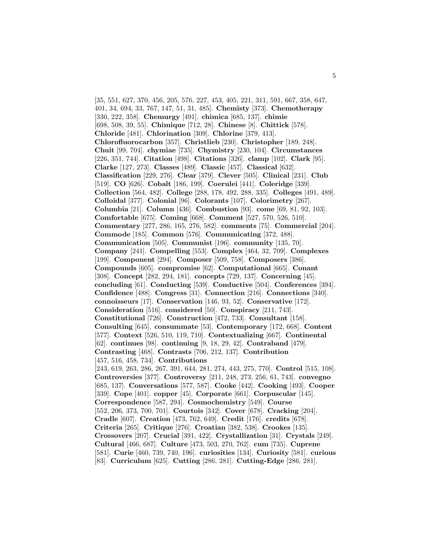[35, 551, 627, 370, 456, 205, 576, 227, 453, 405, 221, 311, 591, 667, 358, 647, 401, 34, 694, 33, 767, 147, 51, 31, 485]. **Chemisty** [373]. **Chemotherapy** [330, 222, 358]. **Chemurgy** [491]. **chimica** [685, 137]. **chimie** [698, 508, 39, 55]. **Chimique** [712, 28]. **Chinese** [8]. **Chittick** [578]. **Chloride** [481]. **Chlorination** [309]. **Chlorine** [379, 413]. **Chlorofluorocarbon** [357]. **Christlieb** [230]. **Christopher** [189, 248]. **Chuit** [99, 704]. **chymiae** [735]. **Chymistry** [230, 104]. **Circumstances** [226, 351, 744]. **Citation** [498]. **Citations** [326]. **clamp** [102]. **Clark** [95]. **Clarke** [127, 273]. **Classes** [489]. **Classic** [457]. **Classical** [632]. **Classification** [229, 276]. **Clear** [379]. **Clever** [505]. **Clinical** [231]. **Club** [519]. **CO** [626]. **Cobalt** [186, 199]. **Coerulei** [441]. **Coleridge** [339]. **Collection** [564, 482]. **College** [288, 178, 492, 288, 335]. **Colleges** [491, 489]. **Colloidal** [377]. **Colonial** [96]. **Colorants** [107]. **Colorimetry** [267]. **Columbia** [21]. **Column** [436]. **Combustion** [93]. **come** [69, 81, 92, 103]. **Comfortable** [675]. **Coming** [668]. **Comment** [527, 570, 526, 510]. **Commentary** [277, 286, 165, 276, 582]. **comments** [75]. **Commercial** [204]. **Commode** [185]. **Common** [576]. **Communicating** [372, 488]. **Communication** [505]. **Communist** [196]. **community** [135, 70]. **Company** [241]. **Compelling** [553]. **Complex** [464, 32, 709]. **Complexes** [199]. **Component** [294]. **Composer** [509, 758]. **Composers** [386]. **Compounds** [605]. **compromise** [62]. **Computational** [665]. **Conant** [308]. **Concept** [282, 294, 181]. **concepts** [729, 137]. **Concerning** [45]. **concluding** [61]. **Conducting** [539]. **Conductive** [504]. **Conferences** [394]. **Confidence** [488]. **Congress** [31]. **Connection** [216]. **Connections** [340]. **connoisseurs** [17]. **Conservation** [146, 93, 52]. **Conservative** [172]. **Consideration** [516]. **considered** [50]. **Conspiracy** [211, 743]. **Constitutional** [726]. **Construction** [472, 733]. **Consultant** [158]. **Consulting** [645]. **consummate** [53]. **Contemporary** [172, 668]. **Content** [577]. **Context** [526, 510, 119, 710]. **Contextualizing** [667]. **Continental** [62]. **continues** [98]. **continuing** [9, 18, 29, 42]. **Contraband** [479]. **Contrasting** [468]. **Contrasts** [706, 212, 137]. **Contribution** [457, 516, 458, 734]. **Contributions** [243, 619, 263, 286, 267, 391, 644, 281, 274, 443, 275, 770]. **Control** [515, 108]. **Controversies** [377]. **Controversy** [211, 248, 273, 256, 61, 743]. **convegno** [685, 137]. **Conversations** [577, 587]. **Cooke** [442]. **Cooking** [493]. **Cooper** [339]. **Cope** [401]. **copper** [45]. **Corporate** [661]. **Corpuscular** [145]. **Correspondence** [587, 294]. **Cosmochemistry** [549]. **Course** [552, 206, 373, 700, 701]. **Courtois** [342]. **Cover** [678]. **Cracking** [204]. **Cradle** [607]. **Creation** [473, 762, 649]. **Credit** [176]. **credits** [678]. **Criteria** [265]. **Critique** [276]. **Croatian** [382, 538]. **Crookes** [135]. **Crossovers** [207]. **Crucial** [391, 422]. **Crystallization** [31]. **Crystals** [249]. **Cultural** [466, 687]. **Culture** [473, 503, 270, 762]. **cum** [735]. **Cuprene** [581]. **Curie** [460, 739, 740, 196]. **curiosities** [134]. **Curiosity** [581]. **curious** [83]. **Curriculum** [625]. **Cutting** [286, 281]. **Cutting-Edge** [286, 281].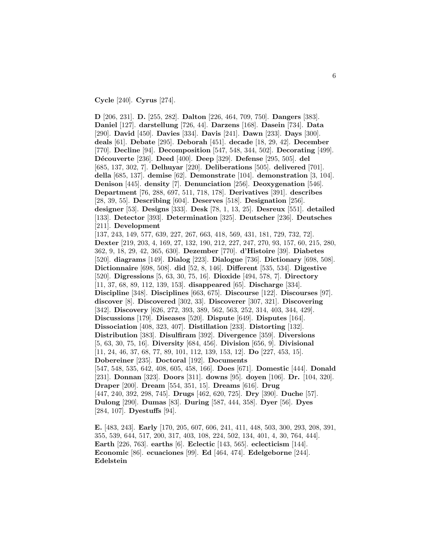**Cycle** [240]. **Cyrus** [274].

**D** [206, 231]. **D.** [255, 282]. **Dalton** [226, 464, 709, 750]. **Dangers** [383]. **Daniel** [127]. **darstellung** [726, 44]. **Darzens** [168]. **Dasein** [734]. **Data** [290]. **David** [450]. **Davies** [334]. **Davis** [241]. **Dawn** [233]. **Days** [300]. **deals** [61]. **Debate** [295]. **Deborah** [451]. **decade** [18, 29, 42]. **December** [770]. **Decline** [94]. **Decomposition** [547, 548, 344, 502]. **Decorating** [499]. **D´ecouverte** [236]. **Deed** [400]. **Deep** [329]. **Defense** [295, 505]. **del** [685, 137, 302, 7]. **Delhuyar** [220]. **Deliberations** [505]. **delivered** [701]. **della** [685, 137]. **demise** [62]. **Demonstrate** [104]. **demonstration** [3, 104]. **Denison** [445]. **density** [7]. **Denunciation** [256]. **Deoxygenation** [546]. **Department** [76, 288, 697, 511, 718, 178]. **Derivatives** [391]. **describes** [28, 39, 55]. **Describing** [604]. **Deserves** [518]. **Designation** [256]. **designer** [53]. **Designs** [333]. **Desk** [78, 1, 13, 25]. **Desreux** [551]. **detailed** [133]. **Detector** [393]. **Determination** [325]. **Deutscher** [236]. **Deutsches** [211]. **Development** [137, 243, 149, 577, 639, 227, 267, 663, 418, 569, 431, 181, 729, 732, 72]. **Dexter** [219, 203, 4, 169, 27, 132, 190, 212, 227, 247, 270, 93, 157, 60, 215, 280, 362, 9, 18, 29, 42, 365, 630]. **Dezember** [770]. **d'Histoire** [39]. **Diabetes** [520]. **diagrams** [149]. **Dialog** [223]. **Dialogue** [736]. **Dictionary** [698, 508]. **Dictionnaire** [698, 508]. **did** [52, 8, 146]. **Different** [535, 534]. **Digestive** [520]. **Digressions** [5, 63, 30, 75, 16]. **Dioxide** [494, 578, 7]. **Directory** [11, 37, 68, 89, 112, 139, 153]. **disappeared** [65]. **Discharge** [334]. **Discipline** [348]. **Disciplines** [663, 675]. **Discourse** [122]. **Discourses** [97]. **discover** [8]. **Discovered** [302, 33]. **Discoverer** [307, 321]. **Discovering** [342]. **Discovery** [626, 272, 393, 389, 562, 563, 252, 314, 403, 344, 429]. **Discussions** [179]. **Diseases** [520]. **Dispute** [649]. **Disputes** [164]. **Dissociation** [408, 323, 407]. **Distillation** [233]. **Distorting** [132]. **Distribution** [383]. **Disulfiram** [392]. **Divergence** [359]. **Diversions** [5, 63, 30, 75, 16]. **Diversity** [684, 456]. **Division** [656, 9]. **Divisional** [11, 24, 46, 37, 68, 77, 89, 101, 112, 139, 153, 12]. **Do** [227, 453, 15]. **Dobereiner** [235]. **Doctoral** [192]. **Documents** [547, 548, 535, 642, 408, 605, 458, 166]. **Does** [671]. **Domestic** [444]. **Donald** [231]. **Donnan** [323]. **Doors** [311]. **downs** [95]. **doyen** [106]. **Dr.** [104, 320]. **Draper** [200]. **Dream** [554, 351, 15]. **Dreams** [616]. **Drug** [447, 240, 392, 298, 745]. **Drugs** [462, 620, 725]. **Dry** [390]. **Duche** [57]. **Dulong** [290]. **Dumas** [83]. **During** [587, 444, 358]. **Dyer** [56]. **Dyes** [284, 107]. **Dyestuffs** [94].

**E.** [483, 243]. **Early** [170, 205, 607, 606, 241, 411, 448, 503, 300, 293, 208, 391, 355, 539, 644, 517, 200, 317, 403, 108, 224, 502, 134, 401, 4, 30, 764, 444]. **Earth** [226, 763]. **earths** [6]. **Eclectic** [143, 565]. **eclecticism** [144]. **Economic** [86]. **ecuaciones** [99]. **Ed** [464, 474]. **Edelgeborne** [244]. **Edelstein**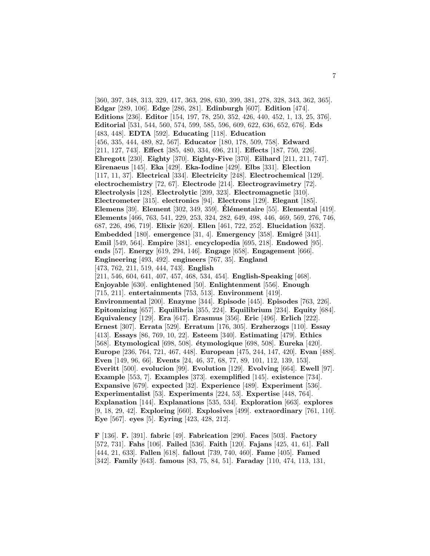[360, 397, 348, 313, 329, 417, 363, 298, 630, 399, 381, 278, 328, 343, 362, 365]. **Edgar** [289, 106]. **Edge** [286, 281]. **Edinburgh** [607]. **Edition** [474]. **Editions** [236]. **Editor** [154, 197, 78, 250, 352, 426, 440, 452, 1, 13, 25, 376]. **Editorial** [531, 544, 560, 574, 599, 585, 596, 609, 622, 636, 652, 676]. **Eds** [483, 448]. **EDTA** [592]. **Educating** [118]. **Education** [456, 335, 444, 489, 82, 567]. **Educator** [180, 178, 509, 758]. **Edward** [211, 127, 743]. **Effect** [385, 480, 334, 696, 211]. **Effects** [187, 750, 226]. **Ehregott** [230]. **Eighty** [370]. **Eighty-Five** [370]. **Eilhard** [211, 211, 747]. **Eirenaeus** [145]. **Eka** [429]. **Eka-Iodine** [429]. **Elbs** [331]. **Election** [117, 11, 37]. **Electrical** [334]. **Electricity** [248]. **Electrochemical** [129]. **electrochemistry** [72, 67]. **Electrode** [214]. **Electrogravimetry** [72]. **Electrolysis** [128]. **Electrolytic** [209, 323]. **Electromagnetic** [310]. **Electrometer** [315]. **electronics** [94]. **Electrons** [129]. **Elegant** [185]. **Elemens** [39]. **Element** [302, 349, 359]. **El´ ´ ementaire** [55]. **Elemental** [419]. **Elements** [466, 763, 541, 229, 253, 324, 282, 649, 498, 446, 469, 569, 276, 746, 687, 226, 496, 719]. **Elixir** [620]. **Ellen** [461, 722, 252]. **Elucidation** [632]. **Embedded** [180]. **emergence** [31, 4]. **Emergency** [358]. **Emigré** [341]. **Emil** [549, 564]. **Empire** [381]. **encyclopedia** [695, 218]. **Endowed** [95]. **ends** [57]. **Energy** [619, 294, 146]. **Engage** [658]. **Engagement** [666]. **Engineering** [493, 492]. **engineers** [767, 35]. **England** [473, 762, 211, 519, 444, 743]. **English** [211, 546, 604, 641, 407, 457, 468, 534, 454]. **English-Speaking** [468]. **Enjoyable** [630]. **enlightened** [50]. **Enlightenment** [556]. **Enough** [715, 211]. **entertainments** [753, 513]. **Environment** [419]. **Environmental** [200]. **Enzyme** [344]. **Episode** [445]. **Episodes** [763, 226]. **Epitomizing** [657]. **Equilibria** [355, 224]. **Equilibrium** [234]. **Equity** [684]. **Equivalency** [129]. **Era** [647]. **Erasmus** [356]. **Eric** [496]. **Erlich** [222]. **Ernest** [307]. **Errata** [529]. **Erratum** [176, 305]. **Erzherzogs** [110]. **Essay** [413]. **Essays** [86, 769, 10, 22]. **Esteem** [340]. **Estimating** [479]. **Ethics** [568]. **Etymological** [698, 508]. **´etymologique** [698, 508]. **Eureka** [420]. **Europe** [236, 764, 721, 467, 448]. **European** [475, 244, 147, 420]. **Evan** [488]. **Even** [149, 96, 66]. **Events** [24, 46, 37, 68, 77, 89, 101, 112, 139, 153]. **Everitt** [500]. **evolucion** [99]. **Evolution** [129]. **Evolving** [664]. **Ewell** [97]. **Example** [553, 7]. **Examples** [373]. **exemplified** [145]. **existence** [734]. **Expansive** [679]. **expected** [32]. **Experience** [489]. **Experiment** [536]. **Experimentalist** [53]. **Experiments** [224, 53]. **Expertise** [448, 764]. **Explanation** [144]. **Explanations** [535, 534]. **Exploration** [663]. **explores** [9, 18, 29, 42]. **Exploring** [660]. **Explosives** [499]. **extraordinary** [761, 110]. **Eye** [567]. **eyes** [5]. **Eyring** [423, 428, 212].

**F** [136]. **F.** [391]. **fabric** [49]. **Fabrication** [290]. **Faces** [503]. **Factory** [572, 731]. **Fahs** [106]. **Failed** [536]. **Faith** [120]. **Fajans** [425, 41, 61]. **Fall** [444, 21, 633]. **Fallen** [618]. **fallout** [739, 740, 460]. **Fame** [405]. **Famed** [342]. **Family** [643]. **famous** [83, 75, 84, 51]. **Faraday** [110, 474, 113, 131,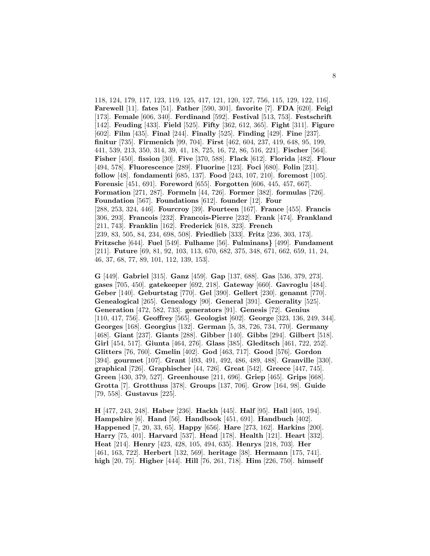118, 124, 179, 117, 123, 119, 125, 417, 121, 120, 127, 756, 115, 129, 122, 116]. **Farewell** [11]. **fates** [51]. **Father** [590, 301]. **favorite** [7]. **FDA** [620]. **Feigl** [173]. **Female** [606, 340]. **Ferdinand** [592]. **Festival** [513, 753]. **Festschrift** [142]. **Feuding** [433]. **Field** [525]. **Fifty** [362, 612, 365]. **Fight** [311]. **Figure** [602]. **Film** [435]. **Final** [244]. **Finally** [525]. **Finding** [429]. **Fine** [237]. **finitur** [735]. **Firmenich** [99, 704]. **First** [462, 604, 237, 419, 648, 95, 199, 441, 539, 213, 350, 314, 39, 41, 18, 725, 16, 72, 86, 516, 221]. **Fischer** [564]. **Fisher** [450]. **fission** [30]. **Five** [370, 588]. **Flack** [612]. **Florida** [482]. **Flour** [494, 578]. **Fluorescence** [289]. **Fluorine** [123]. **Foci** [680]. **Folin** [231]. **follow** [48]. **fondamenti** [685, 137]. **Food** [243, 107, 210]. **foremost** [105]. **Forensic** [451, 691]. **Foreword** [655]. **Forgotten** [606, 445, 457, 667]. **Formation** [271, 287]. **Formeln** [44, 726]. **Former** [382]. **formulas** [726]. **Foundation** [567]. **Foundations** [612]. **founder** [12]. **Four** [288, 253, 324, 446]. **Fourcroy** [39]. **Fourteen** [167]. **France** [455]. **Francis** [306, 293]. **Francois** [232]. **Francois-Pierre** [232]. **Frank** [474]. **Frankland** [211, 743]. **Franklin** [162]. **Frederick** [618, 323]. **French** [239, 83, 505, 84, 234, 698, 508]. **Friedlieb** [333]. **Fritz** [236, 303, 173]. **Fritzsche** [644]. **Fuel** [549]. **Fulhame** [56]. **Fulminans***}* [499]. **Fundament** [211]. **Future** [69, 81, 92, 103, 113, 670, 682, 375, 348, 671, 662, 659, 11, 24, 46, 37, 68, 77, 89, 101, 112, 139, 153].

**G** [449]. **Gabriel** [315]. **Ganz** [459]. **Gap** [137, 688]. **Gas** [536, 379, 273]. **gases** [705, 450]. **gatekeeper** [692, 218]. **Gateway** [660]. **Gavroglu** [484]. **Geber** [140]. **Geburtstag** [770]. **Gel** [390]. **Gellert** [230]. **genannt** [770]. **Genealogical** [265]. **Genealogy** [90]. **General** [391]. **Generality** [525]. **Generation** [472, 582, 733]. **generators** [91]. **Genesis** [72]. **Genius** [110, 417, 756]. **Geoffrey** [565]. **Geologist** [602]. **George** [323, 136, 249, 344]. **Georges** [168]. **Georgius** [132]. **German** [5, 38, 726, 734, 770]. **Germany** [468]. **Giant** [237]. **Giants** [288]. **Gibber** [140]. **Gibbs** [294]. **Gilbert** [518]. **Girl** [454, 517]. **Giunta** [464, 276]. **Glass** [385]. **Gleditsch** [461, 722, 252]. **Glitters** [76, 760]. **Gmelin** [402]. **God** [463, 717]. **Good** [576]. **Gordon** [394]. **gourmet** [107]. **Grant** [493, 491, 492, 486, 489, 488]. **Granville** [330]. **graphical** [726]. **Graphischer** [44, 726]. **Great** [542]. **Greece** [447, 745]. **Green** [430, 379, 527]. **Greenhouse** [211, 696]. **Griep** [465]. **Grips** [668]. **Grotta** [7]. **Grotthuss** [378]. **Groups** [137, 706]. **Grow** [164, 98]. **Guide** [79, 558]. **Gustavus** [225].

**H** [477, 243, 248]. **Haber** [236]. **Hackh** [445]. **Half** [95]. **Hall** [405, 194]. **Hampshire** [6]. **Hand** [56]. **Handbook** [451, 691]. **Handbuch** [402]. **Happened** [7, 20, 33, 65]. **Happy** [656]. **Hare** [273, 162]. **Harkins** [200]. **Harry** [75, 401]. **Harvard** [537]. **Head** [178]. **Health** [121]. **Heart** [332]. **Heat** [214]. **Henry** [423, 428, 105, 494, 635]. **Henrys** [218, 703]. **Her** [461, 163, 722]. **Herbert** [132, 569]. **heritage** [38]. **Hermann** [175, 741]. **high** [20, 75]. **Higher** [444]. **Hill** [76, 261, 718]. **Him** [226, 750]. **himself**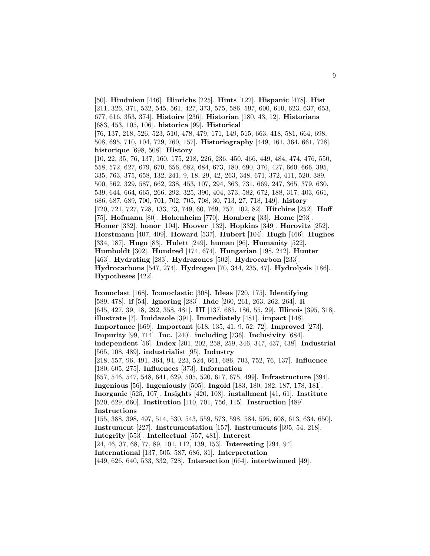[50]. **Hinduism** [446]. **Hinrichs** [225]. **Hints** [122]. **Hispanic** [478]. **Hist** [211, 326, 371, 532, 545, 561, 427, 373, 575, 586, 597, 600, 610, 623, 637, 653, 677, 616, 353, 374]. **Histoire** [236]. **Historian** [180, 43, 12]. **Historians** [683, 453, 105, 106]. **historica** [99]. **Historical** [76, 137, 218, 526, 523, 510, 478, 479, 171, 149, 515, 663, 418, 581, 664, 698, 508, 695, 710, 104, 729, 760, 157]. **Historiography** [449, 161, 364, 661, 728]. **historique** [698, 508]. **History** [10, 22, 35, 76, 137, 160, 175, 218, 226, 236, 450, 466, 449, 484, 474, 476, 550, 558, 572, 627, 679, 670, 656, 682, 684, 673, 180, 690, 370, 427, 660, 666, 395, 335, 763, 375, 658, 132, 241, 9, 18, 29, 42, 263, 348, 671, 372, 411, 520, 389, 500, 562, 329, 587, 662, 238, 453, 107, 294, 363, 731, 669, 247, 365, 379, 630, 539, 644, 664, 665, 266, 292, 325, 390, 404, 373, 582, 672, 188, 317, 403, 661, 686, 687, 689, 700, 701, 702, 705, 708, 30, 713, 27, 718, 149]. **history** [720, 721, 727, 728, 133, 73, 749, 60, 769, 757, 102, 82]. **Hitchins** [252]. **Hoff** [75]. **Hofmann** [80]. **Hohenheim** [770]. **Homberg** [33]. **Home** [293]. **Homer** [332]. **honor** [104]. **Hoover** [132]. **Hopkins** [349]. **Horovitz** [252]. **Horstmann** [407, 409]. **Howard** [537]. **Hubert** [104]. **Hugh** [466]. **Hughes** [334, 187]. **Hugo** [83]. **Hulett** [249]. **human** [96]. **Humanity** [522]. **Humboldt** [302]. **Hundred** [174, 674]. **Hungarian** [198, 242]. **Hunter** [463]. **Hydrating** [283]. **Hydrazones** [502]. **Hydrocarbon** [233]. **Hydrocarbons** [547, 274]. **Hydrogen** [70, 344, 235, 47]. **Hydrolysis** [186]. **Hypotheses** [422].

**Iconoclast** [168]. **Iconoclastic** [308]. **Ideas** [720, 175]. **Identifying** [589, 478]. **if** [54]. **Ignoring** [283]. **Ihde** [260, 261, 263, 262, 264]. **Ii** [645, 427, 39, 18, 292, 358, 481]. **III** [137, 685, 186, 55, 29]. **Illinois** [395, 318]. **illustrate** [7]. **Imidazole** [391]. **Immediately** [481]. **impact** [148]. **Importance** [669]. **Important** [618, 135, 41, 9, 52, 72]. **Improved** [273]. **Impurity** [99, 714]. **Inc.** [240]. **including** [736]. **Inclusivity** [684]. **independent** [56]. **Index** [201, 202, 258, 259, 346, 347, 437, 438]. **Industrial** [565, 108, 489]. **industrialist** [95]. **Industry** [218, 557, 96, 491, 364, 94, 223, 524, 661, 686, 703, 752, 76, 137]. **Influence** [180, 605, 275]. **Influences** [373]. **Information** [657, 546, 547, 548, 641, 629, 505, 520, 617, 675, 499]. **Infrastructure** [394]. **Ingenious** [56]. **Ingeniously** [505]. **Ingold** [183, 180, 182, 187, 178, 181]. **Inorganic** [525, 107]. **Insights** [420, 108]. **installment** [41, 61]. **Institute** [520, 629, 660]. **Institution** [110, 701, 756, 115]. **Instruction** [489]. **Instructions** [155, 388, 398, 497, 514, 530, 543, 559, 573, 598, 584, 595, 608, 613, 634, 650]. **Instrument** [227]. **Instrumentation** [157]. **Instruments** [695, 54, 218]. **Integrity** [553]. **Intellectual** [557, 481]. **Interest** [24, 46, 37, 68, 77, 89, 101, 112, 139, 153]. **Interesting** [294, 94]. **International** [137, 505, 587, 686, 31]. **Interpretation**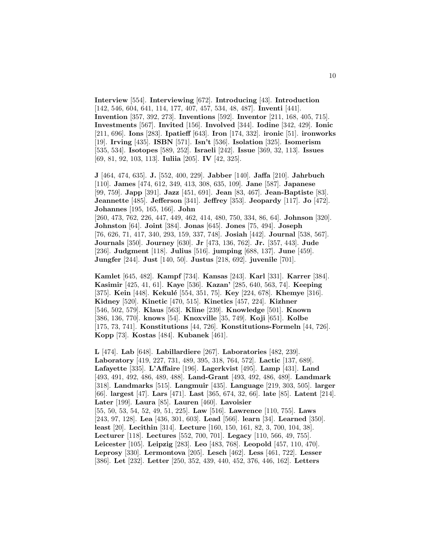**Interview** [554]. **Interviewing** [672]. **Introducing** [43]. **Introduction** [142, 546, 604, 641, 114, 177, 407, 457, 534, 48, 487]. **Inventi** [441]. **Invention** [357, 392, 273]. **Inventions** [592]. **Inventor** [211, 168, 405, 715]. **Investments** [567]. **Invited** [156]. **Involved** [344]. **Iodine** [342, 429]. **Ionic** [211, 696]. **Ions** [283]. **Ipatieff** [643]. **Iron** [174, 332]. **ironic** [51]. **ironworks** [19]. **Irving** [435]. **ISBN** [571]. **Isn't** [536]. **Isolation** [325]. **Isomerism** [535, 534]. **Isotopes** [589, 252]. **Israeli** [242]. **Issue** [369, 32, 113]. **Issues** [69, 81, 92, 103, 113]. **Iuliia** [205]. **IV** [42, 325].

**J** [464, 474, 635]. **J.** [552, 400, 229]. **Jabber** [140]. **Jaffa** [210]. **Jahrbuch** [110]. **James** [474, 612, 349, 413, 308, 635, 109]. **Jane** [587]. **Japanese** [99, 759]. **Japp** [391]. **Jazz** [451, 691]. **Jean** [83, 467]. **Jean-Baptiste** [83]. **Jeannette** [485]. **Jefferson** [341]. **Jeffrey** [353]. **Jeopardy** [117]. **Jo** [472]. **Johannes** [195, 165, 166]. **John** [260, 473, 762, 226, 447, 449, 462, 414, 480, 750, 334, 86, 64]. **Johnson** [320]. **Johnston** [64]. **Joint** [384]. **Jonas** [645]. **Jones** [75, 494]. **Joseph** [76, 626, 71, 417, 340, 293, 159, 337, 748]. **Josiah** [442]. **Journal** [538, 567]. **Journals** [350]. **Journey** [630]. **Jr** [473, 136, 762]. **Jr.** [357, 443]. **Jude** [236]. **Judgment** [118]. **Julius** [516]. **jumping** [688, 137]. **June** [459]. **Jungfer** [244]. **Just** [140, 50]. **Justus** [218, 692]. **juvenile** [701].

**Kamlet** [645, 482]. **Kampf** [734]. **Kansas** [243]. **Karl** [331]. **Karrer** [384]. **Kasimir** [425, 41, 61]. **Kaye** [536]. **Kazan'** [285, 640, 563, 74]. **Keeping** [375]. **Kein** [448]. **Kekulé** [554, 351, 75]. **Key** [224, 678]. **Khemye** [316]. **Kidney** [520]. **Kinetic** [470, 515]. **Kinetics** [457, 224]. **Kizhner** [546, 502, 579]. **Klaus** [563]. **Kline** [239]. **Knowledge** [501]. **Known** [386, 136, 770]. **knows** [54]. **Knoxville** [35, 749]. **Koji** [651]. **Kolbe** [175, 73, 741]. **Konstitutions** [44, 726]. **Konstitutions-Formeln** [44, 726]. **Kopp** [73]. **Kostas** [484]. **Kubanek** [461].

**L** [474]. **Lab** [648]. **Labillardiere** [267]. **Laboratories** [482, 239]. **Laboratory** [419, 227, 731, 489, 395, 318, 764, 572]. **Lactic** [137, 689]. **Lafayette** [335]. **L'Affaire** [196]. **Lagerkvist** [495]. **Lamp** [431]. **Land** [493, 491, 492, 486, 489, 488]. **Land-Grant** [493, 492, 486, 489]. **Landmark** [318]. **Landmarks** [515]. **Langmuir** [435]. **Language** [219, 303, 505]. **larger** [66]. **largest** [47]. **Lars** [471]. **Last** [365, 674, 32, 66]. **late** [85]. **Latent** [214]. **Later** [199]. **Laura** [85]. **Lauren** [460]. **Lavoisier** [55, 50, 53, 54, 52, 49, 51, 225]. **Law** [516]. **Lawrence** [110, 755]. **Laws** [243, 97, 128]. **Lea** [436, 301, 603]. **Lead** [566]. **learn** [34]. **Learned** [350]. **least** [20]. **Lecithin** [314]. **Lecture** [160, 150, 161, 82, 3, 700, 104, 38]. **Lecturer** [118]. **Lectures** [552, 700, 701]. **Legacy** [110, 566, 49, 755]. **Leicester** [105]. **Leipzig** [283]. **Leo** [483, 768]. **Leopold** [457, 110, 470]. **Leprosy** [330]. **Lermontova** [205]. **Lesch** [462]. **Less** [461, 722]. **Lesser** [386]. **Let** [232]. **Letter** [250, 352, 439, 440, 452, 376, 446, 162]. **Letters**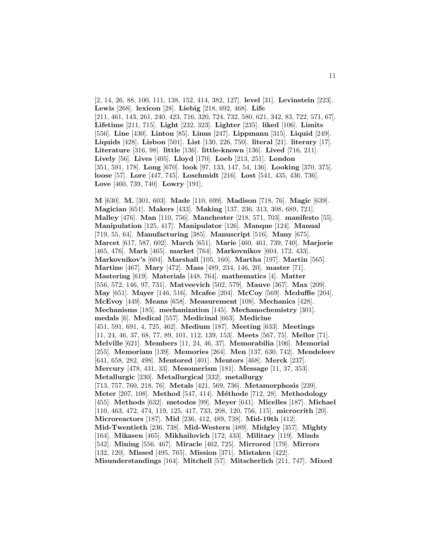[2, 14, 26, 88, 100, 111, 138, 152, 414, 382, 127]. **level** [31]. **Levinstein** [223]. **Lewis** [268]. **lexicon** [28]. **Liebig** [218, 692, 468]. **Life** [211, 461, 143, 261, 240, 423, 716, 320, 724, 732, 580, 621, 342, 83, 722, 571, 67]. **Lifetime** [211, 715]. **Light** [232, 323]. **Lighter** [235]. **liked** [106]. **Limits** [556]. **Line** [430]. **Linton** [85]. **Linus** [247]. **Lippmann** [315]. **Liquid** [249]. **Liquids** [428]. **Lisbon** [501]. **List** [130, 226, 750]. **literal** [21]. **literary** [17]. **Literature** [316, 98]. **little** [136]. **little-known** [136]. **Lived** [716, 211]. **Lively** [56]. **Lives** [405]. **Lloyd** [170]. **Loeb** [213, 251]. **London** [351, 591, 178]. **Long** [670]. **look** [97, 133, 147, 54, 136]. **Looking** [370, 375]. **loose** [57]. **Lore** [447, 745]. **Loschmidt** [216]. **Lost** [541, 435, 436, 736]. **Love** [460, 739, 740]. **Lowry** [191].

**M** [630]. **M.** [301, 603]. **Made** [110, 699]. **Madison** [718, 76]. **Magic** [639]. **Magician** [651]. **Makers** [433]. **Making** [137, 236, 313, 308, 689, 721]. **Malley** [476]. **Man** [110, 756]. **Manchester** [218, 571, 703]. **manifesto** [55]. **Manipulation** [125, 417]. **Manipulator** [126]. **Manque** [124]. **Manual** [719, 55, 64]. **Manufacturing** [385]. **Manuscript** [516]. **Many** [675]. **Marcet** [617, 587, 602]. **March** [651]. **Marie** [460, 461, 739, 740]. **Marjorie** [465, 476]. **Mark** [465]. **market** [764]. **Markovnikov** [604, 172, 433]. **Markovnikov's** [604]. **Marshall** [105, 160]. **Martha** [197]. **Martin** [565]. **Martine** [467]. **Mary** [472]. **Mass** [489, 234, 146, 20]. **master** [71]. **Mastering** [619]. **Materials** [448, 764]. **mathematics** [4]. **Matter** [556, 572, 146, 97, 731]. **Matveevich** [502, 579]. **Mauve** [367]. **Max** [209]. **May** [651]. **Mayer** [146, 516]. **Mcafee** [204]. **McCoy** [569]. **Mcduffie** [204]. **McEvoy** [449]. **Means** [658]. **Measurement** [108]. **Mechanics** [428]. **Mechanisms** [185]. **mechanization** [145]. **Mechanochemistry** [301]. **medals** [6]. **Medical** [557]. **Medicinal** [663]. **Medicine** [451, 591, 691, 4, 725, 462]. **Medium** [187]. **Meeting** [633]. **Meetings** [11, 24, 46, 37, 68, 77, 89, 101, 112, 139, 153]. **Meets** [567, 75]. **Mellor** [71]. **Melville** [621]. **Members** [11, 24, 46, 37]. **Memorabilia** [106]. **Memorial** [255]. **Memoriam** [139]. **Memories** [264]. **Men** [137, 630, 742]. **Mendeleev** [641, 658, 282, 498]. **Mentored** [401]. **Mentors** [468]. **Merck** [237]. **Mercury** [478, 431, 33]. **Mesomerism** [181]. **Message** [11, 37, 353]. **Metallurgic** [230]. **Metallurgical** [332]. **metallurgy** [713, 757, 760, 218, 76]. **Metals** [421, 569, 736]. **Metamorphosis** [239]. **Meter** [207, 108]. **Method** [547, 414]. **M´ethode** [712, 28]. **Methodology** [455]. **Methods** [632]. **metodos** [99]. **Meyer** [641]. **Micelles** [187]. **Michael** [110, 463, 472, 474, 119, 125, 417, 733, 208, 120, 756, 115]. **microcrith** [20]. **Microreactors** [187]. **Mid** [236, 412, 489, 738]. **Mid-19th** [412]. **Mid-Twentieth** [236, 738]. **Mid-Western** [489]. **Midgley** [357]. **Mighty** [164]. **Mikasen** [465]. **Mikhailovich** [172, 433]. **Military** [119]. **Minds** [542]. **Mining** [556, 467]. **Miracle** [462, 725]. **Mirrored** [179]. **Mirrors** [132, 120]. **Missed** [495, 765]. **Mission** [371]. **Mistaken** [422]. **Misunderstandings** [164]. **Mitchell** [57]. **Mitscherlich** [211, 747]. **Mixed**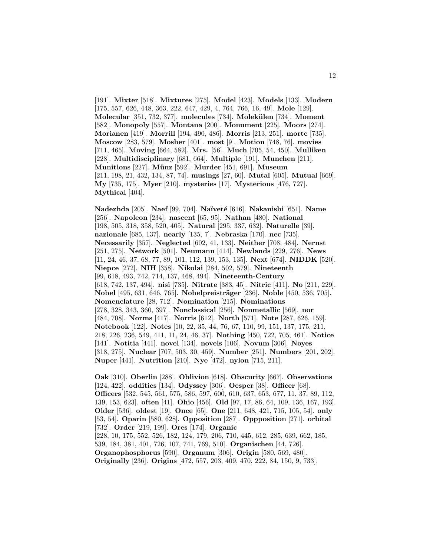[191]. **Mixter** [518]. **Mixtures** [275]. **Model** [423]. **Models** [133]. **Modern** [175, 557, 626, 448, 363, 222, 647, 429, 4, 764, 766, 16, 49]. **Mole** [129]. **Molecular** [351, 732, 377]. **molecules** [734]. **Molek¨ulen** [734]. **Moment** [582]. **Monopoly** [557]. **Montana** [200]. **Monument** [225]. **Moors** [274]. **Morianen** [419]. **Morrill** [194, 490, 486]. **Morris** [213, 251]. **morte** [735]. **Moscow** [283, 579]. **Mosher** [401]. **most** [9]. **Motion** [748, 76]. **movies** [711, 465]. **Moving** [664, 582]. **Mrs.** [56]. **Much** [705, 54, 450]. **Mulliken** [228]. **Multidisciplinary** [681, 664]. **Multiple** [191]. **Munchen** [211]. **Munitions** [227]. **M¨unz** [592]. **Murder** [451, 691]. **Museum** [211, 198, 21, 432, 134, 87, 74]. **musings** [27, 60]. **Mutal** [605]. **Mutual** [669]. **My** [735, 175]. **Myer** [210]. **mysteries** [17]. **Mysterious** [476, 727]. **Mythical** [404].

**Nadezhda** [205]. **Naef** [99, 704]. **Na¨ıvet´e** [616]. **Nakanishi** [651]. **Name** [256]. **Napoleon** [234]. **nascent** [65, 95]. **Nathan** [480]. **National** [198, 505, 318, 358, 520, 405]. **Natural** [295, 337, 632]. **Naturelle** [39]. **nazionale** [685, 137]. **nearly** [135, 7]. **Nebraska** [170]. **nec** [735]. **Necessarily** [357]. **Neglected** [602, 41, 133]. **Neither** [708, 484]. **Nernst** [251, 275]. **Network** [501]. **Neumann** [414]. **Newlands** [229, 276]. **News** [11, 24, 46, 37, 68, 77, 89, 101, 112, 139, 153, 135]. **Next** [674]. **NIDDK** [520]. **Niepce** [272]. **NIH** [358]. **Nikolai** [284, 502, 579]. **Nineteenth** [99, 618, 493, 742, 714, 137, 468, 494]. **Nineteenth-Century** [618, 742, 137, 494]. **nisi** [735]. **Nitrate** [383, 45]. **Nitric** [411]. **No** [211, 229]. **Nobel** [495, 631, 646, 765]. **Nobelpreisträger** [236]. **Noble** [450, 536, 705]. **Nomenclature** [28, 712]. **Nomination** [215]. **Nominations** [278, 328, 343, 360, 397]. **Nonclassical** [256]. **Nonmetallic** [569]. **nor** [484, 708]. **Norms** [417]. **Norris** [612]. **North** [571]. **Note** [287, 626, 159]. **Notebook** [122]. **Notes** [10, 22, 35, 44, 76, 67, 110, 99, 151, 137, 175, 211, 218, 226, 236, 549, 411, 11, 24, 46, 37]. **Nothing** [450, 722, 705, 461]. **Notice** [141]. **Notitia** [441]. **novel** [134]. **novels** [106]. **Novum** [306]. **Noyes** [318, 275]. **Nuclear** [707, 503, 30, 459]. **Number** [251]. **Numbers** [201, 202]. **Nuper** [441]. **Nutrition** [210]. **Nye** [472]. **nylon** [715, 211].

**Oak** [310]. **Oberlin** [288]. **Oblivion** [618]. **Obscurity** [667]. **Observations** [124, 422]. **oddities** [134]. **Odyssey** [306]. **Oesper** [38]. **Officer** [68]. **Officers** [532, 545, 561, 575, 586, 597, 600, 610, 637, 653, 677, 11, 37, 89, 112, 139, 153, 623]. **often** [41]. **Ohio** [456]. **Old** [97, 17, 86, 64, 109, 136, 167, 193]. **Older** [536]. **oldest** [19]. **Once** [65]. **One** [211, 648, 421, 715, 105, 54]. **only** [53, 54]. **Oparin** [580, 628]. **Opposition** [287]. **Oppposition** [271]. **orbital** [732]. **Order** [219, 199]. **Ores** [174]. **Organic** [228, 10, 175, 552, 526, 182, 124, 179, 206, 710, 445, 612, 285, 639, 662, 185, 539, 184, 381, 401, 726, 107, 741, 769, 510]. **Organischen** [44, 726]. **Organophosphorus** [590]. **Organum** [306]. **Origin** [580, 569, 480]. **Originally** [236]. **Origins** [472, 557, 203, 409, 470, 222, 84, 150, 9, 733].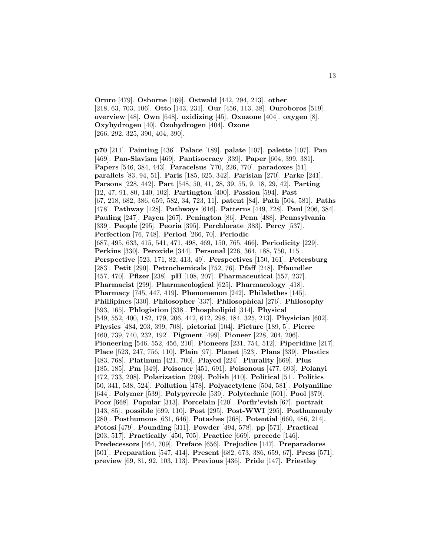**Oruro** [479]. **Osborne** [169]. **Ostwald** [442, 294, 213]. **other** [218, 63, 703, 106]. **Otto** [143, 231]. **Our** [456, 113, 38]. **Ouroboros** [519]. **overview** [48]. **Own** [648]. **oxidizing** [45]. **Oxozone** [404]. **oxygen** [8]. **Oxyhydrogen** [40]. **Ozohydrogen** [404]. **Ozone** [266, 292, 325, 390, 404, 390].

**p70** [211]. **Painting** [436]. **Palace** [189]. **palate** [107]. **palette** [107]. **Pan** [469]. **Pan-Slavism** [469]. **Pantisocracy** [339]. **Paper** [604, 399, 381]. **Papers** [546, 384, 443]. **Paracelsus** [770, 226, 770]. **paradoxes** [51]. **parallels** [83, 94, 51]. **Paris** [185, 625, 342]. **Parisian** [270]. **Parke** [241]. **Parsons** [228, 442]. **Part** [548, 50, 41, 28, 39, 55, 9, 18, 29, 42]. **Parting** [12, 47, 91, 80, 140, 102]. **Partington** [400]. **Passion** [594]. **Past** [67, 218, 682, 386, 659, 582, 34, 723, 11]. **patent** [84]. **Path** [504, 581]. **Paths** [478]. **Pathway** [128]. **Pathways** [616]. **Patterns** [449, 728]. **Paul** [206, 384]. **Pauling** [247]. **Payen** [267]. **Penington** [86]. **Penn** [488]. **Pennsylvania** [339]. **People** [295]. **Peoria** [395]. **Perchlorate** [383]. **Percy** [537]. **Perfection** [76, 748]. **Period** [266, 70]. **Periodic** [687, 495, 633, 415, 541, 471, 498, 469, 150, 765, 466]. **Periodicity** [229]. **Perkins** [330]. **Peroxide** [344]. **Personal** [226, 364, 188, 750, 115]. **Perspective** [523, 171, 82, 413, 49]. **Perspectives** [150, 161]. **Petersburg** [283]. **Petit** [290]. **Petrochemicals** [752, 76]. **Pfaff** [248]. **Pfaundler** [457, 470]. **Pfizer** [238]. **pH** [108, 207]. **Pharmaceutical** [557, 237]. **Pharmacist** [299]. **Pharmacological** [625]. **Pharmacology** [418]. **Pharmacy** [745, 447, 419]. **Phenomenon** [242]. **Philalethes** [145]. **Phillipines** [330]. **Philosopher** [337]. **Philosophical** [276]. **Philosophy** [593, 165]. **Phlogistion** [338]. **Phospholipid** [314]. **Physical** [549, 552, 400, 182, 179, 206, 442, 612, 298, 184, 325, 213]. **Physician** [602]. **Physics** [484, 203, 399, 708]. **pictorial** [104]. **Picture** [189, 5]. **Pierre** [460, 739, 740, 232, 192]. **Pigment** [499]. **Pioneer** [228, 204, 206]. **Pioneering** [546, 552, 456, 210]. **Pioneers** [231, 754, 512]. **Piperidine** [217]. **Place** [523, 247, 756, 110]. **Plain** [97]. **Planet** [523]. **Plans** [339]. **Plastics** [483, 768]. **Platinum** [421, 700]. **Played** [224]. **Plurality** [669]. **Plus** [185, 185]. **Pm** [349]. **Poisoner** [451, 691]. **Poisonous** [477, 693]. **Polanyi** [472, 733, 208]. **Polarization** [209]. **Polish** [410]. **Political** [51]. **Politics** [50, 341, 538, 524]. **Pollution** [478]. **Polyacetylene** [504, 581]. **Polyaniline** [644]. **Polymer** [539]. **Polypyrrole** [539]. **Polytechnic** [501]. **Pool** [379]. **Poor** [668]. **Popular** [313]. **Porcelain** [420]. **Porfir'evish** [67]. **portrait** [143, 85]. **possible** [699, 110]. **Post** [295]. **Post-WWI** [295]. **Posthumouly** [280]. **Posthumous** [631, 646]. **Potashes** [268]. **Potential** [660, 486, 214]. **Potos´ı** [479]. **Pounding** [311]. **Powder** [494, 578]. **pp** [571]. **Practical** [203, 517]. **Practically** [450, 705]. **Practice** [669]. **precede** [146]. **Predecessors** [464, 709]. **Preface** [656]. **Prejudice** [147]. **Preparadores** [501]. **Preparation** [547, 414]. **Present** [682, 673, 386, 659, 67]. **Press** [571]. **preview** [69, 81, 92, 103, 113]. **Previous** [436]. **Pride** [147]. **Priestley**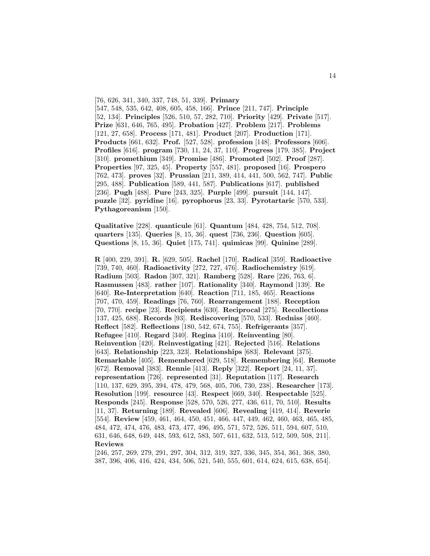[76, 626, 341, 340, 337, 748, 51, 339]. **Primary** [547, 548, 535, 642, 408, 605, 458, 166]. **Prince** [211, 747]. **Principle** [52, 134]. **Principles** [526, 510, 57, 282, 710]. **Priority** [429]. **Private** [517]. **Prize** [631, 646, 765, 495]. **Probation** [427]. **Problem** [217]. **Problems** [121, 27, 658]. **Process** [171, 481]. **Product** [207]. **Production** [171]. **Products** [661, 632]. **Prof.** [527, 528]. **profession** [148]. **Professors** [606]. **Profiles** [616]. **program** [730, 11, 24, 37, 110]. **Progress** [179, 385]. **Project** [310]. **promethium** [349]. **Promise** [486]. **Promoted** [502]. **Proof** [287]. **Properties** [97, 325, 45]. **Property** [557, 481]. **proposed** [16]. **Prospero** [762, 473]. **proves** [32]. **Prussian** [211, 389, 414, 441, 500, 562, 747]. **Public** [295, 488]. **Publication** [589, 441, 587]. **Publications** [617]. **published** [236]. **Pugh** [488]. **Pure** [243, 325]. **Purple** [499]. **pursuit** [144, 147]. **puzzle** [32]. **pyridine** [16]. **pyrophorus** [23, 33]. **Pyrotartaric** [570, 533]. **Pythagoreanism** [150].

**Qualitative** [228]. **quanticule** [61]. **Quantum** [484, 428, 754, 512, 708]. **quarters** [135]. **Queries** [8, 15, 36]. **quest** [736, 236]. **Question** [605]. **Questions** [8, 15, 36]. **Quiet** [175, 741]. **quimicas** [99]. **Quinine** [289].

**R** [400, 229, 391]. **R.** [629, 505]. **Rachel** [170]. **Radical** [359]. **Radioactive** [739, 740, 460]. **Radioactivity** [272, 727, 476]. **Radiochemistry** [619]. **Radium** [503]. **Radon** [307, 321]. **Ramberg** [528]. **Rare** [226, 763, 6]. **Rasmussen** [483]. **rather** [107]. **Rationality** [340]. **Raymond** [139]. **Re** [640]. **Re-Interpretation** [640]. **Reaction** [711, 185, 465]. **Reactions** [707, 470, 459]. **Readings** [76, 760]. **Rearrangement** [188]. **Reception** [70, 770]. **recipe** [23]. **Recipients** [630]. **Reciprocal** [275]. **Recollections** [137, 425, 688]. **Records** [93]. **Rediscovering** [570, 533]. **Redniss** [460]. **Reflect** [582]. **Reflections** [180, 542, 674, 755]. **Refrigerants** [357]. **Refugee** [410]. **Regard** [340]. **Regina** [410]. **Reinventing** [80]. **Reinvention** [420]. **Reinvestigating** [421]. **Rejected** [516]. **Relations** [643]. **Relationship** [223, 323]. **Relationships** [683]. **Relevant** [375]. **Remarkable** [405]. **Remembered** [629, 518]. **Remembering** [64]. **Remote** [672]. **Removal** [383]. **Rennie** [413]. **Reply** [322]. **Report** [24, 11, 37]. **representation** [726]. **represented** [31]. **Reputation** [117]. **Research** [110, 137, 629, 395, 394, 478, 479, 568, 405, 706, 730, 238]. **Researcher** [173]. **Resolution** [199]. **resource** [43]. **Respect** [669, 340]. **Respectable** [525]. **Responds** [245]. **Response** [528, 570, 526, 277, 436, 611, 70, 510]. **Results** [11, 37]. **Returning** [189]. **Revealed** [606]. **Revealing** [419, 414]. **Reverie** [554]. **Review** [459, 461, 464, 450, 451, 466, 447, 449, 462, 460, 463, 465, 485, 484, 472, 474, 476, 483, 473, 477, 496, 495, 571, 572, 526, 511, 594, 607, 510, 631, 646, 648, 649, 448, 593, 612, 583, 507, 611, 632, 513, 512, 509, 508, 211]. **Reviews**

[246, 257, 269, 279, 291, 297, 304, 312, 319, 327, 336, 345, 354, 361, 368, 380, 387, 396, 406, 416, 424, 434, 506, 521, 540, 555, 601, 614, 624, 615, 638, 654].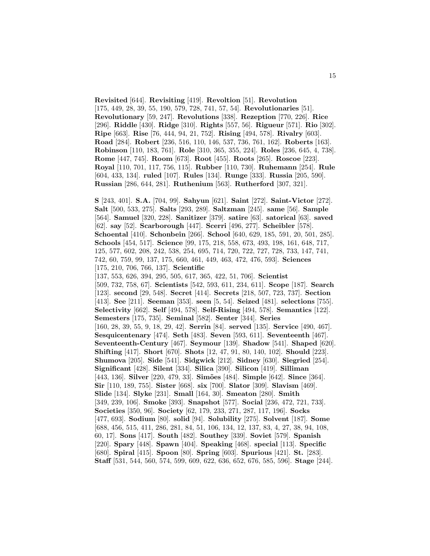**Revisited** [644]. **Revisiting** [419]. **Revoltion** [51]. **Revolution** [175, 449, 28, 39, 55, 190, 579, 728, 741, 57, 54]. **Revolutionaries** [51]. **Revolutionary** [59, 247]. **Revolutions** [338]. **Rezeption** [770, 226]. **Rice** [296]. **Riddle** [430]. **Ridge** [310]. **Rights** [557, 56]. **Rigueur** [571]. **Rio** [302]. **Ripe** [663]. **Rise** [76, 444, 94, 21, 752]. **Rising** [494, 578]. **Rivalry** [603]. **Road** [284]. **Robert** [236, 516, 110, 146, 537, 736, 761, 162]. **Roberts** [163]. **Robinson** [110, 183, 761]. **Role** [310, 365, 355, 224]. **Roles** [236, 645, 4, 738]. **Rome** [447, 745]. **Room** [673]. **Root** [455]. **Roots** [265]. **Roscoe** [223]. **Royal** [110, 701, 117, 756, 115]. **Rubber** [110, 730]. **Ruhemann** [254]. **Rule** [604, 433, 134]. **ruled** [107]. **Rules** [134]. **Runge** [333]. **Russia** [205, 590]. **Russian** [286, 644, 281]. **Ruthenium** [563]. **Rutherford** [307, 321].

**S** [243, 401]. **S.A.** [704, 99]. **Sahyun** [621]. **Saint** [272]. **Saint-Victor** [272]. **Salt** [500, 533, 275]. **Salts** [293, 289]. **Saltzman** [245]. **same** [56]. **Sample** [564]. **Samuel** [320, 228]. **Sanitizer** [379]. **satire** [63]. **satorical** [63]. **saved** [62]. **say** [52]. **Scarborough** [447]. **Scerri** [496, 277]. **Scheibler** [578]. **Schoental** [410]. **Schonbein** [266]. **School** [640, 629, 185, 591, 20, 501, 285]. **Schools** [454, 517]. **Science** [99, 175, 218, 558, 673, 493, 198, 161, 648, 717, 125, 577, 602, 208, 242, 538, 254, 695, 714, 720, 722, 727, 728, 733, 147, 741, 742, 60, 759, 99, 137, 175, 660, 461, 449, 463, 472, 476, 593]. **Sciences** [175, 210, 706, 766, 137]. **Scientific** [137, 553, 626, 394, 295, 505, 617, 365, 422, 51, 706]. **Scientist** [509, 732, 758, 67]. **Scientists** [542, 593, 611, 234, 611]. **Scope** [187]. **Search** [123]. **second** [29, 548]. **Secret** [414]. **Secrets** [218, 507, 723, 737]. **Section** [413]. **See** [211]. **Seeman** [353]. **seen** [5, 54]. **Seized** [481]. **selections** [755]. **Selectivity** [662]. **Self** [494, 578]. **Self-Rising** [494, 578]. **Semantics** [122]. **Semesters** [175, 735]. **Seminal** [582]. **Senter** [344]. **Series** [160, 28, 39, 55, 9, 18, 29, 42]. **Serrin** [84]. **served** [135]. **Service** [490, 467]. **Sesquicentenary** [474]. **Seth** [483]. **Seven** [593, 611]. **Seventeenth** [467]. **Seventeenth-Century** [467]. **Seymour** [139]. **Shadow** [541]. **Shaped** [620]. **Shifting** [417]. **Short** [670]. **Shots** [12, 47, 91, 80, 140, 102]. **Should** [223]. **Shumova** [205]. **Side** [541]. **Sidgwick** [212]. **Sidney** [630]. **Siegried** [254]. **Significant** [428]. **Silent** [334]. **Silica** [390]. **Silicon** [419]. **Silliman** [443, 136]. **Silver** [220, 479, 33]. **Sim˜oes** [484]. **Simple** [642]. **Since** [364]. **Sir** [110, 189, 755]. **Sister** [668]. **six** [700]. **Slator** [309]. **Slavism** [469]. **Slide** [134]. **Slyke** [231]. **Small** [164, 30]. **Smeaton** [280]. **Smith** [349, 239, 106]. **Smoke** [393]. **Snapshot** [577]. **Social** [236, 472, 721, 733]. **Societies** [350, 96]. **Society** [62, 179, 233, 271, 287, 117, 196]. **Socks** [477, 693]. **Sodium** [80]. **solid** [94]. **Solubility** [275]. **Solvent** [187]. **Some** [688, 456, 515, 411, 286, 281, 84, 51, 106, 134, 12, 137, 83, 4, 27, 38, 94, 108, 60, 17]. **Sons** [417]. **South** [482]. **Southey** [339]. **Soviet** [579]. **Spanish** [220]. **Spary** [448]. **Spawn** [404]. **Speaking** [468]. **special** [113]. **Specific** [680]. **Spiral** [415]. **Spoon** [80]. **Spring** [603]. **Spurious** [421]. **St.** [283]. **Staff** [531, 544, 560, 574, 599, 609, 622, 636, 652, 676, 585, 596]. **Stage** [244].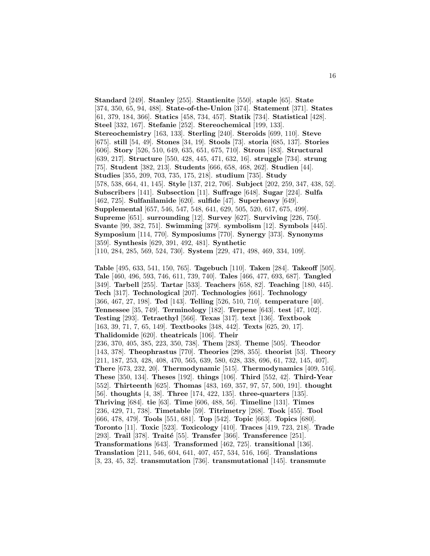**Standard** [249]. **Stanley** [255]. **Stantienite** [550]. **staple** [65]. **State** [374, 350, 65, 94, 488]. **State-of-the-Union** [374]. **Statement** [371]. **States** [61, 379, 184, 366]. **Statics** [458, 734, 457]. **Statik** [734]. **Statistical** [428]. **Steel** [332, 167]. **Stefanie** [252]. **Stereochemical** [199, 133]. **Stereochemistry** [163, 133]. **Sterling** [240]. **Steroids** [699, 110]. **Steve** [675]. **still** [54, 49]. **Stones** [34, 19]. **Stools** [73]. **storia** [685, 137]. **Stories** [606]. **Story** [526, 510, 649, 635, 651, 675, 710]. **Strom** [483]. **Structural** [639, 217]. **Structure** [550, 428, 445, 471, 632, 16]. **struggle** [734]. **strung** [75]. **Student** [382, 213]. **Students** [666, 658, 468, 262]. **Studien** [44]. **Studies** [355, 209, 703, 735, 175, 218]. **studium** [735]. **Study** [578, 538, 664, 41, 145]. **Style** [137, 212, 706]. **Subject** [202, 259, 347, 438, 52]. **Subscribers** [141]. **Subsection** [11]. **Suffrage** [648]. **Sugar** [224]. **Sulfa** [462, 725]. **Sulfanilamide** [620]. **sulfide** [47]. **Superheavy** [649]. **Supplemental** [657, 546, 547, 548, 641, 629, 505, 520, 617, 675, 499]. **Supreme** [651]. **surrounding** [12]. **Survey** [627]. **Surviving** [226, 750]. **Svante** [99, 382, 751]. **Swimming** [379]. **symbolism** [12]. **Symbols** [445]. **Symposium** [114, 770]. **Symposiums** [770]. **Synergy** [373]. **Synonyms** [359]. **Synthesis** [629, 391, 492, 481]. **Synthetic** [110, 284, 285, 569, 524, 730]. **System** [229, 471, 498, 469, 334, 109].

**Table** [495, 633, 541, 150, 765]. **Tagebuch** [110]. **Taken** [284]. **Takeoff** [505]. **Tale** [460, 496, 593, 746, 611, 739, 740]. **Tales** [466, 477, 693, 687]. **Tangled** [349]. **Tarbell** [255]. **Tartar** [533]. **Teachers** [658, 82]. **Teaching** [180, 445]. **Tech** [317]. **Technological** [207]. **Technologies** [661]. **Technology** [366, 467, 27, 198]. **Ted** [143]. **Telling** [526, 510, 710]. **temperature** [40]. **Tennessee** [35, 749]. **Terminology** [182]. **Terpene** [643]. **test** [47, 102]. **Testing** [293]. **Tetraethyl** [566]. **Texas** [317]. **text** [136]. **Textbook** [163, 39, 71, 7, 65, 149]. **Textbooks** [348, 442]. **Texts** [625, 20, 17]. **Thalidomide** [620]. **theatricals** [106]. **Their** [236, 370, 405, 385, 223, 350, 738]. **Them** [283]. **Theme** [505]. **Theodor** [143, 378]. **Theophrastus** [770]. **Theories** [298, 355]. **theorist** [53]. **Theory** [211, 187, 253, 428, 408, 470, 565, 639, 580, 628, 338, 696, 61, 732, 145, 407]. **There** [673, 232, 20]. **Thermodynamic** [515]. **Thermodynamics** [409, 516]. **These** [350, 134]. **Theses** [192]. **things** [106]. **Third** [552, 42]. **Third-Year** [552]. **Thirteenth** [625]. **Thomas** [483, 169, 357, 97, 57, 500, 191]. **thought** [56]. **thoughts** [4, 38]. **Three** [174, 422, 135]. **three-quarters** [135]. **Thriving** [684]. **tie** [63]. **Time** [606, 488, 56]. **Timeline** [131]. **Times** [236, 429, 71, 738]. **Timetable** [59]. **Titrimetry** [268]. **Took** [455]. **Tool** [666, 478, 479]. **Tools** [551, 681]. **Top** [542]. **Topic** [663]. **Topics** [680]. **Toronto** [11]. **Toxic** [523]. **Toxicology** [410]. **Traces** [419, 723, 218]. **Trade** [293]. **Trail** [378]. **Traité** [55]. **Transfer** [366]. **Transference** [251]. **Transformations** [643]. **Transformed** [462, 725]. **transitional** [136]. **Translation** [211, 546, 604, 641, 407, 457, 534, 516, 166]. **Translations** [3, 23, 45, 32]. **transmutation** [736]. **transmutational** [145]. **transmute**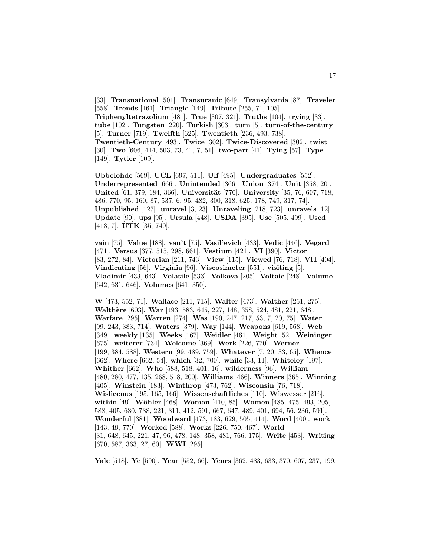[33]. **Transnational** [501]. **Transuranic** [649]. **Transylvania** [87]. **Traveler** [558]. **Trends** [161]. **Triangle** [149]. **Tribute** [255, 71, 105]. **Triphenyltetrazolium** [481]. **True** [307, 321]. **Truths** [104]. **trying** [33]. **tube** [102]. **Tungsten** [220]. **Turkish** [303]. **turn** [5]. **turn-of-the-century** [5]. **Turner** [719]. **Twelfth** [625]. **Twentieth** [236, 493, 738]. **Twentieth-Century** [493]. **Twice** [302]. **Twice-Discovered** [302]. **twist** [30]. **Two** [606, 414, 503, 73, 41, 7, 51]. **two-part** [41]. **Tying** [57]. **Type** [149]. **Tytler** [109].

**Ubbelohde** [569]. **UCL** [697, 511]. **Ulf** [495]. **Undergraduates** [552]. **Underrepresented** [666]. **Unintended** [366]. **Union** [374]. **Unit** [358, 20]. **United** [61, 379, 184, 366]. **Universität** [770]. **University** [35, 76, 607, 718, 486, 770, 95, 160, 87, 537, 6, 95, 482, 300, 318, 625, 178, 749, 317, 74]. **Unpublished** [127]. **unravel** [3, 23]. **Unraveling** [218, 723]. **unravels** [12]. **Update** [90]. **ups** [95]. **Ursula** [448]. **USDA** [395]. **Use** [505, 499]. **Used** [413, 7]. **UTK** [35, 749].

**vain** [75]. **Value** [488]. **van't** [75]. **Vasil'evich** [433]. **Vedic** [446]. **Vegard** [471]. **Versus** [377, 515, 298, 661]. **Vestium** [421]. **VI** [390]. **Victor** [83, 272, 84]. **Victorian** [211, 743]. **View** [115]. **Viewed** [76, 718]. **VII** [404]. **Vindicating** [56]. **Virginia** [96]. **Viscosimeter** [551]. **visiting** [5]. **Vladimir** [433, 643]. **Volatile** [533]. **Volkova** [205]. **Voltaic** [248]. **Volume** [642, 631, 646]. **Volumes** [641, 350].

**W** [473, 552, 71]. **Wallace** [211, 715]. **Walter** [473]. **Walther** [251, 275]. **Walth`ere** [603]. **War** [493, 583, 645, 227, 148, 358, 524, 481, 221, 648]. **Warfare** [295]. **Warren** [274]. **Was** [190, 247, 217, 53, 7, 20, 75]. **Water** [99, 243, 383, 714]. **Waters** [379]. **Way** [144]. **Weapons** [619, 568]. **Web** [349]. **weekly** [135]. **Weeks** [167]. **Weidler** [461]. **Weight** [52]. **Weininger** [675]. **weiterer** [734]. **Welcome** [369]. **Werk** [226, 770]. **Werner** [199, 384, 588]. **Western** [99, 489, 759]. **Whatever** [7, 20, 33, 65]. **Whence** [662]. **Where** [662, 54]. **which** [32, 700]. **while** [33, 11]. **Whiteley** [197]. **Whither** [662]. **Who** [588, 518, 401, 16]. **wilderness** [96]. **William** [480, 280, 477, 135, 268, 518, 200]. **Williams** [466]. **Winners** [365]. **Winning** [405]. **Winstein** [183]. **Winthrop** [473, 762]. **Wisconsin** [76, 718]. **Wislicenus** [195, 165, 166]. **Wissenschaftliches** [110]. **Wiswesser** [216]. **within** [49]. **W¨ohler** [468]. **Woman** [410, 85]. **Women** [485, 475, 493, 205, 588, 405, 630, 738, 221, 311, 412, 591, 667, 647, 489, 401, 694, 56, 236, 591]. **Wonderful** [381]. **Woodward** [473, 183, 629, 505, 414]. **Word** [400]. **work** [143, 49, 770]. **Worked** [588]. **Works** [226, 750, 467]. **World** [31, 648, 645, 221, 47, 96, 478, 148, 358, 481, 766, 175]. **Write** [453]. **Writing** [670, 587, 363, 27, 60]. **WWI** [295].

**Yale** [518]. **Ye** [590]. **Year** [552, 66]. **Years** [362, 483, 633, 370, 607, 237, 199,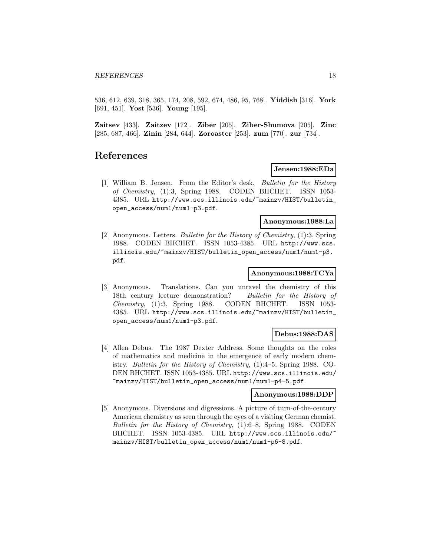536, 612, 639, 318, 365, 174, 208, 592, 674, 486, 95, 768]. **Yiddish** [316]. **York** [691, 451]. **Yost** [536]. **Young** [195].

**Zaitsev** [433]. **Zaitzev** [172]. **Ziber** [205]. **Ziber-Shumova** [205]. **Zinc** [285, 687, 466]. **Zinin** [284, 644]. **Zoroaster** [253]. **zum** [770]. **zur** [734].

## **References**

## **Jensen:1988:EDa**

[1] William B. Jensen. From the Editor's desk. Bulletin for the History of Chemistry, (1):3, Spring 1988. CODEN BHCHET. ISSN 1053- 4385. URL http://www.scs.illinois.edu/~mainzv/HIST/bulletin\_ open\_access/num1/num1-p3.pdf.

#### **Anonymous:1988:La**

[2] Anonymous. Letters. Bulletin for the History of Chemistry, (1):3, Spring 1988. CODEN BHCHET. ISSN 1053-4385. URL http://www.scs. illinois.edu/~mainzv/HIST/bulletin\_open\_access/num1/num1-p3. pdf.

#### **Anonymous:1988:TCYa**

[3] Anonymous. Translations. Can you unravel the chemistry of this 18th century lecture demonstration? Bulletin for the History of Chemistry, (1):3, Spring 1988. CODEN BHCHET. ISSN 1053- 4385. URL http://www.scs.illinois.edu/~mainzv/HIST/bulletin\_ open\_access/num1/num1-p3.pdf.

#### **Debus:1988:DAS**

[4] Allen Debus. The 1987 Dexter Address. Some thoughts on the roles of mathematics and medicine in the emergence of early modern chemistry. Bulletin for the History of Chemistry, (1):4–5, Spring 1988. CO-DEN BHCHET. ISSN 1053-4385. URL http://www.scs.illinois.edu/ ~mainzv/HIST/bulletin\_open\_access/num1/num1-p4-5.pdf.

#### **Anonymous:1988:DDP**

[5] Anonymous. Diversions and digressions. A picture of turn-of-the-century American chemistry as seen through the eyes of a visiting German chemist. Bulletin for the History of Chemistry, (1):6–8, Spring 1988. CODEN BHCHET. ISSN 1053-4385. URL http://www.scs.illinois.edu/~ mainzv/HIST/bulletin\_open\_access/num1/num1-p6-8.pdf.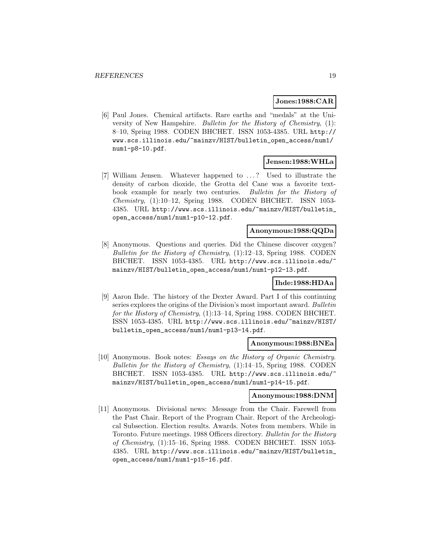#### **Jones:1988:CAR**

[6] Paul Jones. Chemical artifacts. Rare earths and "medals" at the University of New Hampshire. Bulletin for the History of Chemistry, (1): 8–10, Spring 1988. CODEN BHCHET. ISSN 1053-4385. URL http:// www.scs.illinois.edu/~mainzv/HIST/bulletin\_open\_access/num1/ num1-p8-10.pdf.

## **Jensen:1988:WHLa**

[7] William Jensen. Whatever happened to . . . ? Used to illustrate the density of carbon dioxide, the Grotta del Cane was a favorite textbook example for nearly two centuries. Bulletin for the History of Chemistry, (1):10–12, Spring 1988. CODEN BHCHET. ISSN 1053- 4385. URL http://www.scs.illinois.edu/~mainzv/HIST/bulletin\_ open\_access/num1/num1-p10-12.pdf.

## **Anonymous:1988:QQDa**

[8] Anonymous. Questions and queries. Did the Chinese discover oxygen? Bulletin for the History of Chemistry, (1):12–13, Spring 1988. CODEN BHCHET. ISSN 1053-4385. URL http://www.scs.illinois.edu/~ mainzv/HIST/bulletin\_open\_access/num1/num1-p12-13.pdf.

## **Ihde:1988:HDAa**

[9] Aaron Ihde. The history of the Dexter Award. Part I of this continuing series explores the origins of the Division's most important award. Bulletin for the History of Chemistry, (1):13–14, Spring 1988. CODEN BHCHET. ISSN 1053-4385. URL http://www.scs.illinois.edu/~mainzv/HIST/ bulletin\_open\_access/num1/num1-p13-14.pdf.

#### **Anonymous:1988:BNEa**

[10] Anonymous. Book notes: Essays on the History of Organic Chemistry. Bulletin for the History of Chemistry, (1):14–15, Spring 1988. CODEN BHCHET. ISSN 1053-4385. URL http://www.scs.illinois.edu/ mainzv/HIST/bulletin\_open\_access/num1/num1-p14-15.pdf.

#### **Anonymous:1988:DNM**

[11] Anonymous. Divisional news: Message from the Chair. Farewell from the Past Chair. Report of the Program Chair. Report of the Archeological Subsection. Election results. Awards. Notes from members. While in Toronto. Future meetings. 1988 Officers directory. Bulletin for the History of Chemistry, (1):15–16, Spring 1988. CODEN BHCHET. ISSN 1053- 4385. URL http://www.scs.illinois.edu/~mainzv/HIST/bulletin\_ open\_access/num1/num1-p15-16.pdf.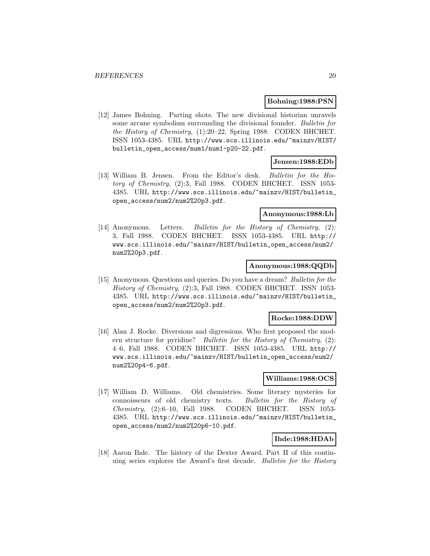#### **Bohning:1988:PSN**

[12] James Bohning. Parting shots. The new divisional historian unravels some arcane symbolism surrounding the divisional founder. Bulletin for the History of Chemistry, (1):20–22, Spring 1988. CODEN BHCHET. ISSN 1053-4385. URL http://www.scs.illinois.edu/~mainzv/HIST/ bulletin\_open\_access/num1/num1-p20-22.pdf.

## **Jensen:1988:EDb**

[13] William B. Jensen. From the Editor's desk. Bulletin for the History of Chemistry, (2):3, Fall 1988. CODEN BHCHET. ISSN 1053- 4385. URL http://www.scs.illinois.edu/~mainzv/HIST/bulletin\_ open\_access/num2/num2%20p3.pdf.

#### **Anonymous:1988:Lb**

[14] Anonymous. Letters. Bulletin for the History of Chemistry, (2): 3, Fall 1988. CODEN BHCHET. ISSN 1053-4385. URL http:// www.scs.illinois.edu/~mainzv/HIST/bulletin\_open\_access/num2/ num2%20p3.pdf.

#### **Anonymous:1988:QQDb**

[15] Anonymous. Questions and queries. Do you have a dream? Bulletin for the History of Chemistry, (2):3, Fall 1988. CODEN BHCHET. ISSN 1053- 4385. URL http://www.scs.illinois.edu/~mainzv/HIST/bulletin\_ open\_access/num2/num2%20p3.pdf.

#### **Rocke:1988:DDW**

[16] Alan J. Rocke. Diversions and digressions. Who first proposed the modern structure for pyridine? Bulletin for the History of Chemistry, (2): 4–6, Fall 1988. CODEN BHCHET. ISSN 1053-4385. URL http:// www.scs.illinois.edu/~mainzv/HIST/bulletin\_open\_access/num2/ num2%20p4-6.pdf.

## **Williams:1988:OCS**

[17] William D. Williams. Old chemistries. Some literary mysteries for connoisseurs of old chemistry texts. Bulletin for the History of Chemistry, (2):6–10, Fall 1988. CODEN BHCHET. ISSN 1053- 4385. URL http://www.scs.illinois.edu/~mainzv/HIST/bulletin\_ open\_access/num2/num2%20p6-10.pdf.

#### **Ihde:1988:HDAb**

[18] Aaron Ihde. The history of the Dexter Award. Part II of this continuing series explores the Award's first decade. Bulletin for the History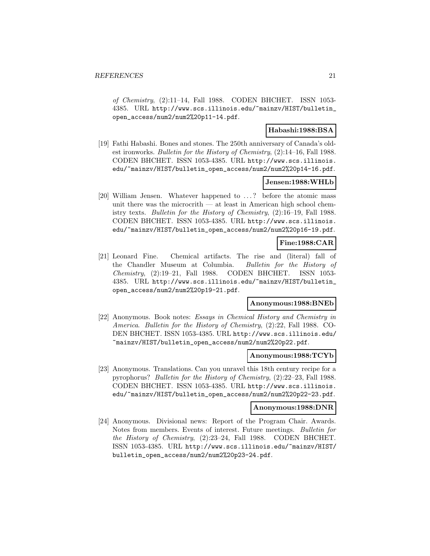of Chemistry, (2):11–14, Fall 1988. CODEN BHCHET. ISSN 1053- 4385. URL http://www.scs.illinois.edu/~mainzv/HIST/bulletin\_ open\_access/num2/num2%20p11-14.pdf.

## **Habashi:1988:BSA**

[19] Fathi Habashi. Bones and stones. The 250th anniversary of Canada's oldest ironworks. Bulletin for the History of Chemistry, (2):14–16, Fall 1988. CODEN BHCHET. ISSN 1053-4385. URL http://www.scs.illinois. edu/~mainzv/HIST/bulletin\_open\_access/num2/num2%20p14-16.pdf.

#### **Jensen:1988:WHLb**

[20] William Jensen. Whatever happened to ...? before the atomic mass unit there was the microcrith  $-$  at least in American high school chemistry texts. Bulletin for the History of Chemistry, (2):16–19, Fall 1988. CODEN BHCHET. ISSN 1053-4385. URL http://www.scs.illinois. edu/~mainzv/HIST/bulletin\_open\_access/num2/num2%20p16-19.pdf.

## **Fine:1988:CAR**

[21] Leonard Fine. Chemical artifacts. The rise and (literal) fall of the Chandler Museum at Columbia. Bulletin for the History of Chemistry, (2):19–21, Fall 1988. CODEN BHCHET. ISSN 1053- 4385. URL http://www.scs.illinois.edu/~mainzv/HIST/bulletin\_ open\_access/num2/num2%20p19-21.pdf.

### **Anonymous:1988:BNEb**

[22] Anonymous. Book notes: Essays in Chemical History and Chemistry in America. Bulletin for the History of Chemistry, (2):22, Fall 1988. CO-DEN BHCHET. ISSN 1053-4385. URL http://www.scs.illinois.edu/ ~mainzv/HIST/bulletin\_open\_access/num2/num2%20p22.pdf.

#### **Anonymous:1988:TCYb**

[23] Anonymous. Translations. Can you unravel this 18th century recipe for a pyrophorus? Bulletin for the History of Chemistry, (2):22–23, Fall 1988. CODEN BHCHET. ISSN 1053-4385. URL http://www.scs.illinois. edu/~mainzv/HIST/bulletin\_open\_access/num2/num2%20p22-23.pdf.

#### **Anonymous:1988:DNR**

[24] Anonymous. Divisional news: Report of the Program Chair. Awards. Notes from members. Events of interest. Future meetings. Bulletin for the History of Chemistry, (2):23–24, Fall 1988. CODEN BHCHET. ISSN 1053-4385. URL http://www.scs.illinois.edu/~mainzv/HIST/ bulletin\_open\_access/num2/num2%20p23-24.pdf.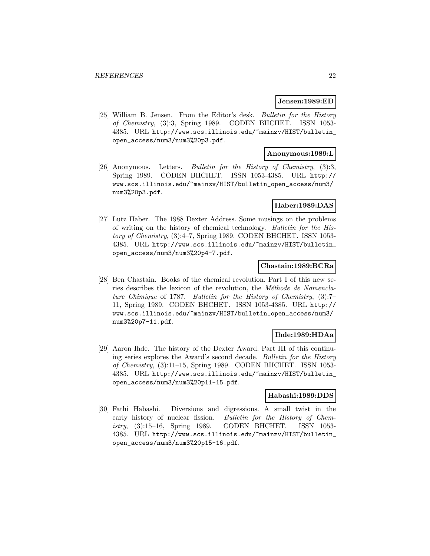#### **Jensen:1989:ED**

[25] William B. Jensen. From the Editor's desk. Bulletin for the History of Chemistry, (3):3, Spring 1989. CODEN BHCHET. ISSN 1053- 4385. URL http://www.scs.illinois.edu/~mainzv/HIST/bulletin\_ open\_access/num3/num3%20p3.pdf.

## **Anonymous:1989:L**

[26] Anonymous. Letters. Bulletin for the History of Chemistry, (3):3, Spring 1989. CODEN BHCHET. ISSN 1053-4385. URL http:// www.scs.illinois.edu/~mainzv/HIST/bulletin\_open\_access/num3/ num3%20p3.pdf.

#### **Haber:1989:DAS**

[27] Lutz Haber. The 1988 Dexter Address. Some musings on the problems of writing on the history of chemical technology. Bulletin for the History of Chemistry, (3):4–7, Spring 1989. CODEN BHCHET. ISSN 1053- 4385. URL http://www.scs.illinois.edu/~mainzv/HIST/bulletin\_ open\_access/num3/num3%20p4-7.pdf.

#### **Chastain:1989:BCRa**

[28] Ben Chastain. Books of the chemical revolution. Part I of this new series describes the lexicon of the revolution, the *Méthode de Nomencla*ture Chimique of 1787. Bulletin for the History of Chemistry, (3):7– 11, Spring 1989. CODEN BHCHET. ISSN 1053-4385. URL http:// www.scs.illinois.edu/~mainzv/HIST/bulletin\_open\_access/num3/ num3%20p7-11.pdf.

## **Ihde:1989:HDAa**

[29] Aaron Ihde. The history of the Dexter Award. Part III of this continuing series explores the Award's second decade. Bulletin for the History of Chemistry, (3):11–15, Spring 1989. CODEN BHCHET. ISSN 1053- 4385. URL http://www.scs.illinois.edu/~mainzv/HIST/bulletin\_ open\_access/num3/num3%20p11-15.pdf.

## **Habashi:1989:DDS**

[30] Fathi Habashi. Diversions and digressions. A small twist in the early history of nuclear fission. Bulletin for the History of Chemistry, (3):15–16, Spring 1989. CODEN BHCHET. ISSN 1053- 4385. URL http://www.scs.illinois.edu/~mainzv/HIST/bulletin\_ open\_access/num3/num3%20p15-16.pdf.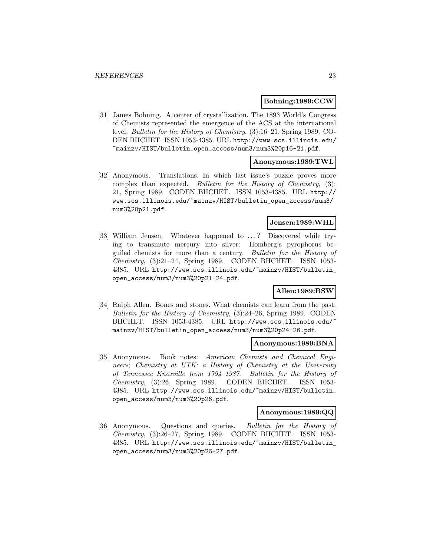#### **Bohning:1989:CCW**

[31] James Bohning. A center of crystallization. The 1893 World's Congress of Chemists represented the emergence of the ACS at the international level. Bulletin for the History of Chemistry, (3):16–21, Spring 1989. CO-DEN BHCHET. ISSN 1053-4385. URL http://www.scs.illinois.edu/ ~mainzv/HIST/bulletin\_open\_access/num3/num3%20p16-21.pdf.

## **Anonymous:1989:TWL**

[32] Anonymous. Translations. In which last issue's puzzle proves more complex than expected. Bulletin for the History of Chemistry, (3): 21, Spring 1989. CODEN BHCHET. ISSN 1053-4385. URL http:// www.scs.illinois.edu/~mainzv/HIST/bulletin\_open\_access/num3/ num3%20p21.pdf.

#### **Jensen:1989:WHL**

[33] William Jensen. Whatever happened to ...? Discovered while trying to transmute mercury into silver: Homberg's pyrophorus beguiled chemists for more than a century. Bulletin for the History of Chemistry, (3):21–24, Spring 1989. CODEN BHCHET. ISSN 1053- 4385. URL http://www.scs.illinois.edu/~mainzv/HIST/bulletin\_ open\_access/num3/num3%20p21-24.pdf.

## **Allen:1989:BSW**

[34] Ralph Allen. Bones and stones. What chemists can learn from the past. Bulletin for the History of Chemistry, (3):24–26, Spring 1989. CODEN BHCHET. ISSN 1053-4385. URL http://www.scs.illinois.edu/ mainzv/HIST/bulletin\_open\_access/num3/num3%20p24-26.pdf.

#### **Anonymous:1989:BNA**

[35] Anonymous. Book notes: American Chemists and Chemical Engineers; Chemistry at UTK: a History of Chemistry at the University of Tennessee–Knoxville from 1794–1987. Bulletin for the History of Chemistry, (3):26, Spring 1989. CODEN BHCHET. ISSN 1053- 4385. URL http://www.scs.illinois.edu/~mainzv/HIST/bulletin\_ open\_access/num3/num3%20p26.pdf.

#### **Anonymous:1989:QQ**

[36] Anonymous. Questions and queries. Bulletin for the History of Chemistry, (3):26–27, Spring 1989. CODEN BHCHET. ISSN 1053- 4385. URL http://www.scs.illinois.edu/~mainzv/HIST/bulletin\_ open\_access/num3/num3%20p26-27.pdf.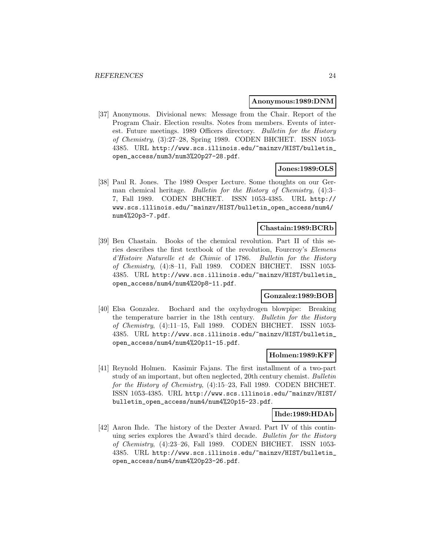#### **Anonymous:1989:DNM**

[37] Anonymous. Divisional news: Message from the Chair. Report of the Program Chair. Election results. Notes from members. Events of interest. Future meetings. 1989 Officers directory. Bulletin for the History of Chemistry, (3):27–28, Spring 1989. CODEN BHCHET. ISSN 1053- 4385. URL http://www.scs.illinois.edu/~mainzv/HIST/bulletin\_ open\_access/num3/num3%20p27-28.pdf.

## **Jones:1989:OLS**

[38] Paul R. Jones. The 1989 Oesper Lecture. Some thoughts on our German chemical heritage. Bulletin for the History of Chemistry, (4):3– 7, Fall 1989. CODEN BHCHET. ISSN 1053-4385. URL http:// www.scs.illinois.edu/~mainzv/HIST/bulletin\_open\_access/num4/ num4%20p3-7.pdf.

## **Chastain:1989:BCRb**

[39] Ben Chastain. Books of the chemical revolution. Part II of this series describes the first textbook of the revolution, Fourcroy's Elemens d'Histoire Naturelle et de Chimie of 1786. Bulletin for the History of Chemistry, (4):8–11, Fall 1989. CODEN BHCHET. ISSN 1053- 4385. URL http://www.scs.illinois.edu/~mainzv/HIST/bulletin\_ open\_access/num4/num4%20p8-11.pdf.

## **Gonzalez:1989:BOB**

[40] Elsa Gonzalez. Bochard and the oxyhydrogen blowpipe: Breaking the temperature barrier in the 18th century. Bulletin for the History of Chemistry, (4):11–15, Fall 1989. CODEN BHCHET. ISSN 1053- 4385. URL http://www.scs.illinois.edu/~mainzv/HIST/bulletin\_ open\_access/num4/num4%20p11-15.pdf.

#### **Holmen:1989:KFF**

[41] Reynold Holmen. Kasimir Fajans. The first installment of a two-part study of an important, but often neglected, 20th century chemist. Bulletin for the History of Chemistry, (4):15–23, Fall 1989. CODEN BHCHET. ISSN 1053-4385. URL http://www.scs.illinois.edu/~mainzv/HIST/ bulletin\_open\_access/num4/num4%20p15-23.pdf.

#### **Ihde:1989:HDAb**

[42] Aaron Ihde. The history of the Dexter Award. Part IV of this continuing series explores the Award's third decade. Bulletin for the History of Chemistry, (4):23–26, Fall 1989. CODEN BHCHET. ISSN 1053- 4385. URL http://www.scs.illinois.edu/~mainzv/HIST/bulletin\_ open\_access/num4/num4%20p23-26.pdf.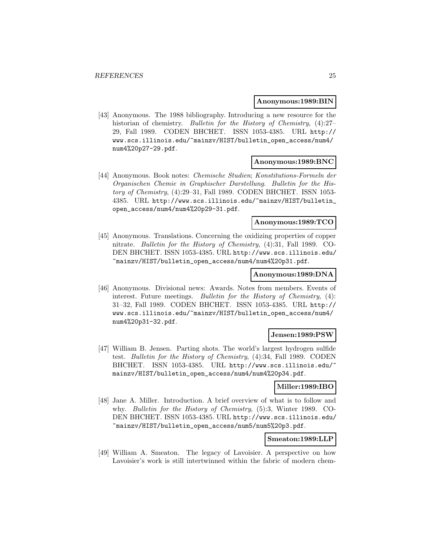#### **Anonymous:1989:BIN**

[43] Anonymous. The 1988 bibliography. Introducing a new resource for the historian of chemistry. Bulletin for the History of Chemistry,  $(4)$ :27– 29, Fall 1989. CODEN BHCHET. ISSN 1053-4385. URL http:// www.scs.illinois.edu/~mainzv/HIST/bulletin\_open\_access/num4/ num4%20p27-29.pdf.

## **Anonymous:1989:BNC**

[44] Anonymous. Book notes: Chemische Studien; Konstitutions-Formeln der Organischen Chemie in Graphischer Darstellung. Bulletin for the History of Chemistry, (4):29–31, Fall 1989. CODEN BHCHET. ISSN 1053- 4385. URL http://www.scs.illinois.edu/~mainzv/HIST/bulletin\_ open\_access/num4/num4%20p29-31.pdf.

#### **Anonymous:1989:TCO**

[45] Anonymous. Translations. Concerning the oxidizing properties of copper nitrate. Bulletin for the History of Chemistry, (4):31, Fall 1989. CO-DEN BHCHET. ISSN 1053-4385. URL http://www.scs.illinois.edu/ ~mainzv/HIST/bulletin\_open\_access/num4/num4%20p31.pdf.

#### **Anonymous:1989:DNA**

[46] Anonymous. Divisional news: Awards. Notes from members. Events of interest. Future meetings. Bulletin for the History of Chemistry, (4): 31–32, Fall 1989. CODEN BHCHET. ISSN 1053-4385. URL http:// www.scs.illinois.edu/~mainzv/HIST/bulletin\_open\_access/num4/ num4%20p31-32.pdf.

#### **Jensen:1989:PSW**

[47] William B. Jensen. Parting shots. The world's largest hydrogen sulfide test. Bulletin for the History of Chemistry, (4):34, Fall 1989. CODEN BHCHET. ISSN 1053-4385. URL http://www.scs.illinois.edu/ mainzv/HIST/bulletin\_open\_access/num4/num4%20p34.pdf.

#### **Miller:1989:IBO**

[48] Jane A. Miller. Introduction. A brief overview of what is to follow and why. Bulletin for the History of Chemistry, (5):3, Winter 1989. CO-DEN BHCHET. ISSN 1053-4385. URL http://www.scs.illinois.edu/ ~mainzv/HIST/bulletin\_open\_access/num5/num5%20p3.pdf.

## **Smeaton:1989:LLP**

[49] William A. Smeaton. The legacy of Lavoisier. A perspective on how Lavoisier's work is still intertwinned within the fabric of modern chem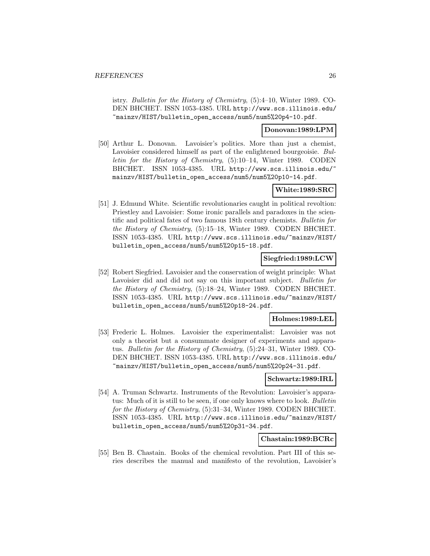istry. Bulletin for the History of Chemistry, (5):4–10, Winter 1989. CO-DEN BHCHET. ISSN 1053-4385. URL http://www.scs.illinois.edu/ ~mainzv/HIST/bulletin\_open\_access/num5/num5%20p4-10.pdf.

#### **Donovan:1989:LPM**

[50] Arthur L. Donovan. Lavoisier's politics. More than just a chemist, Lavoisier considered himself as part of the enlightened bourgeoisie. Bulletin for the History of Chemistry, (5):10–14, Winter 1989. CODEN BHCHET. ISSN 1053-4385. URL http://www.scs.illinois.edu/ mainzv/HIST/bulletin\_open\_access/num5/num5%20p10-14.pdf.

## **White:1989:SRC**

[51] J. Edmund White. Scientific revolutionaries caught in political revoltion: Priestley and Lavoisier: Some ironic parallels and paradoxes in the scientific and political fates of two famous 18th century chemists. Bulletin for the History of Chemistry, (5):15–18, Winter 1989. CODEN BHCHET. ISSN 1053-4385. URL http://www.scs.illinois.edu/~mainzv/HIST/ bulletin\_open\_access/num5/num5%20p15-18.pdf.

## **Siegfried:1989:LCW**

[52] Robert Siegfried. Lavoisier and the conservation of weight principle: What Lavoisier did and did not say on this important subject. Bulletin for the History of Chemistry, (5):18–24, Winter 1989. CODEN BHCHET. ISSN 1053-4385. URL http://www.scs.illinois.edu/~mainzv/HIST/ bulletin\_open\_access/num5/num5%20p18-24.pdf.

#### **Holmes:1989:LEL**

[53] Frederic L. Holmes. Lavoisier the experimentalist: Lavoisier was not only a theorist but a consummate designer of experiments and apparatus. Bulletin for the History of Chemistry, (5):24–31, Winter 1989. CO-DEN BHCHET. ISSN 1053-4385. URL http://www.scs.illinois.edu/ ~mainzv/HIST/bulletin\_open\_access/num5/num5%20p24-31.pdf.

#### **Schwartz:1989:IRL**

[54] A. Truman Schwartz. Instruments of the Revolution: Lavoisier's apparatus: Much of it is still to be seen, if one only knows where to look. Bulletin for the History of Chemistry,  $(5):31-34$ , Winter 1989. CODEN BHCHET. ISSN 1053-4385. URL http://www.scs.illinois.edu/~mainzv/HIST/ bulletin\_open\_access/num5/num5%20p31-34.pdf.

#### **Chastain:1989:BCRc**

[55] Ben B. Chastain. Books of the chemical revolution. Part III of this series describes the manual and manifesto of the revolution, Lavoisier's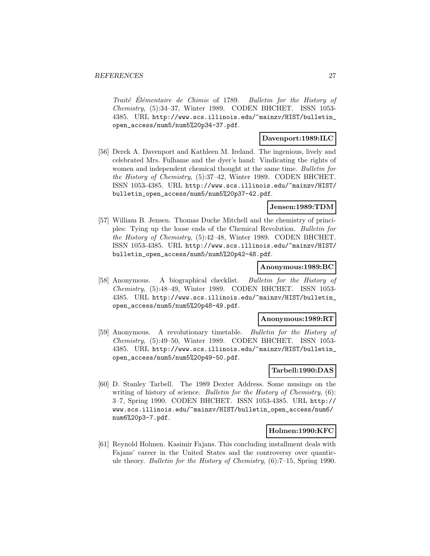Traité Élémentaire de Chimie of 1789. Bulletin for the History of Chemistry, (5):34–37, Winter 1989. CODEN BHCHET. ISSN 1053- 4385. URL http://www.scs.illinois.edu/~mainzv/HIST/bulletin\_ open\_access/num5/num5%20p34-37.pdf.

## **Davenport:1989:ILC**

[56] Derek A. Davenport and Kathleen M. Ireland. The ingenious, lively and celebrated Mrs. Fulhame and the dyer's hand: Vindicating the rights of women and independent chemical thought at the same time. Bulletin for the History of Chemistry, (5):37–42, Winter 1989. CODEN BHCHET. ISSN 1053-4385. URL http://www.scs.illinois.edu/~mainzv/HIST/ bulletin\_open\_access/num5/num5%20p37-42.pdf.

#### **Jensen:1989:TDM**

[57] William B. Jensen. Thomas Duche Mitchell and the chemistry of principles: Tying up the loose ends of the Chemical Revolution. Bulletin for the History of Chemistry, (5):42–48, Winter 1989. CODEN BHCHET. ISSN 1053-4385. URL http://www.scs.illinois.edu/~mainzv/HIST/ bulletin\_open\_access/num5/num5%20p42-48.pdf.

#### **Anonymous:1989:BC**

[58] Anonymous. A biographical checklist. Bulletin for the History of Chemistry, (5):48–49, Winter 1989. CODEN BHCHET. ISSN 1053- 4385. URL http://www.scs.illinois.edu/~mainzv/HIST/bulletin\_ open\_access/num5/num5%20p48-49.pdf.

#### **Anonymous:1989:RT**

[59] Anonymous. A revolutionary timetable. Bulletin for the History of Chemistry, (5):49–50, Winter 1989. CODEN BHCHET. ISSN 1053- 4385. URL http://www.scs.illinois.edu/~mainzv/HIST/bulletin\_ open\_access/num5/num5%20p49-50.pdf.

## **Tarbell:1990:DAS**

[60] D. Stanley Tarbell. The 1989 Dexter Address. Some musings on the writing of history of science. Bulletin for the History of Chemistry, (6): 3–7, Spring 1990. CODEN BHCHET. ISSN 1053-4385. URL http:// www.scs.illinois.edu/~mainzv/HIST/bulletin\_open\_access/num6/ num6%20p3-7.pdf.

#### **Holmen:1990:KFC**

[61] Reynold Holmen. Kasimir Fajans. This concluding installment deals with Fajans' career in the United States and the controversy over quanticule theory. Bulletin for the History of Chemistry,  $(6)$ :7-15, Spring 1990.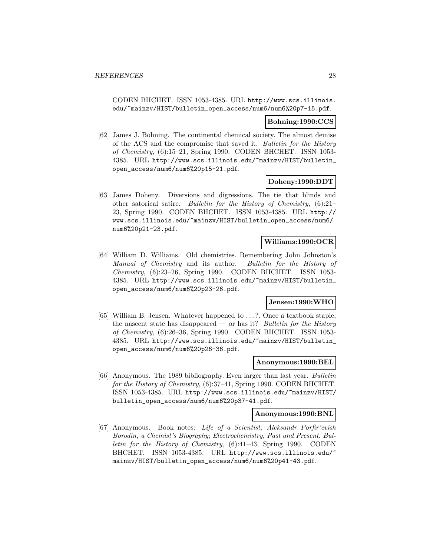CODEN BHCHET. ISSN 1053-4385. URL http://www.scs.illinois. edu/~mainzv/HIST/bulletin\_open\_access/num6/num6%20p7-15.pdf.

#### **Bohning:1990:CCS**

[62] James J. Bohning. The continental chemical society. The almost demise of the ACS and the compromise that saved it. Bulletin for the History of Chemistry, (6):15–21, Spring 1990. CODEN BHCHET. ISSN 1053- 4385. URL http://www.scs.illinois.edu/~mainzv/HIST/bulletin\_ open\_access/num6/num6%20p15-21.pdf.

#### **Doheny:1990:DDT**

[63] James Doheny. Diversions and digressions. The tie that blinds and other satorical satire. Bulletin for the History of Chemistry, (6):21– 23, Spring 1990. CODEN BHCHET. ISSN 1053-4385. URL http:// www.scs.illinois.edu/~mainzv/HIST/bulletin\_open\_access/num6/ num6%20p21-23.pdf.

## **Williams:1990:OCR**

[64] William D. Williams. Old chemistries. Remembering John Johnston's Manual of Chemistry and its author. Bulletin for the History of Chemistry, (6):23–26, Spring 1990. CODEN BHCHET. ISSN 1053- 4385. URL http://www.scs.illinois.edu/~mainzv/HIST/bulletin\_ open\_access/num6/num6%20p23-26.pdf.

## **Jensen:1990:WHO**

[65] William B. Jensen. Whatever happened to ...?. Once a textbook staple, the nascent state has disappeared — or has it? Bulletin for the History of Chemistry, (6):26–36, Spring 1990. CODEN BHCHET. ISSN 1053- 4385. URL http://www.scs.illinois.edu/~mainzv/HIST/bulletin\_ open\_access/num6/num6%20p26-36.pdf.

#### **Anonymous:1990:BEL**

[66] Anonymous. The 1989 bibliography. Even larger than last year. Bulletin for the History of Chemistry,  $(6):37-41$ , Spring 1990. CODEN BHCHET. ISSN 1053-4385. URL http://www.scs.illinois.edu/~mainzv/HIST/ bulletin\_open\_access/num6/num6%20p37-41.pdf.

#### **Anonymous:1990:BNL**

[67] Anonymous. Book notes: Life of a Scientist; Aleksandr Porfir'evish Borodin, a Chemist's Biography; Electrochemistry, Past and Present. Bulletin for the History of Chemistry, (6):41–43, Spring 1990. CODEN BHCHET. ISSN 1053-4385. URL http://www.scs.illinois.edu/ mainzv/HIST/bulletin\_open\_access/num6/num6%20p41-43.pdf.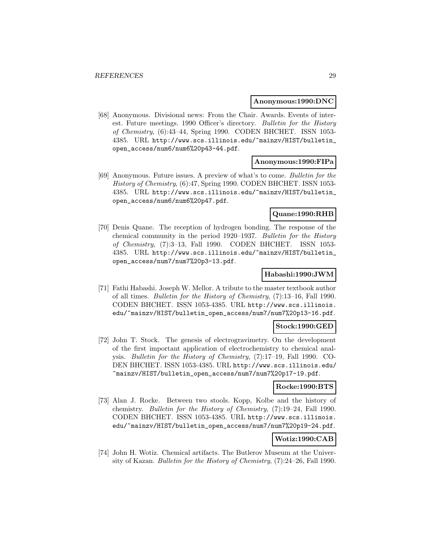#### **Anonymous:1990:DNC**

[68] Anonymous. Divisional news: From the Chair. Awards. Events of interest. Future meetings. 1990 Officer's directory. Bulletin for the History of Chemistry, (6):43–44, Spring 1990. CODEN BHCHET. ISSN 1053- 4385. URL http://www.scs.illinois.edu/~mainzv/HIST/bulletin\_ open\_access/num6/num6%20p43-44.pdf.

## **Anonymous:1990:FIPa**

[69] Anonymous. Future issues. A preview of what's to come. Bulletin for the History of Chemistry, (6):47, Spring 1990. CODEN BHCHET. ISSN 1053- 4385. URL http://www.scs.illinois.edu/~mainzv/HIST/bulletin\_ open\_access/num6/num6%20p47.pdf.

## **Quane:1990:RHB**

[70] Denis Quane. The reception of hydrogen bonding. The response of the chemical community in the period 1920–1937. Bulletin for the History of Chemistry, (7):3–13, Fall 1990. CODEN BHCHET. ISSN 1053- 4385. URL http://www.scs.illinois.edu/~mainzv/HIST/bulletin\_ open\_access/num7/num7%20p3-13.pdf.

#### **Habashi:1990:JWM**

[71] Fathi Habashi. Joseph W. Mellor. A tribute to the master textbook author of all times. Bulletin for the History of Chemistry, (7):13–16, Fall 1990. CODEN BHCHET. ISSN 1053-4385. URL http://www.scs.illinois. edu/~mainzv/HIST/bulletin\_open\_access/num7/num7%20p13-16.pdf.

## **Stock:1990:GED**

[72] John T. Stock. The genesis of electrogravimetry. On the development of the first important application of electrochemistry to chemical analysis. Bulletin for the History of Chemistry, (7):17–19, Fall 1990. CO-DEN BHCHET. ISSN 1053-4385. URL http://www.scs.illinois.edu/ ~mainzv/HIST/bulletin\_open\_access/num7/num7%20p17-19.pdf.

#### **Rocke:1990:BTS**

[73] Alan J. Rocke. Between two stools. Kopp, Kolbe and the history of chemistry. Bulletin for the History of Chemistry, (7):19–24, Fall 1990. CODEN BHCHET. ISSN 1053-4385. URL http://www.scs.illinois. edu/~mainzv/HIST/bulletin\_open\_access/num7/num7%20p19-24.pdf.

#### **Wotiz:1990:CAB**

[74] John H. Wotiz. Chemical artifacts. The Butlerov Museum at the University of Kazan. Bulletin for the History of Chemistry, (7):24–26, Fall 1990.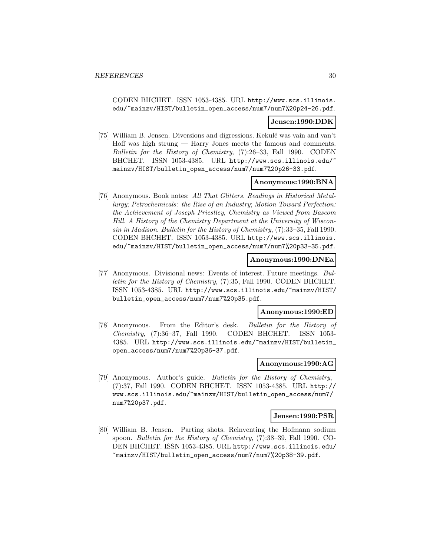CODEN BHCHET. ISSN 1053-4385. URL http://www.scs.illinois. edu/~mainzv/HIST/bulletin\_open\_access/num7/num7%20p24-26.pdf.

## **Jensen:1990:DDK**

[75] William B. Jensen. Diversions and digressions. Kekulé was vain and van't Hoff was high strung — Harry Jones meets the famous and comments. Bulletin for the History of Chemistry, (7):26–33, Fall 1990. CODEN BHCHET. ISSN 1053-4385. URL http://www.scs.illinois.edu/ mainzv/HIST/bulletin\_open\_access/num7/num7%20p26-33.pdf.

## **Anonymous:1990:BNA**

[76] Anonymous. Book notes: All That Glitters. Readings in Historical Metallurgy; Petrochemicals: the Rise of an Industry; Motion Toward Perfection: the Achievement of Joseph Priestley, Chemistry as Viewed from Bascom Hill. A History of the Chemistry Department at the University of Wisconsin in Madison. Bulletin for the History of Chemistry, (7):33–35, Fall 1990. CODEN BHCHET. ISSN 1053-4385. URL http://www.scs.illinois. edu/~mainzv/HIST/bulletin\_open\_access/num7/num7%20p33-35.pdf.

#### **Anonymous:1990:DNEa**

[77] Anonymous. Divisional news: Events of interest. Future meetings. Bulletin for the History of Chemistry, (7):35, Fall 1990. CODEN BHCHET. ISSN 1053-4385. URL http://www.scs.illinois.edu/~mainzv/HIST/ bulletin\_open\_access/num7/num7%20p35.pdf.

#### **Anonymous:1990:ED**

[78] Anonymous. From the Editor's desk. Bulletin for the History of Chemistry, (7):36–37, Fall 1990. CODEN BHCHET. ISSN 1053- 4385. URL http://www.scs.illinois.edu/~mainzv/HIST/bulletin\_ open\_access/num7/num7%20p36-37.pdf.

#### **Anonymous:1990:AG**

[79] Anonymous. Author's guide. Bulletin for the History of Chemistry, (7):37, Fall 1990. CODEN BHCHET. ISSN 1053-4385. URL http:// www.scs.illinois.edu/~mainzv/HIST/bulletin\_open\_access/num7/ num7%20p37.pdf.

#### **Jensen:1990:PSR**

[80] William B. Jensen. Parting shots. Reinventing the Hofmann sodium spoon. Bulletin for the History of Chemistry, (7):38–39, Fall 1990. CO-DEN BHCHET. ISSN 1053-4385. URL http://www.scs.illinois.edu/ ~mainzv/HIST/bulletin\_open\_access/num7/num7%20p38-39.pdf.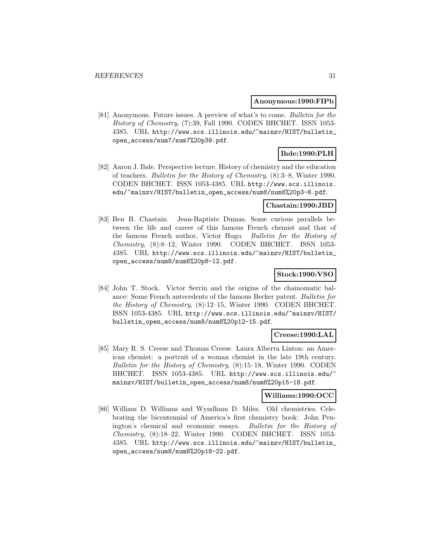#### **Anonymous:1990:FIPb**

[81] Anonymous. Future issues. A preview of what's to come. Bulletin for the History of Chemistry, (7):39, Fall 1990. CODEN BHCHET. ISSN 1053- 4385. URL http://www.scs.illinois.edu/~mainzv/HIST/bulletin\_ open\_access/num7/num7%20p39.pdf.

## **Ihde:1990:PLH**

[82] Aaron J. Ihde. Perspective lecture. History of chemistry and the education of teachers. Bulletin for the History of Chemistry, (8):3–8, Winter 1990. CODEN BHCHET. ISSN 1053-4385. URL http://www.scs.illinois. edu/~mainzv/HIST/bulletin\_open\_access/num8/num8%20p3-8.pdf.

#### **Chastain:1990:JBD**

[83] Ben B. Chastain. Jean-Baptiste Dumas. Some curious parallels between the life and career of this famous French chemist and that of the famous French author, Victor Hugo. Bulletin for the History of Chemistry, (8):8–12, Winter 1990. CODEN BHCHET. ISSN 1053- 4385. URL http://www.scs.illinois.edu/~mainzv/HIST/bulletin\_ open\_access/num8/num8%20p8-12.pdf.

## **Stock:1990:VSO**

[84] John T. Stock. Victor Serrin and the origins of the chainomatic balance: Some French antecedents of the famous Becker patent. Bulletin for the History of Chemistry, (8):12–15, Winter 1990. CODEN BHCHET. ISSN 1053-4385. URL http://www.scs.illinois.edu/~mainzv/HIST/ bulletin\_open\_access/num8/num8%20p12-15.pdf.

#### **Creese:1990:LAL**

[85] Mary R. S. Creese and Thomas Creese. Laura Alberta Linton: an American chemist: a portrait of a woman chemist in the late 19th century. Bulletin for the History of Chemistry, (8):15–18, Winter 1990. CODEN BHCHET. ISSN 1053-4385. URL http://www.scs.illinois.edu/ mainzv/HIST/bulletin\_open\_access/num8/num8%20p15-18.pdf.

#### **Williams:1990:OCC**

[86] William D. Williams and Wyndham D. Miles. Old chemistries. Celebrating the bicentennial of America's first chemistry book: John Penington's chemical and economic essays. Bulletin for the History of Chemistry, (8):18–22, Winter 1990. CODEN BHCHET. ISSN 1053- 4385. URL http://www.scs.illinois.edu/~mainzv/HIST/bulletin\_ open\_access/num8/num8%20p18-22.pdf.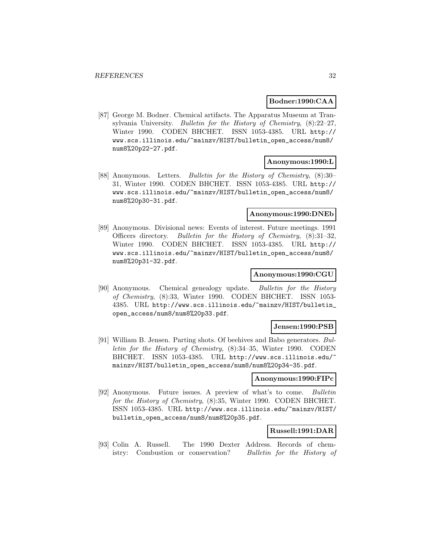#### **Bodner:1990:CAA**

[87] George M. Bodner. Chemical artifacts. The Apparatus Museum at Transylvania University. Bulletin for the History of Chemistry, (8):22–27, Winter 1990. CODEN BHCHET. ISSN 1053-4385. URL http:// www.scs.illinois.edu/~mainzv/HIST/bulletin\_open\_access/num8/ num8%20p22-27.pdf.

## **Anonymous:1990:L**

[88] Anonymous. Letters. Bulletin for the History of Chemistry, (8):30– 31, Winter 1990. CODEN BHCHET. ISSN 1053-4385. URL http:// www.scs.illinois.edu/~mainzv/HIST/bulletin\_open\_access/num8/ num8%20p30-31.pdf.

#### **Anonymous:1990:DNEb**

[89] Anonymous. Divisional news: Events of interest. Future meetings. 1991 Officers directory. Bulletin for the History of Chemistry, (8):31–32, Winter 1990. CODEN BHCHET. ISSN 1053-4385. URL http:// www.scs.illinois.edu/~mainzv/HIST/bulletin\_open\_access/num8/ num8%20p31-32.pdf.

#### **Anonymous:1990:CGU**

[90] Anonymous. Chemical genealogy update. Bulletin for the History of Chemistry, (8):33, Winter 1990. CODEN BHCHET. ISSN 1053- 4385. URL http://www.scs.illinois.edu/~mainzv/HIST/bulletin\_ open\_access/num8/num8%20p33.pdf.

#### **Jensen:1990:PSB**

[91] William B. Jensen. Parting shots. Of beehives and Babo generators. Bulletin for the History of Chemistry, (8):34–35, Winter 1990. CODEN BHCHET. ISSN 1053-4385. URL http://www.scs.illinois.edu/~ mainzv/HIST/bulletin\_open\_access/num8/num8%20p34-35.pdf.

#### **Anonymous:1990:FIPc**

[92] Anonymous. Future issues. A preview of what's to come. Bulletin for the History of Chemistry, (8):35, Winter 1990. CODEN BHCHET. ISSN 1053-4385. URL http://www.scs.illinois.edu/~mainzv/HIST/ bulletin\_open\_access/num8/num8%20p35.pdf.

#### **Russell:1991:DAR**

[93] Colin A. Russell. The 1990 Dexter Address. Records of chemistry: Combustion or conservation? Bulletin for the History of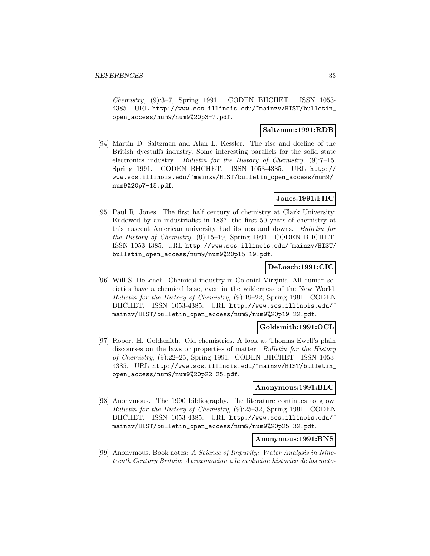Chemistry, (9):3–7, Spring 1991. CODEN BHCHET. ISSN 1053- 4385. URL http://www.scs.illinois.edu/~mainzv/HIST/bulletin\_ open\_access/num9/num9%20p3-7.pdf.

## **Saltzman:1991:RDB**

[94] Martin D. Saltzman and Alan L. Kessler. The rise and decline of the British dyestuffs industry. Some interesting parallels for the solid state electronics industry. Bulletin for the History of Chemistry, (9):7–15, Spring 1991. CODEN BHCHET. ISSN 1053-4385. URL http:// www.scs.illinois.edu/~mainzv/HIST/bulletin\_open\_access/num9/ num9%20p7-15.pdf.

## **Jones:1991:FHC**

[95] Paul R. Jones. The first half century of chemistry at Clark University: Endowed by an industrialist in 1887, the first 50 years of chemistry at this nascent American university had its ups and downs. Bulletin for the History of Chemistry, (9):15–19, Spring 1991. CODEN BHCHET. ISSN 1053-4385. URL http://www.scs.illinois.edu/~mainzv/HIST/ bulletin\_open\_access/num9/num9%20p15-19.pdf.

## **DeLoach:1991:CIC**

[96] Will S. DeLoach. Chemical industry in Colonial Virginia. All human societies have a chemical base, even in the wilderness of the New World. Bulletin for the History of Chemistry, (9):19–22, Spring 1991. CODEN BHCHET. ISSN 1053-4385. URL http://www.scs.illinois.edu/ mainzv/HIST/bulletin\_open\_access/num9/num9%20p19-22.pdf.

#### **Goldsmith:1991:OCL**

[97] Robert H. Goldsmith. Old chemistries. A look at Thomas Ewell's plain discourses on the laws or properties of matter. Bulletin for the History of Chemistry, (9):22–25, Spring 1991. CODEN BHCHET. ISSN 1053- 4385. URL http://www.scs.illinois.edu/~mainzv/HIST/bulletin\_ open\_access/num9/num9%20p22-25.pdf.

#### **Anonymous:1991:BLC**

[98] Anonymous. The 1990 bibliography. The literature continues to grow. Bulletin for the History of Chemistry, (9):25–32, Spring 1991. CODEN BHCHET. ISSN 1053-4385. URL http://www.scs.illinois.edu/ mainzv/HIST/bulletin\_open\_access/num9/num9%20p25-32.pdf.

## **Anonymous:1991:BNS**

[99] Anonymous. Book notes: A Science of Impurity: Water Analysis in Nineteenth Century Britain; Aproximacion a la evolucion historica de los meto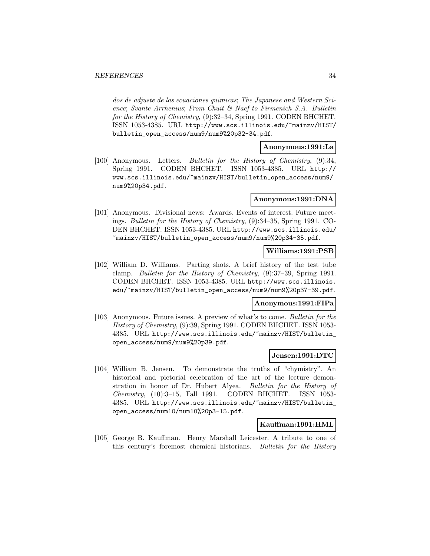dos de adjuste de las ecuaciones quimicas; The Japanese and Western Science; Svante Arrhenius; From Chuit & Naef to Firmenich S.A. Bulletin for the History of Chemistry, (9):32–34, Spring 1991. CODEN BHCHET. ISSN 1053-4385. URL http://www.scs.illinois.edu/~mainzv/HIST/ bulletin\_open\_access/num9/num9%20p32-34.pdf.

## **Anonymous:1991:La**

[100] Anonymous. Letters. Bulletin for the History of Chemistry, (9):34, Spring 1991. CODEN BHCHET. ISSN 1053-4385. URL http:// www.scs.illinois.edu/~mainzv/HIST/bulletin\_open\_access/num9/ num9%20p34.pdf.

## **Anonymous:1991:DNA**

[101] Anonymous. Divisional news: Awards. Events of interest. Future meetings. Bulletin for the History of Chemistry, (9):34–35, Spring 1991. CO-DEN BHCHET. ISSN 1053-4385. URL http://www.scs.illinois.edu/ ~mainzv/HIST/bulletin\_open\_access/num9/num9%20p34-35.pdf.

#### **Williams:1991:PSB**

[102] William D. Williams. Parting shots. A brief history of the test tube clamp. Bulletin for the History of Chemistry, (9):37–39, Spring 1991. CODEN BHCHET. ISSN 1053-4385. URL http://www.scs.illinois. edu/~mainzv/HIST/bulletin\_open\_access/num9/num9%20p37-39.pdf.

#### **Anonymous:1991:FIPa**

[103] Anonymous. Future issues. A preview of what's to come. Bulletin for the History of Chemistry, (9):39, Spring 1991. CODEN BHCHET. ISSN 1053- 4385. URL http://www.scs.illinois.edu/~mainzv/HIST/bulletin\_ open\_access/num9/num9%20p39.pdf.

#### **Jensen:1991:DTC**

[104] William B. Jensen. To demonstrate the truths of "chymistry". An historical and pictorial celebration of the art of the lecture demonstration in honor of Dr. Hubert Alyea. Bulletin for the History of Chemistry, (10):3–15, Fall 1991. CODEN BHCHET. ISSN 1053- 4385. URL http://www.scs.illinois.edu/~mainzv/HIST/bulletin\_ open\_access/num10/num10%20p3-15.pdf.

#### **Kauffman:1991:HML**

[105] George B. Kauffman. Henry Marshall Leicester. A tribute to one of this century's foremost chemical historians. Bulletin for the History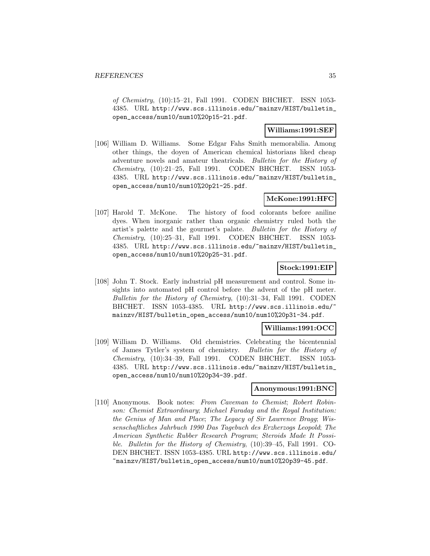of Chemistry, (10):15–21, Fall 1991. CODEN BHCHET. ISSN 1053- 4385. URL http://www.scs.illinois.edu/~mainzv/HIST/bulletin\_ open\_access/num10/num10%20p15-21.pdf.

## **Williams:1991:SEF**

[106] William D. Williams. Some Edgar Fahs Smith memorabilia. Among other things, the doyen of American chemical historians liked cheap adventure novels and amateur theatricals. Bulletin for the History of Chemistry, (10):21–25, Fall 1991. CODEN BHCHET. ISSN 1053- 4385. URL http://www.scs.illinois.edu/~mainzv/HIST/bulletin\_ open\_access/num10/num10%20p21-25.pdf.

## **McKone:1991:HFC**

[107] Harold T. McKone. The history of food colorants before aniline dyes. When inorganic rather than organic chemistry ruled both the artist's palette and the gourmet's palate. Bulletin for the History of Chemistry, (10):25–31, Fall 1991. CODEN BHCHET. ISSN 1053- 4385. URL http://www.scs.illinois.edu/~mainzv/HIST/bulletin\_ open\_access/num10/num10%20p25-31.pdf.

## **Stock:1991:EIP**

[108] John T. Stock. Early industrial pH measurement and control. Some insights into automated pH control before the advent of the pH meter. Bulletin for the History of Chemistry, (10):31–34, Fall 1991. CODEN BHCHET. ISSN 1053-4385. URL http://www.scs.illinois.edu/ mainzv/HIST/bulletin\_open\_access/num10/num10%20p31-34.pdf.

## **Williams:1991:OCC**

[109] William D. Williams. Old chemistries. Celebrating the bicentennial of James Tytler's system of chemistry. Bulletin for the History of Chemistry, (10):34–39, Fall 1991. CODEN BHCHET. ISSN 1053- 4385. URL http://www.scs.illinois.edu/~mainzv/HIST/bulletin\_ open\_access/num10/num10%20p34-39.pdf.

#### **Anonymous:1991:BNC**

[110] Anonymous. Book notes: From Caveman to Chemist; Robert Robinson: Chemist Extraordinary; Michael Faraday and the Royal Institution: the Genius of Man and Place; The Legacy of Sir Lawrence Bragg; Wissenschaftliches Jahrbuch 1990 Das Tagebuch des Erzherzogs Leopold; The American Synthetic Rubber Research Program; Steroids Made It Possible. Bulletin for the History of Chemistry, (10):39–45, Fall 1991. CO-DEN BHCHET. ISSN 1053-4385. URL http://www.scs.illinois.edu/ ~mainzv/HIST/bulletin\_open\_access/num10/num10%20p39-45.pdf.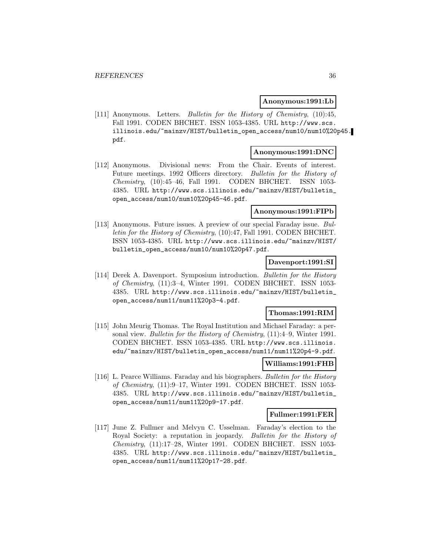### **Anonymous:1991:Lb**

[111] Anonymous. Letters. Bulletin for the History of Chemistry, (10):45, Fall 1991. CODEN BHCHET. ISSN 1053-4385. URL http://www.scs. illinois.edu/~mainzv/HIST/bulletin\_open\_access/num10/num10%20p45. pdf.

## **Anonymous:1991:DNC**

[112] Anonymous. Divisional news: From the Chair. Events of interest. Future meetings. 1992 Officers directory. Bulletin for the History of Chemistry, (10):45–46, Fall 1991. CODEN BHCHET. ISSN 1053- 4385. URL http://www.scs.illinois.edu/~mainzv/HIST/bulletin\_ open\_access/num10/num10%20p45-46.pdf.

## **Anonymous:1991:FIPb**

[113] Anonymous. Future issues. A preview of our special Faraday issue. Bulletin for the History of Chemistry, (10):47, Fall 1991. CODEN BHCHET. ISSN 1053-4385. URL http://www.scs.illinois.edu/~mainzv/HIST/ bulletin\_open\_access/num10/num10%20p47.pdf.

#### **Davenport:1991:SI**

[114] Derek A. Davenport. Symposium introduction. Bulletin for the History of Chemistry, (11):3–4, Winter 1991. CODEN BHCHET. ISSN 1053- 4385. URL http://www.scs.illinois.edu/~mainzv/HIST/bulletin\_ open\_access/num11/num11%20p3-4.pdf.

### **Thomas:1991:RIM**

[115] John Meurig Thomas. The Royal Institution and Michael Faraday: a personal view. Bulletin for the History of Chemistry, (11):4–9, Winter 1991. CODEN BHCHET. ISSN 1053-4385. URL http://www.scs.illinois. edu/~mainzv/HIST/bulletin\_open\_access/num11/num11%20p4-9.pdf.

#### **Williams:1991:FHB**

[116] L. Pearce Williams. Faraday and his biographers. Bulletin for the History of Chemistry, (11):9–17, Winter 1991. CODEN BHCHET. ISSN 1053- 4385. URL http://www.scs.illinois.edu/~mainzv/HIST/bulletin\_ open\_access/num11/num11%20p9-17.pdf.

#### **Fullmer:1991:FER**

[117] June Z. Fullmer and Melvyn C. Usselman. Faraday's election to the Royal Society: a reputation in jeopardy. Bulletin for the History of Chemistry, (11):17–28, Winter 1991. CODEN BHCHET. ISSN 1053- 4385. URL http://www.scs.illinois.edu/~mainzv/HIST/bulletin\_ open\_access/num11/num11%20p17-28.pdf.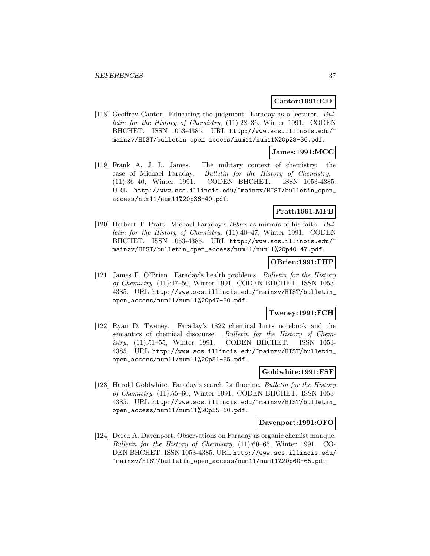# **Cantor:1991:EJF**

[118] Geoffrey Cantor. Educating the judgment: Faraday as a lecturer. Bulletin for the History of Chemistry, (11):28–36, Winter 1991. CODEN BHCHET. ISSN 1053-4385. URL http://www.scs.illinois.edu/ mainzv/HIST/bulletin\_open\_access/num11/num11%20p28-36.pdf.

# **James:1991:MCC**

[119] Frank A. J. L. James. The military context of chemistry: the case of Michael Faraday. Bulletin for the History of Chemistry, (11):36–40, Winter 1991. CODEN BHCHET. ISSN 1053-4385. URL http://www.scs.illinois.edu/~mainzv/HIST/bulletin\_open\_ access/num11/num11%20p36-40.pdf.

# **Pratt:1991:MFB**

[120] Herbert T. Pratt. Michael Faraday's Bibles as mirrors of his faith. Bulletin for the History of Chemistry, (11):40–47, Winter 1991. CODEN BHCHET. ISSN 1053-4385. URL http://www.scs.illinois.edu/ mainzv/HIST/bulletin\_open\_access/num11/num11%20p40-47.pdf.

# **OBrien:1991:FHP**

[121] James F. O'Brien. Faraday's health problems. Bulletin for the History of Chemistry, (11):47–50, Winter 1991. CODEN BHCHET. ISSN 1053- 4385. URL http://www.scs.illinois.edu/~mainzv/HIST/bulletin\_ open\_access/num11/num11%20p47-50.pdf.

# **Tweney:1991:FCH**

[122] Ryan D. Tweney. Faraday's 1822 chemical hints notebook and the semantics of chemical discourse. Bulletin for the History of Chemistry, (11):51–55, Winter 1991. CODEN BHCHET. ISSN 1053- 4385. URL http://www.scs.illinois.edu/~mainzv/HIST/bulletin\_ open\_access/num11/num11%20p51-55.pdf.

### **Goldwhite:1991:FSF**

[123] Harold Goldwhite. Faraday's search for fluorine. Bulletin for the History of Chemistry, (11):55–60, Winter 1991. CODEN BHCHET. ISSN 1053- 4385. URL http://www.scs.illinois.edu/~mainzv/HIST/bulletin\_ open\_access/num11/num11%20p55-60.pdf.

#### **Davenport:1991:OFO**

[124] Derek A. Davenport. Observations on Faraday as organic chemist manque. Bulletin for the History of Chemistry, (11):60–65, Winter 1991. CO-DEN BHCHET. ISSN 1053-4385. URL http://www.scs.illinois.edu/ ~mainzv/HIST/bulletin\_open\_access/num11/num11%20p60-65.pdf.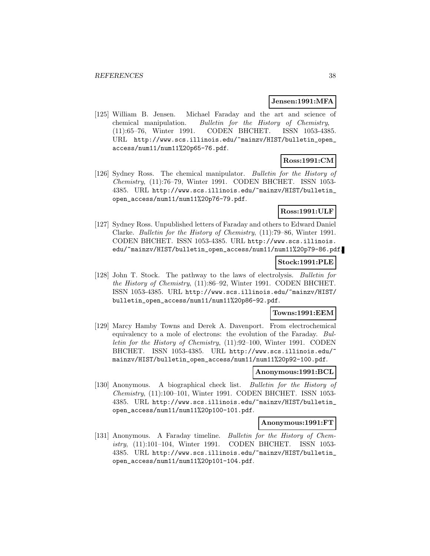#### **Jensen:1991:MFA**

[125] William B. Jensen. Michael Faraday and the art and science of chemical manipulation. Bulletin for the History of Chemistry, (11):65–76, Winter 1991. CODEN BHCHET. ISSN 1053-4385. URL http://www.scs.illinois.edu/~mainzv/HIST/bulletin\_open\_ access/num11/num11%20p65-76.pdf.

# **Ross:1991:CM**

[126] Sydney Ross. The chemical manipulator. Bulletin for the History of Chemistry, (11):76–79, Winter 1991. CODEN BHCHET. ISSN 1053- 4385. URL http://www.scs.illinois.edu/~mainzv/HIST/bulletin\_ open\_access/num11/num11%20p76-79.pdf.

# **Ross:1991:ULF**

[127] Sydney Ross. Unpublished letters of Faraday and others to Edward Daniel Clarke. Bulletin for the History of Chemistry, (11):79–86, Winter 1991. CODEN BHCHET. ISSN 1053-4385. URL http://www.scs.illinois. edu/~mainzv/HIST/bulletin\_open\_access/num11/num11%20p79-86.pdf.

### **Stock:1991:PLE**

[128] John T. Stock. The pathway to the laws of electrolysis. Bulletin for the History of Chemistry, (11):86–92, Winter 1991. CODEN BHCHET. ISSN 1053-4385. URL http://www.scs.illinois.edu/~mainzv/HIST/ bulletin\_open\_access/num11/num11%20p86-92.pdf.

# **Towns:1991:EEM**

[129] Marcy Hamby Towns and Derek A. Davenport. From electrochemical equivalency to a mole of electrons: the evolution of the Faraday. Bulletin for the History of Chemistry, (11):92–100, Winter 1991. CODEN BHCHET. ISSN 1053-4385. URL http://www.scs.illinois.edu/ mainzv/HIST/bulletin\_open\_access/num11/num11%20p92-100.pdf.

# **Anonymous:1991:BCL**

[130] Anonymous. A biographical check list. Bulletin for the History of Chemistry, (11):100–101, Winter 1991. CODEN BHCHET. ISSN 1053- 4385. URL http://www.scs.illinois.edu/~mainzv/HIST/bulletin\_ open\_access/num11/num11%20p100-101.pdf.

#### **Anonymous:1991:FT**

[131] Anonymous. A Faraday timeline. Bulletin for the History of Chemistry, (11):101–104, Winter 1991. CODEN BHCHET. ISSN 1053- 4385. URL http://www.scs.illinois.edu/~mainzv/HIST/bulletin\_ open\_access/num11/num11%20p101-104.pdf.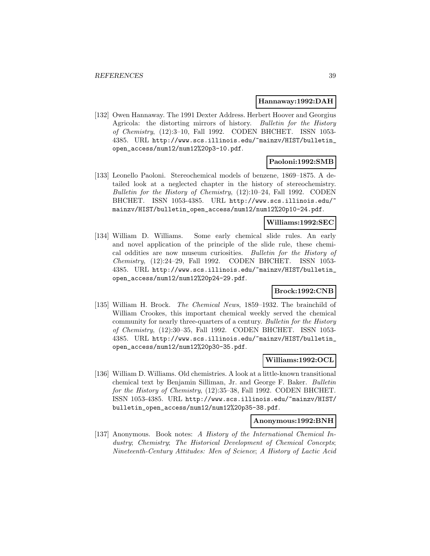#### **Hannaway:1992:DAH**

[132] Owen Hannaway. The 1991 Dexter Address. Herbert Hoover and Georgius Agricola: the distorting mirrors of history. Bulletin for the History of Chemistry, (12):3–10, Fall 1992. CODEN BHCHET. ISSN 1053- 4385. URL http://www.scs.illinois.edu/~mainzv/HIST/bulletin\_ open\_access/num12/num12%20p3-10.pdf.

# **Paoloni:1992:SMB**

[133] Leonello Paoloni. Stereochemical models of benzene, 1869–1875. A detailed look at a neglected chapter in the history of stereochemistry. Bulletin for the History of Chemistry, (12):10–24, Fall 1992. CODEN BHCHET. ISSN 1053-4385. URL http://www.scs.illinois.edu/~ mainzv/HIST/bulletin\_open\_access/num12/num12%20p10-24.pdf.

## **Williams:1992:SEC**

[134] William D. Williams. Some early chemical slide rules. An early and novel application of the principle of the slide rule, these chemical oddities are now museum curiosities. Bulletin for the History of Chemistry, (12):24–29, Fall 1992. CODEN BHCHET. ISSN 1053- 4385. URL http://www.scs.illinois.edu/~mainzv/HIST/bulletin\_ open\_access/num12/num12%20p24-29.pdf.

# **Brock:1992:CNB**

[135] William H. Brock. The Chemical News, 1859–1932. The brainchild of William Crookes, this important chemical weekly served the chemical community for nearly three-quarters of a century. Bulletin for the History of Chemistry, (12):30–35, Fall 1992. CODEN BHCHET. ISSN 1053- 4385. URL http://www.scs.illinois.edu/~mainzv/HIST/bulletin\_ open\_access/num12/num12%20p30-35.pdf.

## **Williams:1992:OCL**

[136] William D. Williams. Old chemistries. A look at a little-known transitional chemical text by Benjamin Silliman, Jr. and George F. Baker. Bulletin for the History of Chemistry, (12):35–38, Fall 1992. CODEN BHCHET. ISSN 1053-4385. URL http://www.scs.illinois.edu/~mainzv/HIST/ bulletin\_open\_access/num12/num12%20p35-38.pdf.

#### **Anonymous:1992:BNH**

[137] Anonymous. Book notes: A History of the International Chemical Industry; Chemistry; The Historical Development of Chemical Concepts; Nineteenth-Century Attitudes: Men of Science; A History of Lactic Acid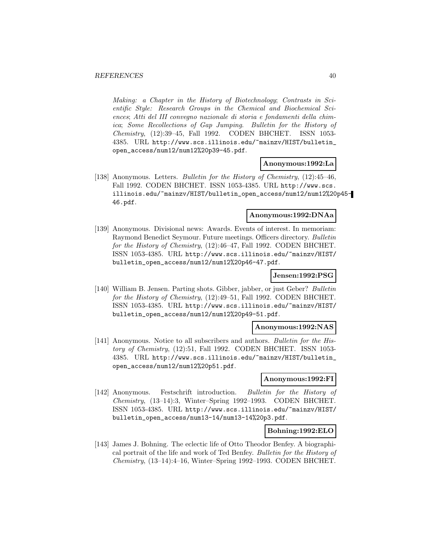Making: a Chapter in the History of Biotechnology; Contrasts in Scientific Style: Research Groups in the Chemical and Biochemical Sciences; Atti del III convegno nazionale di storia e fondamenti della chimica; Some Recollections of Gap Jumping. Bulletin for the History of Chemistry, (12):39–45, Fall 1992. CODEN BHCHET. ISSN 1053- 4385. URL http://www.scs.illinois.edu/~mainzv/HIST/bulletin\_ open\_access/num12/num12%20p39-45.pdf.

#### **Anonymous:1992:La**

[138] Anonymous. Letters. Bulletin for the History of Chemistry, (12):45–46, Fall 1992. CODEN BHCHET. ISSN 1053-4385. URL http://www.scs. illinois.edu/~mainzv/HIST/bulletin\_open\_access/num12/num12%20p45- 46.pdf.

### **Anonymous:1992:DNAa**

[139] Anonymous. Divisional news: Awards. Events of interest. In memoriam: Raymond Benedict Seymour. Future meetings. Officers directory. Bulletin for the History of Chemistry, (12):46–47, Fall 1992. CODEN BHCHET. ISSN 1053-4385. URL http://www.scs.illinois.edu/~mainzv/HIST/ bulletin\_open\_access/num12/num12%20p46-47.pdf.

### **Jensen:1992:PSG**

[140] William B. Jensen. Parting shots. Gibber, jabber, or just Geber? Bulletin for the History of Chemistry, (12):49–51, Fall 1992. CODEN BHCHET. ISSN 1053-4385. URL http://www.scs.illinois.edu/~mainzv/HIST/ bulletin\_open\_access/num12/num12%20p49-51.pdf.

### **Anonymous:1992:NAS**

[141] Anonymous. Notice to all subscribers and authors. Bulletin for the History of Chemistry, (12):51, Fall 1992. CODEN BHCHET. ISSN 1053- 4385. URL http://www.scs.illinois.edu/~mainzv/HIST/bulletin\_ open\_access/num12/num12%20p51.pdf.

### **Anonymous:1992:FI**

[142] Anonymous. Festschrift introduction. Bulletin for the History of Chemistry, (13–14):3, Winter–Spring 1992–1993. CODEN BHCHET. ISSN 1053-4385. URL http://www.scs.illinois.edu/~mainzv/HIST/ bulletin\_open\_access/num13-14/num13-14%20p3.pdf.

#### **Bohning:1992:ELO**

[143] James J. Bohning. The eclectic life of Otto Theodor Benfey. A biographical portrait of the life and work of Ted Benfey. Bulletin for the History of  $Chemistry, (13–14):4–16, Winter–Spring 1992–1993. CODEN BHCHET.$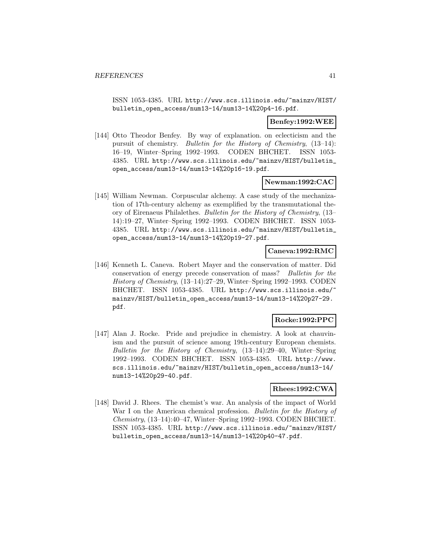ISSN 1053-4385. URL http://www.scs.illinois.edu/~mainzv/HIST/ bulletin\_open\_access/num13-14/num13-14%20p4-16.pdf.

# **Benfey:1992:WEE**

[144] Otto Theodor Benfey. By way of explanation. on eclecticism and the pursuit of chemistry. Bulletin for the History of Chemistry, (13–14): 16–19, Winter–Spring 1992–1993. CODEN BHCHET. ISSN 1053- 4385. URL http://www.scs.illinois.edu/~mainzv/HIST/bulletin\_ open\_access/num13-14/num13-14%20p16-19.pdf.

# **Newman:1992:CAC**

[145] William Newman. Corpuscular alchemy. A case study of the mechanization of 17th-century alchemy as exemplified by the transmutational theory of Eirenaeus Philalethes. Bulletin for the History of Chemistry, (13– 14):19–27, Winter–Spring 1992–1993. CODEN BHCHET. ISSN 1053- 4385. URL http://www.scs.illinois.edu/~mainzv/HIST/bulletin\_ open\_access/num13-14/num13-14%20p19-27.pdf.

## **Caneva:1992:RMC**

[146] Kenneth L. Caneva. Robert Mayer and the conservation of matter. Did conservation of energy precede conservation of mass? Bulletin for the History of Chemistry, (13–14):27–29, Winter–Spring 1992–1993. CODEN BHCHET. ISSN 1053-4385. URL http://www.scs.illinois.edu/ mainzv/HIST/bulletin\_open\_access/num13-14/num13-14%20p27-29. pdf.

# **Rocke:1992:PPC**

[147] Alan J. Rocke. Pride and prejudice in chemistry. A look at chauvinism and the pursuit of science among 19th-century European chemists. Bulletin for the History of Chemistry, (13–14):29–40, Winter–Spring 1992–1993. CODEN BHCHET. ISSN 1053-4385. URL http://www. scs.illinois.edu/~mainzv/HIST/bulletin\_open\_access/num13-14/ num13-14%20p29-40.pdf.

### **Rhees:1992:CWA**

[148] David J. Rhees. The chemist's war. An analysis of the impact of World War I on the American chemical profession. Bulletin for the History of Chemistry, (13–14):40–47, Winter–Spring 1992–1993. CODEN BHCHET. ISSN 1053-4385. URL http://www.scs.illinois.edu/~mainzv/HIST/ bulletin\_open\_access/num13-14/num13-14%20p40-47.pdf.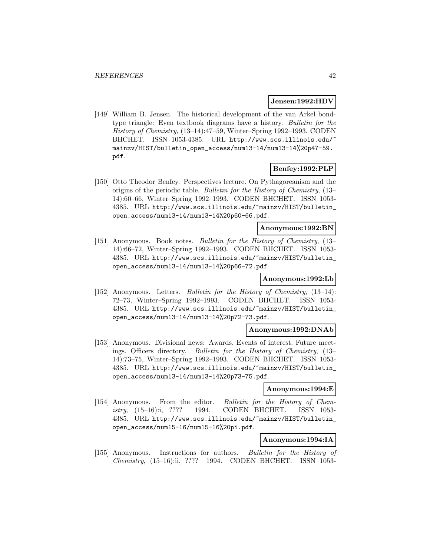### **Jensen:1992:HDV**

[149] William B. Jensen. The historical development of the van Arkel bondtype triangle: Even textbook diagrams have a history. Bulletin for the History of Chemistry, (13–14):47–59, Winter–Spring 1992–1993. CODEN BHCHET. ISSN 1053-4385. URL http://www.scs.illinois.edu/ mainzv/HIST/bulletin\_open\_access/num13-14/num13-14%20p47-59. pdf.

# **Benfey:1992:PLP**

[150] Otto Theodor Benfey. Perspectives lecture. On Pythagoreanism and the origins of the periodic table. Bulletin for the History of Chemistry, (13– 14):60–66, Winter–Spring 1992–1993. CODEN BHCHET. ISSN 1053- 4385. URL http://www.scs.illinois.edu/~mainzv/HIST/bulletin\_ open\_access/num13-14/num13-14%20p60-66.pdf.

# **Anonymous:1992:BN**

[151] Anonymous. Book notes. Bulletin for the History of Chemistry, (13– 14):66–72, Winter–Spring 1992–1993. CODEN BHCHET. ISSN 1053- 4385. URL http://www.scs.illinois.edu/~mainzv/HIST/bulletin\_ open\_access/num13-14/num13-14%20p66-72.pdf.

# **Anonymous:1992:Lb**

[152] Anonymous. Letters. Bulletin for the History of Chemistry, (13–14): 72–73, Winter–Spring 1992–1993. CODEN BHCHET. ISSN 1053- 4385. URL http://www.scs.illinois.edu/~mainzv/HIST/bulletin\_ open\_access/num13-14/num13-14%20p72-73.pdf.

### **Anonymous:1992:DNAb**

[153] Anonymous. Divisional news: Awards. Events of interest. Future meetings. Officers directory. Bulletin for the History of Chemistry, (13– 14):73–75, Winter–Spring 1992–1993. CODEN BHCHET. ISSN 1053- 4385. URL http://www.scs.illinois.edu/~mainzv/HIST/bulletin\_ open\_access/num13-14/num13-14%20p73-75.pdf.

## **Anonymous:1994:E**

[154] Anonymous. From the editor. Bulletin for the History of Chemistry, (15–16):i, ???? 1994. CODEN BHCHET. ISSN 1053- 4385. URL http://www.scs.illinois.edu/~mainzv/HIST/bulletin\_ open\_access/num15-16/num15-16%20pi.pdf.

## **Anonymous:1994:IA**

[155] Anonymous. Instructions for authors. Bulletin for the History of Chemistry, (15–16):ii, ???? 1994. CODEN BHCHET. ISSN 1053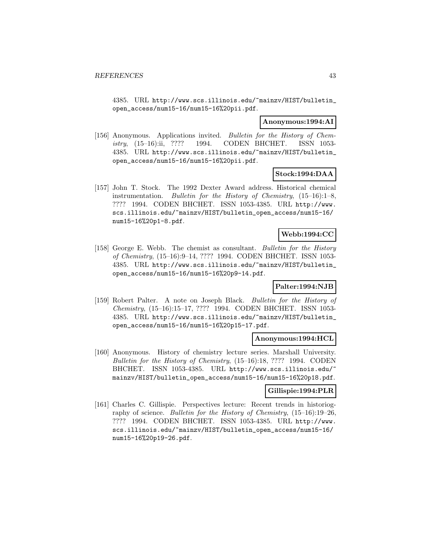4385. URL http://www.scs.illinois.edu/~mainzv/HIST/bulletin\_ open\_access/num15-16/num15-16%20pii.pdf.

#### **Anonymous:1994:AI**

[156] Anonymous. Applications invited. Bulletin for the History of Chemistry, (15–16):ii, ???? 1994. CODEN BHCHET. ISSN 1053- 4385. URL http://www.scs.illinois.edu/~mainzv/HIST/bulletin\_ open\_access/num15-16/num15-16%20pii.pdf.

# **Stock:1994:DAA**

[157] John T. Stock. The 1992 Dexter Award address. Historical chemical instrumentation. Bulletin for the History of Chemistry, (15–16):1–8, ???? 1994. CODEN BHCHET. ISSN 1053-4385. URL http://www. scs.illinois.edu/~mainzv/HIST/bulletin\_open\_access/num15-16/ num15-16%20p1-8.pdf.

# **Webb:1994:CC**

[158] George E. Webb. The chemist as consultant. Bulletin for the History of Chemistry, (15–16):9–14, ???? 1994. CODEN BHCHET. ISSN 1053- 4385. URL http://www.scs.illinois.edu/~mainzv/HIST/bulletin\_ open\_access/num15-16/num15-16%20p9-14.pdf.

### **Palter:1994:NJB**

[159] Robert Palter. A note on Joseph Black. Bulletin for the History of Chemistry, (15–16):15–17, ???? 1994. CODEN BHCHET. ISSN 1053- 4385. URL http://www.scs.illinois.edu/~mainzv/HIST/bulletin\_ open\_access/num15-16/num15-16%20p15-17.pdf.

# **Anonymous:1994:HCL**

[160] Anonymous. History of chemistry lecture series. Marshall University. Bulletin for the History of Chemistry, (15–16):18, ???? 1994. CODEN BHCHET. ISSN 1053-4385. URL http://www.scs.illinois.edu/ mainzv/HIST/bulletin\_open\_access/num15-16/num15-16%20p18.pdf.

### **Gillispie:1994:PLR**

[161] Charles C. Gillispie. Perspectives lecture: Recent trends in historiography of science. Bulletin for the History of Chemistry, (15–16):19–26, ???? 1994. CODEN BHCHET. ISSN 1053-4385. URL http://www. scs.illinois.edu/~mainzv/HIST/bulletin\_open\_access/num15-16/ num15-16%20p19-26.pdf.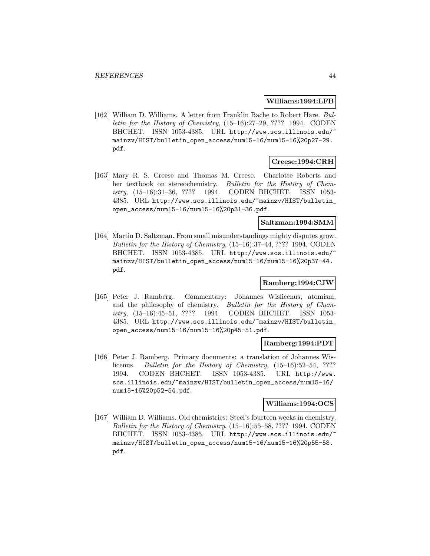### **Williams:1994:LFB**

[162] William D. Williams. A letter from Franklin Bache to Robert Hare. Bulletin for the History of Chemistry, (15–16):27–29, ???? 1994. CODEN BHCHET. ISSN 1053-4385. URL http://www.scs.illinois.edu/ mainzv/HIST/bulletin\_open\_access/num15-16/num15-16%20p27-29. pdf.

# **Creese:1994:CRH**

[163] Mary R. S. Creese and Thomas M. Creese. Charlotte Roberts and her textbook on stereochemistry. Bulletin for the History of Chemistry, (15–16):31–36, ???? 1994. CODEN BHCHET. ISSN 1053- 4385. URL http://www.scs.illinois.edu/~mainzv/HIST/bulletin\_ open\_access/num15-16/num15-16%20p31-36.pdf.

### **Saltzman:1994:SMM**

[164] Martin D. Saltzman. From small misunderstandings mighty disputes grow. Bulletin for the History of Chemistry, (15–16):37–44, ???? 1994. CODEN BHCHET. ISSN 1053-4385. URL http://www.scs.illinois.edu/ mainzv/HIST/bulletin\_open\_access/num15-16/num15-16%20p37-44. pdf.

### **Ramberg:1994:CJW**

[165] Peter J. Ramberg. Commentary: Johannes Wislicenus, atomism, and the philosophy of chemistry. Bulletin for the History of Chemistry, (15–16):45–51, ???? 1994. CODEN BHCHET. ISSN 1053- 4385. URL http://www.scs.illinois.edu/~mainzv/HIST/bulletin\_ open\_access/num15-16/num15-16%20p45-51.pdf.

## **Ramberg:1994:PDT**

[166] Peter J. Ramberg. Primary documents: a translation of Johannes Wislicenus. Bulletin for the History of Chemistry, (15–16):52–54, ???? 1994. CODEN BHCHET. ISSN 1053-4385. URL http://www. scs.illinois.edu/~mainzv/HIST/bulletin\_open\_access/num15-16/ num15-16%20p52-54.pdf.

## **Williams:1994:OCS**

[167] William D. Williams. Old chemistries: Steel's fourteen weeks in chemistry. Bulletin for the History of Chemistry, (15–16):55–58, ???? 1994. CODEN BHCHET. ISSN 1053-4385. URL http://www.scs.illinois.edu/~ mainzv/HIST/bulletin\_open\_access/num15-16/num15-16%20p55-58. pdf.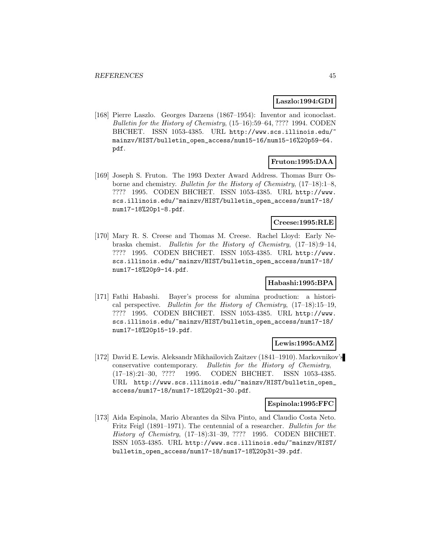### **Laszlo:1994:GDI**

[168] Pierre Laszlo. Georges Darzens (1867–1954): Inventor and iconoclast. Bulletin for the History of Chemistry, (15–16):59–64, ???? 1994. CODEN BHCHET. ISSN 1053-4385. URL http://www.scs.illinois.edu/^ mainzv/HIST/bulletin\_open\_access/num15-16/num15-16%20p59-64. pdf.

# **Fruton:1995:DAA**

[169] Joseph S. Fruton. The 1993 Dexter Award Address. Thomas Burr Osborne and chemistry. Bulletin for the History of Chemistry, (17–18):1–8, ???? 1995. CODEN BHCHET. ISSN 1053-4385. URL http://www. scs.illinois.edu/~mainzv/HIST/bulletin\_open\_access/num17-18/ num17-18%20p1-8.pdf.

# **Creese:1995:RLE**

[170] Mary R. S. Creese and Thomas M. Creese. Rachel Lloyd: Early Nebraska chemist. Bulletin for the History of Chemistry, (17–18):9–14, ???? 1995. CODEN BHCHET. ISSN 1053-4385. URL http://www. scs.illinois.edu/~mainzv/HIST/bulletin\_open\_access/num17-18/ num17-18%20p9-14.pdf.

### **Habashi:1995:BPA**

[171] Fathi Habashi. Bayer's process for alumina production: a historical perspective. Bulletin for the History of Chemistry, (17–18):15–19, ???? 1995. CODEN BHCHET. ISSN 1053-4385. URL http://www. scs.illinois.edu/~mainzv/HIST/bulletin\_open\_access/num17-18/ num17-18%20p15-19.pdf.

## **Lewis:1995:AMZ**

[172] David E. Lewis. Aleksandr Mikhailovich Zaitzev (1841–1910). Markovnikov's conservative contemporary. Bulletin for the History of Chemistry, (17–18):21–30, ???? 1995. CODEN BHCHET. ISSN 1053-4385. URL http://www.scs.illinois.edu/~mainzv/HIST/bulletin\_open\_ access/num17-18/num17-18%20p21-30.pdf.

### **Espinola:1995:FFC**

[173] Aida Espinola, Mario Abrantes da Silva Pinto, and Claudio Costa Neto. Fritz Feigl (1891–1971). The centennial of a researcher. Bulletin for the History of Chemistry, (17–18):31–39, ???? 1995. CODEN BHCHET. ISSN 1053-4385. URL http://www.scs.illinois.edu/~mainzv/HIST/ bulletin\_open\_access/num17-18/num17-18%20p31-39.pdf.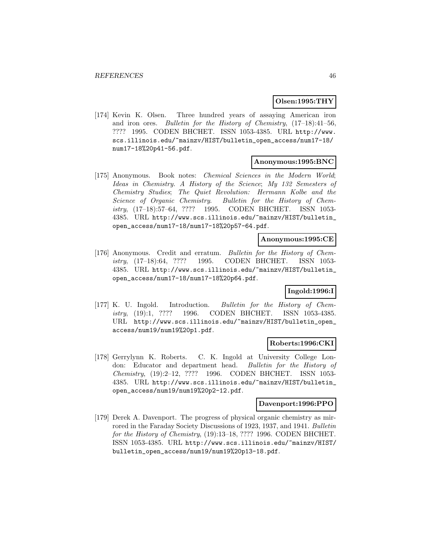# **Olsen:1995:THY**

[174] Kevin K. Olsen. Three hundred years of assaying American iron and iron ores. Bulletin for the History of Chemistry, (17–18):41–56, ???? 1995. CODEN BHCHET. ISSN 1053-4385. URL http://www. scs.illinois.edu/~mainzv/HIST/bulletin\_open\_access/num17-18/ num17-18%20p41-56.pdf.

# **Anonymous:1995:BNC**

[175] Anonymous. Book notes: Chemical Sciences in the Modern World; Ideas in Chemistry. A History of the Science; My 132 Semesters of Chemistry Studies; The Quiet Revolution: Hermann Kolbe and the Science of Organic Chemistry. Bulletin for the History of Chemistry, (17–18):57–64, ???? 1995. CODEN BHCHET. ISSN 1053- 4385. URL http://www.scs.illinois.edu/~mainzv/HIST/bulletin\_ open\_access/num17-18/num17-18%20p57-64.pdf.

### **Anonymous:1995:CE**

[176] Anonymous. Credit and erratum. Bulletin for the History of Chemistry, (17–18):64, ???? 1995. CODEN BHCHET. ISSN 1053- 4385. URL http://www.scs.illinois.edu/~mainzv/HIST/bulletin\_ open\_access/num17-18/num17-18%20p64.pdf.

# **Ingold:1996:I**

[177] K. U. Ingold. Introduction. Bulletin for the History of Chemistry, (19):1, ???? 1996. CODEN BHCHET. ISSN 1053-4385. URL http://www.scs.illinois.edu/~mainzv/HIST/bulletin\_open\_ access/num19/num19%20p1.pdf.

### **Roberts:1996:CKI**

[178] Gerrylynn K. Roberts. C. K. Ingold at University College London: Educator and department head. Bulletin for the History of Chemistry, (19):2–12, ???? 1996. CODEN BHCHET. ISSN 1053- 4385. URL http://www.scs.illinois.edu/~mainzv/HIST/bulletin\_ open\_access/num19/num19%20p2-12.pdf.

#### **Davenport:1996:PPO**

[179] Derek A. Davenport. The progress of physical organic chemistry as mirrored in the Faraday Society Discussions of 1923, 1937, and 1941. Bulletin for the History of Chemistry, (19):13-18, ???? 1996. CODEN BHCHET. ISSN 1053-4385. URL http://www.scs.illinois.edu/~mainzv/HIST/ bulletin\_open\_access/num19/num19%20p13-18.pdf.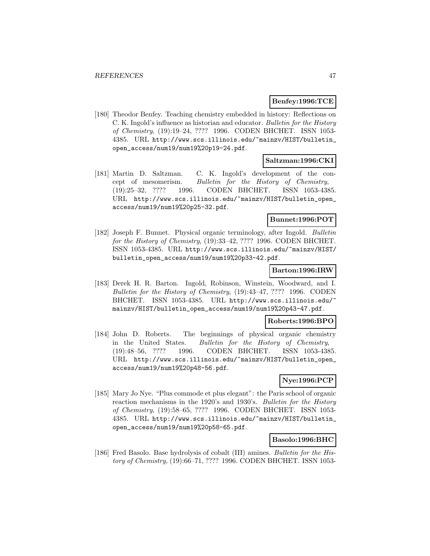# **Benfey:1996:TCE**

[180] Theodor Benfey. Teaching chemistry embedded in history: Reflections on C. K. Ingold's influence as historian and educator. Bulletin for the History of Chemistry, (19):19–24, ???? 1996. CODEN BHCHET. ISSN 1053- 4385. URL http://www.scs.illinois.edu/~mainzv/HIST/bulletin\_ open\_access/num19/num19%20p19-24.pdf.

### **Saltzman:1996:CKI**

[181] Martin D. Saltzman. C. K. Ingold's development of the concept of mesomerism. Bulletin for the History of Chemistry, (19):25–32, ???? 1996. CODEN BHCHET. ISSN 1053-4385. URL http://www.scs.illinois.edu/~mainzv/HIST/bulletin\_open\_ access/num19/num19%20p25-32.pdf.

## **Bunnet:1996:POT**

[182] Joseph F. Bunnet. Physical organic terminology, after Ingold. Bulletin for the History of Chemistry, (19):33-42, ???? 1996. CODEN BHCHET. ISSN 1053-4385. URL http://www.scs.illinois.edu/~mainzv/HIST/ bulletin\_open\_access/num19/num19%20p33-42.pdf.

## **Barton:1996:IRW**

[183] Derek H. R. Barton. Ingold, Robinson, Winstein, Woodward, and I. Bulletin for the History of Chemistry, (19):43–47, ???? 1996. CODEN BHCHET. ISSN 1053-4385. URL http://www.scs.illinois.edu/ mainzv/HIST/bulletin\_open\_access/num19/num19%20p43-47.pdf.

# **Roberts:1996:BPO**

[184] John D. Roberts. The beginnings of physical organic chemistry in the United States. Bulletin for the History of Chemistry, (19):48–56, ???? 1996. CODEN BHCHET. ISSN 1053-4385. URL http://www.scs.illinois.edu/~mainzv/HIST/bulletin\_open\_ access/num19/num19%20p48-56.pdf.

# **Nye:1996:PCP**

[185] Mary Jo Nye. "Plus commode et plus elegant": the Paris school of organic reaction mechanisms in the 1920's and 1930's. Bulletin for the History of Chemistry, (19):58–65, ???? 1996. CODEN BHCHET. ISSN 1053- 4385. URL http://www.scs.illinois.edu/~mainzv/HIST/bulletin\_ open\_access/num19/num19%20p58-65.pdf.

# **Basolo:1996:BHC**

[186] Fred Basolo. Base hydrolysis of cobalt (III) amines. Bulletin for the History of Chemistry, (19):66–71, ???? 1996. CODEN BHCHET. ISSN 1053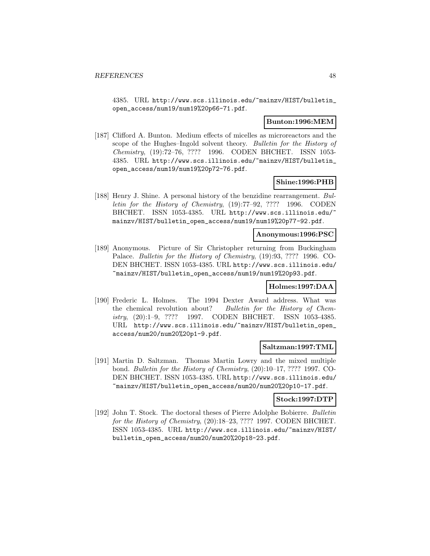4385. URL http://www.scs.illinois.edu/~mainzv/HIST/bulletin\_ open\_access/num19/num19%20p66-71.pdf.

# **Bunton:1996:MEM**

[187] Clifford A. Bunton. Medium effects of micelles as microreactors and the scope of the Hughes–Ingold solvent theory. Bulletin for the History of Chemistry, (19):72–76, ???? 1996. CODEN BHCHET. ISSN 1053- 4385. URL http://www.scs.illinois.edu/~mainzv/HIST/bulletin\_ open\_access/num19/num19%20p72-76.pdf.

# **Shine:1996:PHB**

[188] Henry J. Shine. A personal history of the benzidine rearrangement. Bulletin for the History of Chemistry, (19):77–92, ???? 1996. CODEN BHCHET. ISSN 1053-4385. URL http://www.scs.illinois.edu/ mainzv/HIST/bulletin\_open\_access/num19/num19%20p77-92.pdf.

#### **Anonymous:1996:PSC**

[189] Anonymous. Picture of Sir Christopher returning from Buckingham Palace. Bulletin for the History of Chemistry, (19):93, ???? 1996. CO-DEN BHCHET. ISSN 1053-4385. URL http://www.scs.illinois.edu/ ~mainzv/HIST/bulletin\_open\_access/num19/num19%20p93.pdf.

#### **Holmes:1997:DAA**

[190] Frederic L. Holmes. The 1994 Dexter Award address. What was the chemical revolution about? Bulletin for the History of Chemistry, (20):1–9, ???? 1997. CODEN BHCHET. ISSN 1053-4385. URL http://www.scs.illinois.edu/~mainzv/HIST/bulletin\_open\_ access/num20/num20%20p1-9.pdf.

### **Saltzman:1997:TML**

[191] Martin D. Saltzman. Thomas Martin Lowry and the mixed multiple bond. Bulletin for the History of Chemistry, (20):10–17, ???? 1997. CO-DEN BHCHET. ISSN 1053-4385. URL http://www.scs.illinois.edu/ ~mainzv/HIST/bulletin\_open\_access/num20/num20%20p10-17.pdf.

### **Stock:1997:DTP**

[192] John T. Stock. The doctoral theses of Pierre Adolphe Bobierre. Bulletin for the History of Chemistry, (20):18–23, ???? 1997. CODEN BHCHET. ISSN 1053-4385. URL http://www.scs.illinois.edu/~mainzv/HIST/ bulletin\_open\_access/num20/num20%20p18-23.pdf.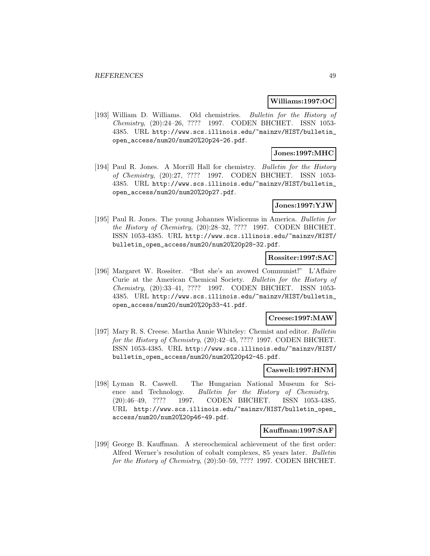#### **Williams:1997:OC**

[193] William D. Williams. Old chemistries. Bulletin for the History of Chemistry, (20):24–26, ???? 1997. CODEN BHCHET. ISSN 1053- 4385. URL http://www.scs.illinois.edu/~mainzv/HIST/bulletin\_ open\_access/num20/num20%20p24-26.pdf.

# **Jones:1997:MHC**

[194] Paul R. Jones. A Morrill Hall for chemistry. *Bulletin for the History* of Chemistry, (20):27, ???? 1997. CODEN BHCHET. ISSN 1053- 4385. URL http://www.scs.illinois.edu/~mainzv/HIST/bulletin\_ open\_access/num20/num20%20p27.pdf.

### **Jones:1997:YJW**

[195] Paul R. Jones. The young Johannes Wislicenus in America. Bulletin for the History of Chemistry, (20):28–32, ???? 1997. CODEN BHCHET. ISSN 1053-4385. URL http://www.scs.illinois.edu/~mainzv/HIST/ bulletin\_open\_access/num20/num20%20p28-32.pdf.

# **Rossiter:1997:SAC**

[196] Margaret W. Rossiter. "But she's an avowed Communist!" L'Affaire Curie at the American Chemical Society. Bulletin for the History of Chemistry, (20):33–41, ???? 1997. CODEN BHCHET. ISSN 1053- 4385. URL http://www.scs.illinois.edu/~mainzv/HIST/bulletin\_ open\_access/num20/num20%20p33-41.pdf.

#### **Creese:1997:MAW**

[197] Mary R. S. Creese. Martha Annie Whiteley: Chemist and editor. Bulletin for the History of Chemistry, (20):42-45, ???? 1997. CODEN BHCHET. ISSN 1053-4385. URL http://www.scs.illinois.edu/~mainzv/HIST/ bulletin\_open\_access/num20/num20%20p42-45.pdf.

# **Caswell:1997:HNM**

[198] Lyman R. Caswell. The Hungarian National Museum for Science and Technology. Bulletin for the History of Chemistry, (20):46–49, ???? 1997. CODEN BHCHET. ISSN 1053-4385. URL http://www.scs.illinois.edu/~mainzv/HIST/bulletin\_open\_ access/num20/num20%20p46-49.pdf.

## **Kauffman:1997:SAF**

[199] George B. Kauffman. A stereochemical achievement of the first order: Alfred Werner's resolution of cobalt complexes, 85 years later. Bulletin for the History of Chemistry, (20):50–59, ???? 1997. CODEN BHCHET.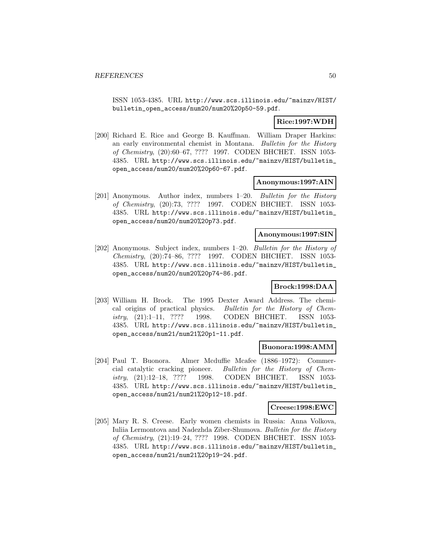ISSN 1053-4385. URL http://www.scs.illinois.edu/~mainzv/HIST/ bulletin\_open\_access/num20/num20%20p50-59.pdf.

# **Rice:1997:WDH**

[200] Richard E. Rice and George B. Kauffman. William Draper Harkins: an early environmental chemist in Montana. Bulletin for the History of Chemistry, (20):60–67, ???? 1997. CODEN BHCHET. ISSN 1053- 4385. URL http://www.scs.illinois.edu/~mainzv/HIST/bulletin\_ open\_access/num20/num20%20p60-67.pdf.

### **Anonymous:1997:AIN**

[201] Anonymous. Author index, numbers 1–20. Bulletin for the History of Chemistry, (20):73, ???? 1997. CODEN BHCHET. ISSN 1053- 4385. URL http://www.scs.illinois.edu/~mainzv/HIST/bulletin\_ open\_access/num20/num20%20p73.pdf.

# **Anonymous:1997:SIN**

[202] Anonymous. Subject index, numbers 1–20. Bulletin for the History of Chemistry, (20):74–86, ???? 1997. CODEN BHCHET. ISSN 1053- 4385. URL http://www.scs.illinois.edu/~mainzv/HIST/bulletin\_ open\_access/num20/num20%20p74-86.pdf.

### **Brock:1998:DAA**

[203] William H. Brock. The 1995 Dexter Award Address. The chemical origins of practical physics. Bulletin for the History of Chemistry, (21):1–11, ???? 1998. CODEN BHCHET. ISSN 1053- 4385. URL http://www.scs.illinois.edu/~mainzv/HIST/bulletin\_ open\_access/num21/num21%20p1-11.pdf.

### **Buonora:1998:AMM**

[204] Paul T. Buonora. Almer Mcduffie Mcafee (1886–1972): Commercial catalytic cracking pioneer. Bulletin for the History of Chemistry, (21):12–18, ???? 1998. CODEN BHCHET. ISSN 1053- 4385. URL http://www.scs.illinois.edu/~mainzv/HIST/bulletin\_ open\_access/num21/num21%20p12-18.pdf.

#### **Creese:1998:EWC**

[205] Mary R. S. Creese. Early women chemists in Russia: Anna Volkova, Iuliia Lermontova and Nadezhda Ziber-Shumova. Bulletin for the History of Chemistry, (21):19–24, ???? 1998. CODEN BHCHET. ISSN 1053- 4385. URL http://www.scs.illinois.edu/~mainzv/HIST/bulletin\_ open\_access/num21/num21%20p19-24.pdf.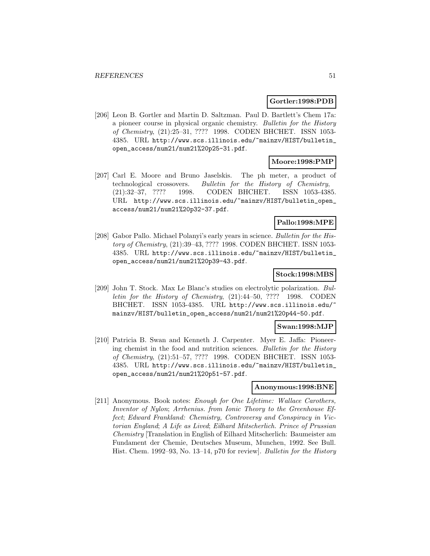#### **Gortler:1998:PDB**

[206] Leon B. Gortler and Martin D. Saltzman. Paul D. Bartlett's Chem 17a: a pioneer course in physical organic chemistry. Bulletin for the History of Chemistry, (21):25–31, ???? 1998. CODEN BHCHET. ISSN 1053- 4385. URL http://www.scs.illinois.edu/~mainzv/HIST/bulletin\_ open\_access/num21/num21%20p25-31.pdf.

# **Moore:1998:PMP**

[207] Carl E. Moore and Bruno Jaselskis. The ph meter, a product of technological crossovers. Bulletin for the History of Chemistry, (21):32–37, ???? 1998. CODEN BHCHET. ISSN 1053-4385. URL http://www.scs.illinois.edu/~mainzv/HIST/bulletin\_open\_ access/num21/num21%20p32-37.pdf.

## **Pallo:1998:MPE**

[208] Gabor Pallo. Michael Polanyi's early years in science. Bulletin for the History of Chemistry, (21):39–43, ???? 1998. CODEN BHCHET. ISSN 1053- 4385. URL http://www.scs.illinois.edu/~mainzv/HIST/bulletin\_ open\_access/num21/num21%20p39-43.pdf.

## **Stock:1998:MBS**

[209] John T. Stock. Max Le Blanc's studies on electrolytic polarization. Bulletin for the History of Chemistry, (21):44–50, ???? 1998. CODEN BHCHET. ISSN 1053-4385. URL http://www.scs.illinois.edu/ mainzv/HIST/bulletin\_open\_access/num21/num21%20p44-50.pdf.

### **Swan:1998:MJP**

[210] Patricia B. Swan and Kenneth J. Carpenter. Myer E. Jaffa: Pioneering chemist in the food and nutrition sciences. Bulletin for the History of Chemistry, (21):51–57, ???? 1998. CODEN BHCHET. ISSN 1053- 4385. URL http://www.scs.illinois.edu/~mainzv/HIST/bulletin\_ open\_access/num21/num21%20p51-57.pdf.

### **Anonymous:1998:BNE**

[211] Anonymous. Book notes: Enough for One Lifetime: Wallace Carothers, Inventor of Nylon; Arrhenius. from Ionic Theory to the Greenhouse Effect; Edward Frankland: Chemistry, Controversy and Conspiracy in Victorian England; A Life as Lived; Eilhard Mitscherlich. Prince of Prussian Chemistry [Translation in English of Eilhard Mitscherlich: Baumeister am Fundament der Chemie, Deutsches Museum, Munchen, 1992. See Bull. Hist. Chem. 1992–93, No. 13–14, p70 for review]. Bulletin for the History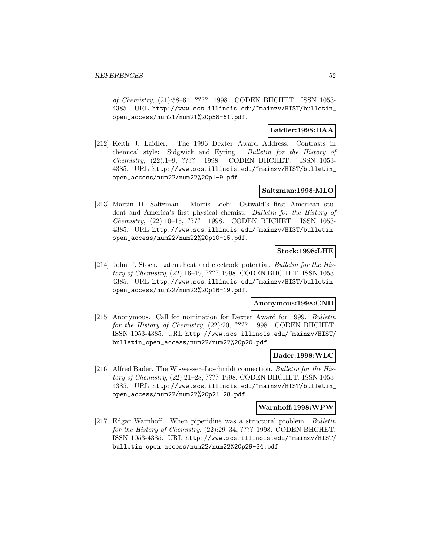of Chemistry, (21):58–61, ???? 1998. CODEN BHCHET. ISSN 1053- 4385. URL http://www.scs.illinois.edu/~mainzv/HIST/bulletin\_ open\_access/num21/num21%20p58-61.pdf.

# **Laidler:1998:DAA**

[212] Keith J. Laidler. The 1996 Dexter Award Address: Contrasts in chemical style: Sidgwick and Eyring. Bulletin for the History of Chemistry, (22):1–9, ???? 1998. CODEN BHCHET. ISSN 1053- 4385. URL http://www.scs.illinois.edu/~mainzv/HIST/bulletin\_ open\_access/num22/num22%20p1-9.pdf.

### **Saltzman:1998:MLO**

[213] Martin D. Saltzman. Morris Loeb: Ostwald's first American student and America's first physical chemist. Bulletin for the History of Chemistry, (22):10–15, ???? 1998. CODEN BHCHET. ISSN 1053- 4385. URL http://www.scs.illinois.edu/~mainzv/HIST/bulletin\_ open\_access/num22/num22%20p10-15.pdf.

# **Stock:1998:LHE**

[214] John T. Stock. Latent heat and electrode potential. Bulletin for the History of Chemistry, (22):16–19, ???? 1998. CODEN BHCHET. ISSN 1053- 4385. URL http://www.scs.illinois.edu/~mainzv/HIST/bulletin\_ open\_access/num22/num22%20p16-19.pdf.

### **Anonymous:1998:CND**

[215] Anonymous. Call for nomination for Dexter Award for 1999. Bulletin for the History of Chemistry,  $(22):20, ?$ ??? 1998. CODEN BHCHET. ISSN 1053-4385. URL http://www.scs.illinois.edu/~mainzv/HIST/ bulletin\_open\_access/num22/num22%20p20.pdf.

### **Bader:1998:WLC**

[216] Alfred Bader. The Wiswesser–Loschmidt connection. Bulletin for the History of Chemistry, (22):21–28, ???? 1998. CODEN BHCHET. ISSN 1053- 4385. URL http://www.scs.illinois.edu/~mainzv/HIST/bulletin\_ open\_access/num22/num22%20p21-28.pdf.

#### **Warnhoff:1998:WPW**

[217] Edgar Warnhoff. When piperidine was a structural problem. Bulletin for the History of Chemistry,  $(22):29-34, ????$  1998. CODEN BHCHET. ISSN 1053-4385. URL http://www.scs.illinois.edu/~mainzv/HIST/ bulletin\_open\_access/num22/num22%20p29-34.pdf.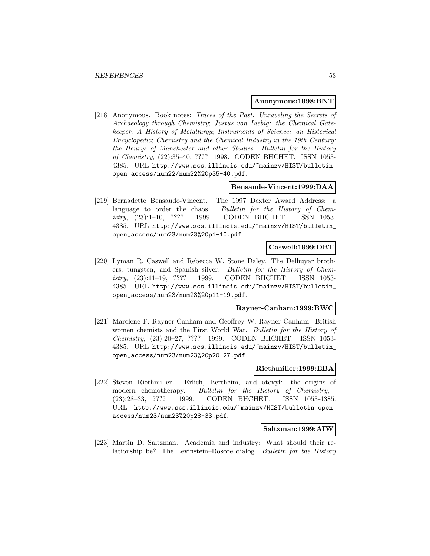#### **Anonymous:1998:BNT**

[218] Anonymous. Book notes: Traces of the Past: Unraveling the Secrets of Archaeology through Chemistry; Justus von Liebig: the Chemical Gatekeeper; A History of Metallurgy; Instruments of Science: an Historical Encyclopedia; Chemistry and the Chemical Industry in the 19th Century: the Henrys of Manchester and other Studies. Bulletin for the History of Chemistry, (22):35–40, ???? 1998. CODEN BHCHET. ISSN 1053- 4385. URL http://www.scs.illinois.edu/~mainzv/HIST/bulletin\_ open\_access/num22/num22%20p35-40.pdf.

# **Bensaude-Vincent:1999:DAA**

[219] Bernadette Bensaude-Vincent. The 1997 Dexter Award Address: a language to order the chaos. Bulletin for the History of Chemistry, (23):1–10, ???? 1999. CODEN BHCHET. ISSN 1053- 4385. URL http://www.scs.illinois.edu/~mainzv/HIST/bulletin\_ open\_access/num23/num23%20p1-10.pdf.

#### **Caswell:1999:DBT**

[220] Lyman R. Caswell and Rebecca W. Stone Daley. The Delhuyar brothers, tungsten, and Spanish silver. Bulletin for the History of Chemistry, (23):11–19, ???? 1999. CODEN BHCHET. ISSN 1053- 4385. URL http://www.scs.illinois.edu/~mainzv/HIST/bulletin\_ open\_access/num23/num23%20p11-19.pdf.

#### **Rayner-Canham:1999:BWC**

[221] Marelene F. Rayner-Canham and Geoffrey W. Rayner-Canham. British women chemists and the First World War. Bulletin for the History of Chemistry, (23):20–27, ???? 1999. CODEN BHCHET. ISSN 1053- 4385. URL http://www.scs.illinois.edu/~mainzv/HIST/bulletin\_ open\_access/num23/num23%20p20-27.pdf.

#### **Riethmiller:1999:EBA**

[222] Steven Riethmiller. Erlich, Bertheim, and atoxyl: the origins of modern chemotherapy. Bulletin for the History of Chemistry, (23):28–33, ???? 1999. CODEN BHCHET. ISSN 1053-4385. URL http://www.scs.illinois.edu/~mainzv/HIST/bulletin\_open\_ access/num23/num23%20p28-33.pdf.

### **Saltzman:1999:AIW**

[223] Martin D. Saltzman. Academia and industry: What should their relationship be? The Levinstein–Roscoe dialog. Bulletin for the History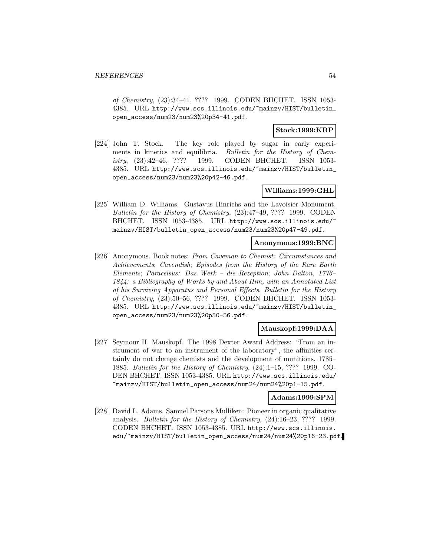of Chemistry, (23):34–41, ???? 1999. CODEN BHCHET. ISSN 1053- 4385. URL http://www.scs.illinois.edu/~mainzv/HIST/bulletin\_ open\_access/num23/num23%20p34-41.pdf.

# **Stock:1999:KRP**

[224] John T. Stock. The key role played by sugar in early experiments in kinetics and equilibria. Bulletin for the History of Chemistry, (23):42–46, ???? 1999. CODEN BHCHET. ISSN 1053- 4385. URL http://www.scs.illinois.edu/~mainzv/HIST/bulletin\_ open\_access/num23/num23%20p42-46.pdf.

# **Williams:1999:GHL**

[225] William D. Williams. Gustavus Hinrichs and the Lavoisier Monument. Bulletin for the History of Chemistry, (23):47–49, ???? 1999. CODEN BHCHET. ISSN 1053-4385. URL http://www.scs.illinois.edu/ mainzv/HIST/bulletin\_open\_access/num23/num23%20p47-49.pdf.

## **Anonymous:1999:BNC**

[226] Anonymous. Book notes: From Caveman to Chemist: Circumstances and Achievements; Cavendish; Episodes from the History of the Rare Earth Elements; Paracelsus: Das Werk – die Rezeption; John Dalton, 1776– 1844: a Bibliography of Works by and About Him, with an Annotated List of his Surviving Apparatus and Personal Effects. Bulletin for the History of Chemistry, (23):50–56, ???? 1999. CODEN BHCHET. ISSN 1053- 4385. URL http://www.scs.illinois.edu/~mainzv/HIST/bulletin\_ open\_access/num23/num23%20p50-56.pdf.

# **Mauskopf:1999:DAA**

[227] Seymour H. Mauskopf. The 1998 Dexter Award Address: "From an instrument of war to an instrument of the laboratory", the affinities certainly do not change chemists and the development of munitions, 1785– 1885. Bulletin for the History of Chemistry, (24):1–15, ???? 1999. CO-DEN BHCHET. ISSN 1053-4385. URL http://www.scs.illinois.edu/ ~mainzv/HIST/bulletin\_open\_access/num24/num24%20p1-15.pdf.

## **Adams:1999:SPM**

[228] David L. Adams. Samuel Parsons Mulliken: Pioneer in organic qualitative analysis. Bulletin for the History of Chemistry, (24):16–23, ???? 1999. CODEN BHCHET. ISSN 1053-4385. URL http://www.scs.illinois. edu/~mainzv/HIST/bulletin\_open\_access/num24/num24%20p16-23.pdf.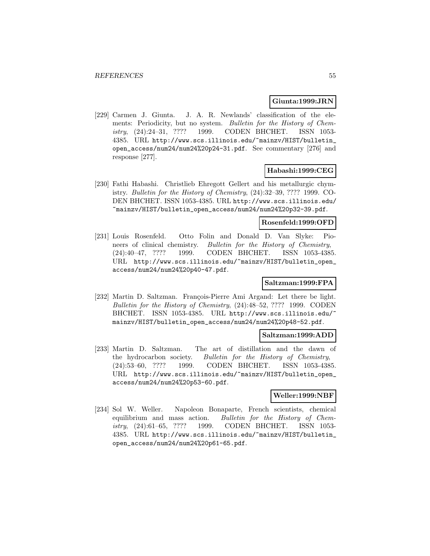# **Giunta:1999:JRN**

[229] Carmen J. Giunta. J. A. R. Newlands' classification of the elements: Periodicity, but no system. Bulletin for the History of Chemistry, (24):24–31, ???? 1999. CODEN BHCHET. ISSN 1053- 4385. URL http://www.scs.illinois.edu/~mainzv/HIST/bulletin\_ open\_access/num24/num24%20p24-31.pdf. See commentary [276] and response [277].

# **Habashi:1999:CEG**

[230] Fathi Habashi. Christlieb Ehregott Gellert and his metallurgic chymistry. Bulletin for the History of Chemistry, (24):32–39, ???? 1999. CO-DEN BHCHET. ISSN 1053-4385. URL http://www.scs.illinois.edu/ ~mainzv/HIST/bulletin\_open\_access/num24/num24%20p32-39.pdf.

## **Rosenfeld:1999:OFD**

[231] Louis Rosenfeld. Otto Folin and Donald D. Van Slyke: Pioneers of clinical chemistry. Bulletin for the History of Chemistry, (24):40–47, ???? 1999. CODEN BHCHET. ISSN 1053-4385. URL http://www.scs.illinois.edu/~mainzv/HIST/bulletin\_open\_ access/num24/num24%20p40-47.pdf.

# **Saltzman:1999:FPA**

[232] Martin D. Saltzman. François-Pierre Ami Argand: Let there be light. Bulletin for the History of Chemistry, (24):48–52, ???? 1999. CODEN BHCHET. ISSN 1053-4385. URL http://www.scs.illinois.edu/ mainzv/HIST/bulletin\_open\_access/num24/num24%20p48-52.pdf.

### **Saltzman:1999:ADD**

[233] Martin D. Saltzman. The art of distillation and the dawn of the hydrocarbon society. Bulletin for the History of Chemistry, (24):53–60, ???? 1999. CODEN BHCHET. ISSN 1053-4385. URL http://www.scs.illinois.edu/~mainzv/HIST/bulletin\_open\_ access/num24/num24%20p53-60.pdf.

# **Weller:1999:NBF**

[234] Sol W. Weller. Napoleon Bonaparte, French scientists, chemical equilibrium and mass action. Bulletin for the History of Chemistry, (24):61–65, ???? 1999. CODEN BHCHET. ISSN 1053- 4385. URL http://www.scs.illinois.edu/~mainzv/HIST/bulletin\_ open\_access/num24/num24%20p61-65.pdf.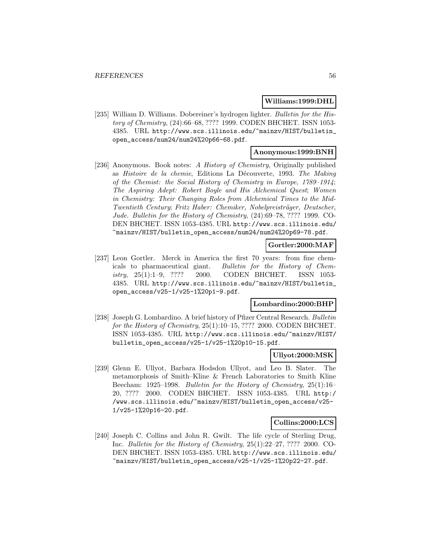### **Williams:1999:DHL**

[235] William D. Williams. Dobereiner's hydrogen lighter. Bulletin for the History of Chemistry, (24):66–68, ???? 1999. CODEN BHCHET. ISSN 1053- 4385. URL http://www.scs.illinois.edu/~mainzv/HIST/bulletin\_ open\_access/num24/num24%20p66-68.pdf.

# **Anonymous:1999:BNH**

[236] Anonymous. Book notes: A History of Chemistry, Originally published as Histoire de la chemie, Editions La Découverte, 1993. The Making of the Chemist: the Social History of Chemistry in Europe, 1789–1914; The Aspiring Adept: Robert Boyle and His Alchemical Quest; Women in Chemistry: Their Changing Roles from Alchemical Times to the Mid-Twentieth Century; Fritz Haber: Chemiker, Nobelpreisträger, Deutscher, Jude. Bulletin for the History of Chemistry, (24):69–78, ???? 1999. CO-DEN BHCHET. ISSN 1053-4385. URL http://www.scs.illinois.edu/ ~mainzv/HIST/bulletin\_open\_access/num24/num24%20p69-78.pdf.

# **Gortler:2000:MAF**

[237] Leon Gortler. Merck in America the first 70 years: from fine chemicals to pharmaceutical giant. Bulletin for the History of Chemistry, 25(1):1–9, ???? 2000. CODEN BHCHET. ISSN 1053- 4385. URL http://www.scs.illinois.edu/~mainzv/HIST/bulletin\_ open\_access/v25-1/v25-1%20p1-9.pdf.

# **Lombardino:2000:BHP**

[238] Joseph G. Lombardino. A brief history of Pfizer Central Research. Bulletin for the History of Chemistry, 25(1):10–15, ???? 2000. CODEN BHCHET. ISSN 1053-4385. URL http://www.scs.illinois.edu/~mainzv/HIST/ bulletin\_open\_access/v25-1/v25-1%20p10-15.pdf.

### **Ullyot:2000:MSK**

[239] Glenn E. Ullyot, Barbara Hodsdon Ullyot, and Leo B. Slater. The metamorphosis of Smith–Kline & French Laboratories to Smith Kline Beecham: 1925–1998. Bulletin for the History of Chemistry, 25(1):16– 20, ???? 2000. CODEN BHCHET. ISSN 1053-4385. URL http:/ /www.scs.illinois.edu/~mainzv/HIST/bulletin\_open\_access/v25- 1/v25-1%20p16-20.pdf.

#### **Collins:2000:LCS**

[240] Joseph C. Collins and John R. Gwilt. The life cycle of Sterling Drug, Inc. Bulletin for the History of Chemistry, 25(1):22–27, ???? 2000. CO-DEN BHCHET. ISSN 1053-4385. URL http://www.scs.illinois.edu/ ~mainzv/HIST/bulletin\_open\_access/v25-1/v25-1%20p22-27.pdf.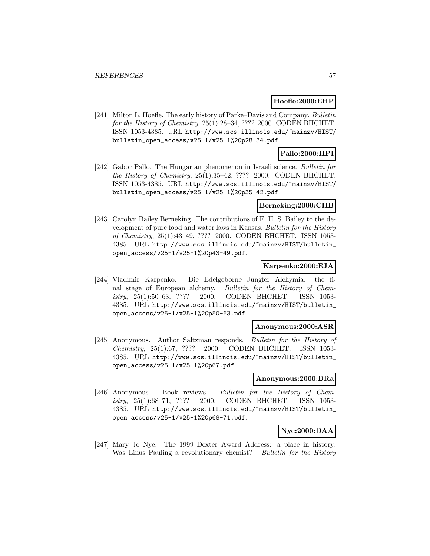### **Hoefle:2000:EHP**

[241] Milton L. Hoefle. The early history of Parke–Davis and Company. Bulletin for the History of Chemistry, 25(1):28–34, ???? 2000. CODEN BHCHET. ISSN 1053-4385. URL http://www.scs.illinois.edu/~mainzv/HIST/ bulletin\_open\_access/v25-1/v25-1%20p28-34.pdf.

# **Pallo:2000:HPI**

[242] Gabor Pallo. The Hungarian phenomenon in Israeli science. Bulletin for the History of Chemistry, 25(1):35–42, ???? 2000. CODEN BHCHET. ISSN 1053-4385. URL http://www.scs.illinois.edu/~mainzv/HIST/ bulletin\_open\_access/v25-1/v25-1%20p35-42.pdf.

### **Berneking:2000:CHB**

[243] Carolyn Bailey Berneking. The contributions of E. H. S. Bailey to the development of pure food and water laws in Kansas. Bulletin for the History of Chemistry, 25(1):43–49, ???? 2000. CODEN BHCHET. ISSN 1053- 4385. URL http://www.scs.illinois.edu/~mainzv/HIST/bulletin\_ open\_access/v25-1/v25-1%20p43-49.pdf.

#### **Karpenko:2000:EJA**

[244] Vladimir Karpenko. Die Edelgeborne Jungfer Alchymia: the final stage of European alchemy. Bulletin for the History of Chemistry, 25(1):50–63, ???? 2000. CODEN BHCHET. ISSN 1053- 4385. URL http://www.scs.illinois.edu/~mainzv/HIST/bulletin\_ open\_access/v25-1/v25-1%20p50-63.pdf.

### **Anonymous:2000:ASR**

[245] Anonymous. Author Saltzman responds. Bulletin for the History of Chemistry, 25(1):67, ???? 2000. CODEN BHCHET. ISSN 1053- 4385. URL http://www.scs.illinois.edu/~mainzv/HIST/bulletin\_ open\_access/v25-1/v25-1%20p67.pdf.

#### **Anonymous:2000:BRa**

[246] Anonymous. Book reviews. Bulletin for the History of Chemistry, 25(1):68–71, ???? 2000. CODEN BHCHET. ISSN 1053- 4385. URL http://www.scs.illinois.edu/~mainzv/HIST/bulletin\_ open\_access/v25-1/v25-1%20p68-71.pdf.

# **Nye:2000:DAA**

[247] Mary Jo Nye. The 1999 Dexter Award Address: a place in history: Was Linus Pauling a revolutionary chemist? Bulletin for the History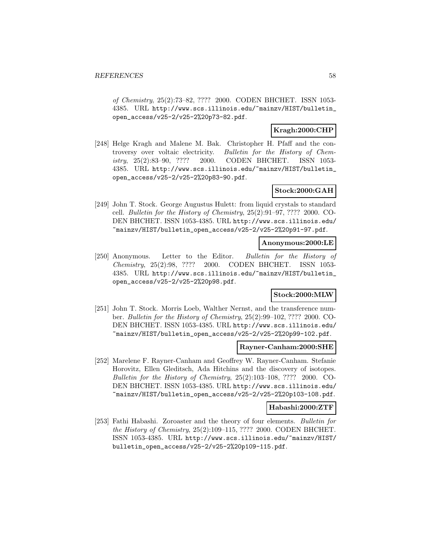of Chemistry, 25(2):73–82, ???? 2000. CODEN BHCHET. ISSN 1053- 4385. URL http://www.scs.illinois.edu/~mainzv/HIST/bulletin\_ open\_access/v25-2/v25-2%20p73-82.pdf.

# **Kragh:2000:CHP**

[248] Helge Kragh and Malene M. Bak. Christopher H. Pfaff and the controversy over voltaic electricity. Bulletin for the History of Chemistry, 25(2):83–90, ???? 2000. CODEN BHCHET. ISSN 1053- 4385. URL http://www.scs.illinois.edu/~mainzv/HIST/bulletin\_ open\_access/v25-2/v25-2%20p83-90.pdf.

# **Stock:2000:GAH**

[249] John T. Stock. George Augustus Hulett: from liquid crystals to standard cell. Bulletin for the History of Chemistry, 25(2):91–97, ???? 2000. CO-DEN BHCHET. ISSN 1053-4385. URL http://www.scs.illinois.edu/ ~mainzv/HIST/bulletin\_open\_access/v25-2/v25-2%20p91-97.pdf.

# **Anonymous:2000:LE**

[250] Anonymous. Letter to the Editor. Bulletin for the History of Chemistry, 25(2):98, ???? 2000. CODEN BHCHET. ISSN 1053- 4385. URL http://www.scs.illinois.edu/~mainzv/HIST/bulletin\_ open\_access/v25-2/v25-2%20p98.pdf.

# **Stock:2000:MLW**

[251] John T. Stock. Morris Loeb, Walther Nernst, and the transference number. Bulletin for the History of Chemistry, 25(2):99–102, ???? 2000. CO-DEN BHCHET. ISSN 1053-4385. URL http://www.scs.illinois.edu/ ~mainzv/HIST/bulletin\_open\_access/v25-2/v25-2%20p99-102.pdf.

# **Rayner-Canham:2000:SHE**

[252] Marelene F. Rayner-Canham and Geoffrey W. Rayner-Canham. Stefanie Horovitz, Ellen Gleditsch, Ada Hitchins and the discovery of isotopes. Bulletin for the History of Chemistry, 25(2):103–108, ???? 2000. CO-DEN BHCHET. ISSN 1053-4385. URL http://www.scs.illinois.edu/ ~mainzv/HIST/bulletin\_open\_access/v25-2/v25-2%20p103-108.pdf.

### **Habashi:2000:ZTF**

[253] Fathi Habashi. Zoroaster and the theory of four elements. Bulletin for the History of Chemistry, 25(2):109–115, ???? 2000. CODEN BHCHET. ISSN 1053-4385. URL http://www.scs.illinois.edu/~mainzv/HIST/ bulletin\_open\_access/v25-2/v25-2%20p109-115.pdf.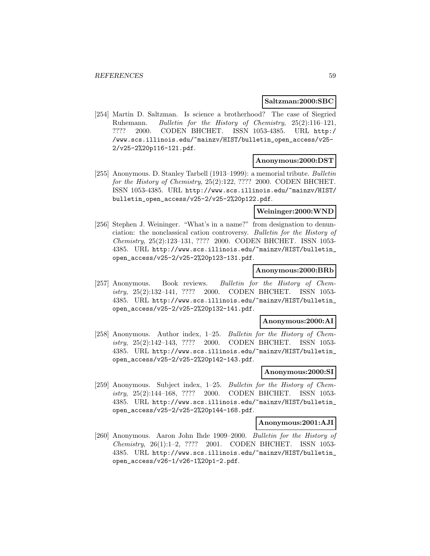#### **Saltzman:2000:SBC**

[254] Martin D. Saltzman. Is science a brotherhood? The case of Siegried Ruhemann. Bulletin for the History of Chemistry, 25(2):116–121, ???? 2000. CODEN BHCHET. ISSN 1053-4385. URL http:/ /www.scs.illinois.edu/~mainzv/HIST/bulletin\_open\_access/v25- 2/v25-2%20p116-121.pdf.

#### **Anonymous:2000:DST**

[255] Anonymous. D. Stanley Tarbell (1913–1999): a memorial tribute. Bulletin for the History of Chemistry, 25(2):122, ???? 2000. CODEN BHCHET. ISSN 1053-4385. URL http://www.scs.illinois.edu/~mainzv/HIST/ bulletin\_open\_access/v25-2/v25-2%20p122.pdf.

# **Weininger:2000:WND**

[256] Stephen J. Weininger. "What's in a name?" from designation to denunciation: the nonclassical cation controversy. Bulletin for the History of Chemistry, 25(2):123–131, ???? 2000. CODEN BHCHET. ISSN 1053- 4385. URL http://www.scs.illinois.edu/~mainzv/HIST/bulletin\_ open\_access/v25-2/v25-2%20p123-131.pdf.

### **Anonymous:2000:BRb**

[257] Anonymous. Book reviews. Bulletin for the History of Chemistry, 25(2):132–141, ???? 2000. CODEN BHCHET. ISSN 1053- 4385. URL http://www.scs.illinois.edu/~mainzv/HIST/bulletin\_ open\_access/v25-2/v25-2%20p132-141.pdf.

#### **Anonymous:2000:AI**

[258] Anonymous. Author index, 1–25. Bulletin for the History of Chemistry, 25(2):142–143, ???? 2000. CODEN BHCHET. ISSN 1053- 4385. URL http://www.scs.illinois.edu/~mainzv/HIST/bulletin\_ open\_access/v25-2/v25-2%20p142-143.pdf.

# **Anonymous:2000:SI**

[259] Anonymous. Subject index, 1–25. Bulletin for the History of Chemistry, 25(2):144–168, ???? 2000. CODEN BHCHET. ISSN 1053- 4385. URL http://www.scs.illinois.edu/~mainzv/HIST/bulletin\_ open\_access/v25-2/v25-2%20p144-168.pdf.

#### **Anonymous:2001:AJI**

[260] Anonymous. Aaron John Ihde 1909–2000. Bulletin for the History of Chemistry, 26(1):1–2, ???? 2001. CODEN BHCHET. ISSN 1053- 4385. URL http://www.scs.illinois.edu/~mainzv/HIST/bulletin\_ open\_access/v26-1/v26-1%20p1-2.pdf.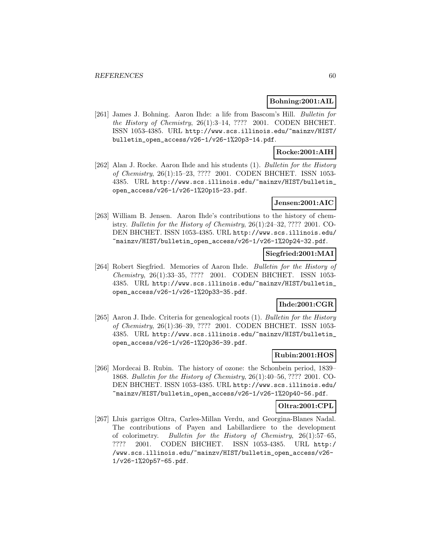### **Bohning:2001:AIL**

[261] James J. Bohning. Aaron Ihde: a life from Bascom's Hill. Bulletin for the History of Chemistry, 26(1):3–14, ???? 2001. CODEN BHCHET. ISSN 1053-4385. URL http://www.scs.illinois.edu/~mainzv/HIST/ bulletin\_open\_access/v26-1/v26-1%20p3-14.pdf.

# **Rocke:2001:AIH**

[262] Alan J. Rocke. Aaron Ihde and his students (1). Bulletin for the History of Chemistry, 26(1):15–23, ???? 2001. CODEN BHCHET. ISSN 1053- 4385. URL http://www.scs.illinois.edu/~mainzv/HIST/bulletin\_ open\_access/v26-1/v26-1%20p15-23.pdf.

# **Jensen:2001:AIC**

[263] William B. Jensen. Aaron Ihde's contributions to the history of chemistry. Bulletin for the History of Chemistry, 26(1):24–32, ???? 2001. CO-DEN BHCHET. ISSN 1053-4385. URL http://www.scs.illinois.edu/ ~mainzv/HIST/bulletin\_open\_access/v26-1/v26-1%20p24-32.pdf.

# **Siegfried:2001:MAI**

[264] Robert Siegfried. Memories of Aaron Ihde. Bulletin for the History of Chemistry, 26(1):33–35, ???? 2001. CODEN BHCHET. ISSN 1053- 4385. URL http://www.scs.illinois.edu/~mainzv/HIST/bulletin\_ open\_access/v26-1/v26-1%20p33-35.pdf.

# **Ihde:2001:CGR**

[265] Aaron J. Ihde. Criteria for genealogical roots (1). Bulletin for the History of Chemistry, 26(1):36–39, ???? 2001. CODEN BHCHET. ISSN 1053- 4385. URL http://www.scs.illinois.edu/~mainzv/HIST/bulletin\_ open\_access/v26-1/v26-1%20p36-39.pdf.

### **Rubin:2001:HOS**

[266] Mordecai B. Rubin. The history of ozone: the Schonbein period, 1839– 1868. Bulletin for the History of Chemistry, 26(1):40–56, ???? 2001. CO-DEN BHCHET. ISSN 1053-4385. URL http://www.scs.illinois.edu/ ~mainzv/HIST/bulletin\_open\_access/v26-1/v26-1%20p40-56.pdf.

## **Oltra:2001:CPL**

[267] Lluis garrigos Oltra, Carles-Millan Verdu, and Georgina-Blanes Nadal. The contributions of Payen and Labillardiere to the development of colorimetry. Bulletin for the History of Chemistry, 26(1):57–65, ???? 2001. CODEN BHCHET. ISSN 1053-4385. URL http:/ /www.scs.illinois.edu/~mainzv/HIST/bulletin\_open\_access/v26- 1/v26-1%20p57-65.pdf.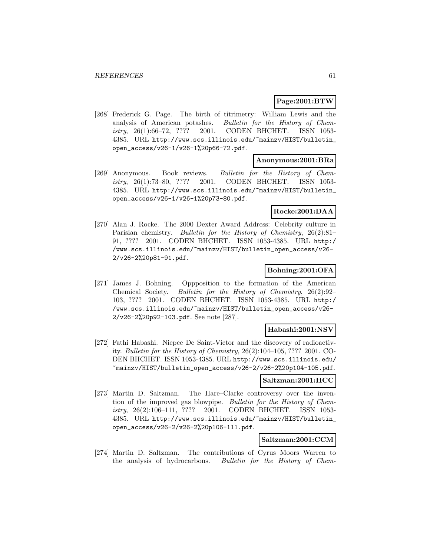# **Page:2001:BTW**

[268] Frederick G. Page. The birth of titrimetry: William Lewis and the analysis of American potashes. Bulletin for the History of Chemistry, 26(1):66–72, ???? 2001. CODEN BHCHET. ISSN 1053- 4385. URL http://www.scs.illinois.edu/~mainzv/HIST/bulletin\_ open\_access/v26-1/v26-1%20p66-72.pdf.

#### **Anonymous:2001:BRa**

[269] Anonymous. Book reviews. Bulletin for the History of Chemistry, 26(1):73–80, ???? 2001. CODEN BHCHET. ISSN 1053- 4385. URL http://www.scs.illinois.edu/~mainzv/HIST/bulletin\_ open\_access/v26-1/v26-1%20p73-80.pdf.

# **Rocke:2001:DAA**

[270] Alan J. Rocke. The 2000 Dexter Award Address: Celebrity culture in Parisian chemistry. Bulletin for the History of Chemistry, 26(2):81– 91, ???? 2001. CODEN BHCHET. ISSN 1053-4385. URL http:/ /www.scs.illinois.edu/~mainzv/HIST/bulletin\_open\_access/v26- 2/v26-2%20p81-91.pdf.

# **Bohning:2001:OFA**

[271] James J. Bohning. Oppposition to the formation of the American Chemical Society. Bulletin for the History of Chemistry, 26(2):92– 103, ???? 2001. CODEN BHCHET. ISSN 1053-4385. URL http:/ /www.scs.illinois.edu/~mainzv/HIST/bulletin\_open\_access/v26- 2/v26-2%20p92-103.pdf. See note [287].

# **Habashi:2001:NSV**

[272] Fathi Habashi. Niepce De Saint-Victor and the discovery of radioactivity. Bulletin for the History of Chemistry, 26(2):104–105, ???? 2001. CO-DEN BHCHET. ISSN 1053-4385. URL http://www.scs.illinois.edu/ ~mainzv/HIST/bulletin\_open\_access/v26-2/v26-2%20p104-105.pdf.

## **Saltzman:2001:HCC**

[273] Martin D. Saltzman. The Hare–Clarke controversy over the invention of the improved gas blowpipe. Bulletin for the History of Chemistry, 26(2):106–111, ???? 2001. CODEN BHCHET. ISSN 1053- 4385. URL http://www.scs.illinois.edu/~mainzv/HIST/bulletin\_ open\_access/v26-2/v26-2%20p106-111.pdf.

# **Saltzman:2001:CCM**

[274] Martin D. Saltzman. The contributions of Cyrus Moors Warren to the analysis of hydrocarbons. Bulletin for the History of Chem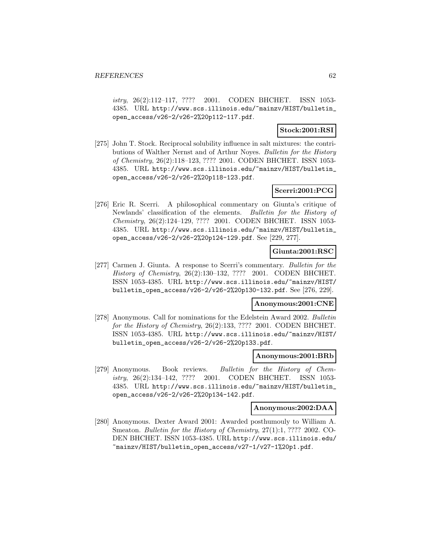istry, 26(2):112–117, ???? 2001. CODEN BHCHET. ISSN 1053- 4385. URL http://www.scs.illinois.edu/~mainzv/HIST/bulletin\_ open\_access/v26-2/v26-2%20p112-117.pdf.

# **Stock:2001:RSI**

[275] John T. Stock. Reciprocal solubility influence in salt mixtures: the contributions of Walther Nernst and of Arthur Noyes. Bulletin for the History of Chemistry, 26(2):118–123, ???? 2001. CODEN BHCHET. ISSN 1053- 4385. URL http://www.scs.illinois.edu/~mainzv/HIST/bulletin\_ open\_access/v26-2/v26-2%20p118-123.pdf.

# **Scerri:2001:PCG**

[276] Eric R. Scerri. A philosophical commentary on Giunta's critique of Newlands' classification of the elements. Bulletin for the History of Chemistry, 26(2):124–129, ???? 2001. CODEN BHCHET. ISSN 1053- 4385. URL http://www.scs.illinois.edu/~mainzv/HIST/bulletin\_ open\_access/v26-2/v26-2%20p124-129.pdf. See [229, 277].

# **Giunta:2001:RSC**

[277] Carmen J. Giunta. A response to Scerri's commentary. Bulletin for the History of Chemistry, 26(2):130–132, ???? 2001. CODEN BHCHET. ISSN 1053-4385. URL http://www.scs.illinois.edu/~mainzv/HIST/ bulletin\_open\_access/v26-2/v26-2%20p130-132.pdf. See [276, 229].

### **Anonymous:2001:CNE**

[278] Anonymous. Call for nominations for the Edelstein Award 2002. Bulletin for the History of Chemistry, 26(2):133, ???? 2001. CODEN BHCHET. ISSN 1053-4385. URL http://www.scs.illinois.edu/~mainzv/HIST/ bulletin\_open\_access/v26-2/v26-2%20p133.pdf.

### **Anonymous:2001:BRb**

[279] Anonymous. Book reviews. Bulletin for the History of Chemistry, 26(2):134–142, ???? 2001. CODEN BHCHET. ISSN 1053- 4385. URL http://www.scs.illinois.edu/~mainzv/HIST/bulletin\_ open\_access/v26-2/v26-2%20p134-142.pdf.

#### **Anonymous:2002:DAA**

[280] Anonymous. Dexter Award 2001: Awarded posthumouly to William A. Smeaton. Bulletin for the History of Chemistry, 27(1):1, ???? 2002. CO-DEN BHCHET. ISSN 1053-4385. URL http://www.scs.illinois.edu/ ~mainzv/HIST/bulletin\_open\_access/v27-1/v27-1%20p1.pdf.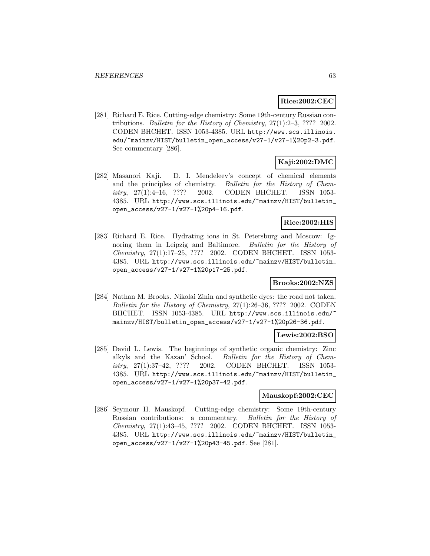# **Rice:2002:CEC**

[281] Richard E. Rice. Cutting-edge chemistry: Some 19th-century Russian contributions. Bulletin for the History of Chemistry, 27(1):2–3, ???? 2002. CODEN BHCHET. ISSN 1053-4385. URL http://www.scs.illinois. edu/~mainzv/HIST/bulletin\_open\_access/v27-1/v27-1%20p2-3.pdf. See commentary [286].

# **Kaji:2002:DMC**

[282] Masanori Kaji. D. I. Mendeleev's concept of chemical elements and the principles of chemistry. Bulletin for the History of Chemistry, 27(1):4–16, ???? 2002. CODEN BHCHET. ISSN 1053- 4385. URL http://www.scs.illinois.edu/~mainzv/HIST/bulletin\_ open\_access/v27-1/v27-1%20p4-16.pdf.

# **Rice:2002:HIS**

[283] Richard E. Rice. Hydrating ions in St. Petersburg and Moscow: Ignoring them in Leipzig and Baltimore. Bulletin for the History of Chemistry, 27(1):17–25, ???? 2002. CODEN BHCHET. ISSN 1053- 4385. URL http://www.scs.illinois.edu/~mainzv/HIST/bulletin\_ open\_access/v27-1/v27-1%20p17-25.pdf.

### **Brooks:2002:NZS**

[284] Nathan M. Brooks. Nikolai Zinin and synthetic dyes: the road not taken. Bulletin for the History of Chemistry, 27(1):26–36, ???? 2002. CODEN BHCHET. ISSN 1053-4385. URL http://www.scs.illinois.edu/~ mainzv/HIST/bulletin\_open\_access/v27-1/v27-1%20p26-36.pdf.

## **Lewis:2002:BSO**

[285] David L. Lewis. The beginnings of synthetic organic chemistry: Zinc alkyls and the Kazan' School. Bulletin for the History of Chemistry, 27(1):37–42, ???? 2002. CODEN BHCHET. ISSN 1053- 4385. URL http://www.scs.illinois.edu/~mainzv/HIST/bulletin\_ open\_access/v27-1/v27-1%20p37-42.pdf.

### **Mauskopf:2002:CEC**

[286] Seymour H. Mauskopf. Cutting-edge chemistry: Some 19th-century Russian contributions: a commentary. Bulletin for the History of Chemistry, 27(1):43–45, ???? 2002. CODEN BHCHET. ISSN 1053- 4385. URL http://www.scs.illinois.edu/~mainzv/HIST/bulletin\_ open\_access/v27-1/v27-1%20p43-45.pdf. See [281].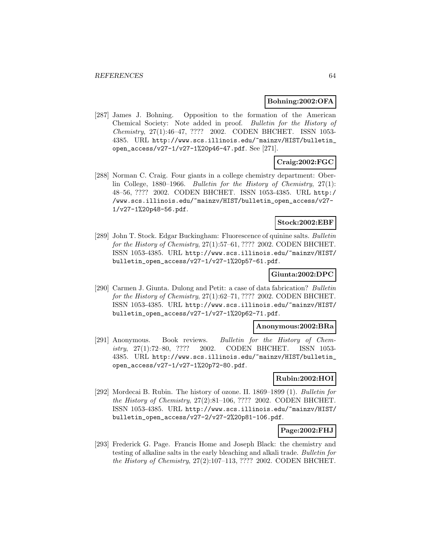### **Bohning:2002:OFA**

[287] James J. Bohning. Opposition to the formation of the American Chemical Society: Note added in proof. Bulletin for the History of Chemistry, 27(1):46–47, ???? 2002. CODEN BHCHET. ISSN 1053- 4385. URL http://www.scs.illinois.edu/~mainzv/HIST/bulletin\_ open\_access/v27-1/v27-1%20p46-47.pdf. See [271].

# **Craig:2002:FGC**

[288] Norman C. Craig. Four giants in a college chemistry department: Oberlin College, 1880–1966. Bulletin for the History of Chemistry, 27(1): 48–56, ???? 2002. CODEN BHCHET. ISSN 1053-4385. URL http:/ /www.scs.illinois.edu/~mainzv/HIST/bulletin\_open\_access/v27- 1/v27-1%20p48-56.pdf.

# **Stock:2002:EBF**

[289] John T. Stock. Edgar Buckingham: Fluorescence of quinine salts. Bulletin for the History of Chemistry, 27(1):57–61, ???? 2002. CODEN BHCHET. ISSN 1053-4385. URL http://www.scs.illinois.edu/~mainzv/HIST/ bulletin\_open\_access/v27-1/v27-1%20p57-61.pdf.

# **Giunta:2002:DPC**

[290] Carmen J. Giunta. Dulong and Petit: a case of data fabrication? Bulletin for the History of Chemistry, 27(1):62–71, ???? 2002. CODEN BHCHET. ISSN 1053-4385. URL http://www.scs.illinois.edu/~mainzv/HIST/ bulletin\_open\_access/v27-1/v27-1%20p62-71.pdf.

### **Anonymous:2002:BRa**

[291] Anonymous. Book reviews. Bulletin for the History of Chemistry, 27(1):72–80, ???? 2002. CODEN BHCHET. ISSN 1053- 4385. URL http://www.scs.illinois.edu/~mainzv/HIST/bulletin\_ open\_access/v27-1/v27-1%20p72-80.pdf.

# **Rubin:2002:HOI**

[292] Mordecai B. Rubin. The history of ozone. II. 1869–1899 (1). Bulletin for the History of Chemistry, 27(2):81–106, ???? 2002. CODEN BHCHET. ISSN 1053-4385. URL http://www.scs.illinois.edu/~mainzv/HIST/ bulletin\_open\_access/v27-2/v27-2%20p81-106.pdf.

## **Page:2002:FHJ**

[293] Frederick G. Page. Francis Home and Joseph Black: the chemistry and testing of alkaline salts in the early bleaching and alkali trade. Bulletin for the History of Chemistry, 27(2):107–113, ???? 2002. CODEN BHCHET.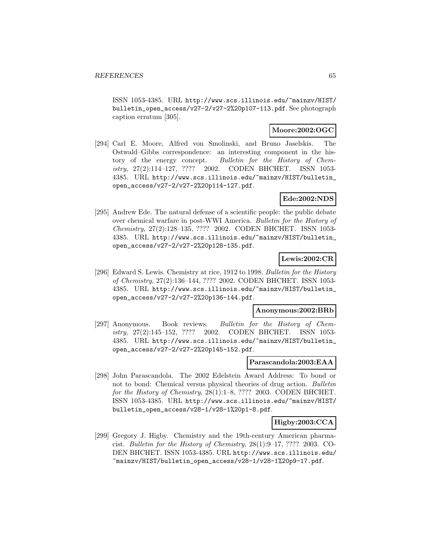ISSN 1053-4385. URL http://www.scs.illinois.edu/~mainzv/HIST/ bulletin\_open\_access/v27-2/v27-2%20p107-113.pdf. See photograph caption erratum [305].

# **Moore:2002:OGC**

[294] Carl E. Moore, Alfred von Smolinski, and Bruno Jaselskis. The Ostwald–Gibbs correspondence: an interesting component in the history of the energy concept. Bulletin for the History of Chemistry, 27(2):114–127, ???? 2002. CODEN BHCHET. ISSN 1053- 4385. URL http://www.scs.illinois.edu/~mainzv/HIST/bulletin\_ open\_access/v27-2/v27-2%20p114-127.pdf.

# **Ede:2002:NDS**

[295] Andrew Ede. The natural defense of a scientific people: the public debate over chemical warfare in post-WWI America. Bulletin for the History of Chemistry, 27(2):128–135, ???? 2002. CODEN BHCHET. ISSN 1053- 4385. URL http://www.scs.illinois.edu/~mainzv/HIST/bulletin\_ open\_access/v27-2/v27-2%20p128-135.pdf.

# **Lewis:2002:CR**

[296] Edward S. Lewis. Chemistry at rice, 1912 to 1998. Bulletin for the History of Chemistry, 27(2):136–144, ???? 2002. CODEN BHCHET. ISSN 1053- 4385. URL http://www.scs.illinois.edu/~mainzv/HIST/bulletin\_ open\_access/v27-2/v27-2%20p136-144.pdf.

#### **Anonymous:2002:BRb**

[297] Anonymous. Book reviews. Bulletin for the History of Chemistry, 27(2):145–152, ???? 2002. CODEN BHCHET. ISSN 1053- 4385. URL http://www.scs.illinois.edu/~mainzv/HIST/bulletin\_ open\_access/v27-2/v27-2%20p145-152.pdf.

### **Parascandola:2003:EAA**

[298] John Parascandola. The 2002 Edelstein Award Address: To bond or not to bond: Chemical versus physical theories of drug action. Bulletin for the History of Chemistry, 28(1):1–8, ???? 2003. CODEN BHCHET. ISSN 1053-4385. URL http://www.scs.illinois.edu/~mainzv/HIST/ bulletin\_open\_access/v28-1/v28-1%20p1-8.pdf.

# **Higby:2003:CCA**

[299] Gregory J. Higby. Chemistry and the 19th-century American pharmacist. Bulletin for the History of Chemistry, 28(1):9–17, ???? 2003. CO-DEN BHCHET. ISSN 1053-4385. URL http://www.scs.illinois.edu/ ~mainzv/HIST/bulletin\_open\_access/v28-1/v28-1%20p9-17.pdf.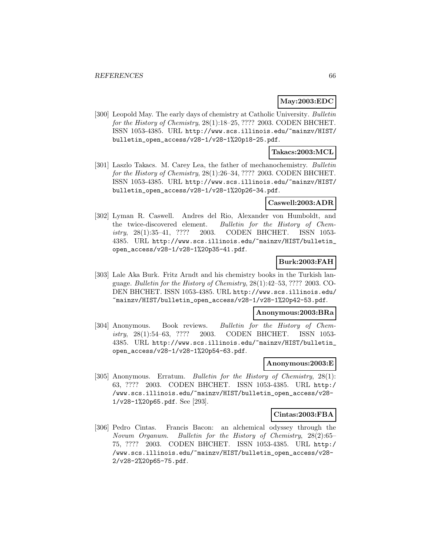# **May:2003:EDC**

[300] Leopold May. The early days of chemistry at Catholic University. Bulletin for the History of Chemistry, 28(1):18–25, ???? 2003. CODEN BHCHET. ISSN 1053-4385. URL http://www.scs.illinois.edu/~mainzv/HIST/ bulletin\_open\_access/v28-1/v28-1%20p18-25.pdf.

# **Takacs:2003:MCL**

[301] Laszlo Takacs. M. Carey Lea, the father of mechanochemistry. Bulletin for the History of Chemistry, 28(1):26–34, ???? 2003. CODEN BHCHET. ISSN 1053-4385. URL http://www.scs.illinois.edu/~mainzv/HIST/ bulletin\_open\_access/v28-1/v28-1%20p26-34.pdf.

### **Caswell:2003:ADR**

[302] Lyman R. Caswell. Andres del Rio, Alexander von Humboldt, and the twice-discovered element. Bulletin for the History of Chemistry, 28(1):35–41, ???? 2003. CODEN BHCHET. ISSN 1053- 4385. URL http://www.scs.illinois.edu/~mainzv/HIST/bulletin\_ open\_access/v28-1/v28-1%20p35-41.pdf.

# **Burk:2003:FAH**

[303] Lale Aka Burk. Fritz Arndt and his chemistry books in the Turkish language. Bulletin for the History of Chemistry, 28(1):42–53, ???? 2003. CO-DEN BHCHET. ISSN 1053-4385. URL http://www.scs.illinois.edu/ ~mainzv/HIST/bulletin\_open\_access/v28-1/v28-1%20p42-53.pdf.

### **Anonymous:2003:BRa**

[304] Anonymous. Book reviews. Bulletin for the History of Chemistry, 28(1):54–63, ???? 2003. CODEN BHCHET. ISSN 1053- 4385. URL http://www.scs.illinois.edu/~mainzv/HIST/bulletin\_ open\_access/v28-1/v28-1%20p54-63.pdf.

### **Anonymous:2003:E**

[305] Anonymous. Erratum. *Bulletin for the History of Chemistry*, 28(1): 63, ???? 2003. CODEN BHCHET. ISSN 1053-4385. URL http:/ /www.scs.illinois.edu/~mainzv/HIST/bulletin\_open\_access/v28- 1/v28-1%20p65.pdf. See [293].

#### **Cintas:2003:FBA**

[306] Pedro Cintas. Francis Bacon: an alchemical odyssey through the Novum Organum. Bulletin for the History of Chemistry, 28(2):65– 75, ???? 2003. CODEN BHCHET. ISSN 1053-4385. URL http:/ /www.scs.illinois.edu/~mainzv/HIST/bulletin\_open\_access/v28- 2/v28-2%20p65-75.pdf.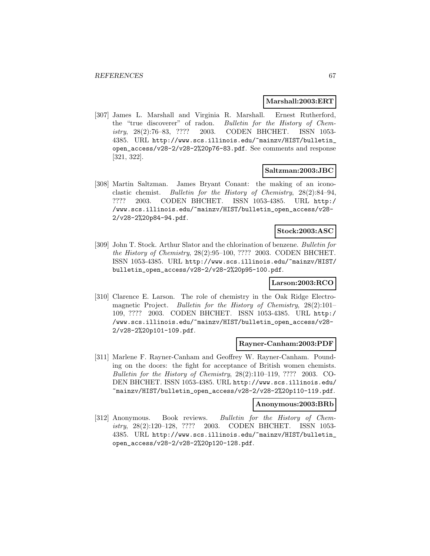### **Marshall:2003:ERT**

[307] James L. Marshall and Virginia R. Marshall. Ernest Rutherford, the "true discoverer" of radon. Bulletin for the History of Chemistry, 28(2):76–83, ???? 2003. CODEN BHCHET. ISSN 1053- 4385. URL http://www.scs.illinois.edu/~mainzv/HIST/bulletin\_ open\_access/v28-2/v28-2%20p76-83.pdf. See comments and response [321, 322].

#### **Saltzman:2003:JBC**

[308] Martin Saltzman. James Bryant Conant: the making of an iconoclastic chemist. Bulletin for the History of Chemistry, 28(2):84–94, ???? 2003. CODEN BHCHET. ISSN 1053-4385. URL http:/ /www.scs.illinois.edu/~mainzv/HIST/bulletin\_open\_access/v28- 2/v28-2%20p84-94.pdf.

# **Stock:2003:ASC**

[309] John T. Stock. Arthur Slator and the chlorination of benzene. Bulletin for the History of Chemistry, 28(2):95–100, ???? 2003. CODEN BHCHET. ISSN 1053-4385. URL http://www.scs.illinois.edu/~mainzv/HIST/ bulletin\_open\_access/v28-2/v28-2%20p95-100.pdf.

# **Larson:2003:RCO**

[310] Clarence E. Larson. The role of chemistry in the Oak Ridge Electromagnetic Project. Bulletin for the History of Chemistry, 28(2):101– 109, ???? 2003. CODEN BHCHET. ISSN 1053-4385. URL http:/ /www.scs.illinois.edu/~mainzv/HIST/bulletin\_open\_access/v28- 2/v28-2%20p101-109.pdf.

#### **Rayner-Canham:2003:PDF**

[311] Marlene F. Rayner-Canham and Geoffrey W. Rayner-Canham. Pounding on the doors: the fight for acceptance of British women chemists. Bulletin for the History of Chemistry, 28(2):110–119, ???? 2003. CO-DEN BHCHET. ISSN 1053-4385. URL http://www.scs.illinois.edu/ ~mainzv/HIST/bulletin\_open\_access/v28-2/v28-2%20p110-119.pdf.

# **Anonymous:2003:BRb**

[312] Anonymous. Book reviews. Bulletin for the History of Chemistry, 28(2):120–128, ???? 2003. CODEN BHCHET. ISSN 1053- 4385. URL http://www.scs.illinois.edu/~mainzv/HIST/bulletin\_ open\_access/v28-2/v28-2%20p120-128.pdf.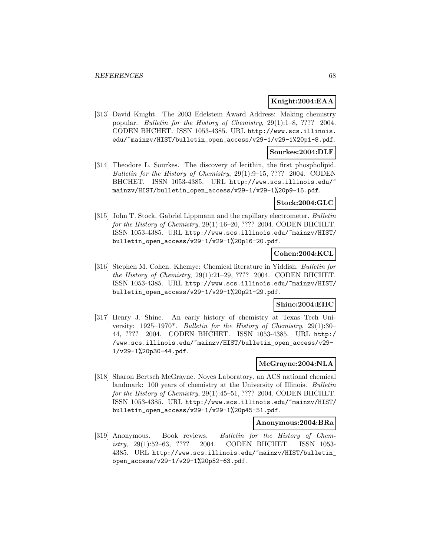# **Knight:2004:EAA**

[313] David Knight. The 2003 Edelstein Award Address: Making chemistry popular. Bulletin for the History of Chemistry, 29(1):1–8, ???? 2004. CODEN BHCHET. ISSN 1053-4385. URL http://www.scs.illinois. edu/~mainzv/HIST/bulletin\_open\_access/v29-1/v29-1%20p1-8.pdf.

## **Sourkes:2004:DLF**

[314] Theodore L. Sourkes. The discovery of lecithin, the first phospholipid. Bulletin for the History of Chemistry, 29(1):9–15, ???? 2004. CODEN BHCHET. ISSN 1053-4385. URL http://www.scs.illinois.edu/ mainzv/HIST/bulletin\_open\_access/v29-1/v29-1%20p9-15.pdf.

### **Stock:2004:GLC**

[315] John T. Stock. Gabriel Lippmann and the capillary electrometer. Bulletin for the History of Chemistry, 29(1):16–20, ???? 2004. CODEN BHCHET. ISSN 1053-4385. URL http://www.scs.illinois.edu/~mainzv/HIST/ bulletin\_open\_access/v29-1/v29-1%20p16-20.pdf.

# **Cohen:2004:KCL**

[316] Stephen M. Cohen. Khemye: Chemical literature in Yiddish. Bulletin for the History of Chemistry,  $29(1):21-29$ , ???? 2004. CODEN BHCHET. ISSN 1053-4385. URL http://www.scs.illinois.edu/~mainzv/HIST/ bulletin\_open\_access/v29-1/v29-1%20p21-29.pdf.

# **Shine:2004:EHC**

[317] Henry J. Shine. An early history of chemistry at Texas Tech University:  $1925-1970^*$ . Bulletin for the History of Chemistry,  $29(1):30-$ 44, ???? 2004. CODEN BHCHET. ISSN 1053-4385. URL http:/ /www.scs.illinois.edu/~mainzv/HIST/bulletin\_open\_access/v29- 1/v29-1%20p30-44.pdf.

## **McGrayne:2004:NLA**

[318] Sharon Bertsch McGrayne. Noyes Laboratory, an ACS national chemical landmark: 100 years of chemistry at the University of Illinois. Bulletin for the History of Chemistry, 29(1):45-51, ???? 2004. CODEN BHCHET. ISSN 1053-4385. URL http://www.scs.illinois.edu/~mainzv/HIST/ bulletin\_open\_access/v29-1/v29-1%20p45-51.pdf.

#### **Anonymous:2004:BRa**

[319] Anonymous. Book reviews. Bulletin for the History of Chemistry, 29(1):52–63, ???? 2004. CODEN BHCHET. ISSN 1053- 4385. URL http://www.scs.illinois.edu/~mainzv/HIST/bulletin\_ open\_access/v29-1/v29-1%20p52-63.pdf.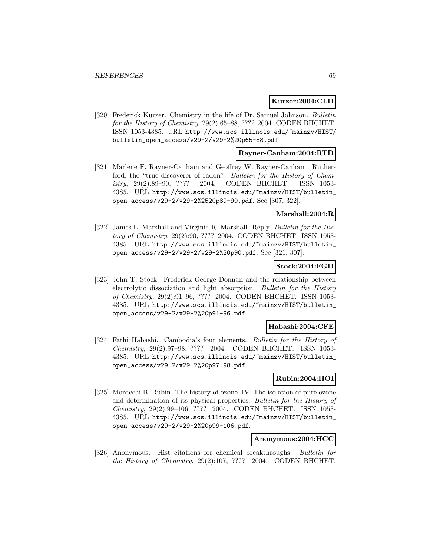#### **Kurzer:2004:CLD**

[320] Frederick Kurzer. Chemistry in the life of Dr. Samuel Johnson. Bulletin for the History of Chemistry, 29(2):65–88, ???? 2004. CODEN BHCHET. ISSN 1053-4385. URL http://www.scs.illinois.edu/~mainzv/HIST/ bulletin\_open\_access/v29-2/v29-2%20p65-88.pdf.

### **Rayner-Canham:2004:RTD**

[321] Marlene F. Rayner-Canham and Geoffrey W. Rayner-Canham. Rutherford, the "true discoverer of radon". Bulletin for the History of Chemistry, 29(2):89–90, ???? 2004. CODEN BHCHET. ISSN 1053- 4385. URL http://www.scs.illinois.edu/~mainzv/HIST/bulletin\_ open\_access/v29-2/v29-2%2520p89-90.pdf. See [307, 322].

# **Marshall:2004:R**

[322] James L. Marshall and Virginia R. Marshall. Reply. Bulletin for the History of Chemistry, 29(2):90, ???? 2004. CODEN BHCHET. ISSN 1053- 4385. URL http://www.scs.illinois.edu/~mainzv/HIST/bulletin\_ open\_access/v29-2/v29-2/v29-2%20p90.pdf. See [321, 307].

# **Stock:2004:FGD**

[323] John T. Stock. Frederick George Donnan and the relationship between electrolytic dissociation and light absorption. Bulletin for the History of Chemistry, 29(2):91–96, ???? 2004. CODEN BHCHET. ISSN 1053- 4385. URL http://www.scs.illinois.edu/~mainzv/HIST/bulletin\_ open\_access/v29-2/v29-2%20p91-96.pdf.

# **Habashi:2004:CFE**

[324] Fathi Habashi. Cambodia's four elements. Bulletin for the History of Chemistry, 29(2):97–98, ???? 2004. CODEN BHCHET. ISSN 1053- 4385. URL http://www.scs.illinois.edu/~mainzv/HIST/bulletin\_ open\_access/v29-2/v29-2%20p97-98.pdf.

# **Rubin:2004:HOI**

[325] Mordecai B. Rubin. The history of ozone. IV. The isolation of pure ozone and determination of its physical properties. Bulletin for the History of Chemistry, 29(2):99–106, ???? 2004. CODEN BHCHET. ISSN 1053- 4385. URL http://www.scs.illinois.edu/~mainzv/HIST/bulletin\_ open\_access/v29-2/v29-2%20p99-106.pdf.

## **Anonymous:2004:HCC**

[326] Anonymous. Hist citations for chemical breakthroughs. Bulletin for the History of Chemistry, 29(2):107, ???? 2004. CODEN BHCHET.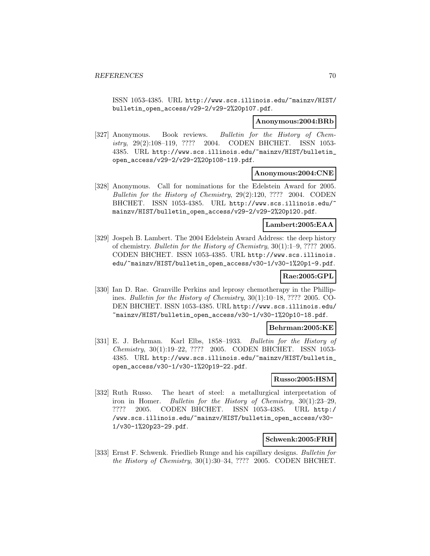ISSN 1053-4385. URL http://www.scs.illinois.edu/~mainzv/HIST/ bulletin\_open\_access/v29-2/v29-2%20p107.pdf.

#### **Anonymous:2004:BRb**

[327] Anonymous. Book reviews. Bulletin for the History of Chemistry, 29(2):108–119, ???? 2004. CODEN BHCHET. ISSN 1053- 4385. URL http://www.scs.illinois.edu/~mainzv/HIST/bulletin\_ open\_access/v29-2/v29-2%20p108-119.pdf.

#### **Anonymous:2004:CNE**

[328] Anonymous. Call for nominations for the Edelstein Award for 2005. Bulletin for the History of Chemistry, 29(2):120, ???? 2004. CODEN BHCHET. ISSN 1053-4385. URL http://www.scs.illinois.edu/ mainzv/HIST/bulletin\_open\_access/v29-2/v29-2%20p120.pdf.

### **Lambert:2005:EAA**

[329] Jospeh B. Lambert. The 2004 Edelstein Award Address: the deep history of chemistry. Bulletin for the History of Chemistry, 30(1):1–9, ???? 2005. CODEN BHCHET. ISSN 1053-4385. URL http://www.scs.illinois. edu/~mainzv/HIST/bulletin\_open\_access/v30-1/v30-1%20p1-9.pdf.

# **Rae:2005:GPL**

[330] Ian D. Rae. Granville Perkins and leprosy chemotherapy in the Phillipines. Bulletin for the History of Chemistry, 30(1):10–18, ???? 2005. CO-DEN BHCHET. ISSN 1053-4385. URL http://www.scs.illinois.edu/ ~mainzv/HIST/bulletin\_open\_access/v30-1/v30-1%20p10-18.pdf.

#### **Behrman:2005:KE**

[331] E. J. Behrman. Karl Elbs, 1858–1933. Bulletin for the History of Chemistry, 30(1):19–22, ???? 2005. CODEN BHCHET. ISSN 1053- 4385. URL http://www.scs.illinois.edu/~mainzv/HIST/bulletin\_ open\_access/v30-1/v30-1%20p19-22.pdf.

#### **Russo:2005:HSM**

[332] Ruth Russo. The heart of steel: a metallurgical interpretation of iron in Homer. Bulletin for the History of Chemistry, 30(1):23–29, ???? 2005. CODEN BHCHET. ISSN 1053-4385. URL http:/ /www.scs.illinois.edu/~mainzv/HIST/bulletin\_open\_access/v30- 1/v30-1%20p23-29.pdf.

#### **Schwenk:2005:FRH**

[333] Ernst F. Schwenk. Friedlieb Runge and his capillary designs. Bulletin for the History of Chemistry, 30(1):30–34, ???? 2005. CODEN BHCHET.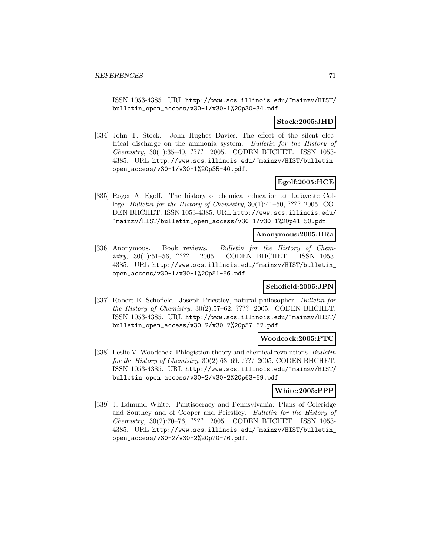ISSN 1053-4385. URL http://www.scs.illinois.edu/~mainzv/HIST/ bulletin\_open\_access/v30-1/v30-1%20p30-34.pdf.

# **Stock:2005:JHD**

[334] John T. Stock. John Hughes Davies. The effect of the silent electrical discharge on the ammonia system. Bulletin for the History of Chemistry, 30(1):35–40, ???? 2005. CODEN BHCHET. ISSN 1053- 4385. URL http://www.scs.illinois.edu/~mainzv/HIST/bulletin\_ open\_access/v30-1/v30-1%20p35-40.pdf.

# **Egolf:2005:HCE**

[335] Roger A. Egolf. The history of chemical education at Lafayette College. Bulletin for the History of Chemistry, 30(1):41–50, ???? 2005. CO-DEN BHCHET. ISSN 1053-4385. URL http://www.scs.illinois.edu/ ~mainzv/HIST/bulletin\_open\_access/v30-1/v30-1%20p41-50.pdf.

#### **Anonymous:2005:BRa**

[336] Anonymous. Book reviews. Bulletin for the History of Chemistry, 30(1):51–56, ???? 2005. CODEN BHCHET. ISSN 1053- 4385. URL http://www.scs.illinois.edu/~mainzv/HIST/bulletin\_ open\_access/v30-1/v30-1%20p51-56.pdf.

### **Schofield:2005:JPN**

[337] Robert E. Schofield. Joseph Priestley, natural philosopher. Bulletin for the History of Chemistry, 30(2):57–62, ???? 2005. CODEN BHCHET. ISSN 1053-4385. URL http://www.scs.illinois.edu/~mainzv/HIST/ bulletin\_open\_access/v30-2/v30-2%20p57-62.pdf.

### **Woodcock:2005:PTC**

[338] Leslie V. Woodcock. Phlogistion theory and chemical revolutions. Bulletin for the History of Chemistry, 30(2):63–69, ???? 2005. CODEN BHCHET. ISSN 1053-4385. URL http://www.scs.illinois.edu/~mainzv/HIST/ bulletin\_open\_access/v30-2/v30-2%20p63-69.pdf.

# **White:2005:PPP**

[339] J. Edmund White. Pantisocracy and Pennsylvania: Plans of Coleridge and Southey and of Cooper and Priestley. Bulletin for the History of Chemistry, 30(2):70–76, ???? 2005. CODEN BHCHET. ISSN 1053- 4385. URL http://www.scs.illinois.edu/~mainzv/HIST/bulletin\_ open\_access/v30-2/v30-2%20p70-76.pdf.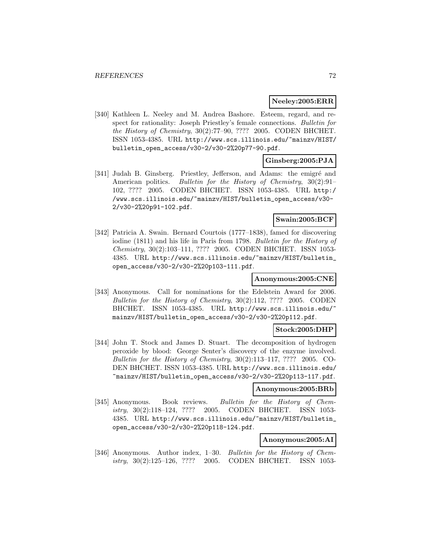# **Neeley:2005:ERR**

[340] Kathleen L. Neeley and M. Andrea Bashore. Esteem, regard, and respect for rationality: Joseph Priestley's female connections. Bulletin for the History of Chemistry, 30(2):77–90, ???? 2005. CODEN BHCHET. ISSN 1053-4385. URL http://www.scs.illinois.edu/~mainzv/HIST/ bulletin\_open\_access/v30-2/v30-2%20p77-90.pdf.

# **Ginsberg:2005:PJA**

[341] Judah B. Ginsberg. Priestley, Jefferson, and Adams: the emigré and American politics. Bulletin for the History of Chemistry, 30(2):91-102, ???? 2005. CODEN BHCHET. ISSN 1053-4385. URL http:/ /www.scs.illinois.edu/~mainzv/HIST/bulletin\_open\_access/v30- 2/v30-2%20p91-102.pdf.

# **Swain:2005:BCF**

[342] Patricia A. Swain. Bernard Courtois (1777–1838), famed for discovering iodine (1811) and his life in Paris from 1798. Bulletin for the History of Chemistry, 30(2):103–111, ???? 2005. CODEN BHCHET. ISSN 1053- 4385. URL http://www.scs.illinois.edu/~mainzv/HIST/bulletin\_ open\_access/v30-2/v30-2%20p103-111.pdf.

# **Anonymous:2005:CNE**

[343] Anonymous. Call for nominations for the Edelstein Award for 2006. Bulletin for the History of Chemistry, 30(2):112, ???? 2005. CODEN BHCHET. ISSN 1053-4385. URL http://www.scs.illinois.edu/ mainzv/HIST/bulletin\_open\_access/v30-2/v30-2%20p112.pdf.

### **Stock:2005:DHP**

[344] John T. Stock and James D. Stuart. The decomposition of hydrogen peroxide by blood: George Senter's discovery of the enzyme involved. Bulletin for the History of Chemistry,  $30(2):113-117$ , ???? 2005. CO-DEN BHCHET. ISSN 1053-4385. URL http://www.scs.illinois.edu/ ~mainzv/HIST/bulletin\_open\_access/v30-2/v30-2%20p113-117.pdf.

### **Anonymous:2005:BRb**

[345] Anonymous. Book reviews. Bulletin for the History of Chemistry, 30(2):118–124, ???? 2005. CODEN BHCHET. ISSN 1053- 4385. URL http://www.scs.illinois.edu/~mainzv/HIST/bulletin\_ open\_access/v30-2/v30-2%20p118-124.pdf.

# **Anonymous:2005:AI**

[346] Anonymous. Author index, 1–30. Bulletin for the History of Chemistry, 30(2):125–126, ???? 2005. CODEN BHCHET. ISSN 1053-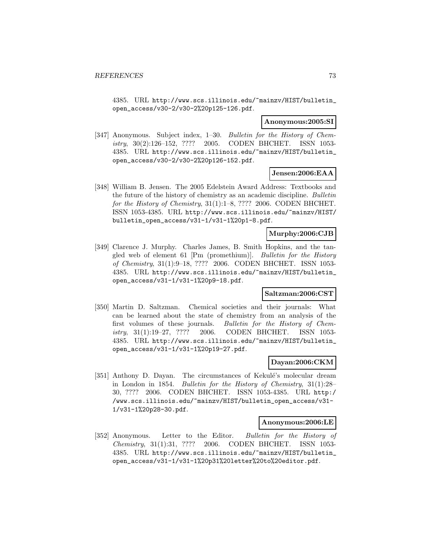4385. URL http://www.scs.illinois.edu/~mainzv/HIST/bulletin\_ open\_access/v30-2/v30-2%20p125-126.pdf.

#### **Anonymous:2005:SI**

[347] Anonymous. Subject index, 1-30. Bulletin for the History of Chemistry, 30(2):126–152, ???? 2005. CODEN BHCHET. ISSN 1053- 4385. URL http://www.scs.illinois.edu/~mainzv/HIST/bulletin\_ open\_access/v30-2/v30-2%20p126-152.pdf.

### **Jensen:2006:EAA**

[348] William B. Jensen. The 2005 Edelstein Award Address: Textbooks and the future of the history of chemistry as an academic discipline. Bulletin for the History of Chemistry, 31(1):1–8, ???? 2006. CODEN BHCHET. ISSN 1053-4385. URL http://www.scs.illinois.edu/~mainzv/HIST/ bulletin\_open\_access/v31-1/v31-1%20p1-8.pdf.

## **Murphy:2006:CJB**

[349] Clarence J. Murphy. Charles James, B. Smith Hopkins, and the tangled web of element 61 [Pm (promethium)]. Bulletin for the History of Chemistry, 31(1):9–18, ???? 2006. CODEN BHCHET. ISSN 1053- 4385. URL http://www.scs.illinois.edu/~mainzv/HIST/bulletin\_ open\_access/v31-1/v31-1%20p9-18.pdf.

### **Saltzman:2006:CST**

[350] Martin D. Saltzman. Chemical societies and their journals: What can be learned about the state of chemistry from an analysis of the first volumes of these journals. Bulletin for the History of Chemistry, 31(1):19–27, ???? 2006. CODEN BHCHET. ISSN 1053- 4385. URL http://www.scs.illinois.edu/~mainzv/HIST/bulletin\_ open\_access/v31-1/v31-1%20p19-27.pdf.

### **Dayan:2006:CKM**

[351] Anthony D. Dayan. The circumstances of Kekulé's molecular dream in London in 1854. Bulletin for the History of Chemistry, 31(1):28– 30, ???? 2006. CODEN BHCHET. ISSN 1053-4385. URL http:/ /www.scs.illinois.edu/~mainzv/HIST/bulletin\_open\_access/v31- 1/v31-1%20p28-30.pdf.

#### **Anonymous:2006:LE**

[352] Anonymous. Letter to the Editor. Bulletin for the History of Chemistry, 31(1):31, ???? 2006. CODEN BHCHET. ISSN 1053- 4385. URL http://www.scs.illinois.edu/~mainzv/HIST/bulletin\_ open\_access/v31-1/v31-1%20p31%20letter%20to%20editor.pdf.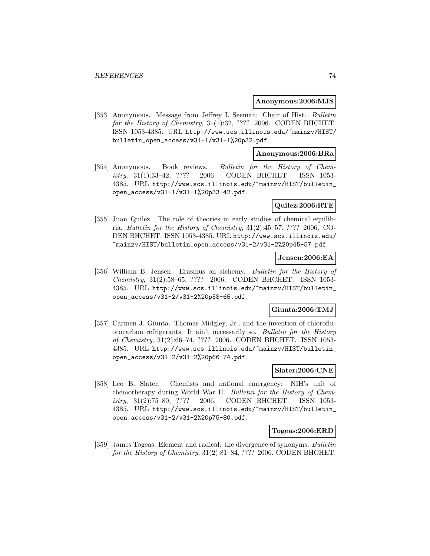#### **Anonymous:2006:MJS**

[353] Anonymous. Message from Jeffrey I. Seeman: Chair of Hist. Bulletin for the History of Chemistry, 31(1):32, ???? 2006. CODEN BHCHET. ISSN 1053-4385. URL http://www.scs.illinois.edu/~mainzv/HIST/ bulletin\_open\_access/v31-1/v31-1%20p32.pdf.

### **Anonymous:2006:BRa**

[354] Anonymous. Book reviews. Bulletin for the History of Chemistry, 31(1):33–42, ???? 2006. CODEN BHCHET. ISSN 1053- 4385. URL http://www.scs.illinois.edu/~mainzv/HIST/bulletin\_ open\_access/v31-1/v31-1%20p33-42.pdf.

### **Quilez:2006:RTE**

[355] Juan Quilez. The role of theories in early studies of chemical equilibria. Bulletin for the History of Chemistry, 31(2):45–57, ???? 2006. CO-DEN BHCHET. ISSN 1053-4385. URL http://www.scs.illinois.edu/ ~mainzv/HIST/bulletin\_open\_access/v31-2/v31-2%20p45-57.pdf.

### **Jensen:2006:EA**

[356] William B. Jensen. Erasmus on alchemy. Bulletin for the History of Chemistry, 31(2):58–65, ???? 2006. CODEN BHCHET. ISSN 1053- 4385. URL http://www.scs.illinois.edu/~mainzv/HIST/bulletin\_ open\_access/v31-2/v31-2%20p58-65.pdf.

### **Giunta:2006:TMJ**

[357] Carmen J. Giunta. Thomas Midgley, Jr., and the invention of chlorofluorocarbon refrigerants: It ain't necessarily so. Bulletin for the History of Chemistry, 31(2):66–74, ???? 2006. CODEN BHCHET. ISSN 1053- 4385. URL http://www.scs.illinois.edu/~mainzv/HIST/bulletin\_ open\_access/v31-2/v31-2%20p66-74.pdf.

## **Slater:2006:CNE**

[358] Leo B. Slater. Chemists and national emergency: NIH's unit of chemotherapy during World War II. Bulletin for the History of Chemistry, 31(2):75–80, ???? 2006. CODEN BHCHET. ISSN 1053- 4385. URL http://www.scs.illinois.edu/~mainzv/HIST/bulletin\_ open\_access/v31-2/v31-2%20p75-80.pdf.

#### **Togeas:2006:ERD**

[359] James Togeas. Element and radical: the divergence of synonyms. Bulletin for the History of Chemistry, 31(2):81–84, ???? 2006. CODEN BHCHET.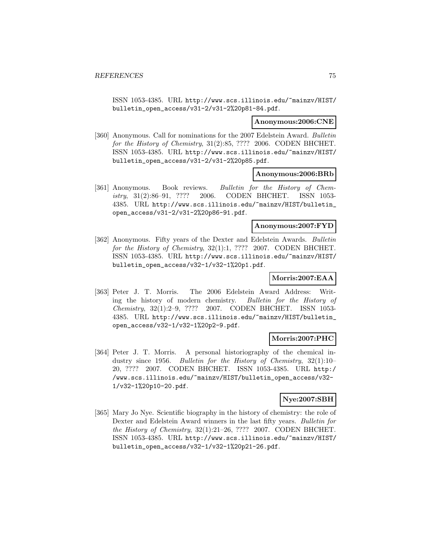ISSN 1053-4385. URL http://www.scs.illinois.edu/~mainzv/HIST/ bulletin\_open\_access/v31-2/v31-2%20p81-84.pdf.

#### **Anonymous:2006:CNE**

[360] Anonymous. Call for nominations for the 2007 Edelstein Award. Bulletin for the History of Chemistry, 31(2):85, ???? 2006. CODEN BHCHET. ISSN 1053-4385. URL http://www.scs.illinois.edu/~mainzv/HIST/ bulletin\_open\_access/v31-2/v31-2%20p85.pdf.

### **Anonymous:2006:BRb**

[361] Anonymous. Book reviews. Bulletin for the History of Chemistry, 31(2):86–91, ???? 2006. CODEN BHCHET. ISSN 1053- 4385. URL http://www.scs.illinois.edu/~mainzv/HIST/bulletin\_ open\_access/v31-2/v31-2%20p86-91.pdf.

### **Anonymous:2007:FYD**

[362] Anonymous. Fifty years of the Dexter and Edelstein Awards. Bulletin for the History of Chemistry, 32(1):1, ???? 2007. CODEN BHCHET. ISSN 1053-4385. URL http://www.scs.illinois.edu/~mainzv/HIST/ bulletin\_open\_access/v32-1/v32-1%20p1.pdf.

# **Morris:2007:EAA**

[363] Peter J. T. Morris. The 2006 Edelstein Award Address: Writing the history of modern chemistry. Bulletin for the History of Chemistry, 32(1):2–9, ???? 2007. CODEN BHCHET. ISSN 1053- 4385. URL http://www.scs.illinois.edu/~mainzv/HIST/bulletin\_ open\_access/v32-1/v32-1%20p2-9.pdf.

### **Morris:2007:PHC**

[364] Peter J. T. Morris. A personal historiography of the chemical industry since 1956. Bulletin for the History of Chemistry, 32(1):10– 20, ???? 2007. CODEN BHCHET. ISSN 1053-4385. URL http:/ /www.scs.illinois.edu/~mainzv/HIST/bulletin\_open\_access/v32- 1/v32-1%20p10-20.pdf.

## **Nye:2007:SBH**

[365] Mary Jo Nye. Scientific biography in the history of chemistry: the role of Dexter and Edelstein Award winners in the last fifty years. Bulletin for the History of Chemistry, 32(1):21–26, ???? 2007. CODEN BHCHET. ISSN 1053-4385. URL http://www.scs.illinois.edu/~mainzv/HIST/ bulletin\_open\_access/v32-1/v32-1%20p21-26.pdf.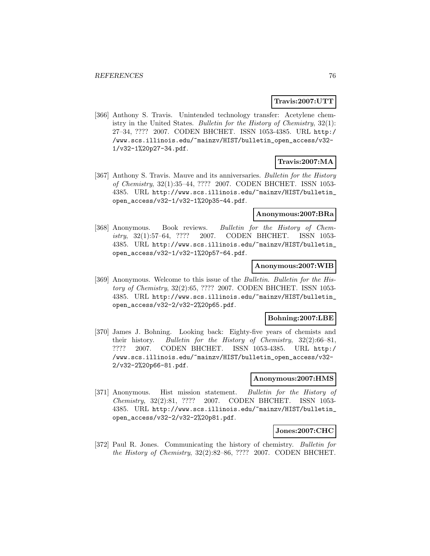### **Travis:2007:UTT**

[366] Anthony S. Travis. Unintended technology transfer: Acetylene chemistry in the United States. Bulletin for the History of Chemistry, 32(1): 27–34, ???? 2007. CODEN BHCHET. ISSN 1053-4385. URL http:/ /www.scs.illinois.edu/~mainzv/HIST/bulletin\_open\_access/v32- 1/v32-1%20p27-34.pdf.

# **Travis:2007:MA**

[367] Anthony S. Travis. Mauve and its anniversaries. Bulletin for the History of Chemistry, 32(1):35–44, ???? 2007. CODEN BHCHET. ISSN 1053- 4385. URL http://www.scs.illinois.edu/~mainzv/HIST/bulletin\_ open\_access/v32-1/v32-1%20p35-44.pdf.

#### **Anonymous:2007:BRa**

[368] Anonymous. Book reviews. Bulletin for the History of Chemistry, 32(1):57–64, ???? 2007. CODEN BHCHET. ISSN 1053- 4385. URL http://www.scs.illinois.edu/~mainzv/HIST/bulletin\_ open\_access/v32-1/v32-1%20p57-64.pdf.

#### **Anonymous:2007:WIB**

[369] Anonymous. Welcome to this issue of the Bulletin. Bulletin for the History of Chemistry, 32(2):65, ???? 2007. CODEN BHCHET. ISSN 1053- 4385. URL http://www.scs.illinois.edu/~mainzv/HIST/bulletin\_ open\_access/v32-2/v32-2%20p65.pdf.

#### **Bohning:2007:LBE**

[370] James J. Bohning. Looking back: Eighty-five years of chemists and their history. Bulletin for the History of Chemistry, 32(2):66–81, ???? 2007. CODEN BHCHET. ISSN 1053-4385. URL http:/ /www.scs.illinois.edu/~mainzv/HIST/bulletin\_open\_access/v32- 2/v32-2%20p66-81.pdf.

#### **Anonymous:2007:HMS**

[371] Anonymous. Hist mission statement. Bulletin for the History of Chemistry, 32(2):81, ???? 2007. CODEN BHCHET. ISSN 1053- 4385. URL http://www.scs.illinois.edu/~mainzv/HIST/bulletin\_ open\_access/v32-2/v32-2%20p81.pdf.

#### **Jones:2007:CHC**

[372] Paul R. Jones. Communicating the history of chemistry. Bulletin for the History of Chemistry, 32(2):82–86, ???? 2007. CODEN BHCHET.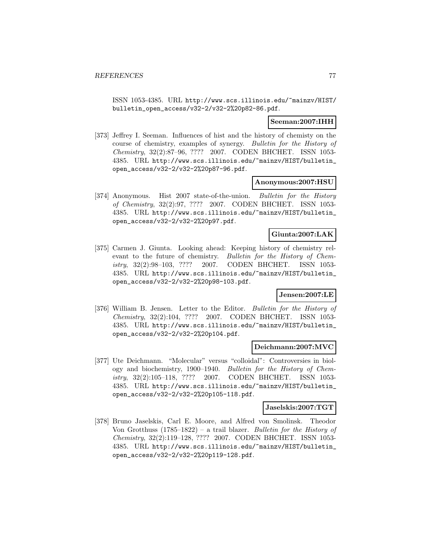ISSN 1053-4385. URL http://www.scs.illinois.edu/~mainzv/HIST/ bulletin\_open\_access/v32-2/v32-2%20p82-86.pdf.

### **Seeman:2007:IHH**

[373] Jeffrey I. Seeman. Influences of hist and the history of chemisty on the course of chemistry, examples of synergy. Bulletin for the History of Chemistry, 32(2):87–96, ???? 2007. CODEN BHCHET. ISSN 1053- 4385. URL http://www.scs.illinois.edu/~mainzv/HIST/bulletin\_ open\_access/v32-2/v32-2%20p87-96.pdf.

### **Anonymous:2007:HSU**

[374] Anonymous. Hist 2007 state-of-the-union. Bulletin for the History of Chemistry, 32(2):97, ???? 2007. CODEN BHCHET. ISSN 1053- 4385. URL http://www.scs.illinois.edu/~mainzv/HIST/bulletin\_ open\_access/v32-2/v32-2%20p97.pdf.

### **Giunta:2007:LAK**

[375] Carmen J. Giunta. Looking ahead: Keeping history of chemistry relevant to the future of chemistry. Bulletin for the History of Chemistry, 32(2):98–103, ???? 2007. CODEN BHCHET. ISSN 1053- 4385. URL http://www.scs.illinois.edu/~mainzv/HIST/bulletin\_ open\_access/v32-2/v32-2%20p98-103.pdf.

## **Jensen:2007:LE**

[376] William B. Jensen. Letter to the Editor. Bulletin for the History of Chemistry, 32(2):104, ???? 2007. CODEN BHCHET. ISSN 1053- 4385. URL http://www.scs.illinois.edu/~mainzv/HIST/bulletin\_ open\_access/v32-2/v32-2%20p104.pdf.

### **Deichmann:2007:MVC**

[377] Ute Deichmann. "Molecular" versus "colloidal": Controversies in biology and biochemistry, 1900–1940. Bulletin for the History of Chemistry, 32(2):105–118, ???? 2007. CODEN BHCHET. ISSN 1053- 4385. URL http://www.scs.illinois.edu/~mainzv/HIST/bulletin\_ open\_access/v32-2/v32-2%20p105-118.pdf.

#### **Jaselskis:2007:TGT**

[378] Bruno Jaselskis, Carl E. Moore, and Alfred von Smolinsk. Theodor Von Grotthuss  $(1785-1822)$  – a trail blazer. *Bulletin for the History of* Chemistry, 32(2):119–128, ???? 2007. CODEN BHCHET. ISSN 1053- 4385. URL http://www.scs.illinois.edu/~mainzv/HIST/bulletin\_ open\_access/v32-2/v32-2%20p119-128.pdf.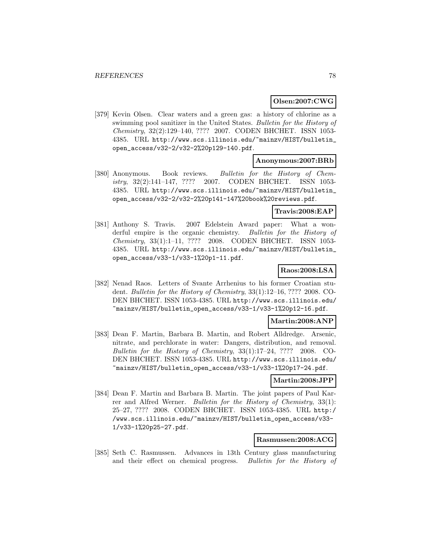### **Olsen:2007:CWG**

[379] Kevin Olsen. Clear waters and a green gas: a history of chlorine as a swimming pool sanitizer in the United States. Bulletin for the History of Chemistry, 32(2):129–140, ???? 2007. CODEN BHCHET. ISSN 1053- 4385. URL http://www.scs.illinois.edu/~mainzv/HIST/bulletin\_ open\_access/v32-2/v32-2%20p129-140.pdf.

### **Anonymous:2007:BRb**

[380] Anonymous. Book reviews. Bulletin for the History of Chemistry, 32(2):141–147, ???? 2007. CODEN BHCHET. ISSN 1053- 4385. URL http://www.scs.illinois.edu/~mainzv/HIST/bulletin\_ open\_access/v32-2/v32-2%20p141-147%20book%20reviews.pdf.

### **Travis:2008:EAP**

[381] Anthony S. Travis. 2007 Edelstein Award paper: What a wonderful empire is the organic chemistry. Bulletin for the History of Chemistry, 33(1):1–11, ???? 2008. CODEN BHCHET. ISSN 1053- 4385. URL http://www.scs.illinois.edu/~mainzv/HIST/bulletin\_ open\_access/v33-1/v33-1%20p1-11.pdf.

## **Raos:2008:LSA**

[382] Nenad Raos. Letters of Svante Arrhenius to his former Croatian student. Bulletin for the History of Chemistry, 33(1):12–16, ???? 2008. CO-DEN BHCHET. ISSN 1053-4385. URL http://www.scs.illinois.edu/ ~mainzv/HIST/bulletin\_open\_access/v33-1/v33-1%20p12-16.pdf.

### **Martin:2008:ANP**

[383] Dean F. Martin, Barbara B. Martin, and Robert Alldredge. Arsenic, nitrate, and perchlorate in water: Dangers, distribution, and removal. Bulletin for the History of Chemistry, 33(1):17–24, ???? 2008. CO-DEN BHCHET. ISSN 1053-4385. URL http://www.scs.illinois.edu/ ~mainzv/HIST/bulletin\_open\_access/v33-1/v33-1%20p17-24.pdf.

### **Martin:2008:JPP**

[384] Dean F. Martin and Barbara B. Martin. The joint papers of Paul Karrer and Alfred Werner. Bulletin for the History of Chemistry, 33(1): 25–27, ???? 2008. CODEN BHCHET. ISSN 1053-4385. URL http:/ /www.scs.illinois.edu/~mainzv/HIST/bulletin\_open\_access/v33- 1/v33-1%20p25-27.pdf.

### **Rasmussen:2008:ACG**

[385] Seth C. Rasmussen. Advances in 13th Century glass manufacturing and their effect on chemical progress. Bulletin for the History of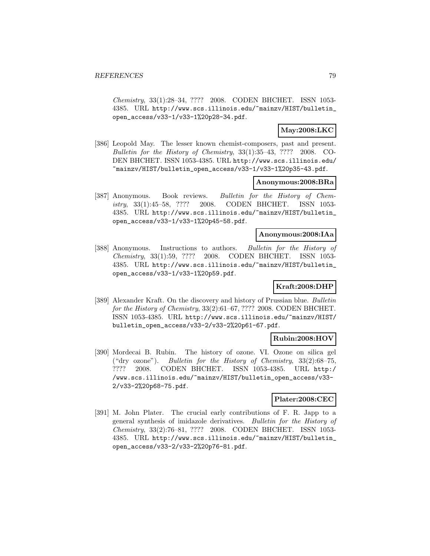Chemistry, 33(1):28–34, ???? 2008. CODEN BHCHET. ISSN 1053- 4385. URL http://www.scs.illinois.edu/~mainzv/HIST/bulletin\_ open\_access/v33-1/v33-1%20p28-34.pdf.

## **May:2008:LKC**

[386] Leopold May. The lesser known chemist-composers, past and present. Bulletin for the History of Chemistry, 33(1):35–43, ???? 2008. CO-DEN BHCHET. ISSN 1053-4385. URL http://www.scs.illinois.edu/ ~mainzv/HIST/bulletin\_open\_access/v33-1/v33-1%20p35-43.pdf.

## **Anonymous:2008:BRa**

[387] Anonymous. Book reviews. Bulletin for the History of Chemistry, 33(1):45–58, ???? 2008. CODEN BHCHET. ISSN 1053- 4385. URL http://www.scs.illinois.edu/~mainzv/HIST/bulletin\_ open\_access/v33-1/v33-1%20p45-58.pdf.

### **Anonymous:2008:IAa**

[388] Anonymous. Instructions to authors. Bulletin for the History of Chemistry, 33(1):59, ???? 2008. CODEN BHCHET. ISSN 1053- 4385. URL http://www.scs.illinois.edu/~mainzv/HIST/bulletin\_ open\_access/v33-1/v33-1%20p59.pdf.

## **Kraft:2008:DHP**

[389] Alexander Kraft. On the discovery and history of Prussian blue. Bulletin for the History of Chemistry, 33(2):61–67, ???? 2008. CODEN BHCHET. ISSN 1053-4385. URL http://www.scs.illinois.edu/~mainzv/HIST/ bulletin\_open\_access/v33-2/v33-2%20p61-67.pdf.

### **Rubin:2008:HOV**

[390] Mordecai B. Rubin. The history of ozone. VI. Ozone on silica gel ("dry ozone"). Bulletin for the History of Chemistry, 33(2):68–75, ???? 2008. CODEN BHCHET. ISSN 1053-4385. URL http:/ /www.scs.illinois.edu/~mainzv/HIST/bulletin\_open\_access/v33- 2/v33-2%20p68-75.pdf.

### **Plater:2008:CEC**

[391] M. John Plater. The crucial early contributions of F. R. Japp to a general synthesis of imidazole derivatives. Bulletin for the History of Chemistry, 33(2):76–81, ???? 2008. CODEN BHCHET. ISSN 1053- 4385. URL http://www.scs.illinois.edu/~mainzv/HIST/bulletin\_ open\_access/v33-2/v33-2%20p76-81.pdf.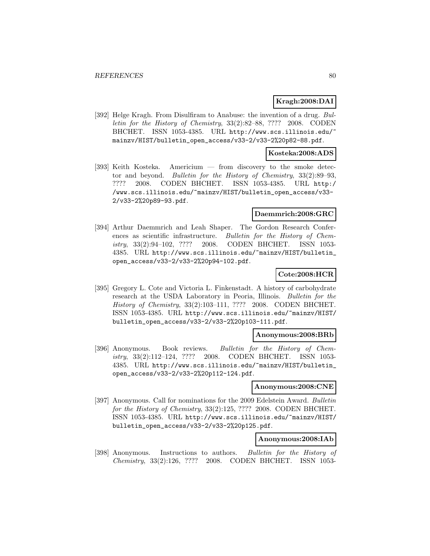## **Kragh:2008:DAI**

[392] Helge Kragh. From Disulfiram to Anabuse: the invention of a drug. Bulletin for the History of Chemistry, 33(2):82–88, ???? 2008. CODEN BHCHET. ISSN 1053-4385. URL http://www.scs.illinois.edu/ mainzv/HIST/bulletin\_open\_access/v33-2/v33-2%20p82-88.pdf.

#### **Kosteka:2008:ADS**

[393] Keith Kosteka. Americium — from discovery to the smoke detector and beyond. Bulletin for the History of Chemistry, 33(2):89–93, ???? 2008. CODEN BHCHET. ISSN 1053-4385. URL http:/ /www.scs.illinois.edu/~mainzv/HIST/bulletin\_open\_access/v33- 2/v33-2%20p89-93.pdf.

### **Daemmrich:2008:GRC**

[394] Arthur Daemmrich and Leah Shaper. The Gordon Research Conferences as scientific infrastructure. Bulletin for the History of Chemistry, 33(2):94–102, ???? 2008. CODEN BHCHET. ISSN 1053- 4385. URL http://www.scs.illinois.edu/~mainzv/HIST/bulletin\_ open\_access/v33-2/v33-2%20p94-102.pdf.

## **Cote:2008:HCR**

[395] Gregory L. Cote and Victoria L. Finkenstadt. A history of carbohydrate research at the USDA Laboratory in Peoria, Illinois. Bulletin for the History of Chemistry, 33(2):103–111, ???? 2008. CODEN BHCHET. ISSN 1053-4385. URL http://www.scs.illinois.edu/~mainzv/HIST/ bulletin\_open\_access/v33-2/v33-2%20p103-111.pdf.

### **Anonymous:2008:BRb**

[396] Anonymous. Book reviews. Bulletin for the History of Chemistry, 33(2):112–124, ???? 2008. CODEN BHCHET. ISSN 1053- 4385. URL http://www.scs.illinois.edu/~mainzv/HIST/bulletin\_ open\_access/v33-2/v33-2%20p112-124.pdf.

#### **Anonymous:2008:CNE**

[397] Anonymous. Call for nominations for the 2009 Edelstein Award. Bulletin for the History of Chemistry, 33(2):125, ???? 2008. CODEN BHCHET. ISSN 1053-4385. URL http://www.scs.illinois.edu/~mainzv/HIST/ bulletin\_open\_access/v33-2/v33-2%20p125.pdf.

## **Anonymous:2008:IAb**

[398] Anonymous. Instructions to authors. Bulletin for the History of Chemistry, 33(2):126, ???? 2008. CODEN BHCHET. ISSN 1053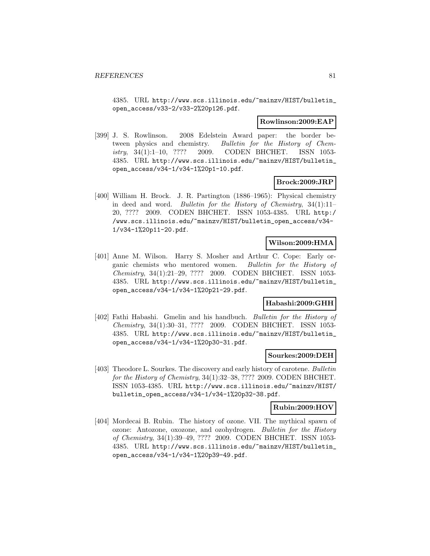4385. URL http://www.scs.illinois.edu/~mainzv/HIST/bulletin\_ open\_access/v33-2/v33-2%20p126.pdf.

### **Rowlinson:2009:EAP**

[399] J. S. Rowlinson. 2008 Edelstein Award paper: the border between physics and chemistry. Bulletin for the History of Chemistry, 34(1):1–10, ???? 2009. CODEN BHCHET. ISSN 1053- 4385. URL http://www.scs.illinois.edu/~mainzv/HIST/bulletin\_ open\_access/v34-1/v34-1%20p1-10.pdf.

### **Brock:2009:JRP**

[400] William H. Brock. J. R. Partington (1886–1965): Physical chemistry in deed and word. Bulletin for the History of Chemistry,  $34(1):11-$ 20, ???? 2009. CODEN BHCHET. ISSN 1053-4385. URL http:/ /www.scs.illinois.edu/~mainzv/HIST/bulletin\_open\_access/v34- 1/v34-1%20p11-20.pdf.

## **Wilson:2009:HMA**

[401] Anne M. Wilson. Harry S. Mosher and Arthur C. Cope: Early organic chemists who mentored women. Bulletin for the History of Chemistry, 34(1):21–29, ???? 2009. CODEN BHCHET. ISSN 1053- 4385. URL http://www.scs.illinois.edu/~mainzv/HIST/bulletin\_ open\_access/v34-1/v34-1%20p21-29.pdf.

### **Habashi:2009:GHH**

[402] Fathi Habashi. Gmelin and his handbuch. Bulletin for the History of Chemistry, 34(1):30–31, ???? 2009. CODEN BHCHET. ISSN 1053- 4385. URL http://www.scs.illinois.edu/~mainzv/HIST/bulletin\_ open\_access/v34-1/v34-1%20p30-31.pdf.

#### **Sourkes:2009:DEH**

[403] Theodore L. Sourkes. The discovery and early history of carotene. Bulletin for the History of Chemistry, 34(1):32–38, ???? 2009. CODEN BHCHET. ISSN 1053-4385. URL http://www.scs.illinois.edu/~mainzv/HIST/ bulletin\_open\_access/v34-1/v34-1%20p32-38.pdf.

#### **Rubin:2009:HOV**

[404] Mordecai B. Rubin. The history of ozone. VII. The mythical spawn of ozone: Antozone, oxozone, and ozohydrogen. Bulletin for the History of Chemistry, 34(1):39–49, ???? 2009. CODEN BHCHET. ISSN 1053- 4385. URL http://www.scs.illinois.edu/~mainzv/HIST/bulletin\_ open\_access/v34-1/v34-1%20p39-49.pdf.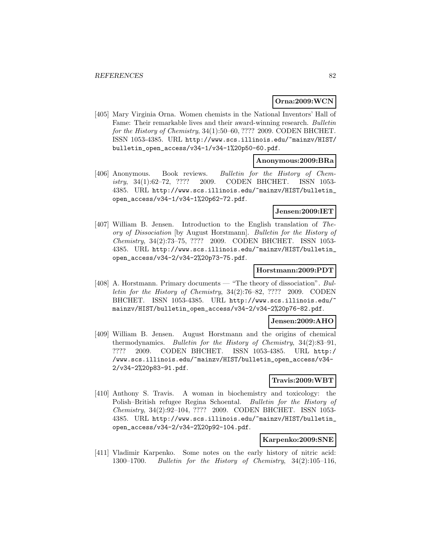## **Orna:2009:WCN**

[405] Mary Virginia Orna. Women chemists in the National Inventors' Hall of Fame: Their remarkable lives and their award-winning research. Bulletin for the History of Chemistry, 34(1):50–60, ???? 2009. CODEN BHCHET. ISSN 1053-4385. URL http://www.scs.illinois.edu/~mainzv/HIST/ bulletin\_open\_access/v34-1/v34-1%20p50-60.pdf.

### **Anonymous:2009:BRa**

[406] Anonymous. Book reviews. Bulletin for the History of Chemistry, 34(1):62–72, ???? 2009. CODEN BHCHET. ISSN 1053- 4385. URL http://www.scs.illinois.edu/~mainzv/HIST/bulletin\_ open\_access/v34-1/v34-1%20p62-72.pdf.

## **Jensen:2009:IET**

[407] William B. Jensen. Introduction to the English translation of Theory of Dissociation [by August Horstmann]. Bulletin for the History of Chemistry, 34(2):73–75, ???? 2009. CODEN BHCHET. ISSN 1053- 4385. URL http://www.scs.illinois.edu/~mainzv/HIST/bulletin\_ open\_access/v34-2/v34-2%20p73-75.pdf.

### **Horstmann:2009:PDT**

[408] A. Horstmann. Primary documents — "The theory of dissociation". Bulletin for the History of Chemistry, 34(2):76–82, ???? 2009. CODEN BHCHET. ISSN 1053-4385. URL http://www.scs.illinois.edu/ mainzv/HIST/bulletin\_open\_access/v34-2/v34-2%20p76-82.pdf.

### **Jensen:2009:AHO**

[409] William B. Jensen. August Horstmann and the origins of chemical thermodynamics. Bulletin for the History of Chemistry, 34(2):83–91, ???? 2009. CODEN BHCHET. ISSN 1053-4385. URL http:/ /www.scs.illinois.edu/~mainzv/HIST/bulletin\_open\_access/v34- 2/v34-2%20p83-91.pdf.

### **Travis:2009:WBT**

[410] Anthony S. Travis. A woman in biochemistry and toxicology: the Polish–British refugee Regina Schoental. Bulletin for the History of Chemistry, 34(2):92–104, ???? 2009. CODEN BHCHET. ISSN 1053- 4385. URL http://www.scs.illinois.edu/~mainzv/HIST/bulletin\_ open\_access/v34-2/v34-2%20p92-104.pdf.

## **Karpenko:2009:SNE**

[411] Vladimir Karpenko. Some notes on the early history of nitric acid: 1300–1700. Bulletin for the History of Chemistry, 34(2):105–116,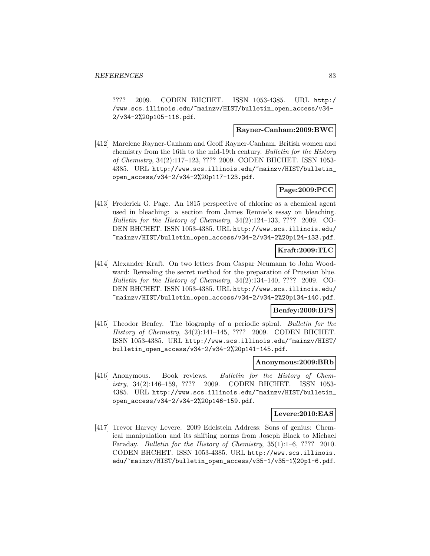???? 2009. CODEN BHCHET. ISSN 1053-4385. URL http:/ /www.scs.illinois.edu/~mainzv/HIST/bulletin\_open\_access/v34- 2/v34-2%20p105-116.pdf.

### **Rayner-Canham:2009:BWC**

[412] Marelene Rayner-Canham and Geoff Rayner-Canham. British women and chemistry from the 16th to the mid-19th century. Bulletin for the History of Chemistry, 34(2):117–123, ???? 2009. CODEN BHCHET. ISSN 1053- 4385. URL http://www.scs.illinois.edu/~mainzv/HIST/bulletin\_ open\_access/v34-2/v34-2%20p117-123.pdf.

## **Page:2009:PCC**

[413] Frederick G. Page. An 1815 perspective of chlorine as a chemical agent used in bleaching: a section from James Rennie's essay on bleaching. Bulletin for the History of Chemistry, 34(2):124–133, ???? 2009. CO-DEN BHCHET. ISSN 1053-4385. URL http://www.scs.illinois.edu/ ~mainzv/HIST/bulletin\_open\_access/v34-2/v34-2%20p124-133.pdf.

## **Kraft:2009:TLC**

[414] Alexander Kraft. On two letters from Caspar Neumann to John Woodward: Revealing the secret method for the preparation of Prussian blue. Bulletin for the History of Chemistry, 34(2):134–140, ???? 2009. CO-DEN BHCHET. ISSN 1053-4385. URL http://www.scs.illinois.edu/ ~mainzv/HIST/bulletin\_open\_access/v34-2/v34-2%20p134-140.pdf.

### **Benfey:2009:BPS**

[415] Theodor Benfey. The biography of a periodic spiral. Bulletin for the History of Chemistry, 34(2):141–145, ???? 2009. CODEN BHCHET. ISSN 1053-4385. URL http://www.scs.illinois.edu/~mainzv/HIST/ bulletin\_open\_access/v34-2/v34-2%20p141-145.pdf.

### **Anonymous:2009:BRb**

[416] Anonymous. Book reviews. Bulletin for the History of Chemistry, 34(2):146–159, ???? 2009. CODEN BHCHET. ISSN 1053- 4385. URL http://www.scs.illinois.edu/~mainzv/HIST/bulletin\_ open\_access/v34-2/v34-2%20p146-159.pdf.

### **Levere:2010:EAS**

[417] Trevor Harvey Levere. 2009 Edelstein Address: Sons of genius: Chemical manipulation and its shifting norms from Joseph Black to Michael Faraday. *Bulletin for the History of Chemistry*, 35(1):1–6, ???? 2010. CODEN BHCHET. ISSN 1053-4385. URL http://www.scs.illinois. edu/~mainzv/HIST/bulletin\_open\_access/v35-1/v35-1%20p1-6.pdf.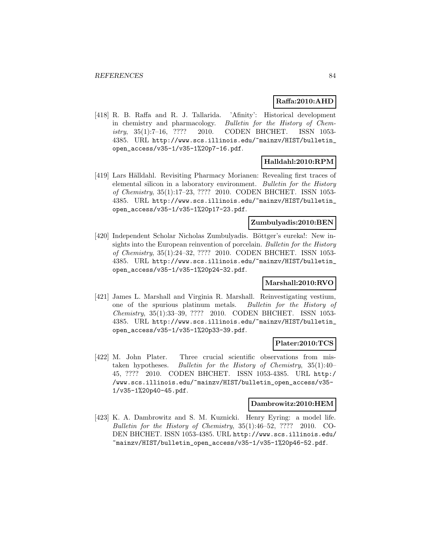## **Raffa:2010:AHD**

[418] R. B. Raffa and R. J. Tallarida. 'Afinity': Historical development in chemistry and pharmacology. Bulletin for the History of Chemistry, 35(1):7–16, ???? 2010. CODEN BHCHET. ISSN 1053- 4385. URL http://www.scs.illinois.edu/~mainzv/HIST/bulletin\_ open\_access/v35-1/v35-1%20p7-16.pdf.

# **Halldahl:2010:RPM**

[419] Lars Hälldahl. Revisiting Pharmacy Morianen: Revealing first traces of elemental silicon in a laboratory environment. Bulletin for the History of Chemistry, 35(1):17–23, ???? 2010. CODEN BHCHET. ISSN 1053- 4385. URL http://www.scs.illinois.edu/~mainzv/HIST/bulletin\_ open\_access/v35-1/v35-1%20p17-23.pdf.

## **Zumbulyadis:2010:BEN**

[420] Independent Scholar Nicholas Zumbulyadis. Böttger's eureka!: New insights into the European reinvention of porcelain. Bulletin for the History of Chemistry, 35(1):24–32, ???? 2010. CODEN BHCHET. ISSN 1053- 4385. URL http://www.scs.illinois.edu/~mainzv/HIST/bulletin\_ open\_access/v35-1/v35-1%20p24-32.pdf.

## **Marshall:2010:RVO**

[421] James L. Marshall and Virginia R. Marshall. Reinvestigating vestium, one of the spurious platinum metals. Bulletin for the History of Chemistry, 35(1):33–39, ???? 2010. CODEN BHCHET. ISSN 1053- 4385. URL http://www.scs.illinois.edu/~mainzv/HIST/bulletin\_ open\_access/v35-1/v35-1%20p33-39.pdf.

### **Plater:2010:TCS**

[422] M. John Plater. Three crucial scientific observations from mistaken hypotheses. Bulletin for the History of Chemistry, 35(1):40– 45, ???? 2010. CODEN BHCHET. ISSN 1053-4385. URL http:/ /www.scs.illinois.edu/~mainzv/HIST/bulletin\_open\_access/v35- 1/v35-1%20p40-45.pdf.

#### **Dambrowitz:2010:HEM**

[423] K. A. Dambrowitz and S. M. Kuznicki. Henry Eyring: a model life. Bulletin for the History of Chemistry, 35(1):46–52, ???? 2010. CO-DEN BHCHET. ISSN 1053-4385. URL http://www.scs.illinois.edu/ ~mainzv/HIST/bulletin\_open\_access/v35-1/v35-1%20p46-52.pdf.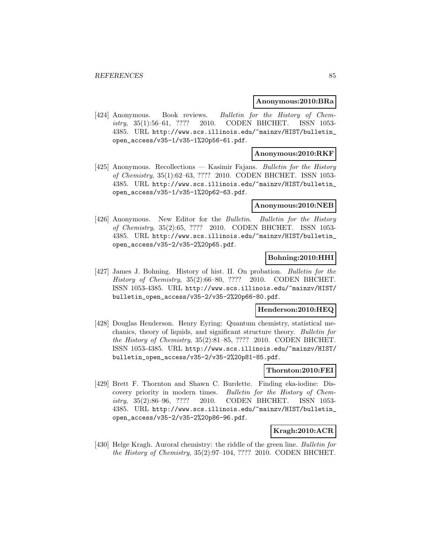### **Anonymous:2010:BRa**

[424] Anonymous. Book reviews. Bulletin for the History of Chemistry, 35(1):56–61, ???? 2010. CODEN BHCHET. ISSN 1053- 4385. URL http://www.scs.illinois.edu/~mainzv/HIST/bulletin\_ open\_access/v35-1/v35-1%20p56-61.pdf.

## **Anonymous:2010:RKF**

[425] Anonymous. Recollections — Kasimir Fajans. *Bulletin for the History* of Chemistry, 35(1):62–63, ???? 2010. CODEN BHCHET. ISSN 1053- 4385. URL http://www.scs.illinois.edu/~mainzv/HIST/bulletin\_ open\_access/v35-1/v35-1%20p62-63.pdf.

#### **Anonymous:2010:NEB**

[426] Anonymous. New Editor for the Bulletin. Bulletin for the History of Chemistry, 35(2):65, ???? 2010. CODEN BHCHET. ISSN 1053- 4385. URL http://www.scs.illinois.edu/~mainzv/HIST/bulletin\_ open\_access/v35-2/v35-2%20p65.pdf.

## **Bohning:2010:HHI**

[427] James J. Bohning. History of hist. II. On probation. Bulletin for the History of Chemistry, 35(2):66–80, ???? 2010. CODEN BHCHET. ISSN 1053-4385. URL http://www.scs.illinois.edu/~mainzv/HIST/ bulletin\_open\_access/v35-2/v35-2%20p66-80.pdf.

### **Henderson:2010:HEQ**

[428] Douglas Henderson. Henry Eyring: Quantum chemistry, statistical mechanics, theory of liquids, and significant structure theory. Bulletin for the History of Chemistry, 35(2):81–85, ???? 2010. CODEN BHCHET. ISSN 1053-4385. URL http://www.scs.illinois.edu/~mainzv/HIST/ bulletin\_open\_access/v35-2/v35-2%20p81-85.pdf.

# **Thornton:2010:FEI**

[429] Brett F. Thornton and Shawn C. Burdette. Finding eka-iodine: Discovery priority in modern times. Bulletin for the History of Chemistry, 35(2):86–96, ???? 2010. CODEN BHCHET. ISSN 1053- 4385. URL http://www.scs.illinois.edu/~mainzv/HIST/bulletin\_ open\_access/v35-2/v35-2%20p86-96.pdf.

### **Kragh:2010:ACR**

[430] Helge Kragh. Auroral chemistry: the riddle of the green line. Bulletin for the History of Chemistry, 35(2):97–104, ???? 2010. CODEN BHCHET.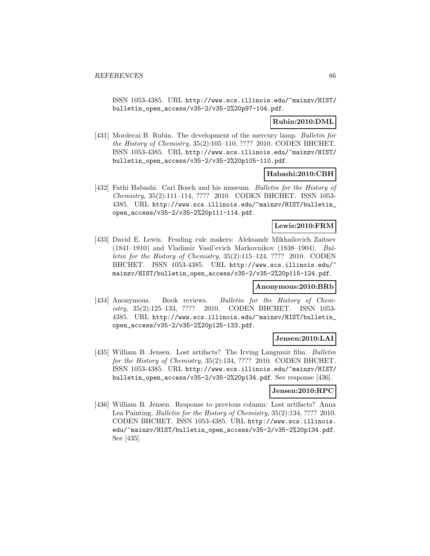ISSN 1053-4385. URL http://www.scs.illinois.edu/~mainzv/HIST/ bulletin\_open\_access/v35-2/v35-2%20p97-104.pdf.

## **Rubin:2010:DML**

[431] Mordecai B. Rubin. The development of the mercury lamp. Bulletin for the History of Chemistry, 35(2):105–110, ???? 2010. CODEN BHCHET. ISSN 1053-4385. URL http://www.scs.illinois.edu/~mainzv/HIST/ bulletin\_open\_access/v35-2/v35-2%20p105-110.pdf.

## **Habashi:2010:CBH**

[432] Fathi Habashi. Carl Bosch and his museum. Bulletin for the History of Chemistry, 35(2):111–114, ???? 2010. CODEN BHCHET. ISSN 1053- 4385. URL http://www.scs.illinois.edu/~mainzv/HIST/bulletin\_ open\_access/v35-2/v35-2%20p111-114.pdf.

## **Lewis:2010:FRM**

[433] David E. Lewis. Feuding rule makers: Aleksandr Mikhailovich Zaitsev (1841–1910) and Vladimir Vasil'evich Markovnikov (1838–1904). Bulletin for the History of Chemistry, 35(2):115–124, ???? 2010. CODEN BHCHET. ISSN 1053-4385. URL http://www.scs.illinois.edu/~ mainzv/HIST/bulletin\_open\_access/v35-2/v35-2%20p115-124.pdf.

### **Anonymous:2010:BRb**

[434] Anonymous. Book reviews. Bulletin for the History of Chemistry, 35(2):125–133, ???? 2010. CODEN BHCHET. ISSN 1053- 4385. URL http://www.scs.illinois.edu/~mainzv/HIST/bulletin\_ open\_access/v35-2/v35-2%20p125-133.pdf.

# **Jensen:2010:LAI**

[435] William B. Jensen. Lost artifacts? The Irving Langmuir film. Bulletin for the History of Chemistry, 35(2):134, ???? 2010. CODEN BHCHET. ISSN 1053-4385. URL http://www.scs.illinois.edu/~mainzv/HIST/ bulletin\_open\_access/v35-2/v35-2%20p134.pdf. See response [436].

## **Jensen:2010:RPC**

[436] William B. Jensen. Response to previous column: Lost artifacts? Anna Lea Painting. Bulletin for the History of Chemistry, 35(2):134, ???? 2010. CODEN BHCHET. ISSN 1053-4385. URL http://www.scs.illinois. edu/~mainzv/HIST/bulletin\_open\_access/v35-2/v35-2%20p134.pdf. See [435].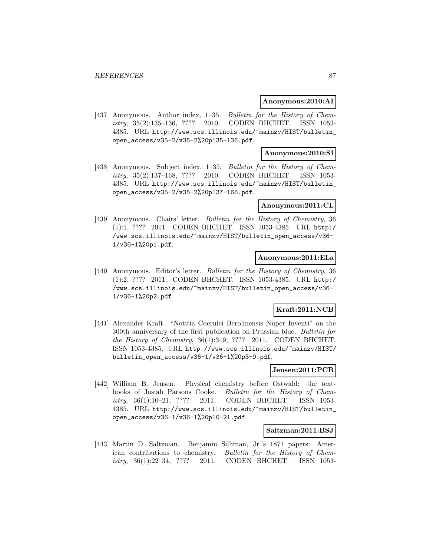### **Anonymous:2010:AI**

[437] Anonymous. Author index, 1–35. Bulletin for the History of Chemistry, 35(2):135–136, ???? 2010. CODEN BHCHET. ISSN 1053- 4385. URL http://www.scs.illinois.edu/~mainzv/HIST/bulletin\_ open\_access/v35-2/v35-2%20p135-136.pdf.

### **Anonymous:2010:SI**

[438] Anonymous. Subject index, 1–35. *Bulletin for the History of Chem*istry, 35(2):137–168, ???? 2010. CODEN BHCHET. ISSN 1053- 4385. URL http://www.scs.illinois.edu/~mainzv/HIST/bulletin\_ open\_access/v35-2/v35-2%20p137-168.pdf.

#### **Anonymous:2011:CL**

[439] Anonymous. Chairs' letter. *Bulletin for the History of Chemistry*, 36 (1):1, ???? 2011. CODEN BHCHET. ISSN 1053-4385. URL http:/ /www.scs.illinois.edu/~mainzv/HIST/bulletin\_open\_access/v36- 1/v36-1%20p1.pdf.

### **Anonymous:2011:ELa**

[440] Anonymous. Editor's letter. Bulletin for the History of Chemistry, 36 (1):2, ???? 2011. CODEN BHCHET. ISSN 1053-4385. URL http:/ /www.scs.illinois.edu/~mainzv/HIST/bulletin\_open\_access/v36- 1/v36-1%20p2.pdf.

## **Kraft:2011:NCB**

[441] Alexander Kraft. "Notitia Coerulei Berolinensis Nuper Inventi" on the 300th anniversary of the first publication on Prussian blue. Bulletin for the History of Chemistry, 36(1):3–9, ???? 2011. CODEN BHCHET. ISSN 1053-4385. URL http://www.scs.illinois.edu/~mainzv/HIST/ bulletin\_open\_access/v36-1/v36-1%20p3-9.pdf.

## **Jensen:2011:PCB**

[442] William B. Jensen. Physical chemistry before Ostwald: the textbooks of Josiah Parsons Cooke. Bulletin for the History of Chemistry, 36(1):10–21, ???? 2011. CODEN BHCHET. ISSN 1053- 4385. URL http://www.scs.illinois.edu/~mainzv/HIST/bulletin\_ open\_access/v36-1/v36-1%20p10-21.pdf.

### **Saltzman:2011:BSJ**

[443] Martin D. Saltzman. Benjamin Silliman, Jr.'s 1874 papers: American contributions to chemistry. Bulletin for the History of Chemistry, 36(1):22–34, ???? 2011. CODEN BHCHET. ISSN 1053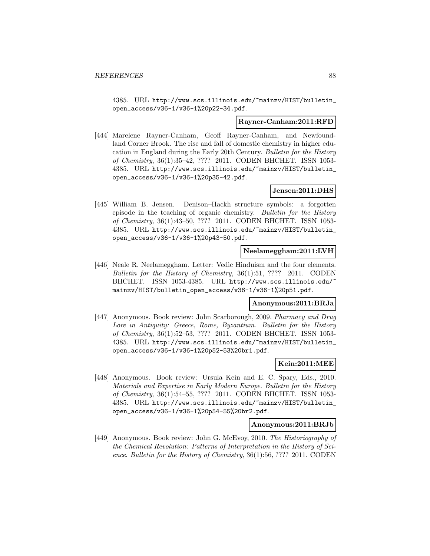4385. URL http://www.scs.illinois.edu/~mainzv/HIST/bulletin\_ open\_access/v36-1/v36-1%20p22-34.pdf.

#### **Rayner-Canham:2011:RFD**

[444] Marelene Rayner-Canham, Geoff Rayner-Canham, and Newfoundland Corner Brook. The rise and fall of domestic chemistry in higher education in England during the Early 20th Century. Bulletin for the History of Chemistry, 36(1):35–42, ???? 2011. CODEN BHCHET. ISSN 1053- 4385. URL http://www.scs.illinois.edu/~mainzv/HIST/bulletin\_ open\_access/v36-1/v36-1%20p35-42.pdf.

## **Jensen:2011:DHS**

[445] William B. Jensen. Denison–Hackh structure symbols: a forgotten episode in the teaching of organic chemistry. Bulletin for the History of Chemistry, 36(1):43–50, ???? 2011. CODEN BHCHET. ISSN 1053- 4385. URL http://www.scs.illinois.edu/~mainzv/HIST/bulletin\_ open\_access/v36-1/v36-1%20p43-50.pdf.

### **Neelameggham:2011:LVH**

[446] Neale R. Neelameggham. Letter: Vedic Hinduism and the four elements. Bulletin for the History of Chemistry, 36(1):51, ???? 2011. CODEN BHCHET. ISSN 1053-4385. URL http://www.scs.illinois.edu/ mainzv/HIST/bulletin\_open\_access/v36-1/v36-1%20p51.pdf.

### **Anonymous:2011:BRJa**

[447] Anonymous. Book review: John Scarborough, 2009. Pharmacy and Drug Lore in Antiquity: Greece, Rome, Byzantium. Bulletin for the History of Chemistry, 36(1):52–53, ???? 2011. CODEN BHCHET. ISSN 1053- 4385. URL http://www.scs.illinois.edu/~mainzv/HIST/bulletin\_ open\_access/v36-1/v36-1%20p52-53%20br1.pdf.

## **Kein:2011:MEE**

[448] Anonymous. Book review: Ursula Kein and E. C. Spary, Eds., 2010. Materials and Expertise in Early Modern Europe. Bulletin for the History of Chemistry, 36(1):54–55, ???? 2011. CODEN BHCHET. ISSN 1053- 4385. URL http://www.scs.illinois.edu/~mainzv/HIST/bulletin\_ open\_access/v36-1/v36-1%20p54-55%20br2.pdf.

#### **Anonymous:2011:BRJb**

[449] Anonymous. Book review: John G. McEvoy, 2010. The Historiography of the Chemical Revolution: Patterns of Interpretation in the History of Science. Bulletin for the History of Chemistry, 36(1):56, ???? 2011. CODEN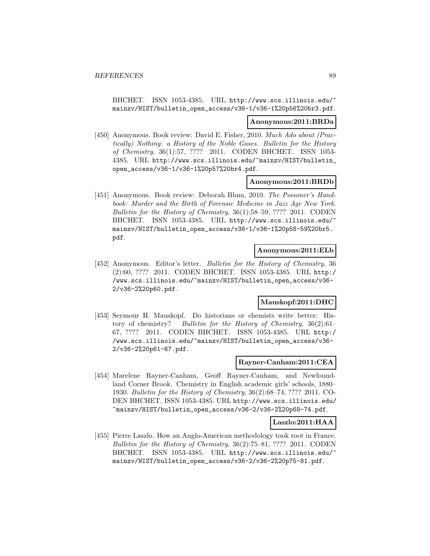BHCHET. ISSN 1053-4385. URL http://www.scs.illinois.edu/~ mainzv/HIST/bulletin\_open\_access/v36-1/v36-1%20p56%20br3.pdf.

#### **Anonymous:2011:BRDa**

[450] Anonymous. Book review: David E. Fisher, 2010. Much Ado about (Practically) Nothing: a History of the Noble Gases. Bulletin for the History of Chemistry, 36(1):57, ???? 2011. CODEN BHCHET. ISSN 1053- 4385. URL http://www.scs.illinois.edu/~mainzv/HIST/bulletin\_ open\_access/v36-1/v36-1%20p57%20br4.pdf.

### **Anonymous:2011:BRDb**

[451] Anonymous. Book review: Deborah Blum, 2010. The Poisoner's Handbook: Murder and the Birth of Forensic Medicine in Jazz Age New York. Bulletin for the History of Chemistry, 36(1):58–59, ???? 2011. CODEN BHCHET. ISSN 1053-4385. URL http://www.scs.illinois.edu/ mainzv/HIST/bulletin\_open\_access/v36-1/v36-1%20p58-59%20br5. pdf.

### **Anonymous:2011:ELb**

[452] Anonymous. Editor's letter. Bulletin for the History of Chemistry, 36 (2):60, ???? 2011. CODEN BHCHET. ISSN 1053-4385. URL http:/ /www.scs.illinois.edu/~mainzv/HIST/bulletin\_open\_access/v36- 2/v36-2%20p60.pdf.

## **Mauskopf:2011:DHC**

[453] Seymour H. Mauskopf. Do historians or chemists write better: History of chemistry? Bulletin for the History of Chemistry, 36(2):61– 67, ???? 2011. CODEN BHCHET. ISSN 1053-4385. URL http:/ /www.scs.illinois.edu/~mainzv/HIST/bulletin\_open\_access/v36- 2/v36-2%20p61-67.pdf.

### **Rayner-Canham:2011:CEA**

[454] Marelene Rayner-Canham, Geoff Rayner-Canham, and Newfoundland Corner Brook. Chemistry in English academic girls' schools, 1880– 1930. Bulletin for the History of Chemistry, 36(2):68–74, ???? 2011. CO-DEN BHCHET. ISSN 1053-4385. URL http://www.scs.illinois.edu/ ~mainzv/HIST/bulletin\_open\_access/v36-2/v36-2%20p68-74.pdf.

### **Laszlo:2011:HAA**

[455] Pierre Laszlo. How an Anglo-American methodology took root in France. Bulletin for the History of Chemistry, 36(2):75–81, ???? 2011. CODEN BHCHET. ISSN 1053-4385. URL http://www.scs.illinois.edu/ mainzv/HIST/bulletin\_open\_access/v36-2/v36-2%20p75-81.pdf.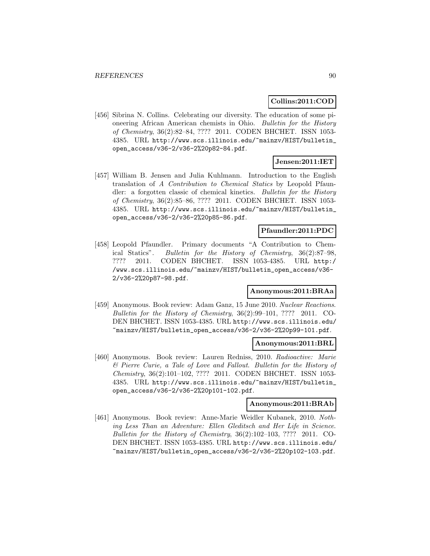## **Collins:2011:COD**

[456] Sibrina N. Collins. Celebrating our diversity. The education of some pioneering African American chemists in Ohio. Bulletin for the History of Chemistry, 36(2):82–84, ???? 2011. CODEN BHCHET. ISSN 1053- 4385. URL http://www.scs.illinois.edu/~mainzv/HIST/bulletin\_ open\_access/v36-2/v36-2%20p82-84.pdf.

# **Jensen:2011:IET**

[457] William B. Jensen and Julia Kuhlmann. Introduction to the English translation of A Contribution to Chemical Statics by Leopold Pfaundler: a forgotten classic of chemical kinetics. Bulletin for the History of Chemistry, 36(2):85–86, ???? 2011. CODEN BHCHET. ISSN 1053- 4385. URL http://www.scs.illinois.edu/~mainzv/HIST/bulletin\_ open\_access/v36-2/v36-2%20p85-86.pdf.

## **Pfaundler:2011:PDC**

[458] Leopold Pfaundler. Primary documents "A Contribution to Chemical Statics". Bulletin for the History of Chemistry, 36(2):87–98, ???? 2011. CODEN BHCHET. ISSN 1053-4385. URL http:/ /www.scs.illinois.edu/~mainzv/HIST/bulletin\_open\_access/v36- 2/v36-2%20p87-98.pdf.

## **Anonymous:2011:BRAa**

[459] Anonymous. Book review: Adam Ganz, 15 June 2010. Nuclear Reactions. Bulletin for the History of Chemistry, 36(2):99–101, ???? 2011. CO-DEN BHCHET. ISSN 1053-4385. URL http://www.scs.illinois.edu/ ~mainzv/HIST/bulletin\_open\_access/v36-2/v36-2%20p99-101.pdf.

### **Anonymous:2011:BRL**

[460] Anonymous. Book review: Lauren Redniss, 2010. Radioactive: Marie & Pierre Curie, a Tale of Love and Fallout. Bulletin for the History of Chemistry, 36(2):101–102, ???? 2011. CODEN BHCHET. ISSN 1053- 4385. URL http://www.scs.illinois.edu/~mainzv/HIST/bulletin\_ open\_access/v36-2/v36-2%20p101-102.pdf.

#### **Anonymous:2011:BRAb**

[461] Anonymous. Book review: Anne-Marie Weidler Kubanek, 2010. Nothing Less Than an Adventure: Ellen Gleditsch and Her Life in Science. Bulletin for the History of Chemistry, 36(2):102–103, ???? 2011. CO-DEN BHCHET. ISSN 1053-4385. URL http://www.scs.illinois.edu/ ~mainzv/HIST/bulletin\_open\_access/v36-2/v36-2%20p102-103.pdf.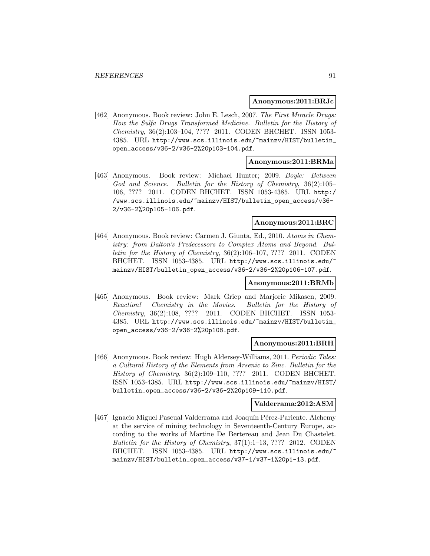#### **Anonymous:2011:BRJc**

[462] Anonymous. Book review: John E. Lesch, 2007. The First Miracle Drugs: How the Sulfa Drugs Transformed Medicine. Bulletin for the History of Chemistry, 36(2):103–104, ???? 2011. CODEN BHCHET. ISSN 1053- 4385. URL http://www.scs.illinois.edu/~mainzv/HIST/bulletin\_ open\_access/v36-2/v36-2%20p103-104.pdf.

### **Anonymous:2011:BRMa**

[463] Anonymous. Book review: Michael Hunter; 2009. Boyle: Between God and Science. Bulletin for the History of Chemistry, 36(2):105– 106, ???? 2011. CODEN BHCHET. ISSN 1053-4385. URL http:/ /www.scs.illinois.edu/~mainzv/HIST/bulletin\_open\_access/v36- 2/v36-2%20p105-106.pdf.

#### **Anonymous:2011:BRC**

[464] Anonymous. Book review: Carmen J. Giunta, Ed., 2010. Atoms in Chemistry: from Dalton's Predecessors to Complex Atoms and Beyond. Bulletin for the History of Chemistry, 36(2):106–107, ???? 2011. CODEN BHCHET. ISSN 1053-4385. URL http://www.scs.illinois.edu/~ mainzv/HIST/bulletin\_open\_access/v36-2/v36-2%20p106-107.pdf.

### **Anonymous:2011:BRMb**

[465] Anonymous. Book review: Mark Griep and Marjorie Mikasen, 2009. Reaction! Chemistry in the Movies. Bulletin for the History of Chemistry, 36(2):108, ???? 2011. CODEN BHCHET. ISSN 1053- 4385. URL http://www.scs.illinois.edu/~mainzv/HIST/bulletin\_ open\_access/v36-2/v36-2%20p108.pdf.

#### **Anonymous:2011:BRH**

[466] Anonymous. Book review: Hugh Aldersey-Williams, 2011. Periodic Tales: a Cultural History of the Elements from Arsenic to Zinc. Bulletin for the History of Chemistry, 36(2):109–110, ???? 2011. CODEN BHCHET. ISSN 1053-4385. URL http://www.scs.illinois.edu/~mainzv/HIST/ bulletin\_open\_access/v36-2/v36-2%20p109-110.pdf.

## **Valderrama:2012:ASM**

[467] Ignacio Miguel Pascual Valderrama and Joaquín Pérez-Pariente. Alchemy at the service of mining technology in Seventeenth-Century Europe, according to the works of Martine De Bertereau and Jean Du Chastelet. Bulletin for the History of Chemistry,  $37(1):1-13$ , ???? 2012. CODEN BHCHET. ISSN 1053-4385. URL http://www.scs.illinois.edu/ mainzv/HIST/bulletin\_open\_access/v37-1/v37-1%20p1-13.pdf.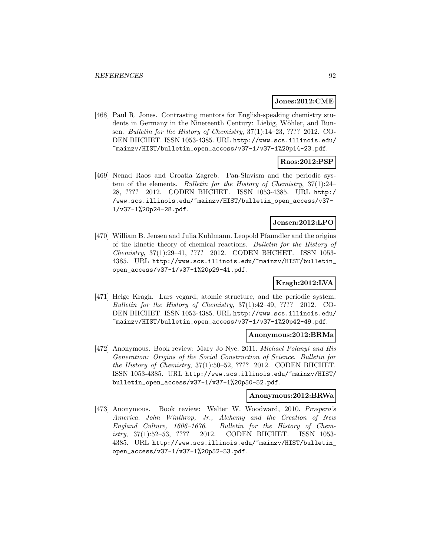### **Jones:2012:CME**

[468] Paul R. Jones. Contrasting mentors for English-speaking chemistry students in Germany in the Nineteenth Century: Liebig, Wöhler, and Bunsen. Bulletin for the History of Chemistry, 37(1):14–23, ???? 2012. CO-DEN BHCHET. ISSN 1053-4385. URL http://www.scs.illinois.edu/ ~mainzv/HIST/bulletin\_open\_access/v37-1/v37-1%20p14-23.pdf.

## **Raos:2012:PSP**

[469] Nenad Raos and Croatia Zagreb. Pan-Slavism and the periodic system of the elements. Bulletin for the History of Chemistry, 37(1):24– 28, ???? 2012. CODEN BHCHET. ISSN 1053-4385. URL http:/ /www.scs.illinois.edu/~mainzv/HIST/bulletin\_open\_access/v37- 1/v37-1%20p24-28.pdf.

### **Jensen:2012:LPO**

[470] William B. Jensen and Julia Kuhlmann. Leopold Pfaundler and the origins of the kinetic theory of chemical reactions. Bulletin for the History of Chemistry, 37(1):29–41, ???? 2012. CODEN BHCHET. ISSN 1053- 4385. URL http://www.scs.illinois.edu/~mainzv/HIST/bulletin\_ open\_access/v37-1/v37-1%20p29-41.pdf.

# **Kragh:2012:LVA**

[471] Helge Kragh. Lars vegard, atomic structure, and the periodic system. Bulletin for the History of Chemistry, 37(1):42–49, ???? 2012. CO-DEN BHCHET. ISSN 1053-4385. URL http://www.scs.illinois.edu/ ~mainzv/HIST/bulletin\_open\_access/v37-1/v37-1%20p42-49.pdf.

## **Anonymous:2012:BRMa**

[472] Anonymous. Book review: Mary Jo Nye. 2011. Michael Polanyi and His Generation: Origins of the Social Construction of Science. Bulletin for the History of Chemistry, 37(1):50–52, ???? 2012. CODEN BHCHET. ISSN 1053-4385. URL http://www.scs.illinois.edu/~mainzv/HIST/ bulletin\_open\_access/v37-1/v37-1%20p50-52.pdf.

### **Anonymous:2012:BRWa**

[473] Anonymous. Book review: Walter W. Woodward, 2010. Prospero's America. John Winthrop, Jr., Alchemy and the Creation of New England Culture, 1606–1676. Bulletin for the History of Chemistry, 37(1):52–53, ???? 2012. CODEN BHCHET. ISSN 1053- 4385. URL http://www.scs.illinois.edu/~mainzv/HIST/bulletin\_ open\_access/v37-1/v37-1%20p52-53.pdf.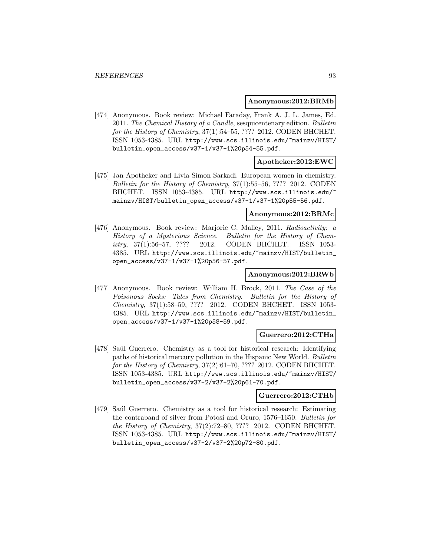#### **Anonymous:2012:BRMb**

[474] Anonymous. Book review: Michael Faraday, Frank A. J. L. James, Ed. 2011. The Chemical History of a Candle, sesquicentenary edition. Bulletin for the History of Chemistry, 37(1):54–55, ???? 2012. CODEN BHCHET. ISSN 1053-4385. URL http://www.scs.illinois.edu/~mainzv/HIST/ bulletin\_open\_access/v37-1/v37-1%20p54-55.pdf.

### **Apotheker:2012:EWC**

[475] Jan Apotheker and Livia Simon Sarkadi. European women in chemistry. Bulletin for the History of Chemistry, 37(1):55–56, ???? 2012. CODEN BHCHET. ISSN 1053-4385. URL http://www.scs.illinois.edu/~ mainzv/HIST/bulletin\_open\_access/v37-1/v37-1%20p55-56.pdf.

#### **Anonymous:2012:BRMc**

[476] Anonymous. Book review: Marjorie C. Malley, 2011. Radioactivity: a History of a Mysterious Science. Bulletin for the History of Chemistry, 37(1):56–57, ???? 2012. CODEN BHCHET. ISSN 1053- 4385. URL http://www.scs.illinois.edu/~mainzv/HIST/bulletin\_ open\_access/v37-1/v37-1%20p56-57.pdf.

### **Anonymous:2012:BRWb**

[477] Anonymous. Book review: William H. Brock, 2011. The Case of the Poisonous Socks: Tales from Chemistry. Bulletin for the History of Chemistry, 37(1):58–59, ???? 2012. CODEN BHCHET. ISSN 1053- 4385. URL http://www.scs.illinois.edu/~mainzv/HIST/bulletin\_ open\_access/v37-1/v37-1%20p58-59.pdf.

### **Guerrero:2012:CTHa**

[478] Saúl Guerrero. Chemistry as a tool for historical research: Identifying paths of historical mercury pollution in the Hispanic New World. Bulletin for the History of Chemistry, 37(2):61–70, ???? 2012. CODEN BHCHET. ISSN 1053-4385. URL http://www.scs.illinois.edu/~mainzv/HIST/ bulletin\_open\_access/v37-2/v37-2%20p61-70.pdf.

#### **Guerrero:2012:CTHb**

[479] Saúl Guerrero. Chemistry as a tool for historical research: Estimating the contraband of silver from Potosí and Oruro, 1576–1650. Bulletin for the History of Chemistry, 37(2):72–80, ???? 2012. CODEN BHCHET. ISSN 1053-4385. URL http://www.scs.illinois.edu/~mainzv/HIST/ bulletin\_open\_access/v37-2/v37-2%20p72-80.pdf.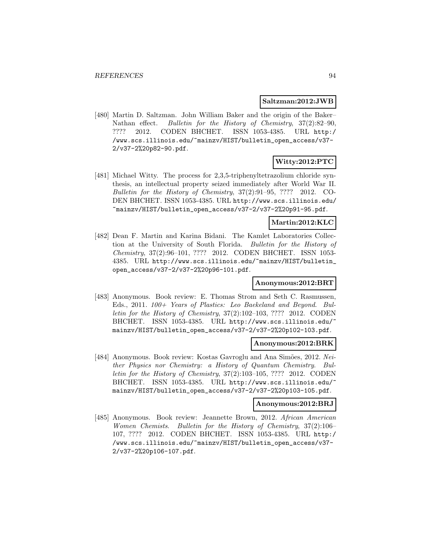### **Saltzman:2012:JWB**

[480] Martin D. Saltzman. John William Baker and the origin of the Baker– Nathan effect. Bulletin for the History of Chemistry, 37(2):82–90, ???? 2012. CODEN BHCHET. ISSN 1053-4385. URL http:/ /www.scs.illinois.edu/~mainzv/HIST/bulletin\_open\_access/v37- 2/v37-2%20p82-90.pdf.

# **Witty:2012:PTC**

[481] Michael Witty. The process for 2,3,5-triphenyltetrazolium chloride synthesis, an intellectual property seized immediately after World War II. Bulletin for the History of Chemistry, 37(2):91–95, ???? 2012. CO-DEN BHCHET. ISSN 1053-4385. URL http://www.scs.illinois.edu/ ~mainzv/HIST/bulletin\_open\_access/v37-2/v37-2%20p91-95.pdf.

### **Martin:2012:KLC**

[482] Dean F. Martin and Karina Bidani. The Kamlet Laboratories Collection at the University of South Florida. Bulletin for the History of Chemistry, 37(2):96–101, ???? 2012. CODEN BHCHET. ISSN 1053- 4385. URL http://www.scs.illinois.edu/~mainzv/HIST/bulletin\_ open\_access/v37-2/v37-2%20p96-101.pdf.

### **Anonymous:2012:BRT**

[483] Anonymous. Book review: E. Thomas Strom and Seth C. Rasmussen, Eds., 2011. 100+ Years of Plastics: Leo Baekeland and Beyond. Bulletin for the History of Chemistry, 37(2):102–103, ???? 2012. CODEN BHCHET. ISSN 1053-4385. URL http://www.scs.illinois.edu/ mainzv/HIST/bulletin\_open\_access/v37-2/v37-2%20p102-103.pdf.

### **Anonymous:2012:BRK**

[484] Anonymous. Book review: Kostas Gavroglu and Ana Simões, 2012. Neither Physics nor Chemistry: a History of Quantum Chemistry. Bulletin for the History of Chemistry, 37(2):103–105, ???? 2012. CODEN BHCHET. ISSN 1053-4385. URL http://www.scs.illinois.edu/ mainzv/HIST/bulletin\_open\_access/v37-2/v37-2%20p103-105.pdf.

#### **Anonymous:2012:BRJ**

[485] Anonymous. Book review: Jeannette Brown, 2012. African American Women Chemists. Bulletin for the History of Chemistry, 37(2):106– 107, ???? 2012. CODEN BHCHET. ISSN 1053-4385. URL http:/ /www.scs.illinois.edu/~mainzv/HIST/bulletin\_open\_access/v37- 2/v37-2%20p106-107.pdf.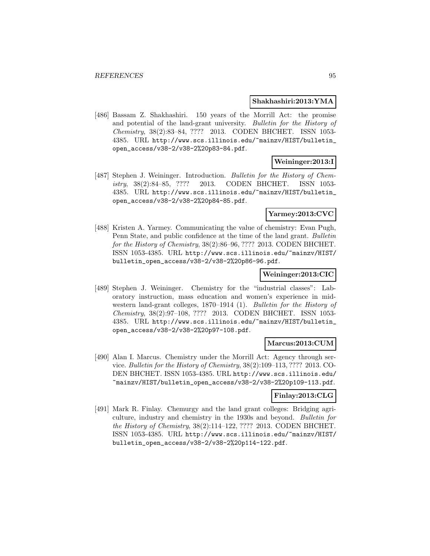#### **Shakhashiri:2013:YMA**

[486] Bassam Z. Shakhashiri. 150 years of the Morrill Act: the promise and potential of the land-grant university. Bulletin for the History of Chemistry, 38(2):83–84, ???? 2013. CODEN BHCHET. ISSN 1053- 4385. URL http://www.scs.illinois.edu/~mainzv/HIST/bulletin\_ open\_access/v38-2/v38-2%20p83-84.pdf.

# **Weininger:2013:I**

[487] Stephen J. Weininger. Introduction. Bulletin for the History of Chemistry, 38(2):84–85, ???? 2013. CODEN BHCHET. ISSN 1053- 4385. URL http://www.scs.illinois.edu/~mainzv/HIST/bulletin\_ open\_access/v38-2/v38-2%20p84-85.pdf.

## **Yarmey:2013:CVC**

[488] Kristen A. Yarmey. Communicating the value of chemistry: Evan Pugh, Penn State, and public confidence at the time of the land grant. Bulletin for the History of Chemistry, 38(2):86–96, ???? 2013. CODEN BHCHET. ISSN 1053-4385. URL http://www.scs.illinois.edu/~mainzv/HIST/ bulletin\_open\_access/v38-2/v38-2%20p86-96.pdf.

### **Weininger:2013:CIC**

[489] Stephen J. Weininger. Chemistry for the "industrial classes": Laboratory instruction, mass education and women's experience in midwestern land-grant colleges, 1870–1914 (1). Bulletin for the History of Chemistry, 38(2):97–108, ???? 2013. CODEN BHCHET. ISSN 1053- 4385. URL http://www.scs.illinois.edu/~mainzv/HIST/bulletin\_ open\_access/v38-2/v38-2%20p97-108.pdf.

#### **Marcus:2013:CUM**

[490] Alan I. Marcus. Chemistry under the Morrill Act: Agency through service. Bulletin for the History of Chemistry, 38(2):109–113, ???? 2013. CO-DEN BHCHET. ISSN 1053-4385. URL http://www.scs.illinois.edu/ ~mainzv/HIST/bulletin\_open\_access/v38-2/v38-2%20p109-113.pdf.

### **Finlay:2013:CLG**

[491] Mark R. Finlay. Chemurgy and the land grant colleges: Bridging agriculture, industry and chemistry in the 1930s and beyond. Bulletin for the History of Chemistry, 38(2):114–122, ???? 2013. CODEN BHCHET. ISSN 1053-4385. URL http://www.scs.illinois.edu/~mainzv/HIST/ bulletin\_open\_access/v38-2/v38-2%20p114-122.pdf.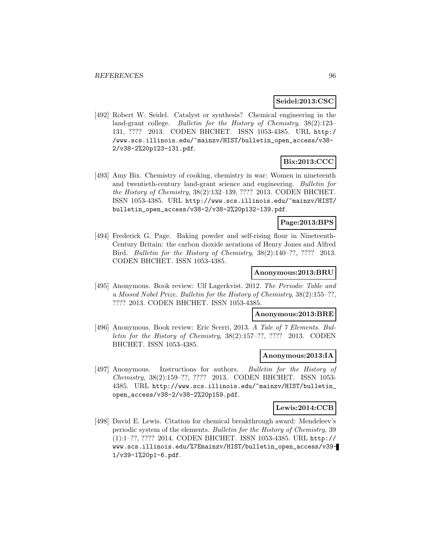## **Seidel:2013:CSC**

[492] Robert W. Seidel. Catalyst or synthesis? Chemical engineering in the land-grant college. Bulletin for the History of Chemistry, 38(2):123– 131, ???? 2013. CODEN BHCHET. ISSN 1053-4385. URL http:/ /www.scs.illinois.edu/~mainzv/HIST/bulletin\_open\_access/v38- 2/v38-2%20p123-131.pdf.

# **Bix:2013:CCC**

[493] Amy Bix. Chemistry of cooking, chemistry in war: Women in nineteenth and twentieth-century land-grant science and engineering. Bulletin for the History of Chemistry, 38(2):132–139, ???? 2013. CODEN BHCHET. ISSN 1053-4385. URL http://www.scs.illinois.edu/~mainzv/HIST/ bulletin\_open\_access/v38-2/v38-2%20p132-139.pdf.

## **Page:2013:BPS**

[494] Frederick G. Page. Baking powder and self-rising flour in Nineteenth-Century Britain: the carbon dioxide aerations of Henry Jones and Alfred Bird. Bulletin for the History of Chemistry, 38(2):140–??, ???? 2013. CODEN BHCHET. ISSN 1053-4385.

### **Anonymous:2013:BRU**

[495] Anonymous. Book review: Ulf Lagerkvist. 2012. The Periodic Table and a Missed Nobel Prize. Bulletin for the History of Chemistry, 38(2):155–??, ???? 2013. CODEN BHCHET. ISSN 1053-4385.

## **Anonymous:2013:BRE**

[496] Anonymous. Book review: Eric Scerri, 2013. A Tale of  $\gamma$  Elements. Bulletin for the History of Chemistry, 38(2):157–??, ???? 2013. CODEN BHCHET. ISSN 1053-4385.

### **Anonymous:2013:IA**

[497] Anonymous. Instructions for authors. Bulletin for the History of Chemistry, 38(2):159–??, ???? 2013. CODEN BHCHET. ISSN 1053- 4385. URL http://www.scs.illinois.edu/~mainzv/HIST/bulletin\_ open\_access/v38-2/v38-2%20p159.pdf.

### **Lewis:2014:CCB**

[498] David E. Lewis. Citation for chemical breakthrough award: Mendeleev's periodic system of the elements. Bulletin for the History of Chemistry, 39 (1):1–??, ???? 2014. CODEN BHCHET. ISSN 1053-4385. URL http:// www.scs.illinois.edu/%7Emainzv/HIST/bulletin\_open\_access/v39- 1/v39-1%20p1-6.pdf.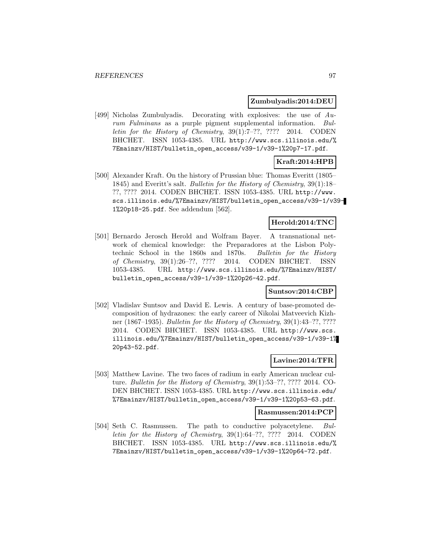**Zumbulyadis:2014:DEU**

[499] Nicholas Zumbulyadis. Decorating with explosives: the use of Aurum Fulminans as a purple pigment supplemental information. Bulletin for the History of Chemistry, 39(1):7–??, ???? 2014. CODEN BHCHET. ISSN 1053-4385. URL http://www.scs.illinois.edu/% 7Emainzv/HIST/bulletin\_open\_access/v39-1/v39-1%20p7-17.pdf.

# **Kraft:2014:HPB**

[500] Alexander Kraft. On the history of Prussian blue: Thomas Everitt (1805– 1845) and Everitt's salt. Bulletin for the History of Chemistry, 39(1):18– ??, ???? 2014. CODEN BHCHET. ISSN 1053-4385. URL http://www. scs.illinois.edu/%7Emainzv/HIST/bulletin\_open\_access/v39-1/v39- 1%20p18-25.pdf. See addendum [562].

## **Herold:2014:TNC**

[501] Bernardo Jerosch Herold and Wolfram Bayer. A transnational network of chemical knowledge: the Preparadores at the Lisbon Polytechnic School in the 1860s and 1870s. Bulletin for the History of Chemistry, 39(1):26–??, ???? 2014. CODEN BHCHET. ISSN 1053-4385. URL http://www.scs.illinois.edu/%7Emainzv/HIST/ bulletin\_open\_access/v39-1/v39-1%20p26-42.pdf.

### **Suntsov:2014:CBP**

[502] Vladislav Suntsov and David E. Lewis. A century of base-promoted decomposition of hydrazones: the early career of Nikolai Matveevich Kizhner (1867–1935). Bulletin for the History of Chemistry, 39(1):43–??, ???? 2014. CODEN BHCHET. ISSN 1053-4385. URL http://www.scs. illinois.edu/%7Emainzv/HIST/bulletin\_open\_access/v39-1/v39-1% 20p43-52.pdf.

### **Lavine:2014:TFR**

[503] Matthew Lavine. The two faces of radium in early American nuclear culture. Bulletin for the History of Chemistry, 39(1):53–??, ???? 2014. CO-DEN BHCHET. ISSN 1053-4385. URL http://www.scs.illinois.edu/ %7Emainzv/HIST/bulletin\_open\_access/v39-1/v39-1%20p53-63.pdf.

#### **Rasmussen:2014:PCP**

[504] Seth C. Rasmussen. The path to conductive polyacetylene. Bulletin for the History of Chemistry, 39(1):64–??, ???? 2014. CODEN BHCHET. ISSN 1053-4385. URL http://www.scs.illinois.edu/% 7Emainzv/HIST/bulletin\_open\_access/v39-1/v39-1%20p64-72.pdf.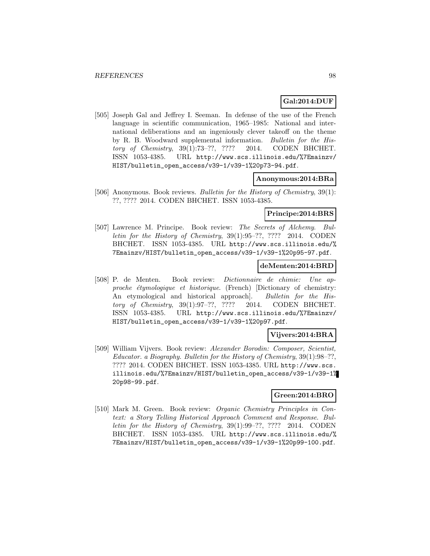## **Gal:2014:DUF**

[505] Joseph Gal and Jeffrey I. Seeman. In defense of the use of the French language in scientific communication, 1965–1985: National and international deliberations and an ingeniously clever takeoff on the theme by R. B. Woodward supplemental information. Bulletin for the History of Chemistry, 39(1):73–??, ???? 2014. CODEN BHCHET. ISSN 1053-4385. URL http://www.scs.illinois.edu/%7Emainzv/ HIST/bulletin\_open\_access/v39-1/v39-1%20p73-94.pdf.

### **Anonymous:2014:BRa**

[506] Anonymous. Book reviews. Bulletin for the History of Chemistry, 39(1): ??, ???? 2014. CODEN BHCHET. ISSN 1053-4385.

### **Principe:2014:BRS**

[507] Lawrence M. Principe. Book review: The Secrets of Alchemy. Bulletin for the History of Chemistry, 39(1):95–??, ???? 2014. CODEN BHCHET. ISSN 1053-4385. URL http://www.scs.illinois.edu/% 7Emainzv/HIST/bulletin\_open\_access/v39-1/v39-1%20p95-97.pdf.

## **deMenten:2014:BRD**

[508] P. de Menten. Book review: Dictionnaire de chimie: Une approche étymologique et historique. (French) [Dictionary of chemistry: An etymological and historical approach]. Bulletin for the History of Chemistry, 39(1):97–??, ???? 2014. CODEN BHCHET. ISSN 1053-4385. URL http://www.scs.illinois.edu/%7Emainzv/ HIST/bulletin\_open\_access/v39-1/v39-1%20p97.pdf.

## **Vijvers:2014:BRA**

[509] William Vijvers. Book review: Alexander Borodin: Composer, Scientist, Educator. a Biography. Bulletin for the History of Chemistry, 39(1):98–??, ???? 2014. CODEN BHCHET. ISSN 1053-4385. URL http://www.scs. illinois.edu/%7Emainzv/HIST/bulletin\_open\_access/v39-1/v39-1% 20p98-99.pdf.

# **Green:2014:BRO**

[510] Mark M. Green. Book review: Organic Chemistry Principles in Context: a Story Telling Historical Approach Comment and Response. Bulletin for the History of Chemistry, 39(1):99–??, ???? 2014. CODEN BHCHET. ISSN 1053-4385. URL http://www.scs.illinois.edu/% 7Emainzv/HIST/bulletin\_open\_access/v39-1/v39-1%20p99-100.pdf.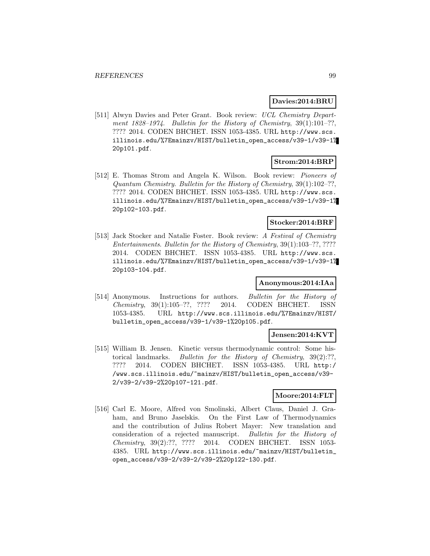### **Davies:2014:BRU**

[511] Alwyn Davies and Peter Grant. Book review: UCL Chemistry Department 1828–1974. Bulletin for the History of Chemistry, 39(1):101–??, ???? 2014. CODEN BHCHET. ISSN 1053-4385. URL http://www.scs. illinois.edu/%7Emainzv/HIST/bulletin\_open\_access/v39-1/v39-1% 20p101.pdf.

## **Strom:2014:BRP**

[512] E. Thomas Strom and Angela K. Wilson. Book review: Pioneers of Quantum Chemistry. Bulletin for the History of Chemistry, 39(1):102–??, ???? 2014. CODEN BHCHET. ISSN 1053-4385. URL http://www.scs. illinois.edu/%7Emainzv/HIST/bulletin\_open\_access/v39-1/v39-1% 20p102-103.pdf.

# **Stocker:2014:BRF**

[513] Jack Stocker and Natalie Foster. Book review: A Festival of Chemistry Entertainments. Bulletin for the History of Chemistry, 39(1):103–??, ???? 2014. CODEN BHCHET. ISSN 1053-4385. URL http://www.scs. illinois.edu/%7Emainzv/HIST/bulletin\_open\_access/v39-1/v39-1% 20p103-104.pdf.

### **Anonymous:2014:IAa**

[514] Anonymous. Instructions for authors. Bulletin for the History of Chemistry, 39(1):105–??, ???? 2014. CODEN BHCHET. ISSN 1053-4385. URL http://www.scs.illinois.edu/%7Emainzv/HIST/ bulletin\_open\_access/v39-1/v39-1%20p105.pdf.

### **Jensen:2014:KVT**

[515] William B. Jensen. Kinetic versus thermodynamic control: Some historical landmarks. Bulletin for the History of Chemistry, 39(2):??, ???? 2014. CODEN BHCHET. ISSN 1053-4385. URL http:/ /www.scs.illinois.edu/~mainzv/HIST/bulletin\_open\_access/v39- 2/v39-2/v39-2%20p107-121.pdf.

## **Moore:2014:FLT**

[516] Carl E. Moore, Alfred von Smolinski, Albert Claus, Daniel J. Graham, and Bruno Jaselskis. On the First Law of Thermodynamics and the contribution of Julius Robert Mayer: New translation and consideration of a rejected manuscript. Bulletin for the History of Chemistry, 39(2):??, ???? 2014. CODEN BHCHET. ISSN 1053- 4385. URL http://www.scs.illinois.edu/~mainzv/HIST/bulletin\_ open\_access/v39-2/v39-2/v39-2%20p122-130.pdf.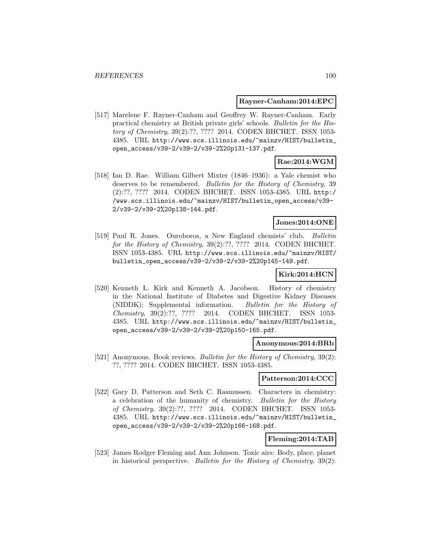### **Rayner-Canham:2014:EPC**

[517] Marelene F. Rayner-Canham and Geoffrey W. Rayner-Canham. Early practical chemistry at British private girls' schools. Bulletin for the History of Chemistry, 39(2):??, ???? 2014. CODEN BHCHET. ISSN 1053- 4385. URL http://www.scs.illinois.edu/~mainzv/HIST/bulletin\_ open\_access/v39-2/v39-2/v39-2%20p131-137.pdf.

## **Rae:2014:WGM**

[518] Ian D. Rae. William Gilbert Mixter (1846–1936): a Yale chemist who deserves to be remembered. Bulletin for the History of Chemistry, 39 (2):??, ???? 2014. CODEN BHCHET. ISSN 1053-4385. URL http:/ /www.scs.illinois.edu/~mainzv/HIST/bulletin\_open\_access/v39- 2/v39-2/v39-2%20p138-144.pdf.

### **Jones:2014:ONE**

[519] Paul R. Jones. Ouroboros, a New England chemists' club. Bulletin for the History of Chemistry, 39(2):??, ???? 2014. CODEN BHCHET. ISSN 1053-4385. URL http://www.scs.illinois.edu/~mainzv/HIST/ bulletin\_open\_access/v39-2/v39-2/v39-2%20p145-149.pdf.

### **Kirk:2014:HCN**

[520] Kenneth L. Kirk and Kenneth A. Jacobson. History of chemistry in the National Institute of Diabetes and Digestive Kidney Diseases (NIDDK): Supplemental information. Bulletin for the History of Chemistry, 39(2):??, ???? 2014. CODEN BHCHET. ISSN 1053- 4385. URL http://www.scs.illinois.edu/~mainzv/HIST/bulletin\_ open\_access/v39-2/v39-2/v39-2%20p150-165.pdf.

### **Anonymous:2014:BRb**

[521] Anonymous. Book reviews. Bulletin for the History of Chemistry, 39(2): ??, ???? 2014. CODEN BHCHET. ISSN 1053-4385.

### **Patterson:2014:CCC**

[522] Gary D. Patterson and Seth C. Rasmussen. Characters in chemistry: a celebration of the humanity of chemistry. Bulletin for the History of Chemistry, 39(2):??, ???? 2014. CODEN BHCHET. ISSN 1053- 4385. URL http://www.scs.illinois.edu/~mainzv/HIST/bulletin\_ open\_access/v39-2/v39-2/v39-2%20p166-168.pdf.

### **Fleming:2014:TAB**

[523] James Rodger Fleming and Ann Johnson. Toxic airs: Body, place, planet in historical perspective. Bulletin for the History of Chemistry,  $39(2)$ :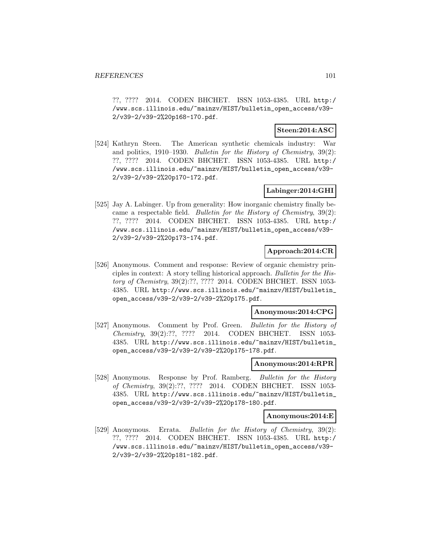??, ???? 2014. CODEN BHCHET. ISSN 1053-4385. URL http:/ /www.scs.illinois.edu/~mainzv/HIST/bulletin\_open\_access/v39- 2/v39-2/v39-2%20p168-170.pdf.

### **Steen:2014:ASC**

[524] Kathryn Steen. The American synthetic chemicals industry: War and politics, 1910–1930. Bulletin for the History of Chemistry, 39(2): ??, ???? 2014. CODEN BHCHET. ISSN 1053-4385. URL http:/ /www.scs.illinois.edu/~mainzv/HIST/bulletin\_open\_access/v39- 2/v39-2/v39-2%20p170-172.pdf.

## **Labinger:2014:GHI**

[525] Jay A. Labinger. Up from generality: How inorganic chemistry finally became a respectable field. Bulletin for the History of Chemistry, 39(2): ??, ???? 2014. CODEN BHCHET. ISSN 1053-4385. URL http:/ /www.scs.illinois.edu/~mainzv/HIST/bulletin\_open\_access/v39- 2/v39-2/v39-2%20p173-174.pdf.

### **Approach:2014:CR**

[526] Anonymous. Comment and response: Review of organic chemistry principles in context: A story telling historical approach. Bulletin for the History of Chemistry, 39(2):??, ???? 2014. CODEN BHCHET. ISSN 1053- 4385. URL http://www.scs.illinois.edu/~mainzv/HIST/bulletin\_ open\_access/v39-2/v39-2/v39-2%20p175.pdf.

### **Anonymous:2014:CPG**

[527] Anonymous. Comment by Prof. Green. Bulletin for the History of Chemistry, 39(2):??, ???? 2014. CODEN BHCHET. ISSN 1053- 4385. URL http://www.scs.illinois.edu/~mainzv/HIST/bulletin\_ open\_access/v39-2/v39-2/v39-2%20p175-178.pdf.

## **Anonymous:2014:RPR**

[528] Anonymous. Response by Prof. Ramberg. Bulletin for the History of Chemistry, 39(2):??, ???? 2014. CODEN BHCHET. ISSN 1053- 4385. URL http://www.scs.illinois.edu/~mainzv/HIST/bulletin\_ open\_access/v39-2/v39-2/v39-2%20p178-180.pdf.

### **Anonymous:2014:E**

[529] Anonymous. Errata. *Bulletin for the History of Chemistry*, 39(2): ??, ???? 2014. CODEN BHCHET. ISSN 1053-4385. URL http:/ /www.scs.illinois.edu/~mainzv/HIST/bulletin\_open\_access/v39- 2/v39-2/v39-2%20p181-182.pdf.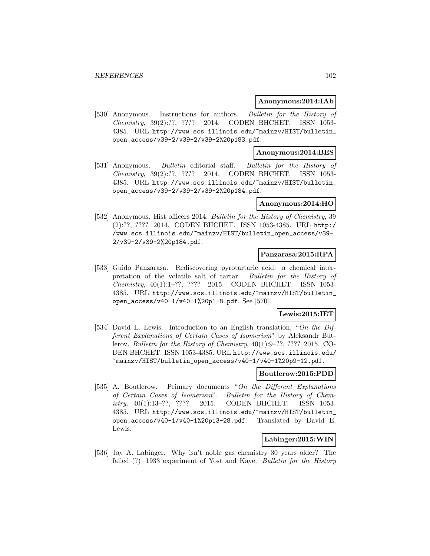### **Anonymous:2014:IAb**

[530] Anonymous. Instructions for authors. Bulletin for the History of Chemistry, 39(2):??, ???? 2014. CODEN BHCHET. ISSN 1053- 4385. URL http://www.scs.illinois.edu/~mainzv/HIST/bulletin\_ open\_access/v39-2/v39-2/v39-2%20p183.pdf.

### **Anonymous:2014:BES**

[531] Anonymous. Bulletin editorial staff. Bulletin for the History of Chemistry, 39(2):??, ???? 2014. CODEN BHCHET. ISSN 1053- 4385. URL http://www.scs.illinois.edu/~mainzv/HIST/bulletin\_ open\_access/v39-2/v39-2/v39-2%20p184.pdf.

### **Anonymous:2014:HO**

[532] Anonymous. Hist officers 2014. *Bulletin for the History of Chemistry*, 39 (2):??, ???? 2014. CODEN BHCHET. ISSN 1053-4385. URL http:/ /www.scs.illinois.edu/~mainzv/HIST/bulletin\_open\_access/v39- 2/v39-2/v39-2%20p184.pdf.

### **Panzarasa:2015:RPA**

[533] Guido Panzarasa. Rediscovering pyrotartaric acid: a chemical interpretation of the volatile salt of tartar. Bulletin for the History of Chemistry, 40(1):1–??, ???? 2015. CODEN BHCHET. ISSN 1053- 4385. URL http://www.scs.illinois.edu/~mainzv/HIST/bulletin\_ open\_access/v40-1/v40-1%20p1-8.pdf. See [570].

## **Lewis:2015:IET**

[534] David E. Lewis. Introduction to an English translation, "On the Different Explanations of Certain Cases of Isomerism" by Aleksandr Butlerov. Bulletin for the History of Chemistry, 40(1):9–??, ???? 2015. CO-DEN BHCHET. ISSN 1053-4385. URL http://www.scs.illinois.edu/ ~mainzv/HIST/bulletin\_open\_access/v40-1/v40-1%20p9-12.pdf.

## **Boutlerow:2015:PDD**

[535] A. Boutlerow. Primary documents "On the Different Explanations of Certain Cases of Isomerism". Bulletin for the History of Chemistry, 40(1):13–??, ???? 2015. CODEN BHCHET. ISSN 1053- 4385. URL http://www.scs.illinois.edu/~mainzv/HIST/bulletin\_ open\_access/v40-1/v40-1%20p13-28.pdf. Translated by David E. Lewis.

## **Labinger:2015:WIN**

[536] Jay A. Labinger. Why isn't noble gas chemistry 30 years older? The failed (?) 1933 experiment of Yost and Kaye. Bulletin for the History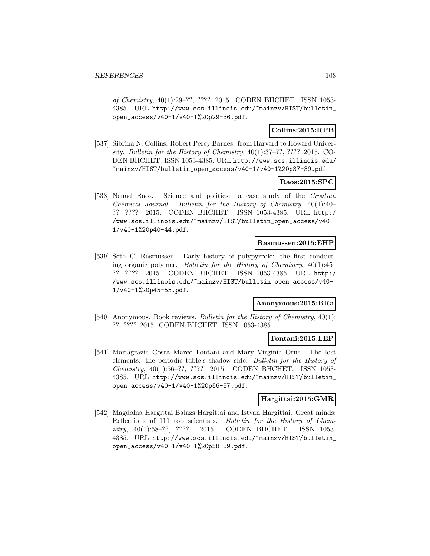of Chemistry, 40(1):29–??, ???? 2015. CODEN BHCHET. ISSN 1053- 4385. URL http://www.scs.illinois.edu/~mainzv/HIST/bulletin\_ open\_access/v40-1/v40-1%20p29-36.pdf.

## **Collins:2015:RPB**

[537] Sibrina N. Collins. Robert Percy Barnes: from Harvard to Howard University. Bulletin for the History of Chemistry, 40(1):37–??, ???? 2015. CO-DEN BHCHET. ISSN 1053-4385. URL http://www.scs.illinois.edu/ ~mainzv/HIST/bulletin\_open\_access/v40-1/v40-1%20p37-39.pdf.

## **Raos:2015:SPC**

[538] Nenad Raos. Science and politics: a case study of the Croatian Chemical Journal. Bulletin for the History of Chemistry, 40(1):40– ??, ???? 2015. CODEN BHCHET. ISSN 1053-4385. URL http:/ /www.scs.illinois.edu/~mainzv/HIST/bulletin\_open\_access/v40- 1/v40-1%20p40-44.pdf.

### **Rasmussen:2015:EHP**

[539] Seth C. Rasmussen. Early history of polypyrrole: the first conducting organic polymer. Bulletin for the History of Chemistry,  $40(1):45-$ ??, ???? 2015. CODEN BHCHET. ISSN 1053-4385. URL http:/ /www.scs.illinois.edu/~mainzv/HIST/bulletin\_open\_access/v40- 1/v40-1%20p45-55.pdf.

### **Anonymous:2015:BRa**

[540] Anonymous. Book reviews. Bulletin for the History of Chemistry, 40(1): ??, ???? 2015. CODEN BHCHET. ISSN 1053-4385.

### **Fontani:2015:LEP**

[541] Mariagrazia Costa Marco Fontani and Mary Virginia Orna. The lost elements: the periodic table's shadow side. Bulletin for the History of Chemistry, 40(1):56–??, ???? 2015. CODEN BHCHET. ISSN 1053- 4385. URL http://www.scs.illinois.edu/~mainzv/HIST/bulletin\_ open\_access/v40-1/v40-1%20p56-57.pdf.

### **Hargittai:2015:GMR**

[542] Magdolna Hargittai Balazs Hargittai and Istvan Hargittai. Great minds: Reflections of 111 top scientists. Bulletin for the History of Chemistry, 40(1):58–??, ???? 2015. CODEN BHCHET. ISSN 1053- 4385. URL http://www.scs.illinois.edu/~mainzv/HIST/bulletin\_ open\_access/v40-1/v40-1%20p58-59.pdf.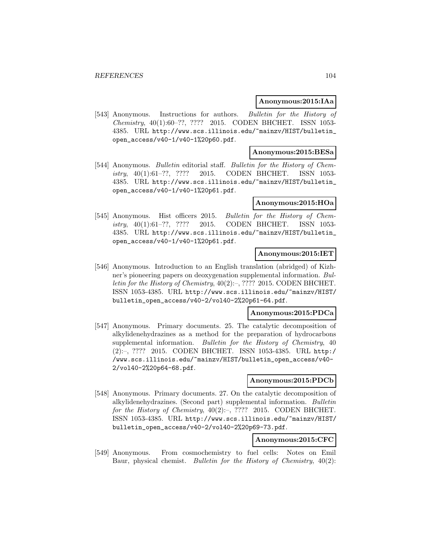### **Anonymous:2015:IAa**

[543] Anonymous. Instructions for authors. Bulletin for the History of Chemistry, 40(1):60–??, ???? 2015. CODEN BHCHET. ISSN 1053- 4385. URL http://www.scs.illinois.edu/~mainzv/HIST/bulletin\_ open\_access/v40-1/v40-1%20p60.pdf.

### **Anonymous:2015:BESa**

[544] Anonymous. Bulletin editorial staff. Bulletin for the History of Chemistry, 40(1):61–??, ???? 2015. CODEN BHCHET. ISSN 1053- 4385. URL http://www.scs.illinois.edu/~mainzv/HIST/bulletin\_ open\_access/v40-1/v40-1%20p61.pdf.

### **Anonymous:2015:HOa**

[545] Anonymous. Hist officers 2015. Bulletin for the History of Chemistry, 40(1):61–??, ???? 2015. CODEN BHCHET. ISSN 1053- 4385. URL http://www.scs.illinois.edu/~mainzv/HIST/bulletin\_ open\_access/v40-1/v40-1%20p61.pdf.

## **Anonymous:2015:IET**

[546] Anonymous. Introduction to an English translation (abridged) of Kizhner's pioneering papers on deoxygenation supplemental information. Bulletin for the History of Chemistry, 40(2):–, ???? 2015. CODEN BHCHET. ISSN 1053-4385. URL http://www.scs.illinois.edu/~mainzv/HIST/ bulletin\_open\_access/v40-2/vol40-2%20p61-64.pdf.

### **Anonymous:2015:PDCa**

[547] Anonymous. Primary documents. 25. The catalytic decomposition of alkylidenehydrazines as a method for the preparation of hydrocarbons supplemental information. Bulletin for the History of Chemistry, 40 (2):–, ???? 2015. CODEN BHCHET. ISSN 1053-4385. URL http:/ /www.scs.illinois.edu/~mainzv/HIST/bulletin\_open\_access/v40- 2/vol40-2%20p64-68.pdf.

### **Anonymous:2015:PDCb**

[548] Anonymous. Primary documents. 27. On the catalytic decomposition of alkylidenehydrazines. (Second part) supplemental information. Bulletin for the History of Chemistry,  $40(2)$ :-, ???? 2015. CODEN BHCHET. ISSN 1053-4385. URL http://www.scs.illinois.edu/~mainzv/HIST/ bulletin\_open\_access/v40-2/vol40-2%20p69-73.pdf.

## **Anonymous:2015:CFC**

[549] Anonymous. From cosmochemistry to fuel cells: Notes on Emil Baur, physical chemist. Bulletin for the History of Chemistry, 40(2):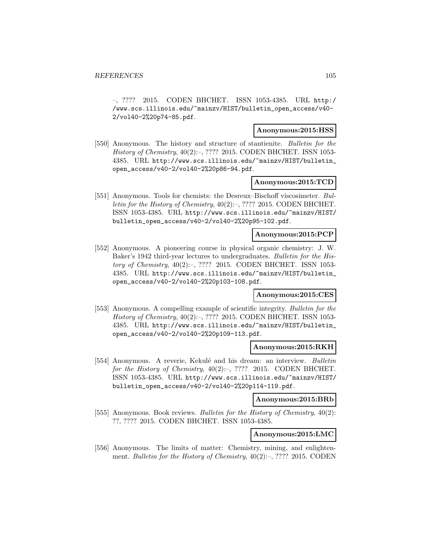–, ???? 2015. CODEN BHCHET. ISSN 1053-4385. URL http:/ /www.scs.illinois.edu/~mainzv/HIST/bulletin\_open\_access/v40- 2/vol40-2%20p74-85.pdf.

### **Anonymous:2015:HSS**

[550] Anonymous. The history and structure of stantienite. Bulletin for the History of Chemistry, 40(2):–, ???? 2015. CODEN BHCHET. ISSN 1053- 4385. URL http://www.scs.illinois.edu/~mainzv/HIST/bulletin\_ open\_access/v40-2/vol40-2%20p86-94.pdf.

### **Anonymous:2015:TCD**

[551] Anonymous. Tools for chemists: the Desreux–Bischoff viscosimeter. Bulletin for the History of Chemistry,  $40(2)$ :-, ???? 2015. CODEN BHCHET. ISSN 1053-4385. URL http://www.scs.illinois.edu/~mainzv/HIST/ bulletin\_open\_access/v40-2/vol40-2%20p95-102.pdf.

### **Anonymous:2015:PCP**

[552] Anonymous. A pioneering course in physical organic chemistry: J. W. Baker's 1942 third-year lectures to undergraduates. Bulletin for the History of Chemistry, 40(2):–, ???? 2015. CODEN BHCHET. ISSN 1053- 4385. URL http://www.scs.illinois.edu/~mainzv/HIST/bulletin\_ open\_access/v40-2/vol40-2%20p103-108.pdf.

### **Anonymous:2015:CES**

[553] Anonymous. A compelling example of scientific integrity. Bulletin for the History of Chemistry, 40(2):–, ???? 2015. CODEN BHCHET. ISSN 1053- 4385. URL http://www.scs.illinois.edu/~mainzv/HIST/bulletin\_ open\_access/v40-2/vol40-2%20p109-113.pdf.

#### **Anonymous:2015:RKH**

[554] Anonymous. A reverie, Kekulé and his dream: an interview. Bulletin for the History of Chemistry,  $40(2)$ :-, ???? 2015. CODEN BHCHET. ISSN 1053-4385. URL http://www.scs.illinois.edu/~mainzv/HIST/ bulletin\_open\_access/v40-2/vol40-2%20p114-119.pdf.

#### **Anonymous:2015:BRb**

[555] Anonymous. Book reviews. Bulletin for the History of Chemistry, 40(2): ??, ???? 2015. CODEN BHCHET. ISSN 1053-4385.

#### **Anonymous:2015:LMC**

[556] Anonymous. The limits of matter: Chemistry, mining, and enlightenment. Bulletin for the History of Chemistry, 40(2):–, ???? 2015. CODEN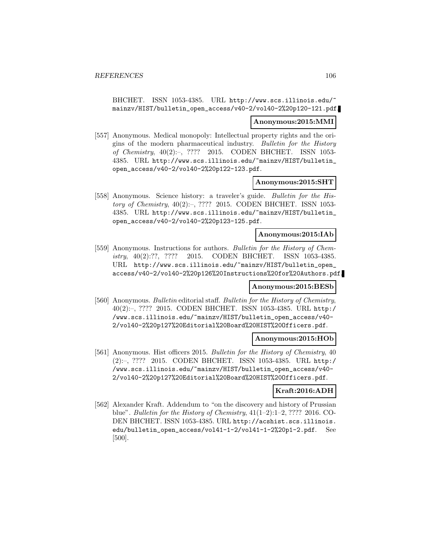BHCHET. ISSN 1053-4385. URL http://www.scs.illinois.edu/~ mainzv/HIST/bulletin\_open\_access/v40-2/vol40-2%20p120-121.pdf.

#### **Anonymous:2015:MMI**

[557] Anonymous. Medical monopoly: Intellectual property rights and the origins of the modern pharmaceutical industry. Bulletin for the History of Chemistry, 40(2):–, ???? 2015. CODEN BHCHET. ISSN 1053- 4385. URL http://www.scs.illinois.edu/~mainzv/HIST/bulletin\_ open\_access/v40-2/vol40-2%20p122-123.pdf.

### **Anonymous:2015:SHT**

[558] Anonymous. Science history: a traveler's guide. Bulletin for the History of Chemistry, 40(2):–, ???? 2015. CODEN BHCHET. ISSN 1053- 4385. URL http://www.scs.illinois.edu/~mainzv/HIST/bulletin\_ open\_access/v40-2/vol40-2%20p123-125.pdf.

### **Anonymous:2015:IAb**

[559] Anonymous. Instructions for authors. Bulletin for the History of Chemistry, 40(2):??, ???? 2015. CODEN BHCHET. ISSN 1053-4385. URL http://www.scs.illinois.edu/~mainzv/HIST/bulletin\_open\_ access/v40-2/vol40-2%20p126%20Instructions%20for%20Authors.pdf.

#### **Anonymous:2015:BESb**

[560] Anonymous. Bulletin editorial staff. Bulletin for the History of Chemistry, 40(2):–, ???? 2015. CODEN BHCHET. ISSN 1053-4385. URL http:/ /www.scs.illinois.edu/~mainzv/HIST/bulletin\_open\_access/v40- 2/vol40-2%20p127%20Editorial%20Board%20HIST%20Officers.pdf.

### **Anonymous:2015:HOb**

[561] Anonymous. Hist officers 2015. Bulletin for the History of Chemistry, 40 (2):–, ???? 2015. CODEN BHCHET. ISSN 1053-4385. URL http:/ /www.scs.illinois.edu/~mainzv/HIST/bulletin\_open\_access/v40- 2/vol40-2%20p127%20Editorial%20Board%20HIST%20Officers.pdf.

### **Kraft:2016:ADH**

[562] Alexander Kraft. Addendum to "on the discovery and history of Prussian blue". *Bulletin for the History of Chemistry*,  $41(1-2):1-2$ , ???? 2016. CO-DEN BHCHET. ISSN 1053-4385. URL http://acshist.scs.illinois. edu/bulletin\_open\_access/vol41-1-2/vol41-1-2%20p1-2.pdf. See [500].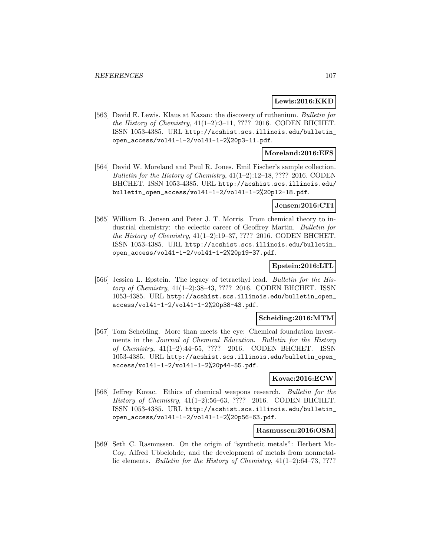### **Lewis:2016:KKD**

[563] David E. Lewis. Klaus at Kazan: the discovery of ruthenium. Bulletin for the History of Chemistry,  $41(1-2):3-11$ , ???? 2016. CODEN BHCHET. ISSN 1053-4385. URL http://acshist.scs.illinois.edu/bulletin\_ open\_access/vol41-1-2/vol41-1-2%20p3-11.pdf.

## **Moreland:2016:EFS**

[564] David W. Moreland and Paul R. Jones. Emil Fischer's sample collection. Bulletin for the History of Chemistry,  $41(1-2):12-18$ , ???? 2016. CODEN BHCHET. ISSN 1053-4385. URL http://acshist.scs.illinois.edu/ bulletin\_open\_access/vol41-1-2/vol41-1-2%20p12-18.pdf.

### **Jensen:2016:CTI**

[565] William B. Jensen and Peter J. T. Morris. From chemical theory to industrial chemistry: the eclectic career of Geoffrey Martin. Bulletin for the History of Chemistry, 41(1–2):19–37, ???? 2016. CODEN BHCHET. ISSN 1053-4385. URL http://acshist.scs.illinois.edu/bulletin\_ open\_access/vol41-1-2/vol41-1-2%20p19-37.pdf.

### **Epstein:2016:LTL**

[566] Jessica L. Epstein. The legacy of tetraethyl lead. Bulletin for the History of Chemistry, 41(1–2):38–43, ???? 2016. CODEN BHCHET. ISSN 1053-4385. URL http://acshist.scs.illinois.edu/bulletin\_open\_ access/vol41-1-2/vol41-1-2%20p38-43.pdf.

#### **Scheiding:2016:MTM**

[567] Tom Scheiding. More than meets the eye: Chemical foundation investments in the Journal of Chemical Education. Bulletin for the History of Chemistry, 41(1–2):44–55, ???? 2016. CODEN BHCHET. ISSN 1053-4385. URL http://acshist.scs.illinois.edu/bulletin\_open\_ access/vol41-1-2/vol41-1-2%20p44-55.pdf.

### **Kovac:2016:ECW**

[568] Jeffrey Kovac. Ethics of chemical weapons research. Bulletin for the History of Chemistry, 41(1–2):56–63, ???? 2016. CODEN BHCHET. ISSN 1053-4385. URL http://acshist.scs.illinois.edu/bulletin\_ open\_access/vol41-1-2/vol41-1-2%20p56-63.pdf.

#### **Rasmussen:2016:OSM**

[569] Seth C. Rasmussen. On the origin of "synthetic metals": Herbert Mc-Coy, Alfred Ubbelohde, and the development of metals from nonmetallic elements. Bulletin for the History of Chemistry,  $41(1-2):64-73, ????$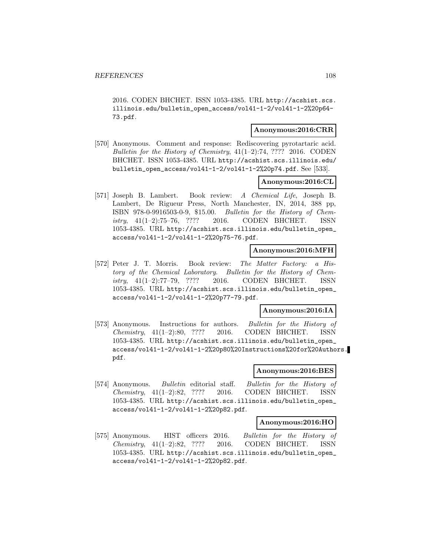2016. CODEN BHCHET. ISSN 1053-4385. URL http://acshist.scs. illinois.edu/bulletin\_open\_access/vol41-1-2/vol41-1-2%20p64- 73.pdf.

## **Anonymous:2016:CRR**

[570] Anonymous. Comment and response: Rediscovering pyrotartaric acid. Bulletin for the History of Chemistry,  $41(1-2)$ :74, ???? 2016. CODEN BHCHET. ISSN 1053-4385. URL http://acshist.scs.illinois.edu/ bulletin\_open\_access/vol41-1-2/vol41-1-2%20p74.pdf. See [533].

## **Anonymous:2016:CL**

[571] Joseph B. Lambert. Book review: A Chemical Life, Joseph B. Lambert, De Rigueur Press, North Manchester, IN, 2014, 388 pp, ISBN 978-0-9916503-0-9, \$15.00. Bulletin for the History of Chemistry, 41(1–2):75–76, ???? 2016. CODEN BHCHET. ISSN 1053-4385. URL http://acshist.scs.illinois.edu/bulletin\_open\_ access/vol41-1-2/vol41-1-2%20p75-76.pdf.

### **Anonymous:2016:MFH**

[572] Peter J. T. Morris. Book review: The Matter Factory: a History of the Chemical Laboratory. Bulletin for the History of Chemistry, 41(1–2):77–79, ???? 2016. CODEN BHCHET. ISSN 1053-4385. URL http://acshist.scs.illinois.edu/bulletin\_open\_ access/vol41-1-2/vol41-1-2%20p77-79.pdf.

#### **Anonymous:2016:IA**

[573] Anonymous. Instructions for authors. Bulletin for the History of Chemistry, 41(1–2):80, ???? 2016. CODEN BHCHET. ISSN 1053-4385. URL http://acshist.scs.illinois.edu/bulletin\_open\_ access/vol41-1-2/vol41-1-2%20p80%20Instructions%20for%20Authors. pdf.

### **Anonymous:2016:BES**

[574] Anonymous. Bulletin editorial staff. Bulletin for the History of Chemistry, 41(1–2):82, ???? 2016. CODEN BHCHET. ISSN 1053-4385. URL http://acshist.scs.illinois.edu/bulletin\_open\_ access/vol41-1-2/vol41-1-2%20p82.pdf.

#### **Anonymous:2016:HO**

[575] Anonymous. HIST officers 2016. Bulletin for the History of Chemistry, 41(1–2):82, ???? 2016. CODEN BHCHET. ISSN 1053-4385. URL http://acshist.scs.illinois.edu/bulletin\_open\_ access/vol41-1-2/vol41-1-2%20p82.pdf.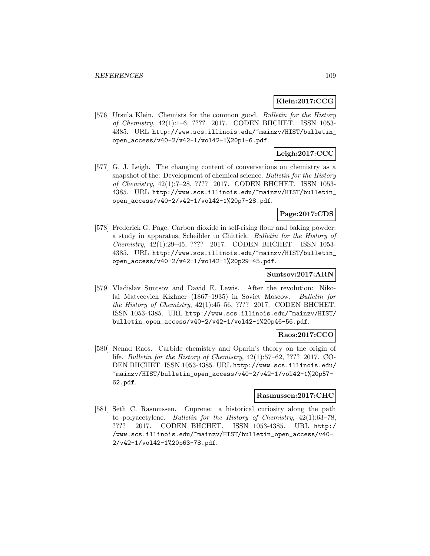# **Klein:2017:CCG**

[576] Ursula Klein. Chemists for the common good. Bulletin for the History of Chemistry, 42(1):1–6, ???? 2017. CODEN BHCHET. ISSN 1053- 4385. URL http://www.scs.illinois.edu/~mainzv/HIST/bulletin\_ open\_access/v40-2/v42-1/vol42-1%20p1-6.pdf.

# **Leigh:2017:CCC**

[577] G. J. Leigh. The changing content of conversations on chemistry as a snapshot of the: Development of chemical science. Bulletin for the History of Chemistry, 42(1):7–28, ???? 2017. CODEN BHCHET. ISSN 1053- 4385. URL http://www.scs.illinois.edu/~mainzv/HIST/bulletin\_ open\_access/v40-2/v42-1/vol42-1%20p7-28.pdf.

# **Page:2017:CDS**

[578] Frederick G. Page. Carbon dioxide in self-rising flour and baking powder: a study in apparatus, Scheibler to Chittick. Bulletin for the History of Chemistry, 42(1):29–45, ???? 2017. CODEN BHCHET. ISSN 1053- 4385. URL http://www.scs.illinois.edu/~mainzv/HIST/bulletin\_ open\_access/v40-2/v42-1/vol42-1%20p29-45.pdf.

### **Suntsov:2017:ARN**

[579] Vladislav Suntsov and David E. Lewis. After the revolution: Nikolai Matveevich Kizhner (1867–1935) in Soviet Moscow. Bulletin for the History of Chemistry, 42(1):45–56, ???? 2017. CODEN BHCHET. ISSN 1053-4385. URL http://www.scs.illinois.edu/~mainzv/HIST/ bulletin\_open\_access/v40-2/v42-1/vol42-1%20p46-56.pdf.

### **Raos:2017:CCO**

[580] Nenad Raos. Carbide chemistry and Oparin's theory on the origin of life. Bulletin for the History of Chemistry, 42(1):57–62, ???? 2017. CO-DEN BHCHET. ISSN 1053-4385. URL http://www.scs.illinois.edu/ ~mainzv/HIST/bulletin\_open\_access/v40-2/v42-1/vol42-1%20p57- 62.pdf.

### **Rasmussen:2017:CHC**

[581] Seth C. Rasmussen. Cuprene: a historical curiosity along the path to polyacetylene. Bulletin for the History of Chemistry, 42(1):63–78, ???? 2017. CODEN BHCHET. ISSN 1053-4385. URL http:/ /www.scs.illinois.edu/~mainzv/HIST/bulletin\_open\_access/v40- 2/v42-1/vol42-1%20p63-78.pdf.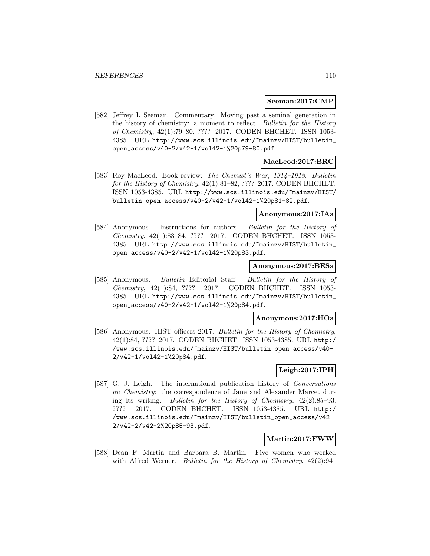### **Seeman:2017:CMP**

[582] Jeffrey I. Seeman. Commentary: Moving past a seminal generation in the history of chemistry: a moment to reflect. Bulletin for the History of Chemistry, 42(1):79–80, ???? 2017. CODEN BHCHET. ISSN 1053- 4385. URL http://www.scs.illinois.edu/~mainzv/HIST/bulletin\_ open\_access/v40-2/v42-1/vol42-1%20p79-80.pdf.

# **MacLeod:2017:BRC**

[583] Roy MacLeod. Book review: The Chemist's War, 1914–1918. Bulletin for the History of Chemistry, 42(1):81–82, ???? 2017. CODEN BHCHET. ISSN 1053-4385. URL http://www.scs.illinois.edu/~mainzv/HIST/ bulletin\_open\_access/v40-2/v42-1/vol42-1%20p81-82.pdf.

### **Anonymous:2017:IAa**

[584] Anonymous. Instructions for authors. Bulletin for the History of Chemistry, 42(1):83–84, ???? 2017. CODEN BHCHET. ISSN 1053- 4385. URL http://www.scs.illinois.edu/~mainzv/HIST/bulletin\_ open\_access/v40-2/v42-1/vol42-1%20p83.pdf.

#### **Anonymous:2017:BESa**

[585] Anonymous. Bulletin Editorial Staff. Bulletin for the History of Chemistry, 42(1):84, ???? 2017. CODEN BHCHET. ISSN 1053- 4385. URL http://www.scs.illinois.edu/~mainzv/HIST/bulletin\_ open\_access/v40-2/v42-1/vol42-1%20p84.pdf.

#### **Anonymous:2017:HOa**

[586] Anonymous. HIST officers 2017. Bulletin for the History of Chemistry, 42(1):84, ???? 2017. CODEN BHCHET. ISSN 1053-4385. URL http:/ /www.scs.illinois.edu/~mainzv/HIST/bulletin\_open\_access/v40- 2/v42-1/vol42-1%20p84.pdf.

# **Leigh:2017:IPH**

[587] G. J. Leigh. The international publication history of Conversations on Chemistry: the correspondence of Jane and Alexander Marcet during its writing. Bulletin for the History of Chemistry, 42(2):85–93, ???? 2017. CODEN BHCHET. ISSN 1053-4385. URL http:/ /www.scs.illinois.edu/~mainzv/HIST/bulletin\_open\_access/v42- 2/v42-2/v42-2%20p85-93.pdf.

### **Martin:2017:FWW**

[588] Dean F. Martin and Barbara B. Martin. Five women who worked with Alfred Werner. Bulletin for the History of Chemistry,  $42(2):94-$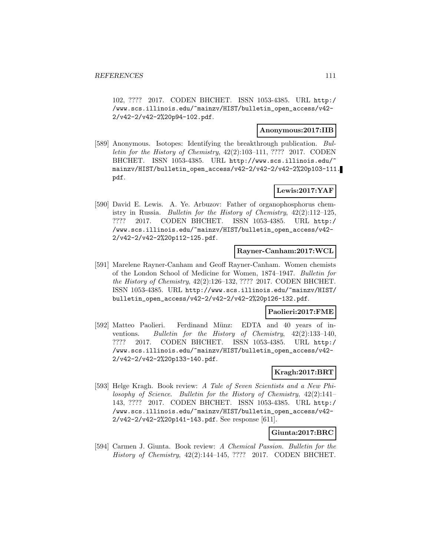102, ???? 2017. CODEN BHCHET. ISSN 1053-4385. URL http:/ /www.scs.illinois.edu/~mainzv/HIST/bulletin\_open\_access/v42- 2/v42-2/v42-2%20p94-102.pdf.

### **Anonymous:2017:IIB**

[589] Anonymous. Isotopes: Identifying the breakthrough publication. Bulletin for the History of Chemistry, 42(2):103–111, ???? 2017. CODEN BHCHET. ISSN 1053-4385. URL http://www.scs.illinois.edu/~ mainzv/HIST/bulletin\_open\_access/v42-2/v42-2/v42-2%20p103-111. pdf.

# **Lewis:2017:YAF**

[590] David E. Lewis. A. Ye. Arbuzov: Father of organophosphorus chemistry in Russia. Bulletin for the History of Chemistry,  $42(2):112-125$ , ???? 2017. CODEN BHCHET. ISSN 1053-4385. URL http:/ /www.scs.illinois.edu/~mainzv/HIST/bulletin\_open\_access/v42- 2/v42-2/v42-2%20p112-125.pdf.

### **Rayner-Canham:2017:WCL**

[591] Marelene Rayner-Canham and Geoff Rayner-Canham. Women chemists of the London School of Medicine for Women, 1874–1947. Bulletin for the History of Chemistry, 42(2):126–132, ???? 2017. CODEN BHCHET. ISSN 1053-4385. URL http://www.scs.illinois.edu/~mainzv/HIST/ bulletin\_open\_access/v42-2/v42-2/v42-2%20p126-132.pdf.

# **Paolieri:2017:FME**

[592] Matteo Paolieri. Ferdinand Münz: EDTA and 40 years of inventions. Bulletin for the History of Chemistry, 42(2):133–140, ???? 2017. CODEN BHCHET. ISSN 1053-4385. URL http:/ /www.scs.illinois.edu/~mainzv/HIST/bulletin\_open\_access/v42- 2/v42-2/v42-2%20p133-140.pdf.

# **Kragh:2017:BRT**

[593] Helge Kragh. Book review: A Tale of Seven Scientists and a New Philosophy of Science. Bulletin for the History of Chemistry, 42(2):141– 143, ???? 2017. CODEN BHCHET. ISSN 1053-4385. URL http:/ /www.scs.illinois.edu/~mainzv/HIST/bulletin\_open\_access/v42- 2/v42-2/v42-2%20p141-143.pdf. See response [611].

### **Giunta:2017:BRC**

[594] Carmen J. Giunta. Book review: A Chemical Passion. Bulletin for the History of Chemistry, 42(2):144–145, ???? 2017. CODEN BHCHET.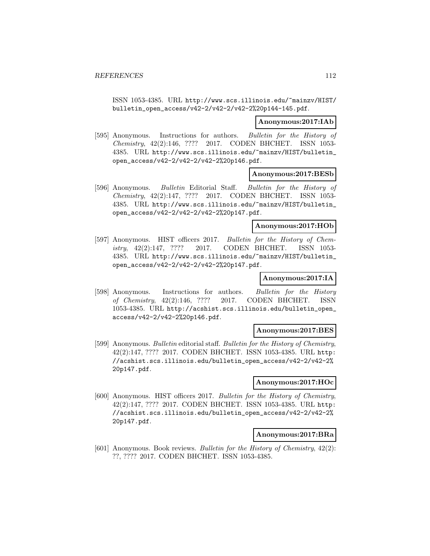ISSN 1053-4385. URL http://www.scs.illinois.edu/~mainzv/HIST/ bulletin\_open\_access/v42-2/v42-2/v42-2%20p144-145.pdf.

#### **Anonymous:2017:IAb**

[595] Anonymous. Instructions for authors. Bulletin for the History of Chemistry, 42(2):146, ???? 2017. CODEN BHCHET. ISSN 1053- 4385. URL http://www.scs.illinois.edu/~mainzv/HIST/bulletin\_ open\_access/v42-2/v42-2/v42-2%20p146.pdf.

#### **Anonymous:2017:BESb**

[596] Anonymous. Bulletin Editorial Staff. Bulletin for the History of Chemistry, 42(2):147, ???? 2017. CODEN BHCHET. ISSN 1053- 4385. URL http://www.scs.illinois.edu/~mainzv/HIST/bulletin\_ open\_access/v42-2/v42-2/v42-2%20p147.pdf.

# **Anonymous:2017:HOb**

[597] Anonymous. HIST officers 2017. Bulletin for the History of Chemistry, 42(2):147, ???? 2017. CODEN BHCHET. ISSN 1053- 4385. URL http://www.scs.illinois.edu/~mainzv/HIST/bulletin\_ open\_access/v42-2/v42-2/v42-2%20p147.pdf.

# **Anonymous:2017:IA**

[598] Anonymous. Instructions for authors. Bulletin for the History of Chemistry, 42(2):146, ???? 2017. CODEN BHCHET. ISSN 1053-4385. URL http://acshist.scs.illinois.edu/bulletin\_open\_ access/v42-2/v42-2%20p146.pdf.

#### **Anonymous:2017:BES**

[599] Anonymous. Bulletin editorial staff. Bulletin for the History of Chemistry, 42(2):147, ???? 2017. CODEN BHCHET. ISSN 1053-4385. URL http: //acshist.scs.illinois.edu/bulletin\_open\_access/v42-2/v42-2% 20p147.pdf.

### **Anonymous:2017:HOc**

[600] Anonymous. HIST officers 2017. Bulletin for the History of Chemistry, 42(2):147, ???? 2017. CODEN BHCHET. ISSN 1053-4385. URL http: //acshist.scs.illinois.edu/bulletin\_open\_access/v42-2/v42-2% 20p147.pdf.

#### **Anonymous:2017:BRa**

[601] Anonymous. Book reviews. Bulletin for the History of Chemistry, 42(2): ??, ???? 2017. CODEN BHCHET. ISSN 1053-4385.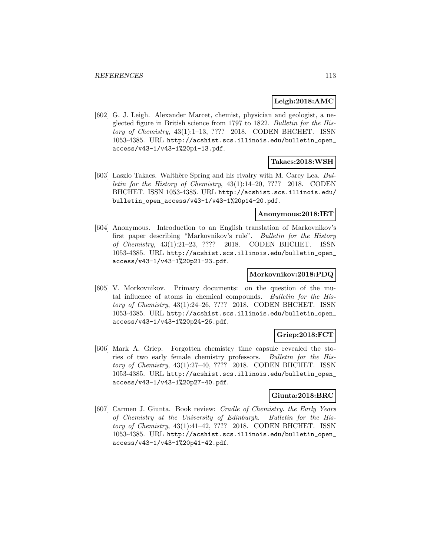# **Leigh:2018:AMC**

[602] G. J. Leigh. Alexander Marcet, chemist, physician and geologist, a neglected figure in British science from 1797 to 1822. Bulletin for the History of Chemistry, 43(1):1–13, ???? 2018. CODEN BHCHET. ISSN 1053-4385. URL http://acshist.scs.illinois.edu/bulletin\_open\_ access/v43-1/v43-1%20p1-13.pdf.

# **Takacs:2018:WSH**

[603] Laszlo Takacs. Walth`ere Spring and his rivalry with M. Carey Lea. Bulletin for the History of Chemistry, 43(1):14–20, ???? 2018. CODEN BHCHET. ISSN 1053-4385. URL http://acshist.scs.illinois.edu/ bulletin\_open\_access/v43-1/v43-1%20p14-20.pdf.

#### **Anonymous:2018:IET**

[604] Anonymous. Introduction to an English translation of Markovnikov's first paper describing "Markovnikov's rule". Bulletin for the History of Chemistry, 43(1):21–23, ???? 2018. CODEN BHCHET. ISSN 1053-4385. URL http://acshist.scs.illinois.edu/bulletin\_open\_ access/v43-1/v43-1%20p21-23.pdf.

### **Morkovnikov:2018:PDQ**

[605] V. Morkovnikov. Primary documents: on the question of the mutal influence of atoms in chemical compounds. Bulletin for the History of Chemistry, 43(1):24–26, ???? 2018. CODEN BHCHET. ISSN 1053-4385. URL http://acshist.scs.illinois.edu/bulletin\_open\_ access/v43-1/v43-1%20p24-26.pdf.

# **Griep:2018:FCT**

[606] Mark A. Griep. Forgotten chemistry time capsule revealed the stories of two early female chemistry professors. Bulletin for the History of Chemistry, 43(1):27–40, ???? 2018. CODEN BHCHET. ISSN 1053-4385. URL http://acshist.scs.illinois.edu/bulletin\_open\_ access/v43-1/v43-1%20p27-40.pdf.

### **Giunta:2018:BRC**

[607] Carmen J. Giunta. Book review: Cradle of Chemistry. the Early Years of Chemistry at the University of Edinburgh. Bulletin for the History of Chemistry, 43(1):41–42, ???? 2018. CODEN BHCHET. ISSN 1053-4385. URL http://acshist.scs.illinois.edu/bulletin\_open\_ access/v43-1/v43-1%20p41-42.pdf.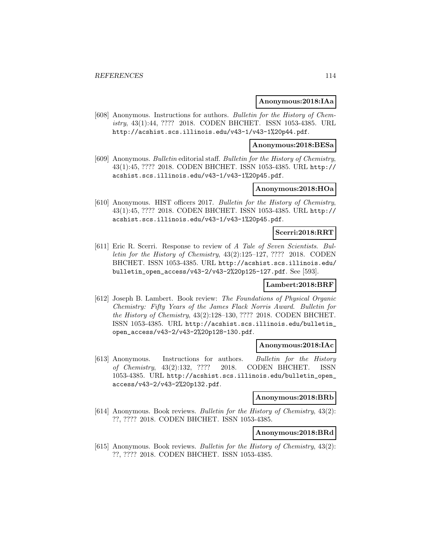#### **Anonymous:2018:IAa**

[608] Anonymous. Instructions for authors. Bulletin for the History of Chemistry, 43(1):44, ???? 2018. CODEN BHCHET. ISSN 1053-4385. URL http://acshist.scs.illinois.edu/v43-1/v43-1%20p44.pdf.

#### **Anonymous:2018:BESa**

[609] Anonymous. Bulletin editorial staff. Bulletin for the History of Chemistry, 43(1):45, ???? 2018. CODEN BHCHET. ISSN 1053-4385. URL http:// acshist.scs.illinois.edu/v43-1/v43-1%20p45.pdf.

### **Anonymous:2018:HOa**

[610] Anonymous. HIST officers 2017. Bulletin for the History of Chemistry, 43(1):45, ???? 2018. CODEN BHCHET. ISSN 1053-4385. URL http:// acshist.scs.illinois.edu/v43-1/v43-1%20p45.pdf.

# **Scerri:2018:RRT**

[611] Eric R. Scerri. Response to review of A Tale of Seven Scientists. Bulletin for the History of Chemistry, 43(2):125–127, ???? 2018. CODEN BHCHET. ISSN 1053-4385. URL http://acshist.scs.illinois.edu/ bulletin\_open\_access/v43-2/v43-2%20p125-127.pdf. See [593].

### **Lambert:2018:BRF**

[612] Joseph B. Lambert. Book review: The Foundations of Physical Organic Chemistry: Fifty Years of the James Flack Norris Award. Bulletin for the History of Chemistry, 43(2):128–130, ???? 2018. CODEN BHCHET. ISSN 1053-4385. URL http://acshist.scs.illinois.edu/bulletin\_ open\_access/v43-2/v43-2%20p128-130.pdf.

#### **Anonymous:2018:IAc**

[613] Anonymous. Instructions for authors. Bulletin for the History of Chemistry, 43(2):132, ???? 2018. CODEN BHCHET. ISSN 1053-4385. URL http://acshist.scs.illinois.edu/bulletin\_open\_ access/v43-2/v43-2%20p132.pdf.

# **Anonymous:2018:BRb**

[614] Anonymous. Book reviews. Bulletin for the History of Chemistry, 43(2): ??, ???? 2018. CODEN BHCHET. ISSN 1053-4385.

### **Anonymous:2018:BRd**

[615] Anonymous. Book reviews. Bulletin for the History of Chemistry, 43(2): ??, ???? 2018. CODEN BHCHET. ISSN 1053-4385.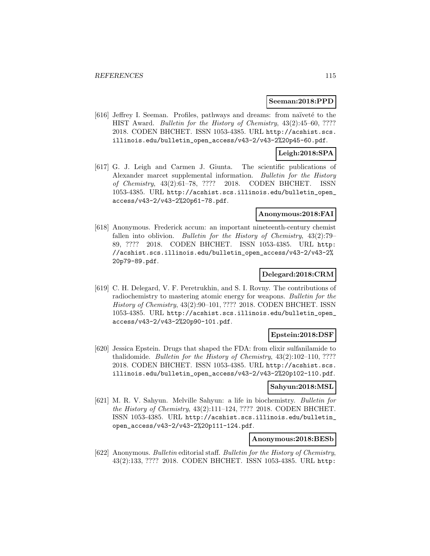#### **Seeman:2018:PPD**

[616] Jeffrey I. Seeman. Profiles, pathways and dreams: from naïveté to the HIST Award. *Bulletin for the History of Chemistry*, 43(2):45–60, ???? 2018. CODEN BHCHET. ISSN 1053-4385. URL http://acshist.scs. illinois.edu/bulletin\_open\_access/v43-2/v43-2%20p45-60.pdf.

# **Leigh:2018:SPA**

[617] G. J. Leigh and Carmen J. Giunta. The scientific publications of Alexander marcet supplemental information. Bulletin for the History of Chemistry, 43(2):61–78, ???? 2018. CODEN BHCHET. ISSN 1053-4385. URL http://acshist.scs.illinois.edu/bulletin\_open\_ access/v43-2/v43-2%20p61-78.pdf.

### **Anonymous:2018:FAI**

[618] Anonymous. Frederick accum: an important nineteenth-century chemist fallen into oblivion. Bulletin for the History of Chemistry, 43(2):79– 89, ???? 2018. CODEN BHCHET. ISSN 1053-4385. URL http: //acshist.scs.illinois.edu/bulletin\_open\_access/v43-2/v43-2% 20p79-89.pdf.

### **Delegard:2018:CRM**

[619] C. H. Delegard, V. F. Peretrukhin, and S. I. Rovny. The contributions of radiochemistry to mastering atomic energy for weapons. Bulletin for the History of Chemistry, 43(2):90–101, ???? 2018. CODEN BHCHET. ISSN 1053-4385. URL http://acshist.scs.illinois.edu/bulletin\_open\_ access/v43-2/v43-2%20p90-101.pdf.

# **Epstein:2018:DSF**

[620] Jessica Epstein. Drugs that shaped the FDA: from elixir sulfanilamide to thalidomide. Bulletin for the History of Chemistry, 43(2):102–110, ???? 2018. CODEN BHCHET. ISSN 1053-4385. URL http://acshist.scs. illinois.edu/bulletin\_open\_access/v43-2/v43-2%20p102-110.pdf.

#### **Sahyun:2018:MSL**

[621] M. R. V. Sahyun. Melville Sahyun: a life in biochemistry. Bulletin for the History of Chemistry, 43(2):111–124, ???? 2018. CODEN BHCHET. ISSN 1053-4385. URL http://acshist.scs.illinois.edu/bulletin\_ open\_access/v43-2/v43-2%20p111-124.pdf.

# **Anonymous:2018:BESb**

[622] Anonymous. Bulletin editorial staff. Bulletin for the History of Chemistry, 43(2):133, ???? 2018. CODEN BHCHET. ISSN 1053-4385. URL http: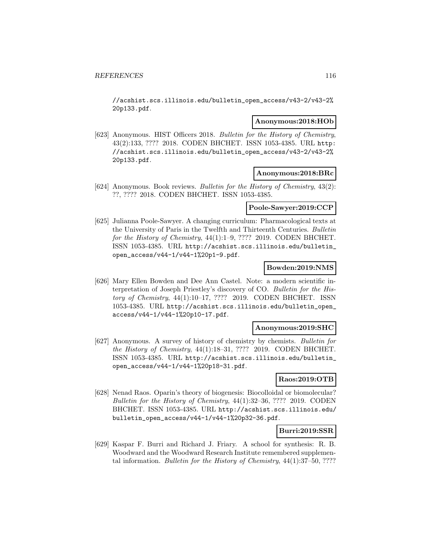//acshist.scs.illinois.edu/bulletin\_open\_access/v43-2/v43-2% 20p133.pdf.

#### **Anonymous:2018:HOb**

[623] Anonymous. HIST Officers 2018. Bulletin for the History of Chemistry, 43(2):133, ???? 2018. CODEN BHCHET. ISSN 1053-4385. URL http: //acshist.scs.illinois.edu/bulletin\_open\_access/v43-2/v43-2% 20p133.pdf.

### **Anonymous:2018:BRc**

[624] Anonymous. Book reviews. Bulletin for the History of Chemistry, 43(2): ??, ???? 2018. CODEN BHCHET. ISSN 1053-4385.

# **Poole-Sawyer:2019:CCP**

[625] Julianna Poole-Sawyer. A changing curriculum: Pharmacological texts at the University of Paris in the Twelfth and Thirteenth Centuries. Bulletin for the History of Chemistry, 44(1):1–9, ???? 2019. CODEN BHCHET. ISSN 1053-4385. URL http://acshist.scs.illinois.edu/bulletin\_ open\_access/v44-1/v44-1%20p1-9.pdf.

### **Bowden:2019:NMS**

[626] Mary Ellen Bowden and Dee Ann Castel. Note: a modern scientific interpretation of Joseph Priestley's discovery of CO. Bulletin for the History of Chemistry, 44(1):10–17, ???? 2019. CODEN BHCHET. ISSN 1053-4385. URL http://acshist.scs.illinois.edu/bulletin\_open\_ access/v44-1/v44-1%20p10-17.pdf.

### **Anonymous:2019:SHC**

[627] Anonymous. A survey of history of chemistry by chemists. Bulletin for the History of Chemistry, 44(1):18–31, ???? 2019. CODEN BHCHET. ISSN 1053-4385. URL http://acshist.scs.illinois.edu/bulletin\_ open\_access/v44-1/v44-1%20p18-31.pdf.

### **Raos:2019:OTB**

[628] Nenad Raos. Oparin's theory of biogenesis: Biocolloidal or biomolecular? Bulletin for the History of Chemistry, 44(1):32–36, ???? 2019. CODEN BHCHET. ISSN 1053-4385. URL http://acshist.scs.illinois.edu/ bulletin\_open\_access/v44-1/v44-1%20p32-36.pdf.

# **Burri:2019:SSR**

[629] Kaspar F. Burri and Richard J. Friary. A school for synthesis: R. B. Woodward and the Woodward Research Institute remembered supplemental information. Bulletin for the History of Chemistry, 44(1):37–50, ????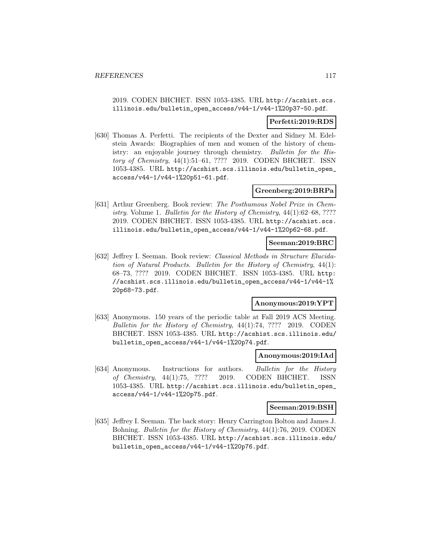2019. CODEN BHCHET. ISSN 1053-4385. URL http://acshist.scs. illinois.edu/bulletin\_open\_access/v44-1/v44-1%20p37-50.pdf.

### **Perfetti:2019:RDS**

[630] Thomas A. Perfetti. The recipients of the Dexter and Sidney M. Edelstein Awards: Biographies of men and women of the history of chemistry: an enjoyable journey through chemistry. Bulletin for the History of Chemistry, 44(1):51–61, ???? 2019. CODEN BHCHET. ISSN 1053-4385. URL http://acshist.scs.illinois.edu/bulletin\_open\_ access/v44-1/v44-1%20p51-61.pdf.

# **Greenberg:2019:BRPa**

[631] Arthur Greenberg. Book review: The Posthumous Nobel Prize in Chemistry. Volume 1. Bulletin for the History of Chemistry, 44(1):62–68, ???? 2019. CODEN BHCHET. ISSN 1053-4385. URL http://acshist.scs. illinois.edu/bulletin\_open\_access/v44-1/v44-1%20p62-68.pdf.

### **Seeman:2019:BRC**

[632] Jeffrey I. Seeman. Book review: Classical Methods in Structure Elucidation of Natural Products. Bulletin for the History of Chemistry, 44(1): 68–73, ???? 2019. CODEN BHCHET. ISSN 1053-4385. URL http: //acshist.scs.illinois.edu/bulletin\_open\_access/v44-1/v44-1% 20p68-73.pdf.

### **Anonymous:2019:YPT**

[633] Anonymous. 150 years of the periodic table at Fall 2019 ACS Meeting. Bulletin for the History of Chemistry, 44(1):74, ???? 2019. CODEN BHCHET. ISSN 1053-4385. URL http://acshist.scs.illinois.edu/ bulletin\_open\_access/v44-1/v44-1%20p74.pdf.

### **Anonymous:2019:IAd**

[634] Anonymous. Instructions for authors. Bulletin for the History of Chemistry, 44(1):75, ???? 2019. CODEN BHCHET. ISSN 1053-4385. URL http://acshist.scs.illinois.edu/bulletin\_open\_ access/v44-1/v44-1%20p75.pdf.

#### **Seeman:2019:BSH**

[635] Jeffrey I. Seeman. The back story: Henry Carrington Bolton and James J. Bohning. Bulletin for the History of Chemistry, 44(1):76, 2019. CODEN BHCHET. ISSN 1053-4385. URL http://acshist.scs.illinois.edu/ bulletin\_open\_access/v44-1/v44-1%20p76.pdf.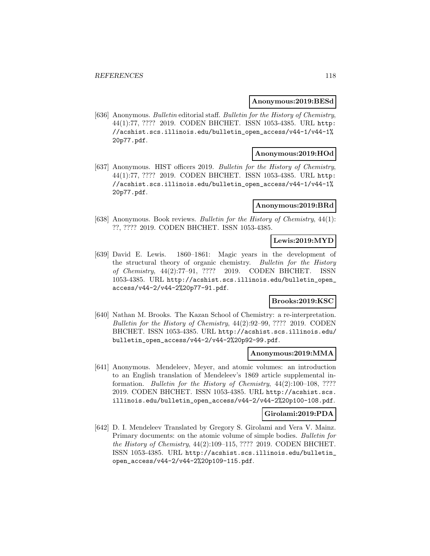#### **Anonymous:2019:BESd**

[636] Anonymous. Bulletin editorial staff. Bulletin for the History of Chemistry, 44(1):77, ???? 2019. CODEN BHCHET. ISSN 1053-4385. URL http: //acshist.scs.illinois.edu/bulletin\_open\_access/v44-1/v44-1% 20p77.pdf.

# **Anonymous:2019:HOd**

[637] Anonymous. HIST officers 2019. Bulletin for the History of Chemistry, 44(1):77, ???? 2019. CODEN BHCHET. ISSN 1053-4385. URL http: //acshist.scs.illinois.edu/bulletin\_open\_access/v44-1/v44-1% 20p77.pdf.

#### **Anonymous:2019:BRd**

[638] Anonymous. Book reviews. Bulletin for the History of Chemistry, 44(1): ??, ???? 2019. CODEN BHCHET. ISSN 1053-4385.

# **Lewis:2019:MYD**

[639] David E. Lewis. 1860–1861: Magic years in the development of the structural theory of organic chemistry. Bulletin for the History of Chemistry, 44(2):77–91, ???? 2019. CODEN BHCHET. ISSN 1053-4385. URL http://acshist.scs.illinois.edu/bulletin\_open\_ access/v44-2/v44-2%20p77-91.pdf.

# **Brooks:2019:KSC**

[640] Nathan M. Brooks. The Kazan School of Chemistry: a re-interpretation. Bulletin for the History of Chemistry, 44(2):92–99, ???? 2019. CODEN BHCHET. ISSN 1053-4385. URL http://acshist.scs.illinois.edu/ bulletin\_open\_access/v44-2/v44-2%20p92-99.pdf.

## **Anonymous:2019:MMA**

[641] Anonymous. Mendeleev, Meyer, and atomic volumes: an introduction to an English translation of Mendeleev's 1869 article supplemental information. Bulletin for the History of Chemistry, 44(2):100–108, ???? 2019. CODEN BHCHET. ISSN 1053-4385. URL http://acshist.scs. illinois.edu/bulletin\_open\_access/v44-2/v44-2%20p100-108.pdf.

# **Girolami:2019:PDA**

[642] D. I. Mendeleev Translated by Gregory S. Girolami and Vera V. Mainz. Primary documents: on the atomic volume of simple bodies. Bulletin for the History of Chemistry, 44(2):109–115, ???? 2019. CODEN BHCHET. ISSN 1053-4385. URL http://acshist.scs.illinois.edu/bulletin\_ open\_access/v44-2/v44-2%20p109-115.pdf.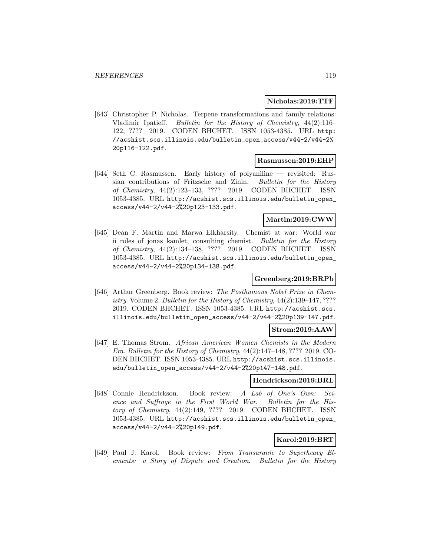### **Nicholas:2019:TTF**

[643] Christopher P. Nicholas. Terpene transformations and family relations: Vladimir Ipatieff. Bulletin for the History of Chemistry, 44(2):116– 122, ???? 2019. CODEN BHCHET. ISSN 1053-4385. URL http: //acshist.scs.illinois.edu/bulletin\_open\_access/v44-2/v44-2% 20p116-122.pdf.

#### **Rasmussen:2019:EHP**

[644] Seth C. Rasmussen. Early history of polyaniline — revisited: Russian contributions of Fritzsche and Zinin. Bulletin for the History of Chemistry, 44(2):123–133, ???? 2019. CODEN BHCHET. ISSN 1053-4385. URL http://acshist.scs.illinois.edu/bulletin\_open\_ access/v44-2/v44-2%20p123-133.pdf.

## **Martin:2019:CWW**

[645] Dean F. Martin and Marwa Elkharsity. Chemist at war: World war ii roles of jonas kamlet, consulting chemist. Bulletin for the History of Chemistry, 44(2):134–138, ???? 2019. CODEN BHCHET. ISSN 1053-4385. URL http://acshist.scs.illinois.edu/bulletin\_open\_ access/v44-2/v44-2%20p134-138.pdf.

# **Greenberg:2019:BRPb**

[646] Arthur Greenberg. Book review: The Posthumous Nobel Prize in Chemistry. Volume 2. Bulletin for the History of Chemistry, 44(2):139–147, ???? 2019. CODEN BHCHET. ISSN 1053-4385. URL http://acshist.scs. illinois.edu/bulletin\_open\_access/v44-2/v44-2%20p139-147.pdf.

#### **Strom:2019:AAW**

[647] E. Thomas Strom. African American Women Chemists in the Modern Era. Bulletin for the History of Chemistry, 44(2):147–148, ???? 2019. CO-DEN BHCHET. ISSN 1053-4385. URL http://acshist.scs.illinois. edu/bulletin\_open\_access/v44-2/v44-2%20p147-148.pdf.

#### **Hendrickson:2019:BRL**

[648] Connie Hendrickson. Book review: A Lab of One's Own: Science and Suffrage in the First World War. Bulletin for the History of Chemistry, 44(2):149, ???? 2019. CODEN BHCHET. ISSN 1053-4385. URL http://acshist.scs.illinois.edu/bulletin\_open\_ access/v44-2/v44-2%20p149.pdf.

# **Karol:2019:BRT**

[649] Paul J. Karol. Book review: From Transuranic to Superheavy Elements: a Story of Dispute and Creation. Bulletin for the History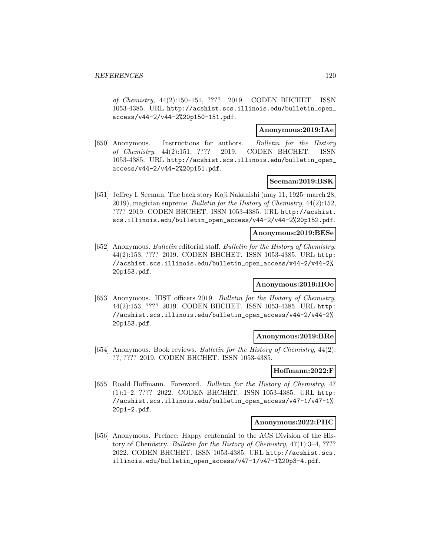of Chemistry, 44(2):150–151, ???? 2019. CODEN BHCHET. ISSN 1053-4385. URL http://acshist.scs.illinois.edu/bulletin\_open\_ access/v44-2/v44-2%20p150-151.pdf.

### **Anonymous:2019:IAe**

[650] Anonymous. Instructions for authors. Bulletin for the History of Chemistry, 44(2):151, ???? 2019. CODEN BHCHET. ISSN 1053-4385. URL http://acshist.scs.illinois.edu/bulletin\_open\_ access/v44-2/v44-2%20p151.pdf.

### **Seeman:2019:BSK**

[651] Jeffrey I. Seeman. The back story Koji Nakanishi (may 11, 1925–march 28, 2019), magician supreme. Bulletin for the History of Chemistry, 44(2):152, ???? 2019. CODEN BHCHET. ISSN 1053-4385. URL http://acshist. scs.illinois.edu/bulletin\_open\_access/v44-2/v44-2%20p152.pdf.

### **Anonymous:2019:BESe**

[652] Anonymous. Bulletin editorial staff. Bulletin for the History of Chemistry, 44(2):153, ???? 2019. CODEN BHCHET. ISSN 1053-4385. URL http: //acshist.scs.illinois.edu/bulletin\_open\_access/v44-2/v44-2% 20p153.pdf.

# **Anonymous:2019:HOe**

[653] Anonymous. HIST officers 2019. Bulletin for the History of Chemistry, 44(2):153, ???? 2019. CODEN BHCHET. ISSN 1053-4385. URL http: //acshist.scs.illinois.edu/bulletin\_open\_access/v44-2/v44-2% 20p153.pdf.

### **Anonymous:2019:BRe**

[654] Anonymous. Book reviews. Bulletin for the History of Chemistry, 44(2): ??, ???? 2019. CODEN BHCHET. ISSN 1053-4385.

### **Hoffmann:2022:F**

[655] Roald Hoffmann. Foreword. Bulletin for the History of Chemistry, 47 (1):1–2, ???? 2022. CODEN BHCHET. ISSN 1053-4385. URL http: //acshist.scs.illinois.edu/bulletin\_open\_access/v47-1/v47-1% 20p1-2.pdf.

### **Anonymous:2022:PHC**

[656] Anonymous. Preface: Happy centennial to the ACS Division of the History of Chemistry. Bulletin for the History of Chemistry, 47(1):3–4, ???? 2022. CODEN BHCHET. ISSN 1053-4385. URL http://acshist.scs. illinois.edu/bulletin\_open\_access/v47-1/v47-1%20p3-4.pdf.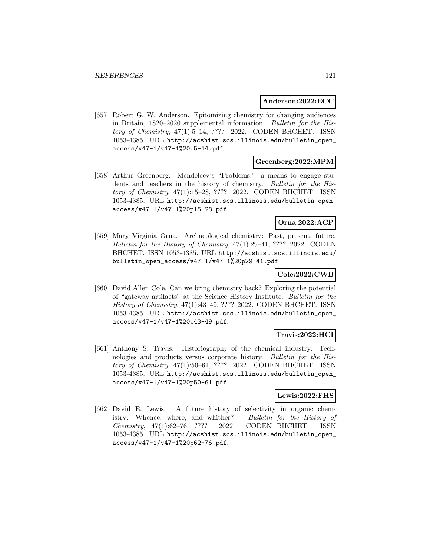### **Anderson:2022:ECC**

[657] Robert G. W. Anderson. Epitomizing chemistry for changing audiences in Britain, 1820–2020 supplemental information. Bulletin for the History of Chemistry, 47(1):5–14, ???? 2022. CODEN BHCHET. ISSN 1053-4385. URL http://acshist.scs.illinois.edu/bulletin\_open\_ access/v47-1/v47-1%20p5-14.pdf.

# **Greenberg:2022:MPM**

[658] Arthur Greenberg. Mendeleev's "Problems:" a means to engage students and teachers in the history of chemistry. Bulletin for the History of Chemistry, 47(1):15–28, ???? 2022. CODEN BHCHET. ISSN 1053-4385. URL http://acshist.scs.illinois.edu/bulletin\_open\_ access/v47-1/v47-1%20p15-28.pdf.

# **Orna:2022:ACP**

[659] Mary Virginia Orna. Archaeological chemistry: Past, present, future. Bulletin for the History of Chemistry, 47(1):29–41, ???? 2022. CODEN BHCHET. ISSN 1053-4385. URL http://acshist.scs.illinois.edu/ bulletin\_open\_access/v47-1/v47-1%20p29-41.pdf.

# **Cole:2022:CWB**

[660] David Allen Cole. Can we bring chemistry back? Exploring the potential of "gateway artifacts" at the Science History Institute. Bulletin for the History of Chemistry, 47(1):43–49, ???? 2022. CODEN BHCHET. ISSN 1053-4385. URL http://acshist.scs.illinois.edu/bulletin\_open\_ access/v47-1/v47-1%20p43-49.pdf.

### **Travis:2022:HCI**

[661] Anthony S. Travis. Historiography of the chemical industry: Technologies and products versus corporate history. Bulletin for the History of Chemistry, 47(1):50–61, ???? 2022. CODEN BHCHET. ISSN 1053-4385. URL http://acshist.scs.illinois.edu/bulletin\_open\_ access/v47-1/v47-1%20p50-61.pdf.

### **Lewis:2022:FHS**

[662] David E. Lewis. A future history of selectivity in organic chemistry: Whence, where, and whither? Bulletin for the History of Chemistry, 47(1):62–76, ???? 2022. CODEN BHCHET. ISSN 1053-4385. URL http://acshist.scs.illinois.edu/bulletin\_open\_ access/v47-1/v47-1%20p62-76.pdf.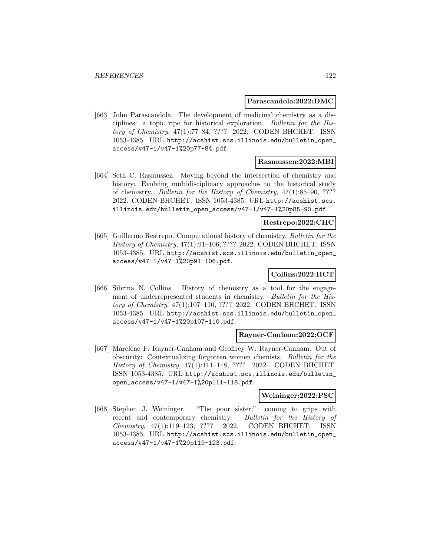#### **Parascandola:2022:DMC**

[663] John Parascandola. The development of medicinal chemistry as a disciplines: a topic ripe for historical exploration. Bulletin for the History of Chemistry, 47(1):77–84, ???? 2022. CODEN BHCHET. ISSN 1053-4385. URL http://acshist.scs.illinois.edu/bulletin\_open\_ access/v47-1/v47-1%20p77-84.pdf.

#### **Rasmussen:2022:MBI**

[664] Seth C. Rasmussen. Moving beyond the intersection of chemistry and history: Evolving multidisciplinary approaches to the historical study of chemistry. Bulletin for the History of Chemistry, 47(1):85–90, ???? 2022. CODEN BHCHET. ISSN 1053-4385. URL http://acshist.scs. illinois.edu/bulletin\_open\_access/v47-1/v47-1%20p85-90.pdf.

### **Restrepo:2022:CHC**

[665] Guillermo Restrepo. Computational history of chemistry. Bulletin for the History of Chemistry, 47(1):91–106, ???? 2022. CODEN BHCHET. ISSN 1053-4385. URL http://acshist.scs.illinois.edu/bulletin\_open\_ access/v47-1/v47-1%20p91-106.pdf.

# **Collins:2022:HCT**

[666] Sibrina N. Collins. History of chemistry as a tool for the engagement of underrepresented students in chemistry. Bulletin for the History of Chemistry, 47(1):107–110, ???? 2022. CODEN BHCHET. ISSN 1053-4385. URL http://acshist.scs.illinois.edu/bulletin\_open\_ access/v47-1/v47-1%20p107-110.pdf.

#### **Rayner-Canham:2022:OCF**

[667] Marelene F. Rayner-Canham and Geoffrey W. Rayner-Canham. Out of obscurity: Contextualizing forgotten women chemists. Bulletin for the History of Chemistry, 47(1):111–118, ???? 2022. CODEN BHCHET. ISSN 1053-4385. URL http://acshist.scs.illinois.edu/bulletin\_ open\_access/v47-1/v47-1%20p111-118.pdf.

#### **Weininger:2022:PSC**

[668] Stephen J. Weininger. "The poor sister:" coming to grips with recent and contemporary chemistry. Bulletin for the History of Chemistry, 47(1):119–123, ???? 2022. CODEN BHCHET. ISSN 1053-4385. URL http://acshist.scs.illinois.edu/bulletin\_open\_ access/v47-1/v47-1%20p119-123.pdf.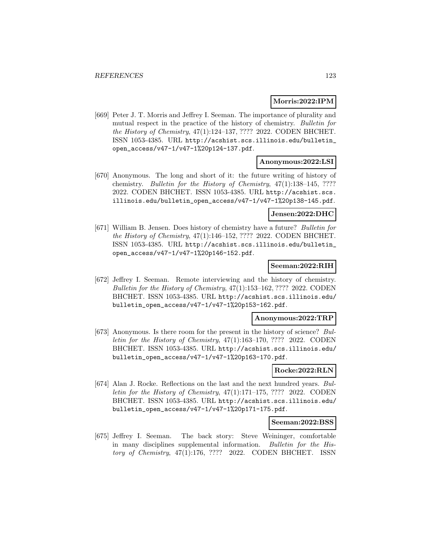### **Morris:2022:IPM**

[669] Peter J. T. Morris and Jeffrey I. Seeman. The importance of plurality and mutual respect in the practice of the history of chemistry. Bulletin for the History of Chemistry, 47(1):124–137, ???? 2022. CODEN BHCHET. ISSN 1053-4385. URL http://acshist.scs.illinois.edu/bulletin\_ open\_access/v47-1/v47-1%20p124-137.pdf.

#### **Anonymous:2022:LSI**

[670] Anonymous. The long and short of it: the future writing of history of chemistry. Bulletin for the History of Chemistry, 47(1):138–145, ???? 2022. CODEN BHCHET. ISSN 1053-4385. URL http://acshist.scs. illinois.edu/bulletin\_open\_access/v47-1/v47-1%20p138-145.pdf.

#### **Jensen:2022:DHC**

[671] William B. Jensen. Does history of chemistry have a future? Bulletin for the History of Chemistry, 47(1):146–152, ???? 2022. CODEN BHCHET. ISSN 1053-4385. URL http://acshist.scs.illinois.edu/bulletin\_ open\_access/v47-1/v47-1%20p146-152.pdf.

### **Seeman:2022:RIH**

[672] Jeffrey I. Seeman. Remote interviewing and the history of chemistry. Bulletin for the History of Chemistry, 47(1):153–162, ???? 2022. CODEN BHCHET. ISSN 1053-4385. URL http://acshist.scs.illinois.edu/ bulletin\_open\_access/v47-1/v47-1%20p153-162.pdf.

#### **Anonymous:2022:TRP**

[673] Anonymous. Is there room for the present in the history of science? Bulletin for the History of Chemistry, 47(1):163–170, ???? 2022. CODEN BHCHET. ISSN 1053-4385. URL http://acshist.scs.illinois.edu/ bulletin\_open\_access/v47-1/v47-1%20p163-170.pdf.

# **Rocke:2022:RLN**

[674] Alan J. Rocke. Reflections on the last and the next hundred years. Bulletin for the History of Chemistry,  $47(1):171-175$ , ???? 2022. CODEN BHCHET. ISSN 1053-4385. URL http://acshist.scs.illinois.edu/ bulletin\_open\_access/v47-1/v47-1%20p171-175.pdf.

#### **Seeman:2022:BSS**

[675] Jeffrey I. Seeman. The back story: Steve Weininger, comfortable in many disciplines supplemental information. Bulletin for the History of Chemistry, 47(1):176, ???? 2022. CODEN BHCHET. ISSN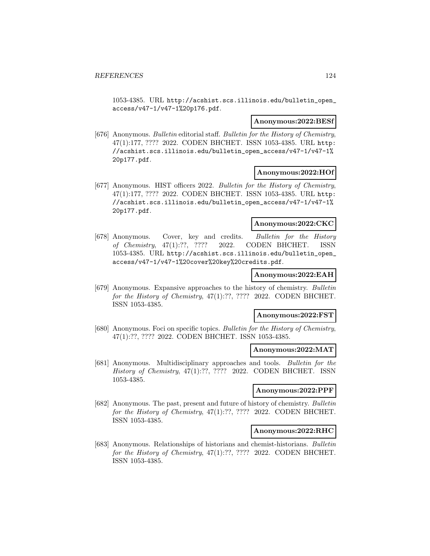1053-4385. URL http://acshist.scs.illinois.edu/bulletin\_open\_ access/v47-1/v47-1%20p176.pdf.

#### **Anonymous:2022:BESf**

[676] Anonymous. Bulletin editorial staff. Bulletin for the History of Chemistry, 47(1):177, ???? 2022. CODEN BHCHET. ISSN 1053-4385. URL http: //acshist.scs.illinois.edu/bulletin\_open\_access/v47-1/v47-1% 20p177.pdf.

### **Anonymous:2022:HOf**

[677] Anonymous. HIST officers 2022. Bulletin for the History of Chemistry, 47(1):177, ???? 2022. CODEN BHCHET. ISSN 1053-4385. URL http: //acshist.scs.illinois.edu/bulletin\_open\_access/v47-1/v47-1% 20p177.pdf.

### **Anonymous:2022:CKC**

[678] Anonymous. Cover, key and credits. Bulletin for the History of Chemistry, 47(1):??, ???? 2022. CODEN BHCHET. ISSN 1053-4385. URL http://acshist.scs.illinois.edu/bulletin\_open\_ access/v47-1/v47-1%20cover%20key%20credits.pdf.

#### **Anonymous:2022:EAH**

[679] Anonymous. Expansive approaches to the history of chemistry. Bulletin for the History of Chemistry, 47(1):??, ???? 2022. CODEN BHCHET. ISSN 1053-4385.

#### **Anonymous:2022:FST**

[680] Anonymous. Foci on specific topics. Bulletin for the History of Chemistry, 47(1):??, ???? 2022. CODEN BHCHET. ISSN 1053-4385.

### **Anonymous:2022:MAT**

[681] Anonymous. Multidisciplinary approaches and tools. Bulletin for the History of Chemistry, 47(1):??, ???? 2022. CODEN BHCHET. ISSN 1053-4385.

#### **Anonymous:2022:PPF**

[682] Anonymous. The past, present and future of history of chemistry. Bulletin for the History of Chemistry, 47(1):??, ???? 2022. CODEN BHCHET. ISSN 1053-4385.

### **Anonymous:2022:RHC**

[683] Anonymous. Relationships of historians and chemist-historians. Bulletin for the History of Chemistry, 47(1):??, ???? 2022. CODEN BHCHET. ISSN 1053-4385.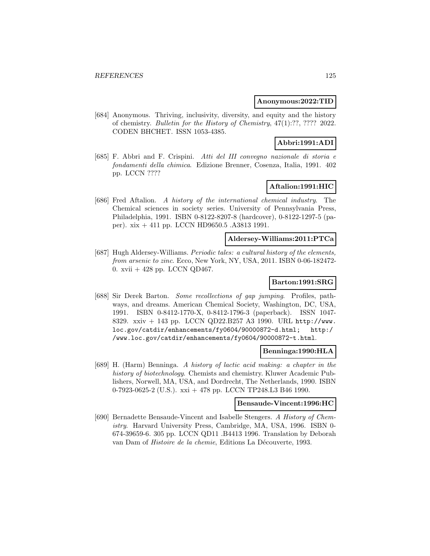### **Anonymous:2022:TID**

[684] Anonymous. Thriving, inclusivity, diversity, and equity and the history of chemistry. Bulletin for the History of Chemistry, 47(1):??, ???? 2022. CODEN BHCHET. ISSN 1053-4385.

# **Abbri:1991:ADI**

[685] F. Abbri and F. Crispini. Atti del III convegno nazionale di storia e fondamenti della chimica. Edizione Brenner, Cosenza, Italia, 1991. 402 pp. LCCN ????

# **Aftalion:1991:HIC**

[686] Fred Aftalion. A history of the international chemical industry. The Chemical sciences in society series. University of Pennsylvania Press, Philadelphia, 1991. ISBN 0-8122-8207-8 (hardcover), 0-8122-1297-5 (paper). xix + 411 pp. LCCN HD9650.5 .A3813 1991.

### **Aldersey-Williams:2011:PTCa**

[687] Hugh Aldersey-Williams. Periodic tales: a cultural history of the elements, from arsenic to zinc. Ecco, New York, NY, USA, 2011. ISBN 0-06-182472- 0. xvii + 428 pp. LCCN QD467.

# **Barton:1991:SRG**

[688] Sir Derek Barton. Some recollections of gap jumping. Profiles, pathways, and dreams. American Chemical Society, Washington, DC, USA, 1991. ISBN 0-8412-1770-X, 0-8412-1796-3 (paperback). ISSN 1047- 8329. xxiv + 143 pp. LCCN QD22.B257 A3 1990. URL http://www. loc.gov/catdir/enhancements/fy0604/90000872-d.html; http:/ /www.loc.gov/catdir/enhancements/fy0604/90000872-t.html.

### **Benninga:1990:HLA**

[689] H. (Harm) Benninga. A history of lactic acid making: a chapter in the history of biotechnology. Chemists and chemistry. Kluwer Academic Publishers, Norwell, MA, USA, and Dordrecht, The Netherlands, 1990. ISBN 0-7923-0625-2 (U.S.). xxi + 478 pp. LCCN TP248.L3 B46 1990.

#### **Bensaude-Vincent:1996:HC**

[690] Bernadette Bensaude-Vincent and Isabelle Stengers. A History of Chemistry. Harvard University Press, Cambridge, MA, USA, 1996. ISBN 0- 674-39659-6. 305 pp. LCCN QD11 .B4413 1996. Translation by Deborah van Dam of *Histoire de la chemie*, Editions La Découverte, 1993.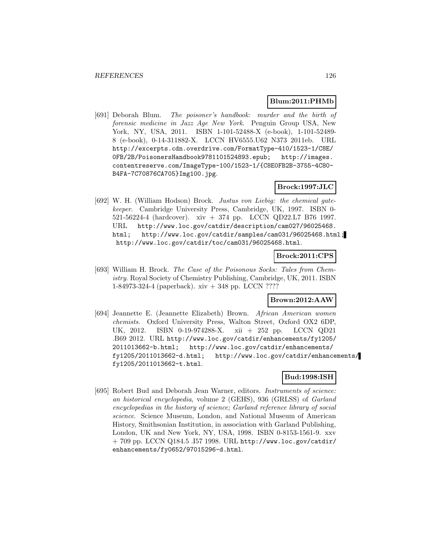### **Blum:2011:PHMb**

[691] Deborah Blum. The poisoner's handbook: murder and the birth of forensic medicine in Jazz Age New York. Penguin Group USA, New York, NY, USA, 2011. ISBN 1-101-52488-X (e-book), 1-101-52489- 8 (e-book), 0-14-311882-X. LCCN HV6555.U62 N373 2011eb. URL http://excerpts.cdn.overdrive.com/FormatType-410/1523-1/C8E/ 0FB/2B/PoisonersHandbook9781101524893.epub; http://images. contentreserve.com/ImageType-100/1523-1/{C8E0FB2B-3755-4C80- B4FA-7C70876CA705}Img100.jpg.

# **Brock:1997:JLC**

[692] W. H. (William Hodson) Brock. Justus von Liebig: the chemical gatekeeper. Cambridge University Press, Cambridge, UK, 1997. ISBN 0- 521-56224-4 (hardcover). xiv + 374 pp. LCCN QD22.L7 B76 1997. URL http://www.loc.gov/catdir/description/cam027/96025468. html; http://www.loc.gov/catdir/samples/cam031/96025468.html; http://www.loc.gov/catdir/toc/cam031/96025468.html.

# **Brock:2011:CPS**

[693] William H. Brock. The Case of the Poisonous Socks: Tales from Chemistry. Royal Society of Chemistry Publishing, Cambridge, UK, 2011. ISBN 1-84973-324-4 (paperback). xiv + 348 pp. LCCN ????

# **Brown:2012:AAW**

[694] Jeannette E. (Jeannette Elizabeth) Brown. African American women chemists. Oxford University Press, Walton Street, Oxford OX2 6DP, UK, 2012. ISBN 0-19-974288-X. xii + 252 pp. LCCN QD21 .B69 2012. URL http://www.loc.gov/catdir/enhancements/fy1205/ 2011013662-b.html; http://www.loc.gov/catdir/enhancements/ fy1205/2011013662-d.html; http://www.loc.gov/catdir/enhancements/ fy1205/2011013662-t.html.

# **Bud:1998:ISH**

[695] Robert Bud and Deborah Jean Warner, editors. Instruments of science: an historical encyclopedia, volume 2 (GEHS), 936 (GRLSS) of Garland encyclopedias in the history of science; Garland reference library of social science. Science Museum, London, and National Museum of American History, Smithsonian Institution, in association with Garland Publishing, London, UK and New York, NY, USA, 1998. ISBN 0-8153-1561-9. xxv + 709 pp. LCCN Q184.5 .I57 1998. URL http://www.loc.gov/catdir/ enhancements/fy0652/97015296-d.html.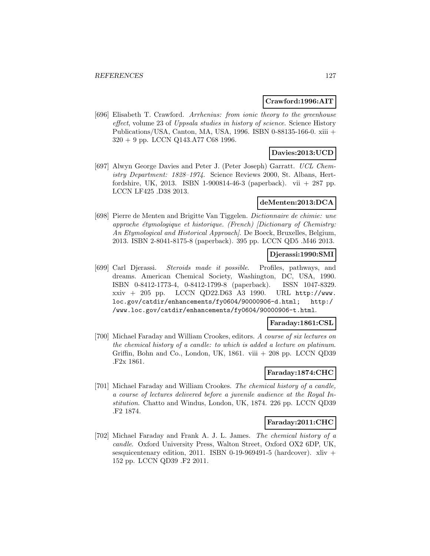### **Crawford:1996:AIT**

[696] Elisabeth T. Crawford. Arrhenius: from ionic theory to the greenhouse effect, volume 23 of Uppsala studies in history of science. Science History Publications/USA, Canton, MA, USA, 1996. ISBN 0-88135-166-0. xiii + 320 + 9 pp. LCCN Q143.A77 C68 1996.

# **Davies:2013:UCD**

[697] Alwyn George Davies and Peter J. (Peter Joseph) Garratt. UCL Chemistry Department: 1828-1974. Science Reviews 2000, St. Albans, Hertfordshire, UK, 2013. ISBN 1-900814-46-3 (paperback). vii + 287 pp. LCCN LF425 .D38 2013.

# **deMenten:2013:DCA**

[698] Pierre de Menten and Brigitte Van Tiggelen. Dictionnaire de chimie: une approche étymologique et historique. (French) [Dictionary of Chemistry: An Etymological and Historical Approach]. De Boeck, Bruxelles, Belgium, 2013. ISBN 2-8041-8175-8 (paperback). 395 pp. LCCN QD5 .M46 2013.

# **Djerassi:1990:SMI**

[699] Carl Djerassi. Steroids made it possible. Profiles, pathways, and dreams. American Chemical Society, Washington, DC, USA, 1990. ISBN 0-8412-1773-4, 0-8412-1799-8 (paperback). ISSN 1047-8329. xxiv + 205 pp. LCCN QD22.D63 A3 1990. URL http://www. loc.gov/catdir/enhancements/fy0604/90000906-d.html; http:/ /www.loc.gov/catdir/enhancements/fy0604/90000906-t.html.

# **Faraday:1861:CSL**

[700] Michael Faraday and William Crookes, editors. A course of six lectures on the chemical history of a candle: to which is added a lecture on platinum. Griffin, Bohn and Co., London, UK,  $1861.$  viii  $+208$  pp. LCCN QD39 .F2x 1861.

# **Faraday:1874:CHC**

[701] Michael Faraday and William Crookes. The chemical history of a candle, a course of lectures delivered before a juvenile audience at the Royal Institution. Chatto and Windus, London, UK, 1874. 226 pp. LCCN QD39 .F2 1874.

### **Faraday:2011:CHC**

[702] Michael Faraday and Frank A. J. L. James. The chemical history of a candle. Oxford University Press, Walton Street, Oxford OX2 6DP, UK, sesquicentenary edition, 2011. ISBN 0-19-969491-5 (hardcover). xliv + 152 pp. LCCN QD39 .F2 2011.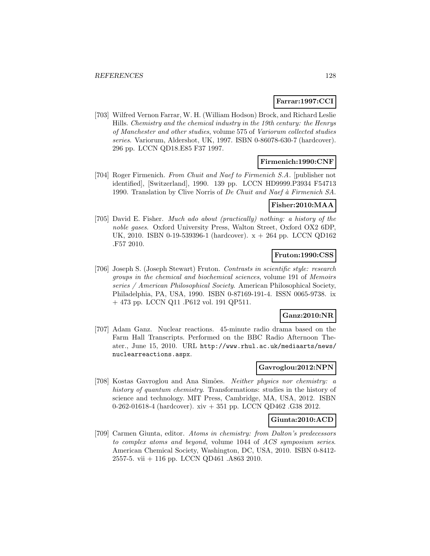# **Farrar:1997:CCI**

[703] Wilfred Vernon Farrar, W. H. (William Hodson) Brock, and Richard Leslie Hills. Chemistry and the chemical industry in the 19th century: the Henrys of Manchester and other studies, volume 575 of Variorum collected studies series. Variorum, Aldershot, UK, 1997. ISBN 0-86078-630-7 (hardcover). 296 pp. LCCN QD18.E85 F37 1997.

### **Firmenich:1990:CNF**

[704] Roger Firmenich. From Chuit and Naef to Firmenich S.A. [publisher not identified], [Switzerland], 1990. 139 pp. LCCN HD9999.P3934 F54713 1990. Translation by Clive Norris of De Chuit and Naef à Firmenich SA.

# **Fisher:2010:MAA**

[705] David E. Fisher. Much ado about (practically) nothing: a history of the noble gases. Oxford University Press, Walton Street, Oxford OX2 6DP, UK, 2010. ISBN 0-19-539396-1 (hardcover). x + 264 pp. LCCN QD162 .F57 2010.

# **Fruton:1990:CSS**

[706] Joseph S. (Joseph Stewart) Fruton. Contrasts in scientific style: research groups in the chemical and biochemical sciences, volume 191 of Memoirs series / American Philosophical Society. American Philosophical Society, Philadelphia, PA, USA, 1990. ISBN 0-87169-191-4. ISSN 0065-9738. ix + 473 pp. LCCN Q11 .P612 vol. 191 QP511.

# **Ganz:2010:NR**

[707] Adam Ganz. Nuclear reactions. 45-minute radio drama based on the Farm Hall Transcripts. Performed on the BBC Radio Afternoon Theater., June 15, 2010. URL http://www.rhul.ac.uk/mediaarts/news/ nuclearreactions.aspx.

#### **Gavroglou:2012:NPN**

[708] Kostas Gavroglou and Ana Simões. Neither physics nor chemistry: a history of quantum chemistry. Transformations: studies in the history of science and technology. MIT Press, Cambridge, MA, USA, 2012. ISBN 0-262-01618-4 (hardcover). xiv + 351 pp. LCCN QD462 .G38 2012.

# **Giunta:2010:ACD**

[709] Carmen Giunta, editor. Atoms in chemistry: from Dalton's predecessors to complex atoms and beyond, volume 1044 of ACS symposium series. American Chemical Society, Washington, DC, USA, 2010. ISBN 0-8412- 2557-5. vii + 116 pp. LCCN QD461 .A863 2010.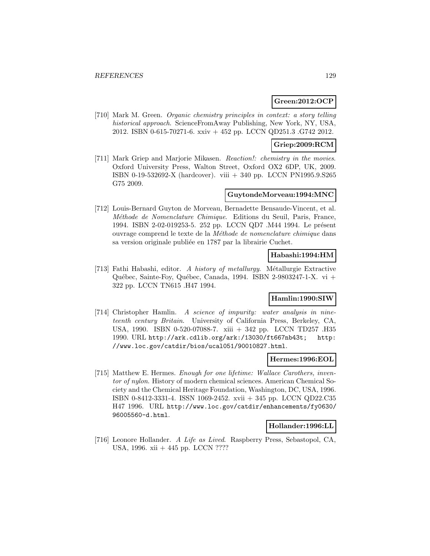# **Green:2012:OCP**

[710] Mark M. Green. Organic chemistry principles in context: a story telling historical approach. ScienceFromAway Publishing, New York, NY, USA, 2012. ISBN 0-615-70271-6. xxiv + 452 pp. LCCN QD251.3 .G742 2012.

# **Griep:2009:RCM**

[711] Mark Griep and Marjorie Mikasen. Reaction!: chemistry in the movies. Oxford University Press, Walton Street, Oxford OX2 6DP, UK, 2009. ISBN 0-19-532692-X (hardcover). viii + 340 pp. LCCN PN1995.9.S265 G75 2009.

#### **GuytondeMorveau:1994:MNC**

[712] Louis-Bernard Guyton de Morveau, Bernadette Bensaude-Vincent, et al. Méthode de Nomenclature Chimique. Editions du Seuil, Paris, France, 1994. ISBN 2-02-019253-5. 252 pp. LCCN QD7 .M44 1994. Le présent ouvrage comprend le texte de la Méthode de nomenclature chimique dans sa version originale publiée en 1787 par la librairie Cuchet.

# **Habashi:1994:HM**

[713] Fathi Habashi, editor. A history of metallurgy. Métallurgie Extractive Québec, Sainte-Foy, Québec, Canada, 1994. ISBN 2-9803247-1-X. vi + 322 pp. LCCN TN615 .H47 1994.

# **Hamlin:1990:SIW**

[714] Christopher Hamlin. A science of impurity: water analysis in nineteenth century Britain. University of California Press, Berkeley, CA, USA, 1990. ISBN 0-520-07088-7. xiii + 342 pp. LCCN TD257 .H35 1990. URL http://ark.cdlib.org/ark:/13030/ft667nb43t; http: //www.loc.gov/catdir/bios/ucal051/90010827.html.

#### **Hermes:1996:EOL**

[715] Matthew E. Hermes. Enough for one lifetime: Wallace Carothers, inventor of nylon. History of modern chemical sciences. American Chemical Society and the Chemical Heritage Foundation, Washington, DC, USA, 1996. ISBN 0-8412-3331-4. ISSN 1069-2452. xvii + 345 pp. LCCN QD22.C35 H47 1996. URL http://www.loc.gov/catdir/enhancements/fy0630/ 96005560-d.html.

### **Hollander:1996:LL**

[716] Leonore Hollander. A Life as Lived. Raspberry Press, Sebastopol, CA, USA, 1996. xii + 445 pp. LCCN ????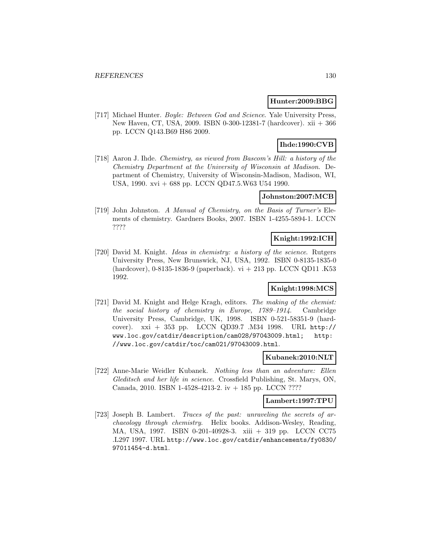### **Hunter:2009:BBG**

[717] Michael Hunter. Boyle: Between God and Science. Yale University Press, New Haven, CT, USA, 2009. ISBN 0-300-12381-7 (hardcover). xii + 366 pp. LCCN Q143.B69 H86 2009.

# **Ihde:1990:CVB**

[718] Aaron J. Ihde. Chemistry, as viewed from Bascom's Hill: a history of the Chemistry Department at the University of Wisconsin at Madison. Department of Chemistry, University of Wisconsin-Madison, Madison, WI, USA, 1990. xvi + 688 pp. LCCN QD47.5.W63 U54 1990.

# **Johnston:2007:MCB**

[719] John Johnston. A Manual of Chemistry, on the Basis of Turner's Elements of chemistry. Gardners Books, 2007. ISBN 1-4255-5894-1. LCCN ????

# **Knight:1992:ICH**

[720] David M. Knight. Ideas in chemistry: a history of the science. Rutgers University Press, New Brunswick, NJ, USA, 1992. ISBN 0-8135-1835-0 (hardcover), 0-8135-1836-9 (paperback). vi + 213 pp. LCCN QD11 .K53 1992.

# **Knight:1998:MCS**

[721] David M. Knight and Helge Kragh, editors. The making of the chemist: the social history of chemistry in Europe, 1789–1914. Cambridge University Press, Cambridge, UK, 1998. ISBN 0-521-58351-9 (hardcover). xxi + 353 pp. LCCN QD39.7 .M34 1998. URL http:// www.loc.gov/catdir/description/cam028/97043009.html; http: //www.loc.gov/catdir/toc/cam021/97043009.html.

### **Kubanek:2010:NLT**

[722] Anne-Marie Weidler Kubanek. Nothing less than an adventure: Ellen Gleditsch and her life in science. Crossfield Publishing, St. Marys, ON, Canada, 2010. ISBN 1-4528-4213-2. iv + 185 pp. LCCN ????

# **Lambert:1997:TPU**

[723] Joseph B. Lambert. Traces of the past: unraveling the secrets of archaeology through chemistry. Helix books. Addison-Wesley, Reading, MA, USA, 1997. ISBN 0-201-40928-3. xiii + 319 pp. LCCN CC75 .L297 1997. URL http://www.loc.gov/catdir/enhancements/fy0830/ 97011454-d.html.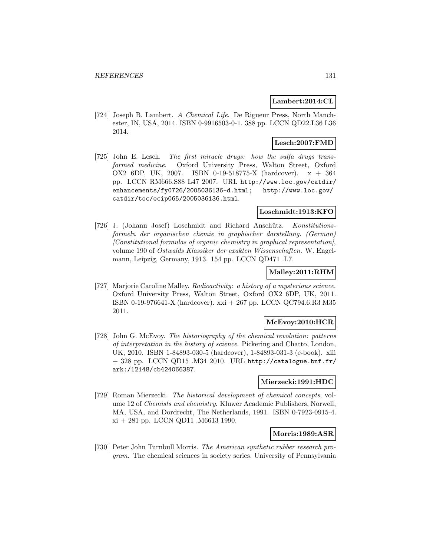### **Lambert:2014:CL**

[724] Joseph B. Lambert. A Chemical Life. De Rigueur Press, North Manchester, IN, USA, 2014. ISBN 0-9916503-0-1. 388 pp. LCCN QD22.L36 L36 2014.

# **Lesch:2007:FMD**

[725] John E. Lesch. The first miracle drugs: how the sulfa drugs transformed medicine. Oxford University Press, Walton Street, Oxford OX2 6DP, UK, 2007. ISBN 0-19-518775-X (hardcover). x + 364 pp. LCCN RM666.S88 L47 2007. URL http://www.loc.gov/catdir/ enhancements/fy0726/2005036136-d.html; http://www.loc.gov/ catdir/toc/ecip065/2005036136.html.

# **Loschmidt:1913:KFO**

[726] J. (Johann Josef) Loschmidt and Richard Anschütz. Konstitutionsformeln der organischen chemie in graphischer darstellung. (German) [Constitutional formulas of organic chemistry in graphical representation], volume 190 of Ostwalds Klassiker der exakten Wissenschaften. W. Engelmann, Leipzig, Germany, 1913. 154 pp. LCCN QD471 .L7.

### **Malley:2011:RHM**

[727] Marjorie Caroline Malley. Radioactivity: a history of a mysterious science. Oxford University Press, Walton Street, Oxford OX2 6DP, UK, 2011. ISBN 0-19-976641-X (hardcover). xxi + 267 pp. LCCN QC794.6.R3 M35 2011.

### **McEvoy:2010:HCR**

[728] John G. McEvoy. The historiography of the chemical revolution: patterns of interpretation in the history of science. Pickering and Chatto, London, UK, 2010. ISBN 1-84893-030-5 (hardcover), 1-84893-031-3 (e-book). xiii  $+$  328 pp. LCCN QD15 .M34 2010. URL http://catalogue.bnf.fr/ ark:/12148/cb424066387.

### **Mierzecki:1991:HDC**

[729] Roman Mierzecki. The historical development of chemical concepts, volume 12 of Chemists and chemistry. Kluwer Academic Publishers, Norwell, MA, USA, and Dordrecht, The Netherlands, 1991. ISBN 0-7923-0915-4. xi + 281 pp. LCCN QD11 .M6613 1990.

### **Morris:1989:ASR**

[730] Peter John Turnbull Morris. The American synthetic rubber research program. The chemical sciences in society series. University of Pennsylvania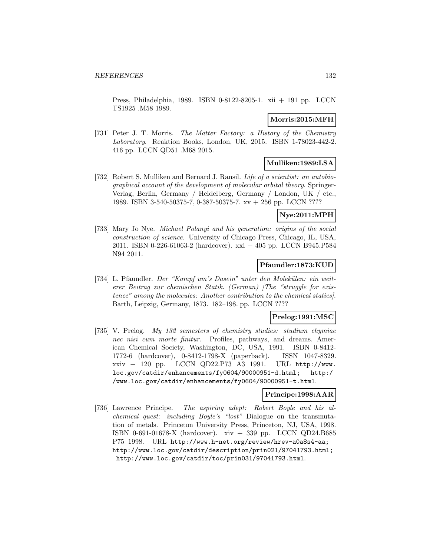Press, Philadelphia, 1989. ISBN 0-8122-8205-1. xii + 191 pp. LCCN TS1925 .M58 1989.

## **Morris:2015:MFH**

[731] Peter J. T. Morris. The Matter Factory: a History of the Chemistry Laboratory. Reaktion Books, London, UK, 2015. ISBN 1-78023-442-2. 416 pp. LCCN QD51 .M68 2015.

# **Mulliken:1989:LSA**

[732] Robert S. Mulliken and Bernard J. Ransil. Life of a scientist: an autobiographical account of the development of molecular orbital theory. Springer-Verlag, Berlin, Germany / Heidelberg, Germany / London, UK / etc., 1989. ISBN 3-540-50375-7, 0-387-50375-7. xv + 256 pp. LCCN ????

# **Nye:2011:MPH**

[733] Mary Jo Nye. Michael Polanyi and his generation: origins of the social construction of science. University of Chicago Press, Chicago, IL, USA, 2011. ISBN 0-226-61063-2 (hardcover). xxi + 405 pp. LCCN B945.P584 N94 2011.

### **Pfaundler:1873:KUD**

[734] L. Pfaundler. Der "Kampf um's Dasein" unter den Molekülen: ein weiterer Beitrag zur chemischen Statik. (German) [The "struggle for existence" among the molecules: Another contribution to the chemical statics]. Barth, Leipzig, Germany, 1873. 182–198. pp. LCCN ????

# **Prelog:1991:MSC**

[735] V. Prelog. My 132 semesters of chemistry studies: studium chymiae nec nisi cum morte finitur. Profiles, pathways, and dreams. American Chemical Society, Washington, DC, USA, 1991. ISBN 0-8412- 1772-6 (hardcover), 0-8412-1798-X (paperback). ISSN 1047-8329. xxiv + 120 pp. LCCN QD22.P73 A3 1991. URL http://www. loc.gov/catdir/enhancements/fy0604/90000951-d.html; http:/ /www.loc.gov/catdir/enhancements/fy0604/90000951-t.html.

# **Principe:1998:AAR**

[736] Lawrence Principe. The aspiring adept: Robert Boyle and his alchemical quest: including Boyle's "lost" Dialogue on the transmutation of metals. Princeton University Press, Princeton, NJ, USA, 1998. ISBN 0-691-01678-X (hardcover). xiv + 339 pp. LCCN QD24.B685 P75 1998. URL http://www.h-net.org/review/hrev-a0a8s4-aa; http://www.loc.gov/catdir/description/prin021/97041793.html; http://www.loc.gov/catdir/toc/prin031/97041793.html.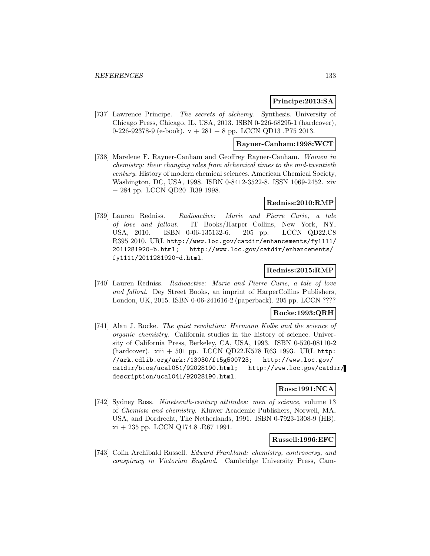# **Principe:2013:SA**

[737] Lawrence Principe. The secrets of alchemy. Synthesis. University of Chicago Press, Chicago, IL, USA, 2013. ISBN 0-226-68295-1 (hardcover), 0-226-92378-9 (e-book).  $v + 281 + 8$  pp. LCCN QD13 .P75 2013.

### **Rayner-Canham:1998:WCT**

[738] Marelene F. Rayner-Canham and Geoffrey Rayner-Canham. Women in chemistry: their changing roles from alchemical times to the mid-twentieth century. History of modern chemical sciences. American Chemical Society, Washington, DC, USA, 1998. ISBN 0-8412-3522-8. ISSN 1069-2452. xiv + 284 pp. LCCN QD20 .R39 1998.

# **Redniss:2010:RMP**

[739] Lauren Redniss. Radioactive: Marie and Pierre Curie, a tale of love and fallout. IT Books/Harper Collins, New York, NY, USA, 2010. ISBN 0-06-135132-6. 205 pp. LCCN QD22.C8 R395 2010. URL http://www.loc.gov/catdir/enhancements/fy1111/ 2011281920-b.html; http://www.loc.gov/catdir/enhancements/ fy1111/2011281920-d.html.

# **Redniss:2015:RMP**

[740] Lauren Redniss. Radioactive: Marie and Pierre Curie, a tale of love and fallout. Dey Street Books, an imprint of HarperCollins Publishers, London, UK, 2015. ISBN 0-06-241616-2 (paperback). 205 pp. LCCN ????

# **Rocke:1993:QRH**

[741] Alan J. Rocke. The quiet revolution: Hermann Kolbe and the science of organic chemistry. California studies in the history of science. University of California Press, Berkeley, CA, USA, 1993. ISBN 0-520-08110-2 (hardcover). xiii + 501 pp. LCCN QD22.K578 R63 1993. URL http: //ark.cdlib.org/ark:/13030/ft5g500723; http://www.loc.gov/ catdir/bios/ucal051/92028190.html; http://www.loc.gov/catdir/ description/ucal041/92028190.html.

### **Ross:1991:NCA**

[742] Sydney Ross. Nineteenth-century attitudes: men of science, volume 13 of Chemists and chemistry. Kluwer Academic Publishers, Norwell, MA, USA, and Dordrecht, The Netherlands, 1991. ISBN 0-7923-1308-9 (HB). xi + 235 pp. LCCN Q174.8 .R67 1991.

# **Russell:1996:EFC**

[743] Colin Archibald Russell. Edward Frankland: chemistry, controversy, and conspiracy in Victorian England. Cambridge University Press, Cam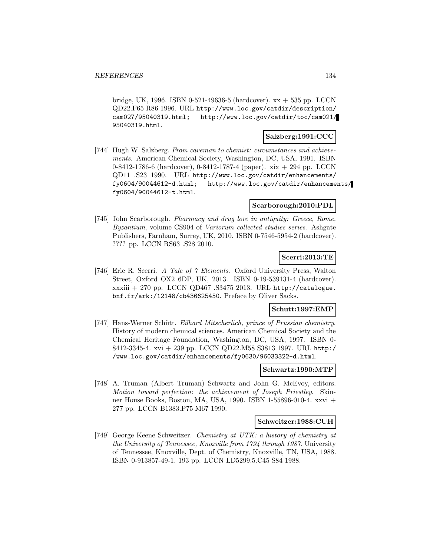bridge, UK, 1996. ISBN 0-521-49636-5 (hardcover).  $xx + 535$  pp. LCCN QD22.F65 R86 1996. URL http://www.loc.gov/catdir/description/ cam027/95040319.html; http://www.loc.gov/catdir/toc/cam021/ 95040319.html.

## **Salzberg:1991:CCC**

[744] Hugh W. Salzberg. From caveman to chemist: circumstances and achievements. American Chemical Society, Washington, DC, USA, 1991. ISBN 0-8412-1786-6 (hardcover), 0-8412-1787-4 (paper). xix + 294 pp. LCCN QD11 .S23 1990. URL http://www.loc.gov/catdir/enhancements/ fy0604/90044612-d.html; http://www.loc.gov/catdir/enhancements/ fy0604/90044612-t.html.

### **Scarborough:2010:PDL**

[745] John Scarborough. Pharmacy and drug lore in antiquity: Greece, Rome, Byzantium, volume CS904 of Variorum collected studies series. Ashgate Publishers, Farnham, Surrey, UK, 2010. ISBN 0-7546-5954-2 (hardcover). ???? pp. LCCN RS63 .S28 2010.

# **Scerri:2013:TE**

[746] Eric R. Scerri. A Tale of 7 Elements. Oxford University Press, Walton Street, Oxford OX2 6DP, UK, 2013. ISBN 0-19-539131-4 (hardcover). xxxiii + 270 pp. LCCN QD467 .S3475 2013. URL http://catalogue. bnf.fr/ark:/12148/cb436625450. Preface by Oliver Sacks.

# **Schutt:1997:EMP**

[747] Hans-Werner Schütt. Eilhard Mitscherlich, prince of Prussian chemistry. History of modern chemical sciences. American Chemical Society and the Chemical Heritage Foundation, Washington, DC, USA, 1997. ISBN 0- 8412-3345-4. xvi + 239 pp. LCCN QD22.M58 S3813 1997. URL http:/ /www.loc.gov/catdir/enhancements/fy0630/96033322-d.html.

# **Schwartz:1990:MTP**

[748] A. Truman (Albert Truman) Schwartz and John G. McEvoy, editors. Motion toward perfection: the achievement of Joseph Priestley. Skinner House Books, Boston, MA, USA, 1990. ISBN 1-55896-010-4. xxvi + 277 pp. LCCN B1383.P75 M67 1990.

### **Schweitzer:1988:CUH**

[749] George Keene Schweitzer. Chemistry at UTK: a history of chemistry at the University of Tennessee, Knoxville from 1794 through 1987. University of Tennessee, Knoxville, Dept. of Chemistry, Knoxville, TN, USA, 1988. ISBN 0-913857-49-1. 193 pp. LCCN LD5299.5.C45 S84 1988.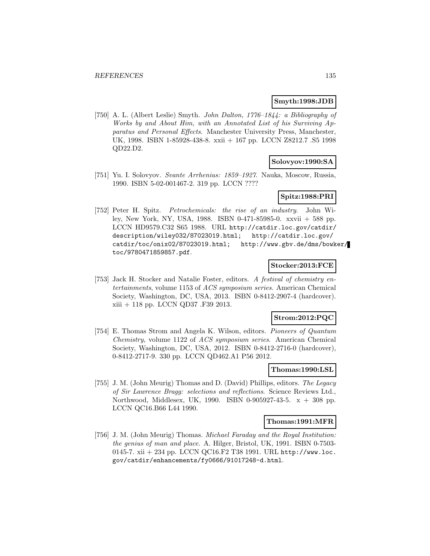### **Smyth:1998:JDB**

[750] A. L. (Albert Leslie) Smyth. John Dalton, 1776–1844: a Bibliography of Works by and About Him, with an Annotated List of his Surviving Apparatus and Personal Effects. Manchester University Press, Manchester, UK, 1998. ISBN 1-85928-438-8. xxii + 167 pp. LCCN Z8212.7 .S5 1998 QD22.D2.

# **Solovyov:1990:SA**

[751] Yu. I. Solovyov. Svante Arrhenius: 1859–1927. Nauka, Moscow, Russia, 1990. ISBN 5-02-001467-2. 319 pp. LCCN ????

# **Spitz:1988:PRI**

[752] Peter H. Spitz. Petrochemicals: the rise of an industry. John Wiley, New York, NY, USA, 1988. ISBN 0-471-85985-0. xxvii + 588 pp. LCCN HD9579.C32 S65 1988. URL http://catdir.loc.gov/catdir/ description/wiley032/87023019.html; http://catdir.loc.gov/ catdir/toc/onix02/87023019.html; http://www.gbv.de/dms/bowker/ toc/9780471859857.pdf.

# **Stocker:2013:FCE**

[753] Jack H. Stocker and Natalie Foster, editors. A festival of chemistry entertainments, volume 1153 of ACS symposium series. American Chemical Society, Washington, DC, USA, 2013. ISBN 0-8412-2907-4 (hardcover). xiii + 118 pp. LCCN QD37 .F39 2013.

### **Strom:2012:PQC**

[754] E. Thomas Strom and Angela K. Wilson, editors. Pioneers of Quantum Chemistry, volume 1122 of ACS symposium series. American Chemical Society, Washington, DC, USA, 2012. ISBN 0-8412-2716-0 (hardcover), 0-8412-2717-9. 330 pp. LCCN QD462.A1 P56 2012.

# **Thomas:1990:LSL**

[755] J. M. (John Meurig) Thomas and D. (David) Phillips, editors. The Legacy of Sir Lawrence Bragg: selections and reflections. Science Reviews Ltd., Northwood, Middlesex, UK, 1990. ISBN 0-905927-43-5. x + 308 pp. LCCN QC16.B66 L44 1990.

### **Thomas:1991:MFR**

[756] J. M. (John Meurig) Thomas. Michael Faraday and the Royal Institution: the genius of man and place. A. Hilger, Bristol, UK, 1991. ISBN 0-7503- 0145-7. xii + 234 pp. LCCN QC16.F2 T38 1991. URL http://www.loc. gov/catdir/enhancements/fy0666/91017248-d.html.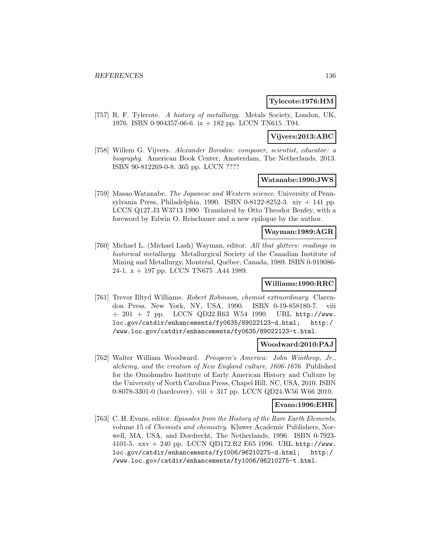# **Tylecote:1976:HM**

[757] R. F. Tylecote. A history of metallurgy. Metals Society, London, UK, 1976. ISBN 0-904357-06-6. ix + 182 pp. LCCN TN615 .T94.

# **Vijvers:2013:ABC**

[758] Willem G. Vijvers. Alexander Borodin: composer, scientist, educator: a biography. American Book Center, Amsterdam, The Netherlands, 2013. ISBN 90-812269-0-8. 365 pp. LCCN ????

# **Watanabe:1990:JWS**

[759] Masao Watanabe. The Japanese and Western science. University of Pennsylvania Press, Philadelphia, 1990. ISBN 0-8122-8252-3. xiv  $+$  141 pp. LCCN Q127.J3 W3713 1990. Translated by Otto Theodor Benfey, with a foreword by Edwin O. Reischauer and a new epilogue by the author.

# **Wayman:1989:AGR**

[760] Michael L. (Michael Lash) Wayman, editor. All that glitters: readings in historical metallurgy. Metallurgical Society of the Canadian Institute of Mining and Metallurgy, Montréal, Québec, Canada, 1989. ISBN 0-919086-24-1. x + 197 pp. LCCN TN675 .A44 1989.

### **Williams:1990:RRC**

[761] Trevor Illtyd Williams. Robert Robinson, chemist extraordinary. Clarendon Press, New York, NY, USA, 1990. ISBN 0-19-858180-7. viii + 201 + 7 pp. LCCN QD22.R63 W54 1990. URL http://www. loc.gov/catdir/enhancements/fy0635/89022123-d.html; http:/ /www.loc.gov/catdir/enhancements/fy0635/89022123-t.html.

### **Woodward:2010:PAJ**

[762] Walter William Woodward. Prospero's America: John Winthrop, Jr., alchemy, and the creation of New England culture, 1606-1676. Published for the Omohundro Institute of Early American History and Culture by the University of North Carolina Press, Chapel Hill, NC, USA, 2010. ISBN 0-8078-3301-0 (hardcover). viii + 317 pp. LCCN QD24.W56 W66 2010.

### **Evans:1996:EHR**

[763] C. H. Evans, editor. Episodes from the History of the Rare Earth Elements, volume 15 of Chemists and chemistry. Kluwer Academic Publishers, Norwell, MA, USA, and Dordrecht, The Netherlands, 1996. ISBN 0-7923- 4101-5. xxv + 240 pp. LCCN QD172.R2 E65 1996. URL http://www. loc.gov/catdir/enhancements/fy1006/96210275-d.html; http:/ /www.loc.gov/catdir/enhancements/fy1006/96210275-t.html.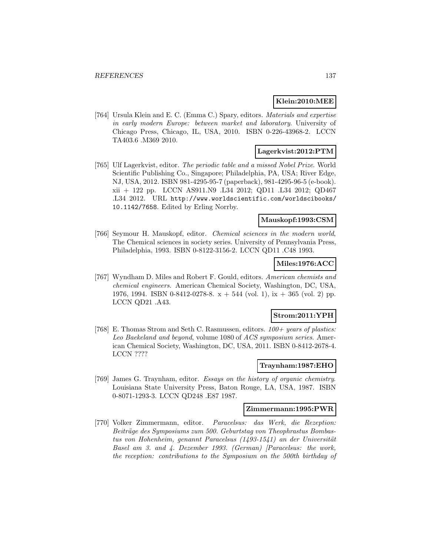# **Klein:2010:MEE**

[764] Ursula Klein and E. C. (Emma C.) Spary, editors. Materials and expertise in early modern Europe: between market and laboratory. University of Chicago Press, Chicago, IL, USA, 2010. ISBN 0-226-43968-2. LCCN TA403.6 .M369 2010.

# **Lagerkvist:2012:PTM**

[765] Ulf Lagerkvist, editor. The periodic table and a missed Nobel Prize. World Scientific Publishing Co., Singapore; Philadelphia, PA, USA; River Edge, NJ, USA, 2012. ISBN 981-4295-95-7 (paperback), 981-4295-96-5 (e-book). xii + 122 pp. LCCN AS911.N9 .L34 2012; QD11 .L34 2012; QD467 .L34 2012. URL http://www.worldscientific.com/worldscibooks/ 10.1142/7658. Edited by Erling Norrby.

## **Mauskopf:1993:CSM**

[766] Seymour H. Mauskopf, editor. Chemical sciences in the modern world, The Chemical sciences in society series. University of Pennsylvania Press, Philadelphia, 1993. ISBN 0-8122-3156-2. LCCN QD11 .C48 1993.

### **Miles:1976:ACC**

[767] Wyndham D. Miles and Robert F. Gould, editors. American chemists and chemical engineers. American Chemical Society, Washington, DC, USA, 1976, 1994. ISBN 0-8412-0278-8.  $x + 544$  (vol. 1),  $ix + 365$  (vol. 2) pp. LCCN QD21 .A43.

# **Strom:2011:YPH**

[768] E. Thomas Strom and Seth C. Rasmussen, editors.  $100 + years$  of plastics: Leo Baekeland and beyond, volume 1080 of ACS symposium series. American Chemical Society, Washington, DC, USA, 2011. ISBN 0-8412-2678-4. LCCN ????

#### **Traynham:1987:EHO**

[769] James G. Traynham, editor. Essays on the history of organic chemistry. Louisiana State University Press, Baton Rouge, LA, USA, 1987. ISBN 0-8071-1293-3. LCCN QD248 .E87 1987.

# **Zimmermann:1995:PWR**

[770] Volker Zimmermann, editor. Paracelsus: das Werk, die Rezeption: Beiträge des Symposiums zum 500. Geburtstag von Theophrastus Bombastus von Hohenheim, genannt Paracelsus  $(1493-1541)$  an der Universität Basel am 3. and 4. Dezember 1993. (German) [Paracelsus: the work, the reception: contributions to the Symposium on the 500th birthday of